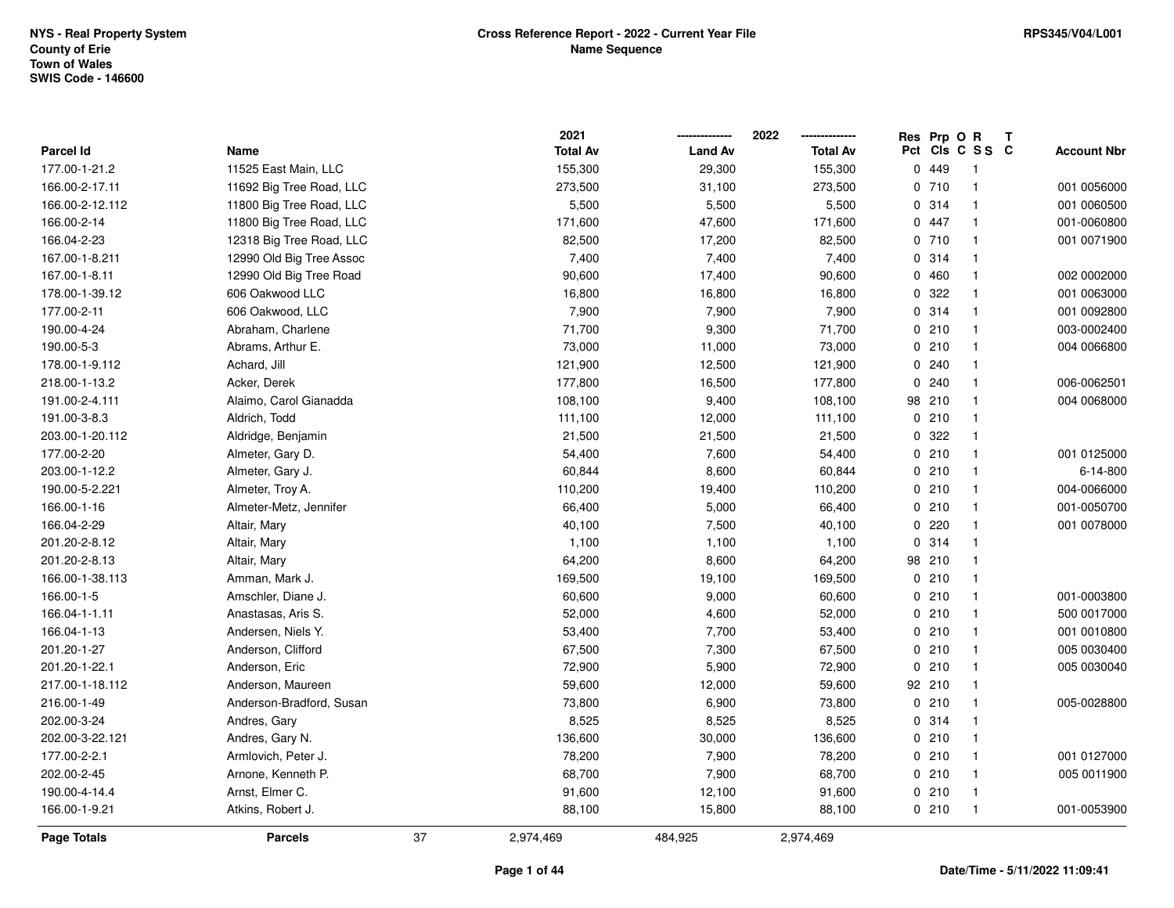|                  |                          |    | 2021            |                | 2022            | Res Prp O R |                         | Т |                    |
|------------------|--------------------------|----|-----------------|----------------|-----------------|-------------|-------------------------|---|--------------------|
| <b>Parcel Id</b> | Name                     |    | <b>Total Av</b> | <b>Land Av</b> | <b>Total Av</b> |             | Pct Cls C S S C         |   | <b>Account Nbr</b> |
| 177.00-1-21.2    | 11525 East Main, LLC     |    | 155,300         | 29,300         | 155,300         | 0.449       | $\overline{\mathbf{1}}$ |   |                    |
| 166.00-2-17.11   | 11692 Big Tree Road, LLC |    | 273,500         | 31,100         | 273,500         | 0710        | $\overline{1}$          |   | 001 0056000        |
| 166.00-2-12.112  | 11800 Big Tree Road, LLC |    | 5,500           | 5,500          | 5,500           | 0.314       | $\overline{1}$          |   | 001 0060500        |
| 166.00-2-14      | 11800 Big Tree Road, LLC |    | 171,600         | 47,600         | 171,600         | 0 447       | $\overline{1}$          |   | 001-0060800        |
| 166.04-2-23      | 12318 Big Tree Road, LLC |    | 82,500          | 17,200         | 82,500          | 0710        | -1                      |   | 001 0071900        |
| 167.00-1-8.211   | 12990 Old Big Tree Assoc |    | 7,400           | 7,400          | 7,400           | 0.314       | -1                      |   |                    |
| 167.00-1-8.11    | 12990 Old Big Tree Road  |    | 90,600          | 17,400         | 90,600          | 0460        | $\overline{1}$          |   | 002 0002000        |
| 178.00-1-39.12   | 606 Oakwood LLC          |    | 16,800          | 16,800         | 16,800          | 0.322       | $\overline{1}$          |   | 001 0063000        |
| 177.00-2-11      | 606 Oakwood, LLC         |    | 7,900           | 7,900          | 7,900           | 0 314       | $\overline{1}$          |   | 001 0092800        |
| 190.00-4-24      | Abraham, Charlene        |    | 71,700          | 9,300          | 71,700          | 0210        | $\overline{1}$          |   | 003-0002400        |
| 190.00-5-3       | Abrams, Arthur E.        |    | 73,000          | 11,000         | 73,000          | 0210        | $\overline{1}$          |   | 004 0066800        |
| 178.00-1-9.112   | Achard, Jill             |    | 121,900         | 12,500         | 121,900         | 0.240       | $\overline{1}$          |   |                    |
| 218.00-1-13.2    | Acker, Derek             |    | 177,800         | 16,500         | 177,800         | 0.240       | -1                      |   | 006-0062501        |
| 191.00-2-4.111   | Alaimo, Carol Gianadda   |    | 108,100         | 9,400          | 108,100         | 98 210      | $\overline{1}$          |   | 004 0068000        |
| 191.00-3-8.3     | Aldrich, Todd            |    | 111,100         | 12,000         | 111,100         | 0210        | $\overline{1}$          |   |                    |
| 203.00-1-20.112  | Aldridge, Benjamin       |    | 21,500          | 21,500         | 21,500          | 0.322       | $\overline{1}$          |   |                    |
| 177.00-2-20      | Almeter, Gary D.         |    | 54,400          | 7,600          | 54,400          | 0210        | $\overline{1}$          |   | 001 0125000        |
| 203.00-1-12.2    | Almeter, Gary J.         |    | 60,844          | 8,600          | 60,844          | 0210        | $\overline{1}$          |   | 6-14-800           |
| 190.00-5-2.221   | Almeter, Troy A.         |    | 110,200         | 19,400         | 110,200         | 0210        | $\overline{1}$          |   | 004-0066000        |
| 166.00-1-16      | Almeter-Metz, Jennifer   |    | 66,400          | 5,000          | 66,400          | 0210        | $\overline{1}$          |   | 001-0050700        |
| 166.04-2-29      | Altair, Mary             |    | 40,100          | 7,500          | 40,100          | 0220        | $\overline{1}$          |   | 001 0078000        |
| 201.20-2-8.12    | Altair, Mary             |    | 1,100           | 1,100          | 1,100           | 0 314       | $\overline{1}$          |   |                    |
| 201.20-2-8.13    | Altair, Mary             |    | 64,200          | 8,600          | 64,200          | 98 210      | $\overline{1}$          |   |                    |
| 166.00-1-38.113  | Amman, Mark J.           |    | 169,500         | 19,100         | 169,500         | 0210        | $\overline{1}$          |   |                    |
| 166.00-1-5       | Amschler, Diane J.       |    | 60,600          | 9,000          | 60,600          | 0210        | $\overline{1}$          |   | 001-0003800        |
| 166.04-1-1.11    | Anastasas, Aris S.       |    | 52,000          | 4,600          | 52,000          | 0210        | -1                      |   | 500 0017000        |
| 166.04-1-13      | Andersen, Niels Y.       |    | 53,400          | 7,700          | 53,400          | 0210        | -1                      |   | 001 0010800        |
| 201.20-1-27      | Anderson, Clifford       |    | 67,500          | 7,300          | 67,500          | 0210        | $\overline{1}$          |   | 005 0030400        |
| 201.20-1-22.1    | Anderson, Eric           |    | 72,900          | 5,900          | 72,900          | 0210        | $\overline{1}$          |   | 005 0030040        |
| 217.00-1-18.112  | Anderson, Maureen        |    | 59,600          | 12,000         | 59,600          | 92 210      | $\overline{1}$          |   |                    |
| 216.00-1-49      | Anderson-Bradford, Susan |    | 73,800          | 6,900          | 73,800          | 0210        | $\overline{1}$          |   | 005-0028800        |
| 202.00-3-24      | Andres, Gary             |    | 8,525           | 8,525          | 8,525           | 0.314       | $\overline{1}$          |   |                    |
| 202.00-3-22.121  | Andres, Gary N.          |    | 136,600         | 30,000         | 136,600         | 0210        | $\overline{1}$          |   |                    |
| 177.00-2-2.1     | Armlovich, Peter J.      |    | 78,200          | 7,900          | 78,200          | 0210        | $\overline{1}$          |   | 001 0127000        |
| 202.00-2-45      | Arnone, Kenneth P.       |    | 68,700          | 7,900          | 68,700          | 0210        | $\overline{1}$          |   | 005 0011900        |
| 190.00-4-14.4    | Arnst, Elmer C.          |    | 91,600          | 12,100         | 91,600          | 0210        | $\overline{1}$          |   |                    |
| 166.00-1-9.21    | Atkins, Robert J.        |    | 88,100          | 15,800         | 88,100          | 0210        | $\overline{1}$          |   | 001-0053900        |
| Page Totals      | <b>Parcels</b>           | 37 | 2,974,469       | 484,925        | 2,974,469       |             |                         |   |                    |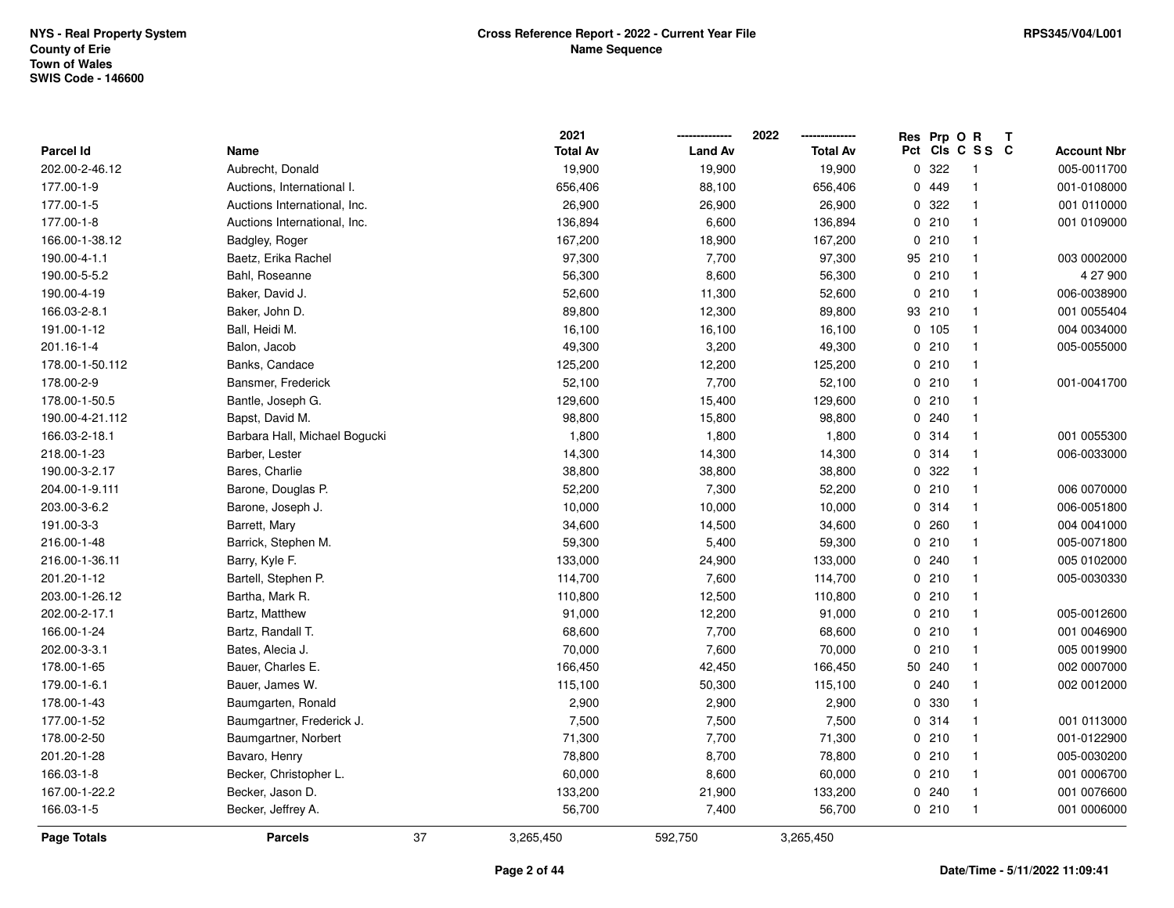|                 |                               | 2021            |                | 2022            | Res                | Prp O R<br>$\mathbf{T}$ |                    |
|-----------------|-------------------------------|-----------------|----------------|-----------------|--------------------|-------------------------|--------------------|
| Parcel Id       | Name                          | <b>Total Av</b> | <b>Land Av</b> | <b>Total Av</b> | Pct                | CIs C S S C             | <b>Account Nbr</b> |
| 202.00-2-46.12  | Aubrecht, Donald              | 19,900          | 19,900         | 19,900          | 322<br>0           | -1                      | 005-0011700        |
| 177.00-1-9      | Auctions, International I.    | 656,406         | 88,100         | 656,406         | 449<br>0           | -1                      | 001-0108000        |
| 177.00-1-5      | Auctions International, Inc.  | 26,900          | 26,900         | 26,900          | 322<br>0           | $\mathbf{1}$            | 001 0110000        |
| 177.00-1-8      | Auctions International, Inc.  | 136,894         | 6,600          | 136,894         | 210<br>0           | $\overline{1}$          | 001 0109000        |
| 166.00-1-38.12  | Badgley, Roger                | 167,200         | 18,900         | 167,200         | 210<br>0           | $\mathbf{1}$            |                    |
| 190.00-4-1.1    | Baetz, Erika Rachel           | 97,300          | 7,700          | 97,300          | 95 210             | $\mathbf{1}$            | 003 0002000        |
| 190.00-5-5.2    | Bahl, Roseanne                | 56,300          | 8,600          | 56,300          | 0210               | -1                      | 4 27 900           |
| 190.00-4-19     | Baker, David J.               | 52,600          | 11,300         | 52,600          | 0210               | $\mathbf{1}$            | 006-0038900        |
| 166.03-2-8.1    | Baker, John D.                | 89,800          | 12,300         | 89,800          | 93 210             | $\mathbf{1}$            | 001 0055404        |
| 191.00-1-12     | Ball, Heidi M.                | 16,100          | 16,100         | 16,100          | 0 105              | $\mathbf{1}$            | 004 0034000        |
| 201.16-1-4      | Balon, Jacob                  | 49,300          | 3,200          | 49,300          | 210<br>0           | $\mathbf{1}$            | 005-0055000        |
| 178.00-1-50.112 | Banks, Candace                | 125,200         | 12,200         | 125,200         | 0210               | $\mathbf{1}$            |                    |
| 178.00-2-9      | Bansmer, Frederick            | 52,100          | 7,700          | 52,100          | 0210               | $\mathbf{1}$            | 001-0041700        |
| 178.00-1-50.5   | Bantle, Joseph G.             | 129,600         | 15,400         | 129,600         | 0210               | -1                      |                    |
| 190.00-4-21.112 | Bapst, David M.               | 98,800          | 15,800         | 98,800          | 0.240              | -1                      |                    |
| 166.03-2-18.1   | Barbara Hall, Michael Bogucki | 1,800           | 1,800          | 1,800           | 0.314              | $\mathbf{1}$            | 001 0055300        |
| 218.00-1-23     | Barber, Lester                | 14,300          | 14,300         | 14,300          | 314<br>$\mathbf 0$ | $\mathbf{1}$            | 006-0033000        |
| 190.00-3-2.17   | Bares, Charlie                | 38,800          | 38,800         | 38,800          | 322<br>0           | $\mathbf{1}$            |                    |
| 204.00-1-9.111  | Barone, Douglas P.            | 52,200          | 7,300          | 52,200          | 0210               | $\mathbf{1}$            | 006 0070000        |
| 203.00-3-6.2    | Barone, Joseph J.             | 10,000          | 10,000         | 10,000          | 0.314              | $\mathbf{1}$            | 006-0051800        |
| 191.00-3-3      | Barrett, Mary                 | 34,600          | 14,500         | 34,600          | 0.260              | -1                      | 004 0041000        |
| 216.00-1-48     | Barrick, Stephen M.           | 59,300          | 5,400          | 59,300          | 0210               | $\mathbf{1}$            | 005-0071800        |
| 216.00-1-36.11  | Barry, Kyle F.                | 133,000         | 24,900         | 133,000         | 0.240              | $\mathbf{1}$            | 005 0102000        |
| 201.20-1-12     | Bartell, Stephen P.           | 114,700         | 7,600          | 114,700         | 210<br>0           | $\mathbf{1}$            | 005-0030330        |
| 203.00-1-26.12  | Bartha, Mark R.               | 110,800         | 12,500         | 110,800         | 0210               | $\mathbf{1}$            |                    |
| 202.00-2-17.1   | Bartz, Matthew                | 91,000          | 12,200         | 91,000          | 0210               | $\mathbf{1}$            | 005-0012600        |
| 166.00-1-24     | Bartz, Randall T.             | 68,600          | 7,700          | 68,600          | 0210               | -1                      | 001 0046900        |
| 202.00-3-3.1    | Bates, Alecia J.              | 70,000          | 7,600          | 70,000          | 210<br>0           | $\mathbf{1}$            | 005 0019900        |
| 178.00-1-65     | Bauer, Charles E.             | 166,450         | 42,450         | 166,450         | 50 240             | $\mathbf{1}$            | 002 0007000        |
| 179.00-1-6.1    | Bauer, James W.               | 115,100         | 50,300         | 115,100         | 240<br>0           | $\mathbf{1}$            | 002 0012000        |
| 178.00-1-43     | Baumgarten, Ronald            | 2,900           | 2,900          | 2,900           | 330<br>0           | $\mathbf{1}$            |                    |
| 177.00-1-52     | Baumgartner, Frederick J.     | 7,500           | 7,500          | 7,500           | 0.314              | $\mathbf{1}$            | 001 0113000        |
| 178.00-2-50     | Baumgartner, Norbert          | 71,300          | 7,700          | 71,300          | 0210               | $\mathbf{1}$            | 001-0122900        |
| 201.20-1-28     | Bavaro, Henry                 | 78,800          | 8,700          | 78,800          | 0210               | $\mathbf{1}$            | 005-0030200        |
| 166.03-1-8      | Becker, Christopher L.        | 60,000          | 8,600          | 60,000          | 0210               | $\mathbf{1}$            | 001 0006700        |
| 167.00-1-22.2   | Becker, Jason D.              | 133,200         | 21,900         | 133,200         | 0.240              | $\mathbf{1}$            | 001 0076600        |
| 166.03-1-5      | Becker, Jeffrey A.            | 56,700          | 7,400          | 56,700          | 0210               | -1                      | 001 0006000        |
| Page Totals     | <b>Parcels</b>                | 37<br>3,265,450 | 592,750        | 3,265,450       |                    |                         |                    |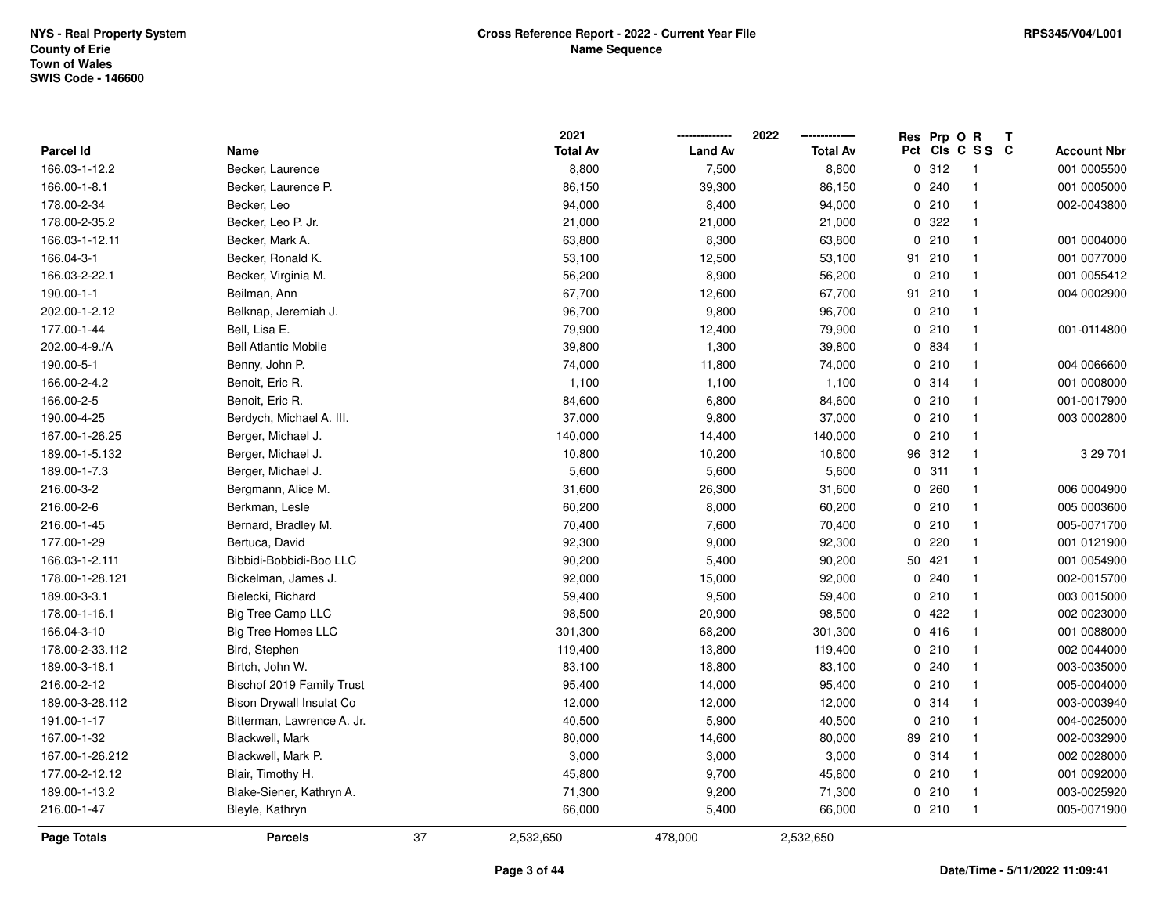|                  |                             |    | 2021            |                | 2022            |    | Res Prp O R |                 | Т |                    |
|------------------|-----------------------------|----|-----------------|----------------|-----------------|----|-------------|-----------------|---|--------------------|
| <b>Parcel Id</b> | Name                        |    | <b>Total Av</b> | <b>Land Av</b> | <b>Total Av</b> |    |             | Pct Cls C S S C |   | <b>Account Nbr</b> |
| 166.03-1-12.2    | Becker, Laurence            |    | 8,800           | 7,500          | 8,800           |    | 0.312       | $\overline{1}$  |   | 001 0005500        |
| 166.00-1-8.1     | Becker, Laurence P.         |    | 86,150          | 39,300         | 86,150          |    | 0.240       | $\overline{1}$  |   | 001 0005000        |
| 178.00-2-34      | Becker, Leo                 |    | 94,000          | 8,400          | 94,000          |    | 0210        | $\mathbf{1}$    |   | 002-0043800        |
| 178.00-2-35.2    | Becker, Leo P. Jr.          |    | 21,000          | 21,000         | 21,000          |    | 0 322       | $\mathbf{1}$    |   |                    |
| 166.03-1-12.11   | Becker, Mark A.             |    | 63,800          | 8,300          | 63,800          |    | 0210        | $\mathbf{1}$    |   | 001 0004000        |
| 166.04-3-1       | Becker, Ronald K.           |    | 53,100          | 12,500         | 53,100          |    | 91 210      | $\mathbf{1}$    |   | 001 0077000        |
| 166.03-2-22.1    | Becker, Virginia M.         |    | 56,200          | 8,900          | 56,200          |    | 0210        | $\mathbf{1}$    |   | 001 0055412        |
| 190.00-1-1       | Beilman, Ann                |    | 67,700          | 12,600         | 67,700          | 91 | 210         | $\mathbf{1}$    |   | 004 0002900        |
| 202.00-1-2.12    | Belknap, Jeremiah J.        |    | 96,700          | 9,800          | 96,700          |    | 0210        | $\mathbf{1}$    |   |                    |
| 177.00-1-44      | Bell, Lisa E.               |    | 79,900          | 12,400         | 79,900          |    | 0210        | $\mathbf{1}$    |   | 001-0114800        |
| 202.00-4-9./A    | <b>Bell Atlantic Mobile</b> |    | 39,800          | 1,300          | 39,800          |    | 0 834       | $\mathbf{1}$    |   |                    |
| 190.00-5-1       | Benny, John P.              |    | 74,000          | 11,800         | 74,000          |    | 0210        | $\mathbf{1}$    |   | 004 0066600        |
| 166.00-2-4.2     | Benoit, Eric R.             |    | 1,100           | 1,100          | 1,100           |    | 0.314       | $\overline{1}$  |   | 001 0008000        |
| 166.00-2-5       | Benoit, Eric R.             |    | 84,600          | 6,800          | 84,600          |    | 0210        | $\mathbf{1}$    |   | 001-0017900        |
| 190.00-4-25      | Berdych, Michael A. III.    |    | 37,000          | 9,800          | 37,000          |    | 0210        | $\mathbf{1}$    |   | 003 0002800        |
| 167.00-1-26.25   | Berger, Michael J.          |    | 140,000         | 14,400         | 140,000         |    | 0210        | $\mathbf{1}$    |   |                    |
| 189.00-1-5.132   | Berger, Michael J.          |    | 10,800          | 10,200         | 10,800          |    | 96 312      | $\mathbf{1}$    |   | 3 29 701           |
| 189.00-1-7.3     | Berger, Michael J.          |    | 5,600           | 5,600          | 5,600           |    | 0.311       | $\mathbf{1}$    |   |                    |
| 216.00-3-2       | Bergmann, Alice M.          |    | 31,600          | 26,300         | 31,600          |    | 0.260       | $\mathbf{1}$    |   | 006 0004900        |
| 216.00-2-6       | Berkman, Lesle              |    | 60,200          | 8,000          | 60,200          |    | 0210        | $\mathbf{1}$    |   | 005 0003600        |
| 216.00-1-45      | Bernard, Bradley M.         |    | 70,400          | 7,600          | 70,400          |    | 0210        | $\mathbf{1}$    |   | 005-0071700        |
| 177.00-1-29      | Bertuca, David              |    | 92,300          | 9,000          | 92,300          |    | 0220        | $\mathbf{1}$    |   | 001 0121900        |
| 166.03-1-2.111   | Bibbidi-Bobbidi-Boo LLC     |    | 90,200          | 5,400          | 90,200          |    | 50 421      | $\mathbf{1}$    |   | 001 0054900        |
| 178.00-1-28.121  | Bickelman, James J.         |    | 92,000          | 15,000         | 92,000          |    | 0.240       | $\mathbf{1}$    |   | 002-0015700        |
| 189.00-3-3.1     | Bielecki, Richard           |    | 59,400          | 9,500          | 59,400          |    | 0210        | $\mathbf{1}$    |   | 003 0015000        |
| 178.00-1-16.1    | <b>Big Tree Camp LLC</b>    |    | 98,500          | 20,900         | 98,500          |    | 0422        | $\mathbf{1}$    |   | 002 0023000        |
| 166.04-3-10      | <b>Big Tree Homes LLC</b>   |    | 301,300         | 68,200         | 301,300         |    | 0416        | $\mathbf{1}$    |   | 001 0088000        |
| 178.00-2-33.112  | Bird, Stephen               |    | 119,400         | 13,800         | 119,400         |    | 0210        | $\mathbf{1}$    |   | 002 0044000        |
| 189.00-3-18.1    | Birtch, John W.             |    | 83,100          | 18,800         | 83,100          |    | 0.240       | $\mathbf{1}$    |   | 003-0035000        |
| 216.00-2-12      | Bischof 2019 Family Trust   |    | 95,400          | 14,000         | 95,400          |    | 0210        | $\mathbf{1}$    |   | 005-0004000        |
| 189.00-3-28.112  | Bison Drywall Insulat Co    |    | 12,000          | 12,000         | 12,000          |    | 0.314       | $\mathbf{1}$    |   | 003-0003940        |
| 191.00-1-17      | Bitterman, Lawrence A. Jr.  |    | 40,500          | 5,900          | 40,500          |    | 0210        | $\mathbf{1}$    |   | 004-0025000        |
| 167.00-1-32      | Blackwell, Mark             |    | 80,000          | 14,600         | 80,000          |    | 89 210      | $\mathbf{1}$    |   | 002-0032900        |
| 167.00-1-26.212  | Blackwell, Mark P.          |    | 3,000           | 3,000          | 3,000           |    | 0.314       | $\mathbf{1}$    |   | 002 0028000        |
| 177.00-2-12.12   | Blair, Timothy H.           |    | 45,800          | 9,700          | 45,800          |    | 0210        | $\mathbf{1}$    |   | 001 0092000        |
| 189.00-1-13.2    | Blake-Siener, Kathryn A.    |    | 71,300          | 9,200          | 71,300          |    | 0210        | $\mathbf{1}$    |   | 003-0025920        |
| 216.00-1-47      | Bleyle, Kathryn             |    | 66,000          | 5,400          | 66,000          |    | 0210        | $\mathbf{1}$    |   | 005-0071900        |
| Page Totals      | <b>Parcels</b>              | 37 | 2,532,650       | 478,000        | 2,532,650       |    |             |                 |   |                    |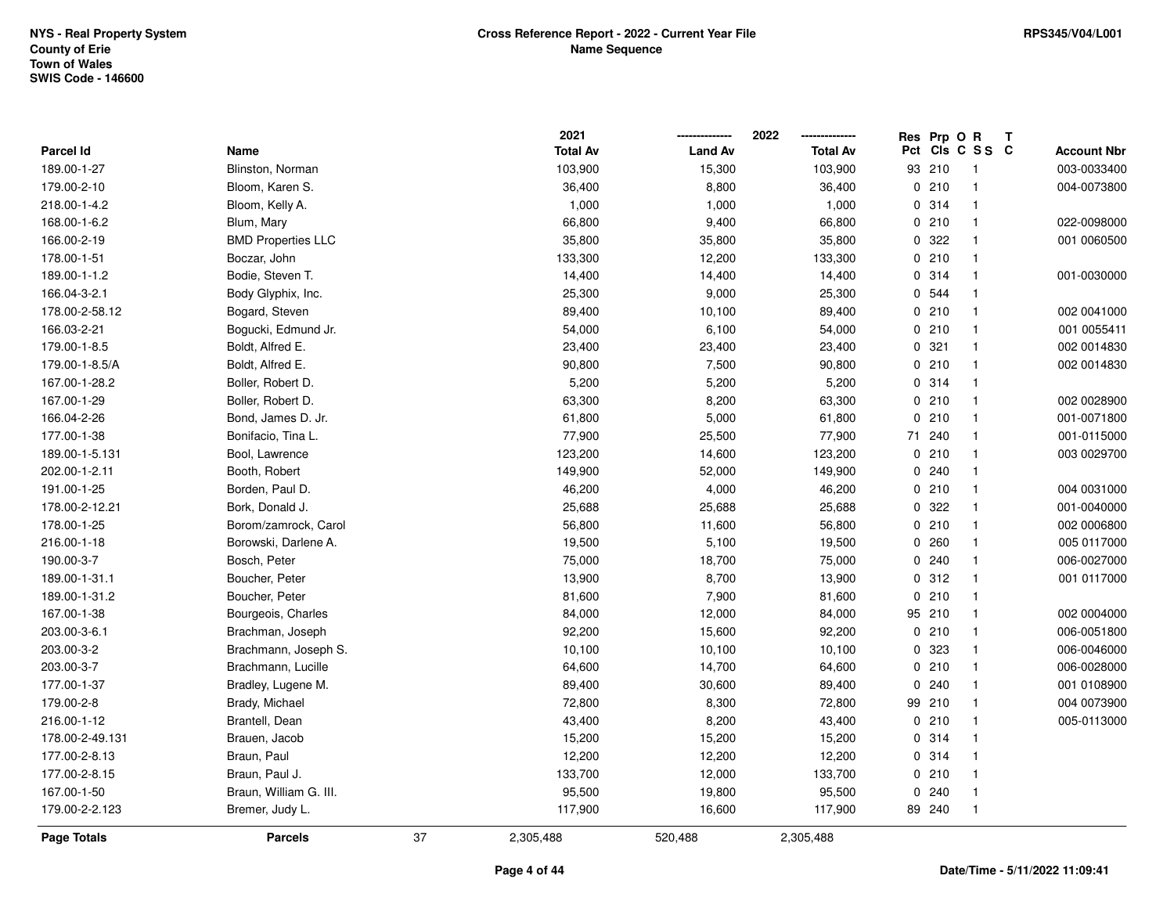|                 |                           |    | 2021            |                | 2022<br>        |    | Res Prp O R | Т                       |                    |
|-----------------|---------------------------|----|-----------------|----------------|-----------------|----|-------------|-------------------------|--------------------|
| Parcel Id       | Name                      |    | <b>Total Av</b> | <b>Land Av</b> | <b>Total Av</b> |    |             | Pct Cls C S S C         | <b>Account Nbr</b> |
| 189.00-1-27     | Blinston, Norman          |    | 103,900         | 15,300         | 103,900         | 93 | 210         | $\overline{\mathbf{1}}$ | 003-0033400        |
| 179.00-2-10     | Bloom, Karen S.           |    | 36,400          | 8,800          | 36,400          |    | 0210        | $\mathbf{1}$            | 004-0073800        |
| 218.00-1-4.2    | Bloom, Kelly A.           |    | 1,000           | 1,000          | 1,000           |    | 0.314       | $\mathbf{1}$            |                    |
| 168.00-1-6.2    | Blum, Mary                |    | 66,800          | 9,400          | 66,800          |    | 0210        | $\mathbf{1}$            | 022-0098000        |
| 166.00-2-19     | <b>BMD Properties LLC</b> |    | 35,800          | 35,800         | 35,800          |    | 0.322       | -1                      | 001 0060500        |
| 178.00-1-51     | Boczar, John              |    | 133,300         | 12,200         | 133,300         |    | 0210        | $\overline{1}$          |                    |
| 189.00-1-1.2    | Bodie, Steven T.          |    | 14,400          | 14,400         | 14,400          |    | 0.314       | $\mathbf{1}$            | 001-0030000        |
| 166.04-3-2.1    | Body Glyphix, Inc.        |    | 25,300          | 9,000          | 25,300          |    | 0 544       | $\mathbf{1}$            |                    |
| 178.00-2-58.12  | Bogard, Steven            |    | 89,400          | 10,100         | 89,400          |    | 0210        | $\mathbf{1}$            | 002 0041000        |
| 166.03-2-21     | Bogucki, Edmund Jr.       |    | 54,000          | 6,100          | 54,000          |    | 0210        | $\mathbf{1}$            | 001 0055411        |
| 179.00-1-8.5    | Boldt, Alfred E.          |    | 23,400          | 23,400         | 23,400          |    | 0.321       | $\mathbf{1}$            | 002 0014830        |
| 179.00-1-8.5/A  | Boldt, Alfred E.          |    | 90,800          | 7,500          | 90,800          |    | 0210        | -1                      | 002 0014830        |
| 167.00-1-28.2   | Boller, Robert D.         |    | 5,200           | 5,200          | 5,200           |    | 0.314       | $\mathbf 1$             |                    |
| 167.00-1-29     | Boller, Robert D.         |    | 63,300          | 8,200          | 63,300          |    | 0210        | $\overline{1}$          | 002 0028900        |
| 166.04-2-26     | Bond, James D. Jr.        |    | 61,800          | 5,000          | 61,800          | 0  | 210         | $\mathbf{1}$            | 001-0071800        |
| 177.00-1-38     | Bonifacio, Tina L.        |    | 77,900          | 25,500         | 77,900          | 71 | 240         | $\mathbf{1}$            | 001-0115000        |
| 189.00-1-5.131  | Bool, Lawrence            |    | 123,200         | 14,600         | 123,200         |    | 0210        | $\mathbf{1}$            | 003 0029700        |
| 202.00-1-2.11   | Booth, Robert             |    | 149,900         | 52,000         | 149,900         |    | 0.240       | $\mathbf{1}$            |                    |
| 191.00-1-25     | Borden, Paul D.           |    | 46,200          | 4,000          | 46,200          |    | 0210        | $\overline{1}$          | 004 0031000        |
| 178.00-2-12.21  | Bork, Donald J.           |    | 25,688          | 25,688         | 25,688          |    | 0 322       | -1                      | 001-0040000        |
| 178.00-1-25     | Borom/zamrock, Carol      |    | 56,800          | 11,600         | 56,800          |    | 0210        | $\overline{1}$          | 002 0006800        |
| 216.00-1-18     | Borowski, Darlene A.      |    | 19,500          | 5,100          | 19,500          |    | 0.260       | $\mathbf{1}$            | 005 0117000        |
| 190.00-3-7      | Bosch, Peter              |    | 75,000          | 18,700         | 75,000          |    | 0.240       | $\overline{1}$          | 006-0027000        |
| 189.00-1-31.1   | Boucher, Peter            |    | 13,900          | 8,700          | 13,900          |    | 0.312       | $\mathbf{1}$            | 001 0117000        |
| 189.00-1-31.2   | Boucher, Peter            |    | 81,600          | 7,900          | 81,600          |    | 0210        | $\mathbf{1}$            |                    |
| 167.00-1-38     | Bourgeois, Charles        |    | 84,000          | 12,000         | 84,000          |    | 95 210      | $\mathbf{1}$            | 002 0004000        |
| 203.00-3-6.1    | Brachman, Joseph          |    | 92,200          | 15,600         | 92,200          |    | 0210        |                         | 006-0051800        |
| 203.00-3-2      | Brachmann, Joseph S.      |    | 10,100          | 10,100         | 10,100          |    | 0 323       | $\overline{1}$          | 006-0046000        |
| 203.00-3-7      | Brachmann, Lucille        |    | 64,600          | 14,700         | 64,600          |    | 0210        | $\mathbf{1}$            | 006-0028000        |
| 177.00-1-37     | Bradley, Lugene M.        |    | 89,400          | 30,600         | 89,400          | 0  | 240         | $\mathbf{1}$            | 001 0108900        |
| 179.00-2-8      | Brady, Michael            |    | 72,800          | 8,300          | 72,800          | 99 | 210         | $\mathbf{1}$            | 004 0073900        |
| 216.00-1-12     | Brantell, Dean            |    | 43,400          | 8,200          | 43,400          |    | 0210        | $\mathbf{1}$            | 005-0113000        |
| 178.00-2-49.131 | Brauen, Jacob             |    | 15,200          | 15,200         | 15,200          |    | 0.314       | $\mathbf{1}$            |                    |
| 177.00-2-8.13   | Braun, Paul               |    | 12,200          | 12,200         | 12,200          |    | 0.314       | $\overline{1}$          |                    |
| 177.00-2-8.15   | Braun, Paul J.            |    | 133,700         | 12,000         | 133,700         |    | 0210        | $\mathbf{1}$            |                    |
| 167.00-1-50     | Braun, William G. III.    |    | 95,500          | 19,800         | 95,500          |    | 0.240       | $\overline{1}$          |                    |
| 179.00-2-2.123  | Bremer, Judy L.           |    | 117,900         | 16,600         | 117,900         |    | 89 240      | $\overline{1}$          |                    |
| Page Totals     | <b>Parcels</b>            | 37 | 2,305,488       | 520,488        | 2,305,488       |    |             |                         |                    |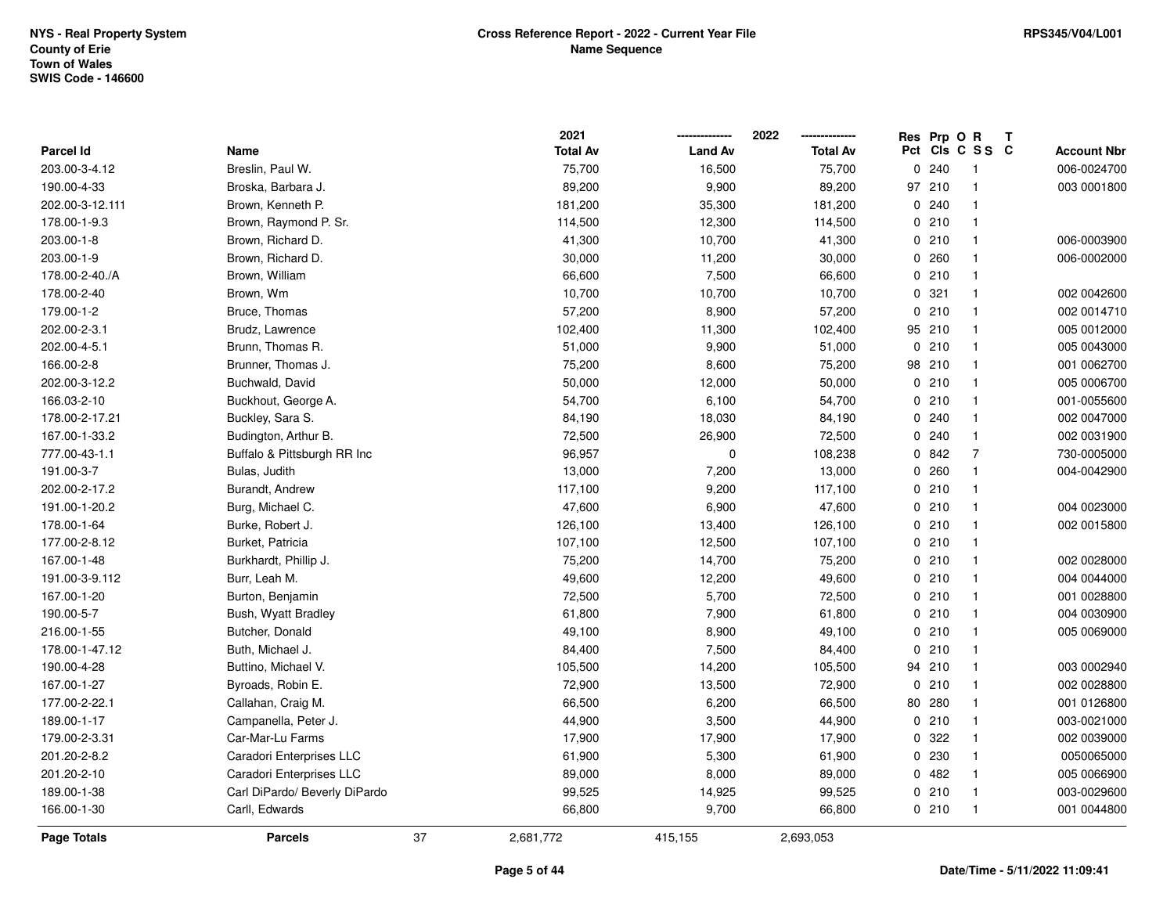|                  |                               |    | 2021            |                | 2022            | <b>Res</b>  | Prp O R         |                | $\mathbf{T}$ |                    |
|------------------|-------------------------------|----|-----------------|----------------|-----------------|-------------|-----------------|----------------|--------------|--------------------|
| <b>Parcel Id</b> | Name                          |    | <b>Total Av</b> | <b>Land Av</b> | <b>Total Av</b> |             | Pct Cls C S S C |                |              | <b>Account Nbr</b> |
| 203.00-3-4.12    | Breslin, Paul W.              |    | 75,700          | 16,500         | 75,700          | 0           | 240             | -1             |              | 006-0024700        |
| 190.00-4-33      | Broska, Barbara J.            |    | 89,200          | 9,900          | 89,200          | 97          | 210             |                |              | 003 0001800        |
| 202.00-3-12.111  | Brown, Kenneth P.             |    | 181,200         | 35,300         | 181,200         |             | 0.240           |                |              |                    |
| 178.00-1-9.3     | Brown, Raymond P. Sr.         |    | 114,500         | 12,300         | 114,500         |             | 0210            | $\mathbf{1}$   |              |                    |
| 203.00-1-8       | Brown, Richard D.             |    | 41,300          | 10,700         | 41,300          |             | 0210            | $\mathbf 1$    |              | 006-0003900        |
| 203.00-1-9       | Brown, Richard D.             |    | 30,000          | 11,200         | 30,000          |             | 0.260           | $\mathbf 1$    |              | 006-0002000        |
| 178.00-2-40./A   | Brown, William                |    | 66,600          | 7,500          | 66,600          |             | 0210            |                |              |                    |
| 178.00-2-40      | Brown, Wm                     |    | 10,700          | 10,700         | 10,700          |             | 0.321           | $\mathbf 1$    |              | 002 0042600        |
| 179.00-1-2       | Bruce, Thomas                 |    | 57,200          | 8,900          | 57,200          |             | 0210            | $\mathbf 1$    |              | 002 0014710        |
| 202.00-2-3.1     | Brudz, Lawrence               |    | 102,400         | 11,300         | 102,400         |             | 95 210          | $\mathbf{1}$   |              | 005 0012000        |
| 202.00-4-5.1     | Brunn, Thomas R.              |    | 51,000          | 9,900          | 51,000          | $\mathbf 0$ | 210             | $\mathbf{1}$   |              | 005 0043000        |
| 166.00-2-8       | Brunner, Thomas J.            |    | 75,200          | 8,600          | 75,200          | 98          | 210             | $\mathbf 1$    |              | 001 0062700        |
| 202.00-3-12.2    | Buchwald, David               |    | 50,000          | 12,000         | 50,000          |             | 0210            |                |              | 005 0006700        |
| 166.03-2-10      | Buckhout, George A.           |    | 54,700          | 6,100          | 54,700          |             | 0210            | $\mathbf 1$    |              | 001-0055600        |
| 178.00-2-17.21   | Buckley, Sara S.              |    | 84,190          | 18,030         | 84,190          |             | 0.240           |                |              | 002 0047000        |
| 167.00-1-33.2    | Budington, Arthur B.          |    | 72,500          | 26,900         | 72,500          |             | 0.240           | $\mathbf 1$    |              | 002 0031900        |
| 777.00-43-1.1    | Buffalo & Pittsburgh RR Inc   |    | 96,957          | 0              | 108,238         |             | 0 842           | $\overline{7}$ |              | 730-0005000        |
| 191.00-3-7       | Bulas, Judith                 |    | 13,000          | 7,200          | 13,000          |             | 0.260           | $\mathbf 1$    |              | 004-0042900        |
| 202.00-2-17.2    | Burandt, Andrew               |    | 117,100         | 9,200          | 117,100         |             | 0210            | $\mathbf{1}$   |              |                    |
| 191.00-1-20.2    | Burg, Michael C.              |    | 47,600          | 6,900          | 47,600          |             | 0210            |                |              | 004 0023000        |
| 178.00-1-64      | Burke, Robert J.              |    | 126,100         | 13,400         | 126,100         |             | 0210            | $\mathbf 1$    |              | 002 0015800        |
| 177.00-2-8.12    | Burket, Patricia              |    | 107,100         | 12,500         | 107,100         |             | 0210            | -1             |              |                    |
| 167.00-1-48      | Burkhardt, Phillip J.         |    | 75,200          | 14,700         | 75,200          |             | 0210            | $\mathbf 1$    |              | 002 0028000        |
| 191.00-3-9.112   | Burr, Leah M.                 |    | 49,600          | 12,200         | 49,600          |             | 0210            | $\mathbf{1}$   |              | 004 0044000        |
| 167.00-1-20      | Burton, Benjamin              |    | 72,500          | 5,700          | 72,500          |             | 0210            | $\mathbf 1$    |              | 001 0028800        |
| 190.00-5-7       | Bush, Wyatt Bradley           |    | 61,800          | 7,900          | 61,800          |             | 0210            | $\mathbf 1$    |              | 004 0030900        |
| 216.00-1-55      | Butcher, Donald               |    | 49,100          | 8,900          | 49,100          |             | 0210            |                |              | 005 0069000        |
| 178.00-1-47.12   | Buth, Michael J.              |    | 84,400          | 7,500          | 84,400          |             | 0210            | -1             |              |                    |
| 190.00-4-28      | Buttino, Michael V.           |    | 105,500         | 14,200         | 105,500         |             | 94 210          | $\mathbf{1}$   |              | 003 0002940        |
| 167.00-1-27      | Byroads, Robin E.             |    | 72,900          | 13,500         | 72,900          | 0           | 210             | $\mathbf 1$    |              | 002 0028800        |
| 177.00-2-22.1    | Callahan, Craig M.            |    | 66,500          | 6,200          | 66,500          | 80          | 280             | $\mathbf 1$    |              | 001 0126800        |
| 189.00-1-17      | Campanella, Peter J.          |    | 44,900          | 3,500          | 44,900          |             | 0210            | $\mathbf 1$    |              | 003-0021000        |
| 179.00-2-3.31    | Car-Mar-Lu Farms              |    | 17,900          | 17,900         | 17,900          |             | 0.322           |                |              | 002 0039000        |
| 201.20-2-8.2     | Caradori Enterprises LLC      |    | 61,900          | 5,300          | 61,900          |             | 0 230           | -1             |              | 0050065000         |
| 201.20-2-10      | Caradori Enterprises LLC      |    | 89,000          | 8,000          | 89,000          |             | 0.482           | -1             |              | 005 0066900        |
| 189.00-1-38      | Carl DiPardo/ Beverly DiPardo |    | 99,525          | 14,925         | 99,525          |             | 0210            | $\mathbf 1$    |              | 003-0029600        |
| 166.00-1-30      | Carll, Edwards                |    | 66,800          | 9,700          | 66,800          |             | 0210            | $\mathbf{1}$   |              | 001 0044800        |
| Page Totals      | <b>Parcels</b>                | 37 | 2,681,772       | 415,155        | 2,693,053       |             |                 |                |              |                    |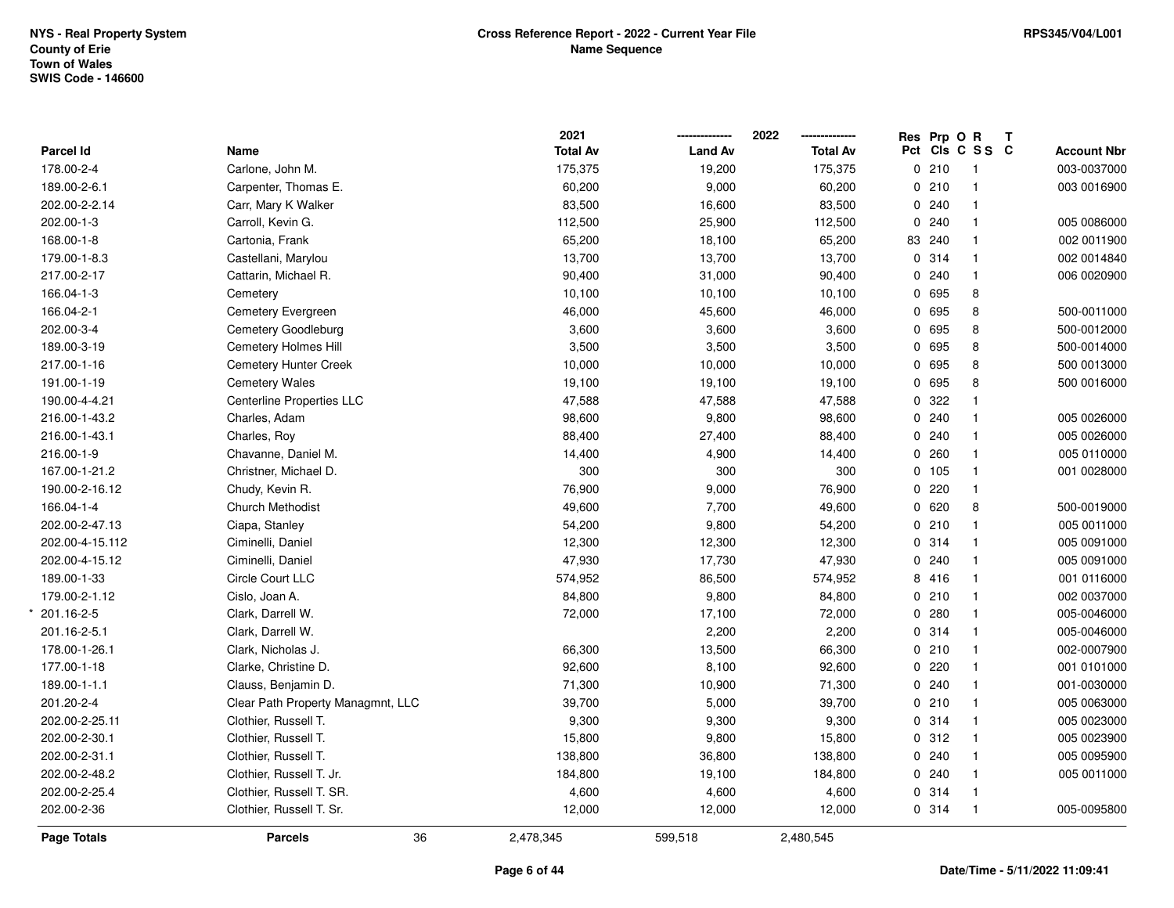\*

| <b>Page Totals</b>            | <b>Parcels</b>                              | 36 | 2,478,345        | 599,518         | 2,480,545        |               |                                |                    |
|-------------------------------|---------------------------------------------|----|------------------|-----------------|------------------|---------------|--------------------------------|--------------------|
| 202.00-2-36                   | Clothier, Russell T. Sr.                    |    | 12,000           | 12,000          | 12,000           | 0.314         | $\overline{1}$                 | 005-0095800        |
| 202.00-2-25.4                 | Clothier, Russell T. SR.                    |    | 4,600            | 4,600           | 4,600            | 0 314         | $\overline{1}$                 |                    |
| 202.00-2-48.2                 | Clothier, Russell T. Jr.                    |    | 184,800          | 19,100          | 184,800          | 0.240         | $\overline{1}$                 | 005 0011000        |
| 202.00-2-31.1                 | Clothier, Russell T.                        |    | 138,800          | 36,800          | 138,800          | 0.240         | $\mathbf{1}$                   | 005 0095900        |
| 202.00-2-30.1                 | Clothier, Russell T.                        |    | 15,800           | 9,800           | 15,800           | 0.312         | $\mathbf{1}$                   | 005 0023900        |
| 202.00-2-25.11                | Clothier, Russell T.                        |    | 9,300            | 9,300           | 9,300            | 0.314         | $\mathbf{1}$                   | 005 0023000        |
| 201.20-2-4                    | Clear Path Property Managmnt, LLC           |    | 39,700           | 5,000           | 39,700           | 0210          | $\mathbf{1}$                   | 005 0063000        |
| 189.00-1-1.1                  | Clauss, Benjamin D.                         |    | 71,300           | 10,900          | 71,300           | 0.240         | $\mathbf{1}$                   | 001-0030000        |
| 177.00-1-18                   | Clarke, Christine D.                        |    | 92,600           | 8,100           | 92,600           | 0.220         | $\mathbf{1}$                   | 001 0101000        |
| 178.00-1-26.1                 | Clark, Nicholas J.                          |    | 66,300           | 13,500          | 66,300           | 0210          | $\overline{1}$                 | 002-0007900        |
| 201.16-2-5.1                  | Clark, Darrell W.                           |    |                  | 2,200           | 2,200            | 0.314         | $\mathbf{1}$                   | 005-0046000        |
| 201.16-2-5                    | Clark, Darrell W.                           |    | 72,000           | 17,100          | 72,000           | 0.280         | $\mathbf{1}$                   | 005-0046000        |
| 179.00-2-1.12                 | Cislo, Joan A.                              |    | 84,800           | 9,800           | 84,800           | 0210          | $\mathbf{1}$                   | 002 0037000        |
| 189.00-1-33                   | Circle Court LLC                            |    | 574,952          | 86,500          | 574,952          | 8 416         | $\overline{1}$                 | 001 0116000        |
| 202.00-4-15.12                | Ciminelli, Daniel                           |    | 47,930           | 17,730          | 47,930           | 0.240         | $\mathbf{1}$                   | 005 0091000        |
| 202.00-4-15.112               | Ciminelli, Daniel                           |    | 12,300           | 12,300          | 12,300           | 0 314         | $\mathbf{1}$                   | 005 0091000        |
| 202.00-2-47.13                | Ciapa, Stanley                              |    | 54,200           | 9,800           | 54,200           | 0210          | $\mathbf{1}$                   | 005 0011000        |
| 166.04-1-4                    | <b>Church Methodist</b>                     |    | 49,600           | 7,700           | 49,600           | 0620          | 8                              | 500-0019000        |
| 190.00-2-16.12                | Chudy, Kevin R.                             |    | 76,900           | 9,000           | 76,900           | 0220          | $\mathbf{1}$                   |                    |
| 167.00-1-21.2                 | Christner, Michael D.                       |    | 300              | 300             | 300              | 0 105         | $\mathbf{1}$                   | 001 0028000        |
| 216.00-1-9                    | Chavanne, Daniel M.                         |    | 14,400           | 4,900           | 14,400           | 0.260         | $\mathbf{1}$                   | 005 0110000        |
| 216.00-1-43.1                 | Charles, Roy                                |    | 88,400           | 27,400          | 88,400           | 0.240         | $\mathbf{1}$                   | 005 0026000        |
| 216.00-1-43.2                 | Charles, Adam                               |    | 98,600           | 9,800           | 98,600           | 0.240         | $\mathbf{1}$                   | 005 0026000        |
| 190.00-4-4.21                 | <b>Centerline Properties LLC</b>            |    | 47,588           | 47,588          | 47,588           | 0.322         | $\mathbf{1}$                   |                    |
| 191.00-1-19                   | <b>Cemetery Wales</b>                       |    | 19,100           | 19,100          | 19,100           | 0 695         | 8                              | 500 0016000        |
| 217.00-1-16                   | Cemetery Hunter Creek                       |    | 10,000           | 10,000          | 10,000           | 0 695         | 8                              | 500 0013000        |
| 189.00-3-19                   | Cemetery Holmes Hill                        |    | 3,500            | 3,500           | 3,500            | 0 695         | 8                              | 500-0014000        |
| 202.00-3-4                    | Cemetery Goodleburg                         |    | 3,600            | 3,600           | 3,600            | 0 695         | $\bf 8$                        | 500-0012000        |
| 166.04-2-1                    | Cemetery Evergreen                          |    | 46,000           | 45,600          | 46,000           | 0 695         | 8                              | 500-0011000        |
| 166.04-1-3                    | Cemetery                                    |    | 10,100           | 10,100          | 10,100           | 0 695         | 8                              |                    |
| 217.00-2-17                   | Cattarin, Michael R.                        |    | 90,400           | 31,000          | 90,400           | 0.240         | $\mathbf{1}$                   | 006 0020900        |
| 179.00-1-8.3                  | Castellani, Marylou                         |    | 13,700           | 13,700          | 13,700           | 0 314         | $\mathbf{1}$                   | 002 0014840        |
| 168.00-1-8                    | Cartonia, Frank                             |    | 65,200           | 18,100          | 65,200           | 83 240        | $\mathbf{1}$                   | 002 0011900        |
| 202.00-1-3                    | Carroll, Kevin G.                           |    | 112,500          | 25,900          | 112,500          | 0.240         | $\mathbf{1}$                   | 005 0086000        |
| 189.00-2-6.1<br>202.00-2-2.14 | Carpenter, Thomas E.<br>Carr, Mary K Walker |    | 60,200<br>83,500 | 9,000<br>16,600 | 60,200<br>83,500 | 0210<br>0.240 | $\mathbf{1}$<br>$\overline{1}$ | 003 0016900        |
| 178.00-2-4                    | Carlone, John M.                            |    | 175,375          | 19,200          | 175,375          | 0210          | $\overline{1}$                 | 003-0037000        |
| Parcel Id                     | Name                                        |    | <b>Total Av</b>  | <b>Land Av</b>  | <b>Total Av</b>  |               |                                | <b>Account Nbr</b> |
|                               |                                             |    | 2021             |                 | 2022             | Res Prp O R   | Pct Cls C S S C                | Т                  |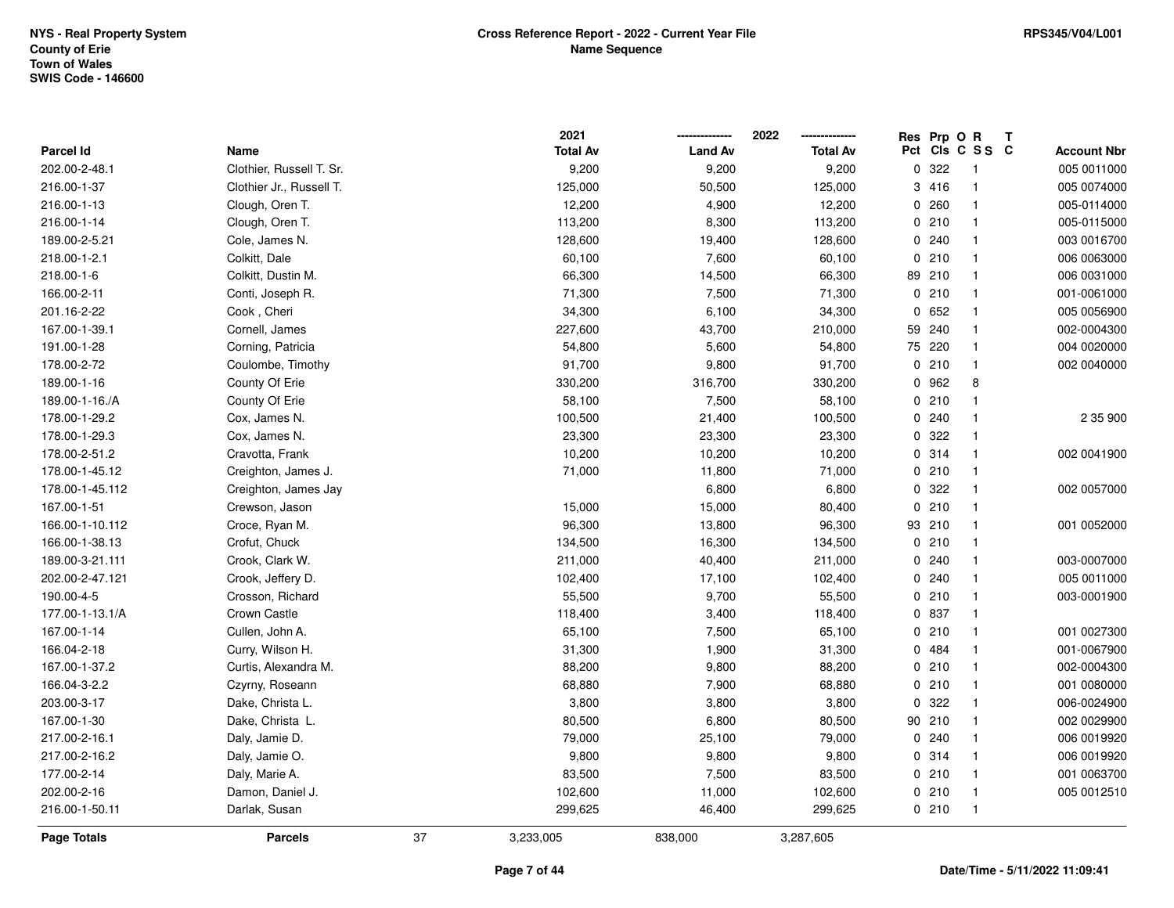|                    |                          |    | 2021            |                | 2022            | Res Prp O R |                          | Т                  |
|--------------------|--------------------------|----|-----------------|----------------|-----------------|-------------|--------------------------|--------------------|
| Parcel Id          | Name                     |    | <b>Total Av</b> | <b>Land Av</b> | <b>Total Av</b> |             | Pct Cls C S S C          | <b>Account Nbr</b> |
| 202.00-2-48.1      | Clothier, Russell T. Sr. |    | 9,200           | 9,200          | 9,200           | 0 322       | $\overline{\phantom{1}}$ | 005 0011000        |
| 216.00-1-37        | Clothier Jr., Russell T. |    | 125,000         | 50,500         | 125,000         | 3 416       | $\overline{1}$           | 005 0074000        |
| 216.00-1-13        | Clough, Oren T.          |    | 12,200          | 4,900          | 12,200          | 0.260       | $\mathbf{1}$             | 005-0114000        |
| 216.00-1-14        | Clough, Oren T.          |    | 113,200         | 8,300          | 113,200         | 0210        | $\overline{1}$           | 005-0115000        |
| 189.00-2-5.21      | Cole, James N.           |    | 128,600         | 19,400         | 128,600         | 0.240       | $\overline{1}$           | 003 0016700        |
| 218.00-1-2.1       | Colkitt, Dale            |    | 60,100          | 7,600          | 60,100          | 0210        | $\overline{\mathbf{1}}$  | 006 0063000        |
| 218.00-1-6         | Colkitt, Dustin M.       |    | 66,300          | 14,500         | 66,300          | 89 210      | $\overline{1}$           | 006 0031000        |
| 166.00-2-11        | Conti, Joseph R.         |    | 71,300          | 7,500          | 71,300          | 0210        | $\overline{1}$           | 001-0061000        |
| 201.16-2-22        | Cook, Cheri              |    | 34,300          | 6,100          | 34,300          | 0 652       | $\overline{1}$           | 005 0056900        |
| 167.00-1-39.1      | Cornell, James           |    | 227,600         | 43,700         | 210,000         | 59 240      | $\overline{1}$           | 002-0004300        |
| 191.00-1-28        | Corning, Patricia        |    | 54,800          | 5,600          | 54,800          | 75 220      | $\overline{1}$           | 004 0020000        |
| 178.00-2-72        | Coulombe, Timothy        |    | 91,700          | 9,800          | 91,700          | 0210        | $\mathbf{1}$             | 002 0040000        |
| 189.00-1-16        | County Of Erie           |    | 330,200         | 316,700        | 330,200         | 0 962       | 8                        |                    |
| 189.00-1-16./A     | County Of Erie           |    | 58,100          | 7,500          | 58,100          | 0210        | $\mathbf{1}$             |                    |
| 178.00-1-29.2      | Cox, James N.            |    | 100,500         | 21,400         | 100,500         | 0.240       | $\overline{\mathbf{1}}$  | 2 35 900           |
| 178.00-1-29.3      | Cox, James N.            |    | 23,300          | 23,300         | 23,300          | 0.322       | $\overline{1}$           |                    |
| 178.00-2-51.2      | Cravotta, Frank          |    | 10,200          | 10,200         | 10,200          | 0 314       | $\overline{\mathbf{1}}$  | 002 0041900        |
| 178.00-1-45.12     | Creighton, James J.      |    | 71,000          | 11,800         | 71,000          | 0210        | $\overline{1}$           |                    |
| 178.00-1-45.112    | Creighton, James Jay     |    |                 | 6,800          | 6,800           | 0.322       | $\overline{1}$           | 002 0057000        |
| 167.00-1-51        | Crewson, Jason           |    | 15,000          | 15,000         | 80,400          | 0210        | $\overline{\mathbf{1}}$  |                    |
| 166.00-1-10.112    | Croce, Ryan M.           |    | 96,300          | 13,800         | 96,300          | 93 210      | $\overline{1}$           | 001 0052000        |
| 166.00-1-38.13     | Crofut, Chuck            |    | 134,500         | 16,300         | 134,500         | 0210        | $\mathbf{1}$             |                    |
| 189.00-3-21.111    | Crook, Clark W.          |    | 211,000         | 40,400         | 211,000         | 0.240       | $\overline{1}$           | 003-0007000        |
| 202.00-2-47.121    | Crook, Jeffery D.        |    | 102,400         | 17,100         | 102,400         | 0.240       | $\overline{\mathbf{1}}$  | 005 0011000        |
| 190.00-4-5         | Crosson, Richard         |    | 55,500          | 9,700          | 55,500          | 0210        | $\overline{1}$           | 003-0001900        |
| 177.00-1-13.1/A    | Crown Castle             |    | 118,400         | 3,400          | 118,400         | 0 837       | -1                       |                    |
| 167.00-1-14        | Cullen, John A.          |    | 65,100          | 7,500          | 65,100          | 0210        | $\mathbf{1}$             | 001 0027300        |
| 166.04-2-18        | Curry, Wilson H.         |    | 31,300          | 1,900          | 31,300          | 0 484       | $\overline{1}$           | 001-0067900        |
| 167.00-1-37.2      | Curtis, Alexandra M.     |    | 88,200          | 9,800          | 88,200          | 0210        | $\overline{1}$           | 002-0004300        |
| 166.04-3-2.2       | Czyrny, Roseann          |    | 68,880          | 7,900          | 68,880          | 0210        | $\mathbf{1}$             | 001 0080000        |
| 203.00-3-17        | Dake, Christa L.         |    | 3,800           | 3,800          | 3,800           | 0.322       | $\overline{\mathbf{1}}$  | 006-0024900        |
| 167.00-1-30        | Dake, Christa L.         |    | 80,500          | 6,800          | 80,500          | 90 210      | $\overline{1}$           | 002 0029900        |
| 217.00-2-16.1      | Daly, Jamie D.           |    | 79,000          | 25,100         | 79,000          | 0.240       | $\overline{1}$           | 006 0019920        |
| 217.00-2-16.2      | Daly, Jamie O.           |    | 9,800           | 9,800          | 9,800           | 0.314       | $\overline{1}$           | 006 0019920        |
| 177.00-2-14        | Daly, Marie A.           |    | 83,500          | 7,500          | 83,500          | 0210        | $\overline{\mathbf{1}}$  | 001 0063700        |
| 202.00-2-16        | Damon, Daniel J.         |    | 102,600         | 11,000         | 102,600         | 0210        | $\overline{1}$           | 005 0012510        |
| 216.00-1-50.11     | Darlak, Susan            |    | 299,625         | 46,400         | 299,625         | 0210        | $\overline{1}$           |                    |
| <b>Page Totals</b> | <b>Parcels</b>           | 37 | 3,233,005       | 838,000        | 3,287,605       |             |                          |                    |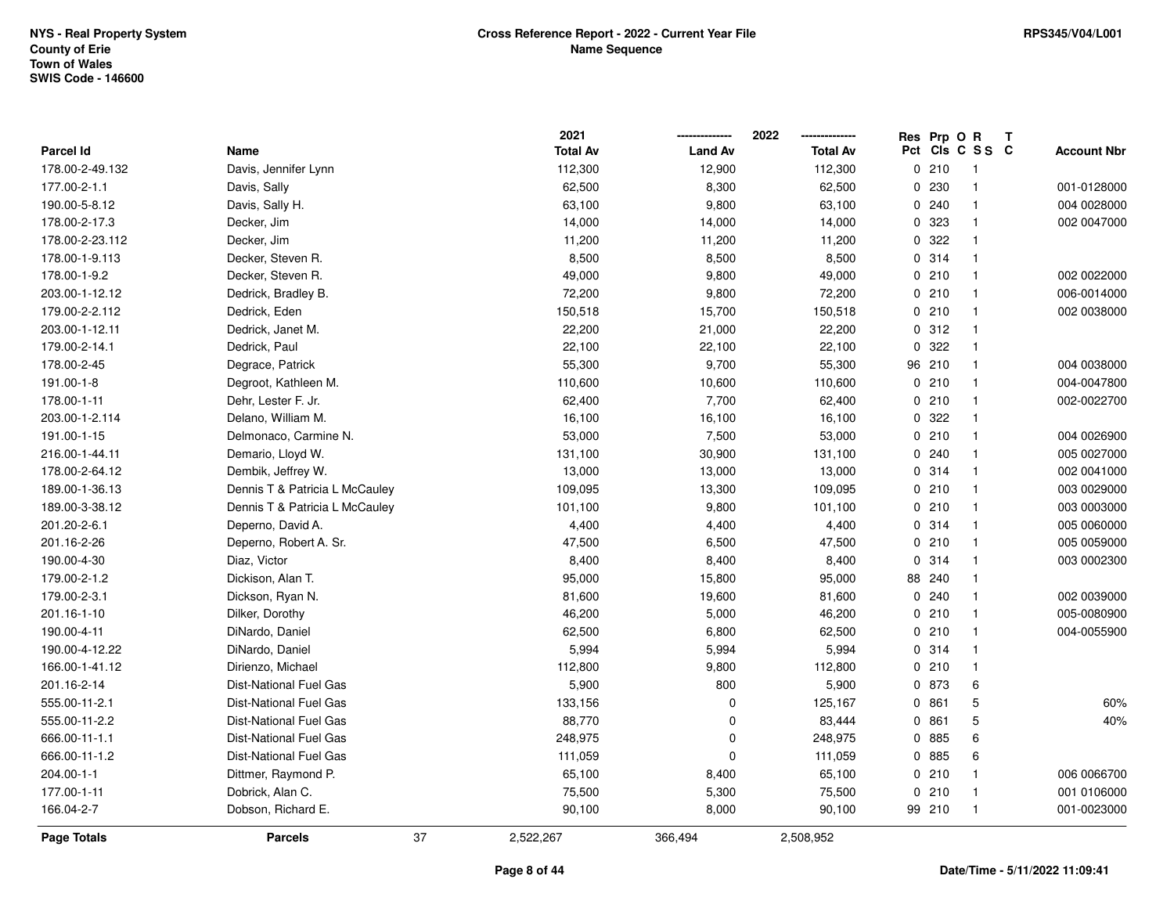|                  |                                |    | 2021            |                | 2022            |    | Res Prp O R |                 | Т |                    |
|------------------|--------------------------------|----|-----------------|----------------|-----------------|----|-------------|-----------------|---|--------------------|
| <b>Parcel Id</b> | Name                           |    | <b>Total Av</b> | <b>Land Av</b> | <b>Total Av</b> |    |             | Pct Cls C S S C |   | <b>Account Nbr</b> |
| 178.00-2-49.132  | Davis, Jennifer Lynn           |    | 112,300         | 12,900         | 112,300         |    | 0210        | -1              |   |                    |
| 177.00-2-1.1     | Davis, Sally                   |    | 62,500          | 8,300          | 62,500          | 0  | 230         | $\mathbf 1$     |   | 001-0128000        |
| 190.00-5-8.12    | Davis, Sally H.                |    | 63,100          | 9,800          | 63,100          |    | 0.240       | $\mathbf 1$     |   | 004 0028000        |
| 178.00-2-17.3    | Decker, Jim                    |    | 14,000          | 14,000         | 14,000          |    | 0 323       |                 |   | 002 0047000        |
| 178.00-2-23.112  | Decker, Jim                    |    | 11,200          | 11,200         | 11,200          |    | 0.322       |                 |   |                    |
| 178.00-1-9.113   | Decker, Steven R.              |    | 8,500           | 8,500          | 8,500           |    | 0.314       | $\mathbf 1$     |   |                    |
| 178.00-1-9.2     | Decker, Steven R.              |    | 49,000          | 9,800          | 49,000          |    | 0210        | $\overline{1}$  |   | 002 0022000        |
| 203.00-1-12.12   | Dedrick, Bradley B.            |    | 72,200          | 9,800          | 72,200          |    | 0210        | $\mathbf{1}$    |   | 006-0014000        |
| 179.00-2-2.112   | Dedrick, Eden                  |    | 150,518         | 15,700         | 150,518         |    | 0210        | $\mathbf 1$     |   | 002 0038000        |
| 203.00-1-12.11   | Dedrick, Janet M.              |    | 22,200          | 21,000         | 22,200          |    | 0.312       | $\mathbf 1$     |   |                    |
| 179.00-2-14.1    | Dedrick, Paul                  |    | 22,100          | 22,100         | 22,100          |    | 0.322       | $\mathbf 1$     |   |                    |
| 178.00-2-45      | Degrace, Patrick               |    | 55,300          | 9,700          | 55,300          |    | 96 210      |                 |   | 004 0038000        |
| 191.00-1-8       | Degroot, Kathleen M.           |    | 110,600         | 10,600         | 110,600         |    | 0210        |                 |   | 004-0047800        |
| 178.00-1-11      | Dehr, Lester F. Jr.            |    | 62,400          | 7,700          | 62,400          |    | 0210        | $\mathbf 1$     |   | 002-0022700        |
| 203.00-1-2.114   | Delano, William M.             |    | 16,100          | 16,100         | 16,100          |    | 0.322       | $\mathbf 1$     |   |                    |
| 191.00-1-15      | Delmonaco, Carmine N.          |    | 53,000          | 7,500          | 53,000          |    | 0210        | $\mathbf{1}$    |   | 004 0026900        |
| 216.00-1-44.11   | Demario, Lloyd W.              |    | 131,100         | 30,900         | 131,100         |    | 0.240       | $\mathbf{1}$    |   | 005 0027000        |
| 178.00-2-64.12   | Dembik, Jeffrey W.             |    | 13,000          | 13,000         | 13,000          |    | 0.314       | $\mathbf 1$     |   | 002 0041000        |
| 189.00-1-36.13   | Dennis T & Patricia L McCauley |    | 109,095         | 13,300         | 109,095         |    | 0210        | $\mathbf 1$     |   | 003 0029000        |
| 189.00-3-38.12   | Dennis T & Patricia L McCauley |    | 101,100         | 9,800          | 101,100         |    | 0210        |                 |   | 003 0003000        |
| 201.20-2-6.1     | Deperno, David A.              |    | 4,400           | 4,400          | 4,400           |    | 0.314       | $\mathbf{1}$    |   | 005 0060000        |
| 201.16-2-26      | Deperno, Robert A. Sr.         |    | 47,500          | 6,500          | 47,500          |    | 0210        | $\mathbf 1$     |   | 005 0059000        |
| 190.00-4-30      | Diaz, Victor                   |    | 8,400           | 8,400          | 8,400           | 0  | 314         | $\mathbf 1$     |   | 003 0002300        |
| 179.00-2-1.2     | Dickison, Alan T.              |    | 95,000          | 15,800         | 95,000          | 88 | 240         | $\mathbf 1$     |   |                    |
| 179.00-2-3.1     | Dickson, Ryan N.               |    | 81,600          | 19,600         | 81,600          |    | 0.240       | $\mathbf 1$     |   | 002 0039000        |
| 201.16-1-10      | Dilker, Dorothy                |    | 46,200          | 5,000          | 46,200          |    | 0210        |                 |   | 005-0080900        |
| 190.00-4-11      | DiNardo, Daniel                |    | 62,500          | 6,800          | 62,500          |    | 0210        |                 |   | 004-0055900        |
| 190.00-4-12.22   | DiNardo, Daniel                |    | 5,994           | 5,994          | 5,994           |    | 0 314       | $\mathbf 1$     |   |                    |
| 166.00-1-41.12   | Dirienzo, Michael              |    | 112,800         | 9,800          | 112,800         |    | 0210        | $\mathbf 1$     |   |                    |
| 201.16-2-14      | <b>Dist-National Fuel Gas</b>  |    | 5,900           | 800            | 5,900           |    | 0 873       | 6               |   |                    |
| 555.00-11-2.1    | <b>Dist-National Fuel Gas</b>  |    | 133,156         | 0              | 125,167         |    | 0861        | 5               |   | 60%                |
| 555.00-11-2.2    | <b>Dist-National Fuel Gas</b>  |    | 88,770          | $\mathbf 0$    | 83,444          |    | 0861        | 5               |   | 40%                |
| 666.00-11-1.1    | <b>Dist-National Fuel Gas</b>  |    | 248,975         | $\mathbf 0$    | 248,975         |    | 0 885       | 6               |   |                    |
| 666.00-11-1.2    | <b>Dist-National Fuel Gas</b>  |    | 111,059         | $\pmb{0}$      | 111,059         |    | 0 885       | 6               |   |                    |
| 204.00-1-1       | Dittmer, Raymond P.            |    | 65,100          | 8,400          | 65,100          |    | 0210        | $\mathbf 1$     |   | 006 0066700        |
| 177.00-1-11      | Dobrick, Alan C.               |    | 75,500          | 5,300          | 75,500          |    | 0210        | $\mathbf 1$     |   | 001 0106000        |
| 166.04-2-7       | Dobson, Richard E.             |    | 90,100          | 8,000          | 90,100          |    | 99 210      | $\overline{1}$  |   | 001-0023000        |
| Page Totals      | <b>Parcels</b>                 | 37 | 2,522,267       | 366,494        | 2,508,952       |    |             |                 |   |                    |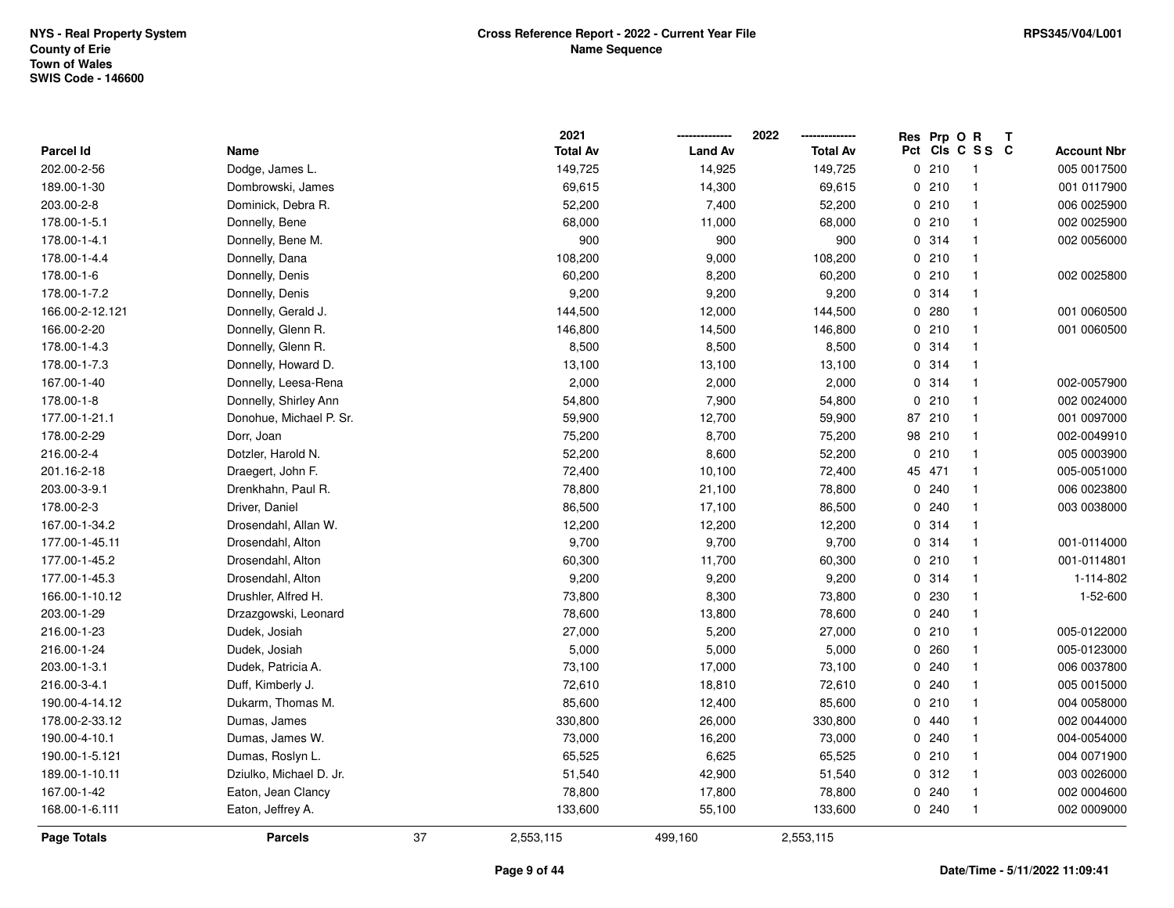|                    |                         |    | 2021            |                | 2022            | Res Prp O R |                 | Т |                    |
|--------------------|-------------------------|----|-----------------|----------------|-----------------|-------------|-----------------|---|--------------------|
| <b>Parcel Id</b>   | Name                    |    | <b>Total Av</b> | <b>Land Av</b> | <b>Total Av</b> |             | Pct Cls C S S C |   | <b>Account Nbr</b> |
| 202.00-2-56        | Dodge, James L.         |    | 149,725         | 14,925         | 149,725         | 0210        | $\overline{1}$  |   | 005 0017500        |
| 189.00-1-30        | Dombrowski, James       |    | 69,615          | 14,300         | 69,615          | 0210        | $\mathbf{1}$    |   | 001 0117900        |
| 203.00-2-8         | Dominick, Debra R.      |    | 52,200          | 7,400          | 52,200          | 0210        | $\mathbf{1}$    |   | 006 0025900        |
| 178.00-1-5.1       | Donnelly, Bene          |    | 68,000          | 11,000         | 68,000          | 0210        | $\mathbf{1}$    |   | 002 0025900        |
| 178.00-1-4.1       | Donnelly, Bene M.       |    | 900             | 900            | 900             | 0 314       | $\mathbf{1}$    |   | 002 0056000        |
| 178.00-1-4.4       | Donnelly, Dana          |    | 108,200         | 9,000          | 108,200         | 0210        | $\mathbf{1}$    |   |                    |
| 178.00-1-6         | Donnelly, Denis         |    | 60,200          | 8,200          | 60,200          | 0210        | $\mathbf{1}$    |   | 002 0025800        |
| 178.00-1-7.2       | Donnelly, Denis         |    | 9,200           | 9,200          | 9,200           | 0 314       | $\overline{1}$  |   |                    |
| 166.00-2-12.121    | Donnelly, Gerald J.     |    | 144,500         | 12,000         | 144,500         | 0.280       | $\mathbf{1}$    |   | 001 0060500        |
| 166.00-2-20        | Donnelly, Glenn R.      |    | 146,800         | 14,500         | 146,800         | 0210        | $\mathbf{1}$    |   | 001 0060500        |
| 178.00-1-4.3       | Donnelly, Glenn R.      |    | 8,500           | 8,500          | 8,500           | 0 314       | $\overline{1}$  |   |                    |
| 178.00-1-7.3       | Donnelly, Howard D.     |    | 13,100          | 13,100         | 13,100          | 0 314       | $\overline{1}$  |   |                    |
| 167.00-1-40        | Donnelly, Leesa-Rena    |    | 2,000           | 2,000          | 2,000           | 0 314       | $\overline{1}$  |   | 002-0057900        |
| 178.00-1-8         | Donnelly, Shirley Ann   |    | 54,800          | 7,900          | 54,800          | 0210        | $\mathbf{1}$    |   | 002 0024000        |
| 177.00-1-21.1      | Donohue, Michael P. Sr. |    | 59,900          | 12,700         | 59,900          | 87 210      | $\mathbf{1}$    |   | 001 0097000        |
| 178.00-2-29        | Dorr, Joan              |    | 75,200          | 8,700          | 75,200          | 98 210      | $\mathbf{1}$    |   | 002-0049910        |
| 216.00-2-4         | Dotzler, Harold N.      |    | 52,200          | 8,600          | 52,200          | 0210        | $\mathbf{1}$    |   | 005 0003900        |
| 201.16-2-18        | Draegert, John F.       |    | 72,400          | 10,100         | 72,400          | 45 471      | $\mathbf{1}$    |   | 005-0051000        |
| 203.00-3-9.1       | Drenkhahn, Paul R.      |    | 78,800          | 21,100         | 78,800          | 0.240       | $\mathbf{1}$    |   | 006 0023800        |
| 178.00-2-3         | Driver, Daniel          |    | 86,500          | 17,100         | 86,500          | 0.240       | $\mathbf{1}$    |   | 003 0038000        |
| 167.00-1-34.2      | Drosendahl, Allan W.    |    | 12,200          | 12,200         | 12,200          | 0.314       | $\overline{1}$  |   |                    |
| 177.00-1-45.11     | Drosendahl, Alton       |    | 9,700           | 9,700          | 9,700           | 0.314       | $\mathbf{1}$    |   | 001-0114000        |
| 177.00-1-45.2      | Drosendahl, Alton       |    | 60,300          | 11,700         | 60,300          | 0210        | $\mathbf{1}$    |   | 001-0114801        |
| 177.00-1-45.3      | Drosendahl, Alton       |    | 9,200           | 9,200          | 9,200           | 0.314       | $\mathbf{1}$    |   | 1-114-802          |
| 166.00-1-10.12     | Drushler, Alfred H.     |    | 73,800          | 8,300          | 73,800          | 0 230       | $\mathbf{1}$    |   | 1-52-600           |
| 203.00-1-29        | Drzazgowski, Leonard    |    | 78,600          | 13,800         | 78,600          | 0.240       | $\mathbf{1}$    |   |                    |
| 216.00-1-23        | Dudek, Josiah           |    | 27,000          | 5,200          | 27,000          | 0210        | $\mathbf{1}$    |   | 005-0122000        |
| 216.00-1-24        | Dudek, Josiah           |    | 5,000           | 5,000          | 5,000           | 0.260       | $\overline{1}$  |   | 005-0123000        |
| 203.00-1-3.1       | Dudek, Patricia A.      |    | 73,100          | 17,000         | 73,100          | 0.240       | $\mathbf{1}$    |   | 006 0037800        |
| 216.00-3-4.1       | Duff, Kimberly J.       |    | 72,610          | 18,810         | 72,610          | 0.240       | $\mathbf{1}$    |   | 005 0015000        |
| 190.00-4-14.12     | Dukarm, Thomas M.       |    | 85,600          | 12,400         | 85,600          | 0210        | $\overline{1}$  |   | 004 0058000        |
| 178.00-2-33.12     | Dumas, James            |    | 330,800         | 26,000         | 330,800         | 0440        | $\mathbf{1}$    |   | 002 0044000        |
| 190.00-4-10.1      | Dumas, James W.         |    | 73,000          | 16,200         | 73,000          | 0.240       | $\mathbf{1}$    |   | 004-0054000        |
| 190.00-1-5.121     | Dumas, Roslyn L.        |    | 65,525          | 6,625          | 65,525          | 0210        | $\mathbf{1}$    |   | 004 0071900        |
| 189.00-1-10.11     | Dziulko, Michael D. Jr. |    | 51,540          | 42,900         | 51,540          | 0.312       | $\mathbf{1}$    |   | 003 0026000        |
| 167.00-1-42        | Eaton, Jean Clancy      |    | 78,800          | 17,800         | 78,800          | 0.240       | $\overline{1}$  |   | 002 0004600        |
| 168.00-1-6.111     | Eaton, Jeffrey A.       |    | 133,600         | 55,100         | 133,600         | 0.240       | $\overline{1}$  |   | 002 0009000        |
| <b>Page Totals</b> | <b>Parcels</b>          | 37 | 2,553,115       | 499,160        | 2,553,115       |             |                 |   |                    |

## **Page 9 of 44**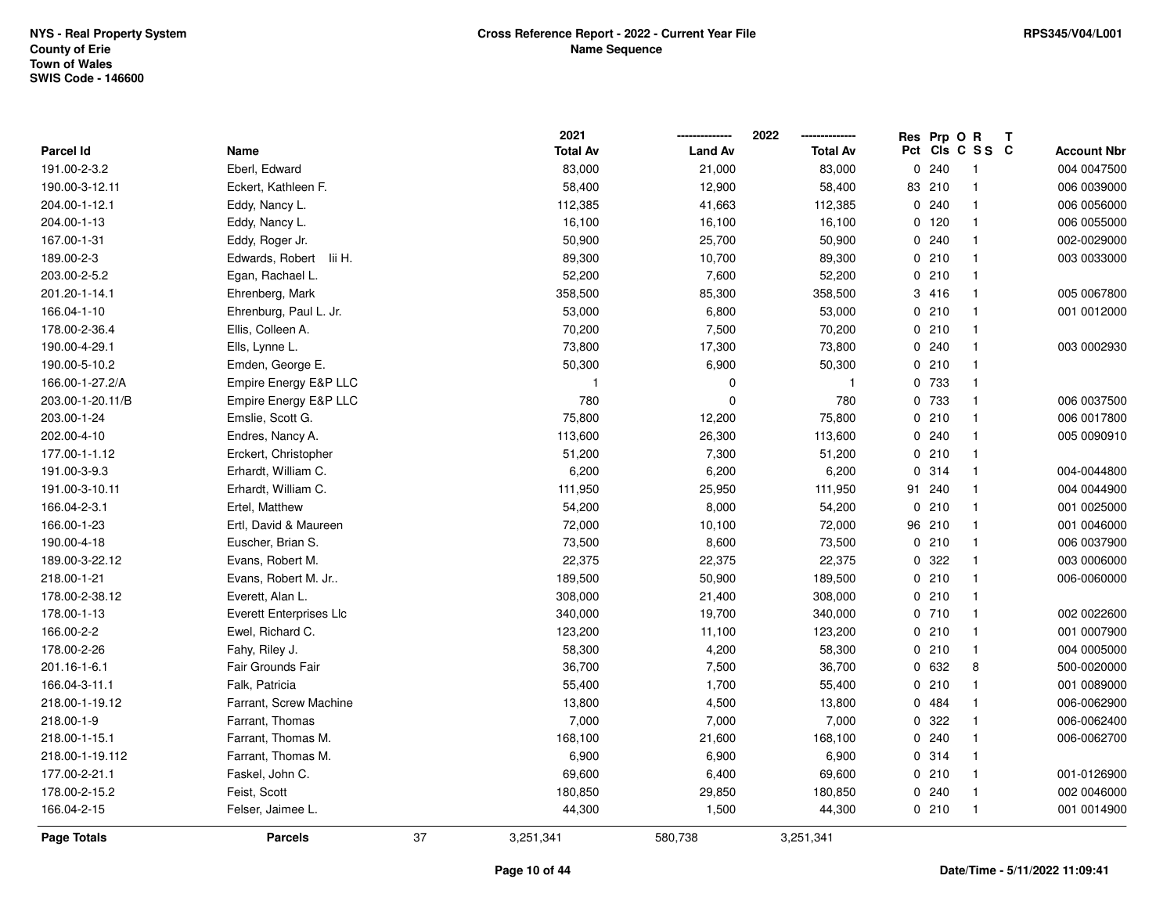|                  |                                |    | 2021            |                | 2022            |    | Res Prp O R |                         | T |                    |
|------------------|--------------------------------|----|-----------------|----------------|-----------------|----|-------------|-------------------------|---|--------------------|
| Parcel Id        | Name                           |    | <b>Total Av</b> | <b>Land Av</b> | <b>Total Av</b> |    |             | Pct Cls C S S C         |   | <b>Account Nbr</b> |
| 191.00-2-3.2     | Eberl, Edward                  |    | 83,000          | 21,000         | 83,000          |    | 0.240       | $\overline{\mathbf{1}}$ |   | 004 0047500        |
| 190.00-3-12.11   | Eckert, Kathleen F.            |    | 58,400          | 12,900         | 58,400          | 83 | 210         | $\overline{1}$          |   | 006 0039000        |
| 204.00-1-12.1    | Eddy, Nancy L.                 |    | 112,385         | 41,663         | 112,385         |    | 0.240       | $\overline{1}$          |   | 006 0056000        |
| 204.00-1-13      | Eddy, Nancy L.                 |    | 16,100          | 16,100         | 16,100          |    | 0 120       | $\overline{1}$          |   | 006 0055000        |
| 167.00-1-31      | Eddy, Roger Jr.                |    | 50,900          | 25,700         | 50,900          |    | 0.240       | $\overline{1}$          |   | 002-0029000        |
| 189.00-2-3       | Edwards, Robert<br>lii H.      |    | 89,300          | 10,700         | 89,300          |    | 0210        | $\overline{1}$          |   | 003 0033000        |
| 203.00-2-5.2     | Egan, Rachael L.               |    | 52,200          | 7,600          | 52,200          |    | 0210        | $\overline{1}$          |   |                    |
| 201.20-1-14.1    | Ehrenberg, Mark                |    | 358,500         | 85,300         | 358,500         |    | 3 416       | $\overline{\mathbf{1}}$ |   | 005 0067800        |
| 166.04-1-10      | Ehrenburg, Paul L. Jr.         |    | 53,000          | 6,800          | 53,000          |    | 0210        | $\overline{1}$          |   | 001 0012000        |
| 178.00-2-36.4    | Ellis, Colleen A.              |    | 70,200          | 7,500          | 70,200          |    | 0210        | $\overline{1}$          |   |                    |
| 190.00-4-29.1    | Ells, Lynne L.                 |    | 73,800          | 17,300         | 73,800          |    | 0.240       | $\overline{1}$          |   | 003 0002930        |
| 190.00-5-10.2    | Emden, George E.               |    | 50,300          | 6,900          | 50,300          |    | 0210        | -1                      |   |                    |
| 166.00-1-27.2/A  | Empire Energy E&P LLC          |    |                 | 0              | $\mathbf{1}$    |    | 0 733       | $\overline{1}$          |   |                    |
| 203.00-1-20.11/B | Empire Energy E&P LLC          |    | 780             | $\mathbf 0$    | 780             |    | 0 733       | $\overline{1}$          |   | 006 0037500        |
| 203.00-1-24      | Emslie, Scott G.               |    | 75,800          | 12,200         | 75,800          |    | 0210        | $\overline{1}$          |   | 006 0017800        |
| 202.00-4-10      | Endres, Nancy A.               |    | 113,600         | 26,300         | 113,600         |    | 0.240       | $\overline{1}$          |   | 005 0090910        |
| 177.00-1-1.12    | Erckert, Christopher           |    | 51,200          | 7,300          | 51,200          |    | 0210        | $\overline{1}$          |   |                    |
| 191.00-3-9.3     | Erhardt, William C.            |    | 6,200           | 6,200          | 6,200           |    | 0.314       | $\overline{1}$          |   | 004-0044800        |
| 191.00-3-10.11   | Erhardt, William C.            |    | 111,950         | 25,950         | 111,950         |    | 91 240      | $\overline{1}$          |   | 004 0044900        |
| 166.04-2-3.1     | Ertel, Matthew                 |    | 54,200          | 8,000          | 54,200          |    | 0210        | $\overline{1}$          |   | 001 0025000        |
| 166.00-1-23      | Ertl, David & Maureen          |    | 72,000          | 10,100         | 72,000          |    | 96 210      | $\mathbf{1}$            |   | 001 0046000        |
| 190.00-4-18      | Euscher, Brian S.              |    | 73,500          | 8,600          | 73,500          |    | 0210        | $\overline{1}$          |   | 006 0037900        |
| 189.00-3-22.12   | Evans, Robert M.               |    | 22,375          | 22,375         | 22,375          |    | 0.322       | $\overline{1}$          |   | 003 0006000        |
| 218.00-1-21      | Evans, Robert M. Jr            |    | 189,500         | 50,900         | 189,500         |    | 0210        | $\overline{1}$          |   | 006-0060000        |
| 178.00-2-38.12   | Everett, Alan L.               |    | 308,000         | 21,400         | 308,000         |    | 0210        | $\mathbf{1}$            |   |                    |
| 178.00-1-13      | <b>Everett Enterprises Llc</b> |    | 340,000         | 19,700         | 340,000         |    | 0710        | $\overline{1}$          |   | 002 0022600        |
| 166.00-2-2       | Ewel, Richard C.               |    | 123,200         | 11,100         | 123,200         |    | 0210        | -1                      |   | 001 0007900        |
| 178.00-2-26      | Fahy, Riley J.                 |    | 58,300          | 4,200          | 58,300          |    | 0210        | $\mathbf{1}$            |   | 004 0005000        |
| 201.16-1-6.1     | Fair Grounds Fair              |    | 36,700          | 7,500          | 36,700          |    | 0 632       | 8                       |   | 500-0020000        |
| 166.04-3-11.1    | Falk, Patricia                 |    | 55,400          | 1,700          | 55,400          |    | 0210        | $\overline{1}$          |   | 001 0089000        |
| 218.00-1-19.12   | Farrant, Screw Machine         |    | 13,800          | 4,500          | 13,800          |    | 0 484       | $\overline{1}$          |   | 006-0062900        |
| 218.00-1-9       | Farrant, Thomas                |    | 7,000           | 7,000          | 7,000           |    | 0 322       | $\mathbf{1}$            |   | 006-0062400        |
| 218.00-1-15.1    | Farrant, Thomas M.             |    | 168,100         | 21,600         | 168,100         |    | 0.240       | $\mathbf{1}$            |   | 006-0062700        |
| 218.00-1-19.112  | Farrant, Thomas M.             |    | 6,900           | 6,900          | 6,900           |    | 0.314       | $\mathbf{1}$            |   |                    |
| 177.00-2-21.1    | Faskel, John C.                |    | 69,600          | 6,400          | 69,600          |    | 0210        | $\overline{1}$          |   | 001-0126900        |
| 178.00-2-15.2    | Feist, Scott                   |    | 180,850         | 29,850         | 180,850         |    | 0.240       | $\overline{1}$          |   | 002 0046000        |
| 166.04-2-15      | Felser, Jaimee L.              |    | 44,300          | 1,500          | 44,300          |    | 0210        | $\overline{1}$          |   | 001 0014900        |
| Page Totals      | <b>Parcels</b>                 | 37 | 3,251,341       | 580,738        | 3,251,341       |    |             |                         |   |                    |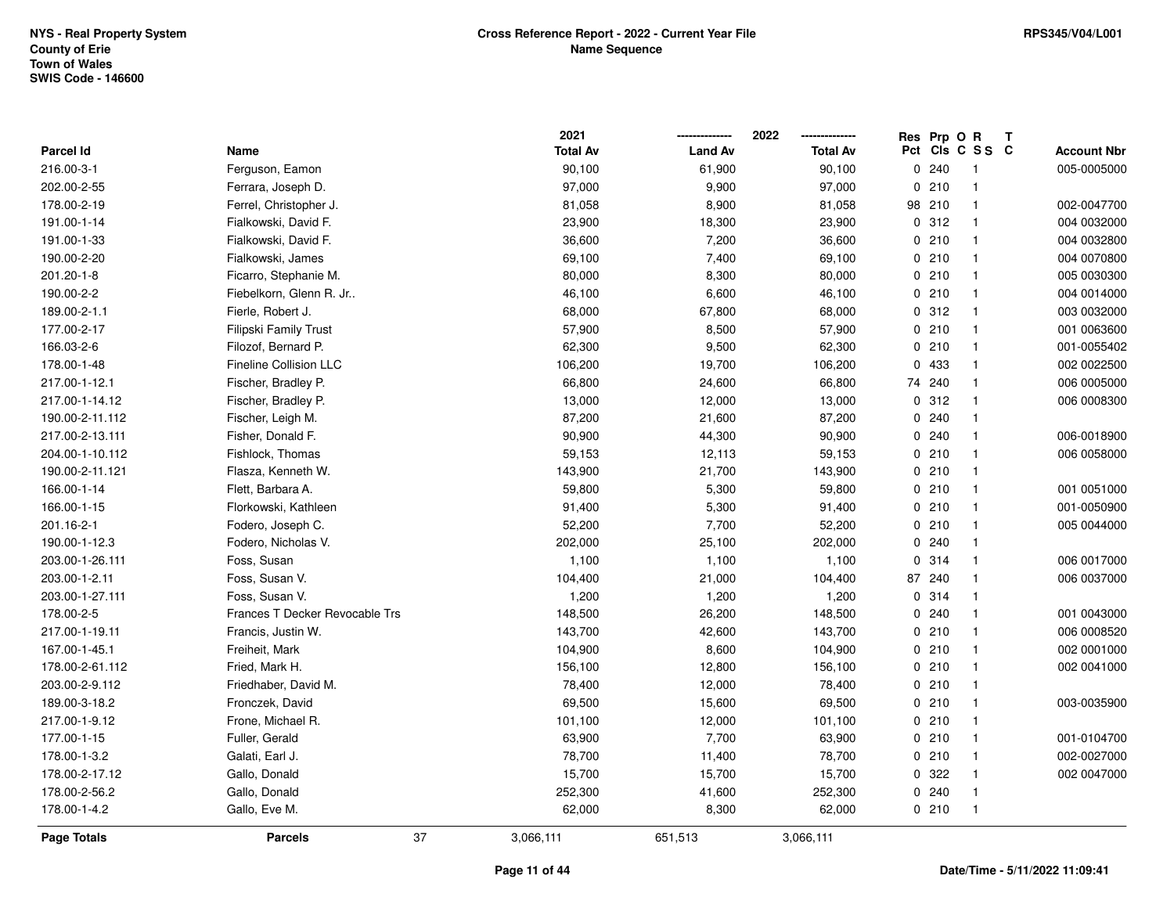|                  |                                |    | 2021            |                | 2022            |    | Res Prp O R |                         | Т |                    |
|------------------|--------------------------------|----|-----------------|----------------|-----------------|----|-------------|-------------------------|---|--------------------|
| <b>Parcel Id</b> | Name                           |    | <b>Total Av</b> | <b>Land Av</b> | <b>Total Av</b> |    |             | Pct Cls C S S C         |   | <b>Account Nbr</b> |
| 216.00-3-1       | Ferguson, Eamon                |    | 90,100          | 61,900         | 90,100          |    | 0.240       | $\overline{\mathbf{1}}$ |   | 005-0005000        |
| 202.00-2-55      | Ferrara, Joseph D.             |    | 97,000          | 9,900          | 97,000          |    | 0210        | $\mathbf{1}$            |   |                    |
| 178.00-2-19      | Ferrel, Christopher J.         |    | 81,058          | 8,900          | 81,058          |    | 98 210      | $\mathbf{1}$            |   | 002-0047700        |
| 191.00-1-14      | Fialkowski, David F.           |    | 23,900          | 18,300         | 23,900          |    | 0.312       | $\mathbf{1}$            |   | 004 0032000        |
| 191.00-1-33      | Fialkowski, David F.           |    | 36,600          | 7,200          | 36,600          |    | 0210        | $\mathbf{1}$            |   | 004 0032800        |
| 190.00-2-20      | Fialkowski, James              |    | 69,100          | 7,400          | 69,100          |    | 0210        | $\mathbf{1}$            |   | 004 0070800        |
| 201.20-1-8       | Ficarro, Stephanie M.          |    | 80,000          | 8,300          | 80,000          |    | 0210        | $\mathbf{1}$            |   | 005 0030300        |
| 190.00-2-2       | Fiebelkorn, Glenn R. Jr        |    | 46,100          | 6,600          | 46,100          |    | 0210        | $\mathbf{1}$            |   | 004 0014000        |
| 189.00-2-1.1     | Fierle, Robert J.              |    | 68,000          | 67,800         | 68,000          |    | 0.312       | $\mathbf{1}$            |   | 003 0032000        |
| 177.00-2-17      | Filipski Family Trust          |    | 57,900          | 8,500          | 57,900          |    | 0210        | $\mathbf{1}$            |   | 001 0063600        |
| 166.03-2-6       | Filozof, Bernard P.            |    | 62,300          | 9,500          | 62,300          |    | 0210        | $\mathbf{1}$            |   | 001-0055402        |
| 178.00-1-48      | <b>Fineline Collision LLC</b>  |    | 106,200         | 19,700         | 106,200         |    | 0 433       | $\mathbf{1}$            |   | 002 0022500        |
| 217.00-1-12.1    | Fischer, Bradley P.            |    | 66,800          | 24,600         | 66,800          |    | 74 240      | 1                       |   | 006 0005000        |
| 217.00-1-14.12   | Fischer, Bradley P.            |    | 13,000          | 12,000         | 13,000          |    | 0.312       | $\mathbf{1}$            |   | 006 0008300        |
| 190.00-2-11.112  | Fischer, Leigh M.              |    | 87,200          | 21,600         | 87,200          |    | 0.240       | $\mathbf{1}$            |   |                    |
| 217.00-2-13.111  | Fisher, Donald F.              |    | 90,900          | 44,300         | 90,900          |    | 0.240       | $\mathbf{1}$            |   | 006-0018900        |
| 204.00-1-10.112  | Fishlock, Thomas               |    | 59,153          | 12,113         | 59,153          |    | 0210        | $\mathbf{1}$            |   | 006 0058000        |
| 190.00-2-11.121  | Flasza, Kenneth W.             |    | 143,900         | 21,700         | 143,900         |    | 0210        | $\mathbf{1}$            |   |                    |
| 166.00-1-14      | Flett, Barbara A.              |    | 59,800          | 5,300          | 59,800          |    | 0210        | $\mathbf{1}$            |   | 001 0051000        |
| 166.00-1-15      | Florkowski, Kathleen           |    | 91,400          | 5,300          | 91,400          |    | 0210        | $\mathbf{1}$            |   | 001-0050900        |
| 201.16-2-1       | Fodero, Joseph C.              |    | 52,200          | 7,700          | 52,200          |    | 0210        | $\mathbf{1}$            |   | 005 0044000        |
| 190.00-1-12.3    | Fodero, Nicholas V.            |    | 202,000         | 25,100         | 202,000         |    | 0.240       | $\mathbf{1}$            |   |                    |
| 203.00-1-26.111  | Foss, Susan                    |    | 1,100           | 1,100          | 1,100           |    | 0.314       | $\mathbf{1}$            |   | 006 0017000        |
| 203.00-1-2.11    | Foss, Susan V.                 |    | 104,400         | 21,000         | 104,400         | 87 | 240         | $\mathbf{1}$            |   | 006 0037000        |
| 203.00-1-27.111  | Foss, Susan V.                 |    | 1,200           | 1,200          | 1,200           |    | 0.314       | $\mathbf{1}$            |   |                    |
| 178.00-2-5       | Frances T Decker Revocable Trs |    | 148,500         | 26,200         | 148,500         |    | 0.240       | $\mathbf{1}$            |   | 001 0043000        |
| 217.00-1-19.11   | Francis, Justin W.             |    | 143,700         | 42,600         | 143,700         |    | 0210        | $\mathbf{1}$            |   | 006 0008520        |
| 167.00-1-45.1    | Freiheit, Mark                 |    | 104,900         | 8,600          | 104,900         |    | 0210        | $\mathbf{1}$            |   | 002 0001000        |
| 178.00-2-61.112  | Fried, Mark H.                 |    | 156,100         | 12,800         | 156,100         |    | 0210        | $\mathbf{1}$            |   | 002 0041000        |
| 203.00-2-9.112   | Friedhaber, David M.           |    | 78,400          | 12,000         | 78,400          |    | 0210        | $\mathbf{1}$            |   |                    |
| 189.00-3-18.2    | Fronczek, David                |    | 69,500          | 15,600         | 69,500          |    | 0210        | $\mathbf{1}$            |   | 003-0035900        |
| 217.00-1-9.12    | Frone, Michael R.              |    | 101,100         | 12,000         | 101,100         |    | 0210        | $\mathbf{1}$            |   |                    |
| 177.00-1-15      | Fuller, Gerald                 |    | 63,900          | 7,700          | 63,900          |    | 0210        | $\mathbf{1}$            |   | 001-0104700        |
| 178.00-1-3.2     | Galati, Earl J.                |    | 78,700          | 11,400         | 78,700          |    | 0210        | $\mathbf{1}$            |   | 002-0027000        |
| 178.00-2-17.12   | Gallo, Donald                  |    | 15,700          | 15,700         | 15,700          |    | 0 322       | $\mathbf{1}$            |   | 002 0047000        |
| 178.00-2-56.2    | Gallo, Donald                  |    | 252,300         | 41,600         | 252,300         |    | 0.240       | $\mathbf{1}$            |   |                    |
| 178.00-1-4.2     | Gallo, Eve M.                  |    | 62,000          | 8,300          | 62,000          |    | 0210        | $\overline{1}$          |   |                    |
| Page Totals      | <b>Parcels</b>                 | 37 | 3,066,111       | 651,513        | 3,066,111       |    |             |                         |   |                    |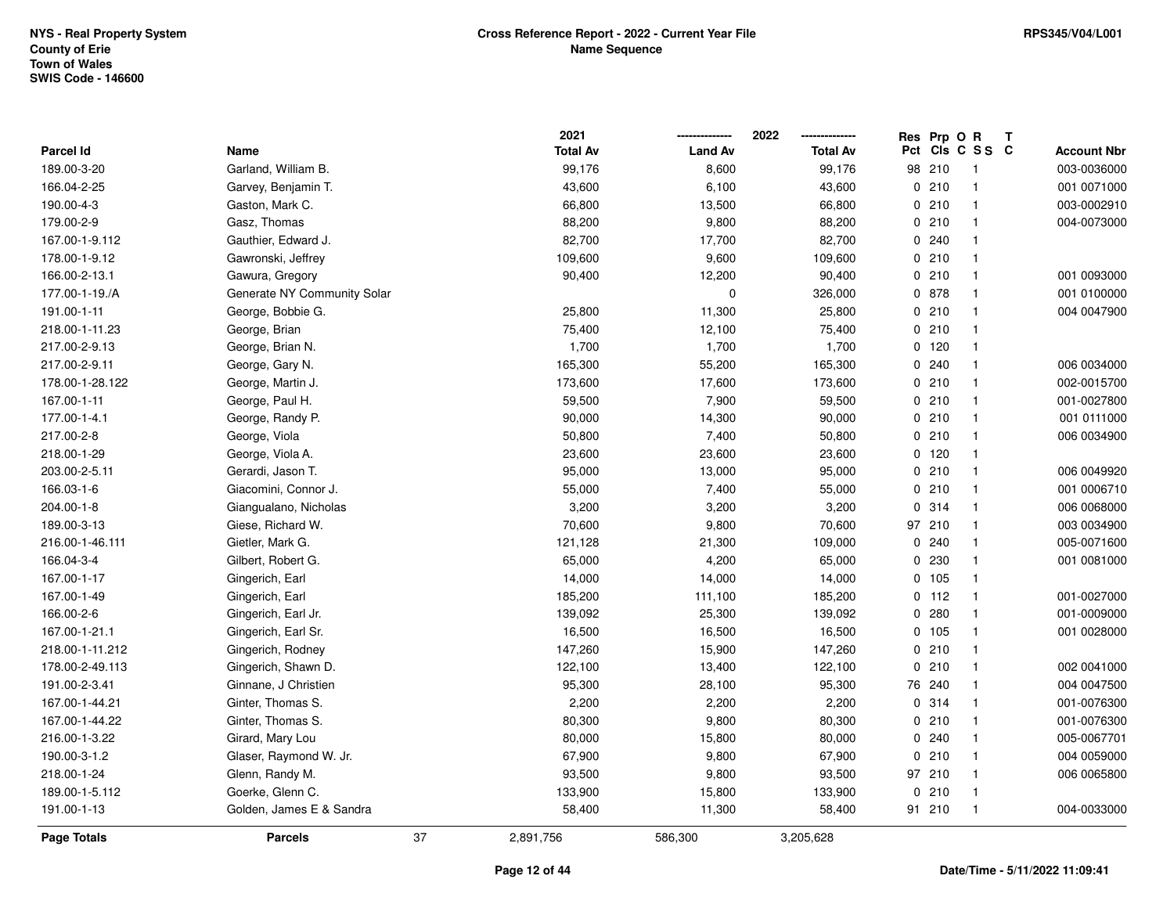|                    |                             |    | 2021            |                | 2022            | Res Prp O R |                 | Т |                    |
|--------------------|-----------------------------|----|-----------------|----------------|-----------------|-------------|-----------------|---|--------------------|
| Parcel Id          | Name                        |    | <b>Total Av</b> | <b>Land Av</b> | <b>Total Av</b> |             | Pct Cls C S S C |   | <b>Account Nbr</b> |
| 189.00-3-20        | Garland, William B.         |    | 99,176          | 8,600          | 99,176          | 98 210      | $\overline{1}$  |   | 003-0036000        |
| 166.04-2-25        | Garvey, Benjamin T.         |    | 43,600          | 6,100          | 43,600          | 0210        | $\mathbf{1}$    |   | 001 0071000        |
| 190.00-4-3         | Gaston, Mark C.             |    | 66,800          | 13,500         | 66,800          | 0210        | $\mathbf{1}$    |   | 003-0002910        |
| 179.00-2-9         | Gasz, Thomas                |    | 88,200          | 9,800          | 88,200          | 0210        | $\mathbf{1}$    |   | 004-0073000        |
| 167.00-1-9.112     | Gauthier, Edward J.         |    | 82,700          | 17,700         | 82,700          | 0.240       | $\mathbf 1$     |   |                    |
| 178.00-1-9.12      | Gawronski, Jeffrey          |    | 109,600         | 9,600          | 109,600         | 0210        | $\mathbf{1}$    |   |                    |
| 166.00-2-13.1      | Gawura, Gregory             |    | 90,400          | 12,200         | 90,400          | 0210        | $\mathbf{1}$    |   | 001 0093000        |
| 177.00-1-19./A     | Generate NY Community Solar |    |                 | $\pmb{0}$      | 326,000         | 0878        | $\mathbf{1}$    |   | 001 0100000        |
| 191.00-1-11        | George, Bobbie G.           |    | 25,800          | 11,300         | 25,800          | 0210        | $\mathbf{1}$    |   | 004 0047900        |
| 218.00-1-11.23     | George, Brian               |    | 75,400          | 12,100         | 75,400          | 0210        | $\mathbf{1}$    |   |                    |
| 217.00-2-9.13      | George, Brian N.            |    | 1,700           | 1,700          | 1,700           | $0$ 120     | $\mathbf{1}$    |   |                    |
| 217.00-2-9.11      | George, Gary N.             |    | 165,300         | 55,200         | 165,300         | 0.240       | $\mathbf{1}$    |   | 006 0034000        |
| 178.00-1-28.122    | George, Martin J.           |    | 173,600         | 17,600         | 173,600         | 0210        | $\mathbf 1$     |   | 002-0015700        |
| 167.00-1-11        | George, Paul H.             |    | 59,500          | 7,900          | 59,500          | 0210        | $\mathbf{1}$    |   | 001-0027800        |
| 177.00-1-4.1       | George, Randy P.            |    | 90,000          | 14,300         | 90,000          | 0210        | $\mathbf{1}$    |   | 001 0111000        |
| 217.00-2-8         | George, Viola               |    | 50,800          | 7,400          | 50,800          | 0210        | $\mathbf{1}$    |   | 006 0034900        |
| 218.00-1-29        | George, Viola A.            |    | 23,600          | 23,600         | 23,600          | $0$ 120     | $\mathbf{1}$    |   |                    |
| 203.00-2-5.11      | Gerardi, Jason T.           |    | 95,000          | 13,000         | 95,000          | 0210        | $\mathbf{1}$    |   | 006 0049920        |
| 166.03-1-6         | Giacomini, Connor J.        |    | 55,000          | 7,400          | 55,000          | 0210        | $\mathbf{1}$    |   | 001 0006710        |
| 204.00-1-8         | Giangualano, Nicholas       |    | 3,200           | 3,200          | 3,200           | 0.314       | $\mathbf{1}$    |   | 006 0068000        |
| 189.00-3-13        | Giese, Richard W.           |    | 70,600          | 9,800          | 70,600          | 97 210      | $\mathbf{1}$    |   | 003 0034900        |
| 216.00-1-46.111    | Gietler, Mark G.            |    | 121,128         | 21,300         | 109,000         | 0.240       | $\mathbf{1}$    |   | 005-0071600        |
| 166.04-3-4         | Gilbert, Robert G.          |    | 65,000          | 4,200          | 65,000          | 0.230       | $\mathbf{1}$    |   | 001 0081000        |
| 167.00-1-17        | Gingerich, Earl             |    | 14,000          | 14,000         | 14,000          | 0 105       | $\mathbf{1}$    |   |                    |
| 167.00-1-49        | Gingerich, Earl             |    | 185,200         | 111,100        | 185,200         | $0$ 112     | $\mathbf{1}$    |   | 001-0027000        |
| 166.00-2-6         | Gingerich, Earl Jr.         |    | 139,092         | 25,300         | 139,092         | 0.280       | $\mathbf{1}$    |   | 001-0009000        |
| 167.00-1-21.1      | Gingerich, Earl Sr.         |    | 16,500          | 16,500         | 16,500          | 0 105       | $\mathbf{1}$    |   | 001 0028000        |
| 218.00-1-11.212    | Gingerich, Rodney           |    | 147,260         | 15,900         | 147,260         | 0210        | $\mathbf{1}$    |   |                    |
| 178.00-2-49.113    | Gingerich, Shawn D.         |    | 122,100         | 13,400         | 122,100         | 0210        | $\mathbf{1}$    |   | 002 0041000        |
| 191.00-2-3.41      | Ginnane, J Christien        |    | 95,300          | 28,100         | 95,300          | 76 240      | $\mathbf{1}$    |   | 004 0047500        |
| 167.00-1-44.21     | Ginter, Thomas S.           |    | 2,200           | 2,200          | 2,200           | 0.314       | $\mathbf{1}$    |   | 001-0076300        |
| 167.00-1-44.22     | Ginter, Thomas S.           |    | 80,300          | 9,800          | 80,300          | 0210        | $\mathbf{1}$    |   | 001-0076300        |
| 216.00-1-3.22      | Girard, Mary Lou            |    | 80,000          | 15,800         | 80,000          | 0.240       | $\mathbf{1}$    |   | 005-0067701        |
| 190.00-3-1.2       | Glaser, Raymond W. Jr.      |    | 67,900          | 9,800          | 67,900          | 0210        | $\mathbf{1}$    |   | 004 0059000        |
| 218.00-1-24        | Glenn, Randy M.             |    | 93,500          | 9,800          | 93,500          | 97 210      | $\mathbf{1}$    |   | 006 0065800        |
| 189.00-1-5.112     | Goerke, Glenn C.            |    | 133,900         | 15,800         | 133,900         | 0210        | $\mathbf{1}$    |   |                    |
| 191.00-1-13        | Golden, James E & Sandra    |    | 58,400          | 11,300         | 58,400          | 91 210      | $\mathbf{1}$    |   | 004-0033000        |
| <b>Page Totals</b> | <b>Parcels</b>              | 37 | 2,891,756       | 586,300        | 3,205,628       |             |                 |   |                    |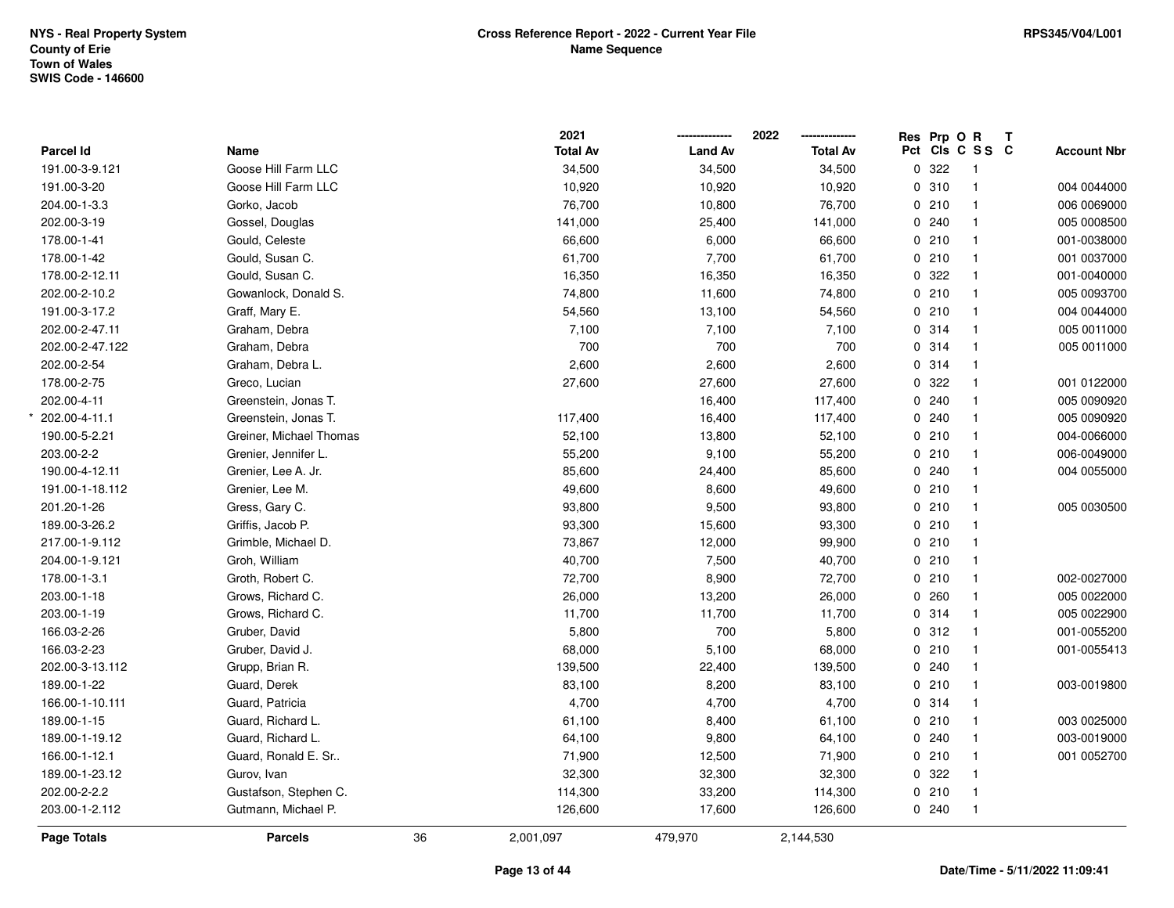\*

|                    |                         |    | 2021            |                | 2022            | Res Prp O R |                 | $\mathbf{T}$ |                    |
|--------------------|-------------------------|----|-----------------|----------------|-----------------|-------------|-----------------|--------------|--------------------|
| Parcel Id          | Name                    |    | <b>Total Av</b> | <b>Land Av</b> | <b>Total Av</b> |             | Pct Cls C S S C |              | <b>Account Nbr</b> |
| 191.00-3-9.121     | Goose Hill Farm LLC     |    | 34,500          | 34,500         | 34,500          | 0.322       | -1              |              |                    |
| 191.00-3-20        | Goose Hill Farm LLC     |    | 10,920          | 10,920         | 10,920          | 0.310       | $\mathbf{1}$    |              | 004 0044000        |
| 204.00-1-3.3       | Gorko, Jacob            |    | 76,700          | 10,800         | 76,700          | 0210        | $\mathbf{1}$    |              | 006 0069000        |
| 202.00-3-19        | Gossel, Douglas         |    | 141,000         | 25,400         | 141,000         | 0.240       | $\mathbf{1}$    |              | 005 0008500        |
| 178.00-1-41        | Gould, Celeste          |    | 66,600          | 6,000          | 66,600          | 0210        | $\mathbf{1}$    |              | 001-0038000        |
| 178.00-1-42        | Gould, Susan C.         |    | 61,700          | 7,700          | 61,700          | 0210        | $\mathbf{1}$    |              | 001 0037000        |
| 178.00-2-12.11     | Gould, Susan C.         |    | 16,350          | 16,350         | 16,350          | 0.322       | $\mathbf 1$     |              | 001-0040000        |
| 202.00-2-10.2      | Gowanlock, Donald S.    |    | 74,800          | 11,600         | 74,800          | 0210        | $\mathbf{1}$    |              | 005 0093700        |
| 191.00-3-17.2      | Graff, Mary E.          |    | 54,560          | 13,100         | 54,560          | 0210        | $\mathbf{1}$    |              | 004 0044000        |
| 202.00-2-47.11     | Graham, Debra           |    | 7,100           | 7,100          | 7,100           | 0.314       | $\mathbf{1}$    |              | 005 0011000        |
| 202.00-2-47.122    | Graham, Debra           |    | 700             | 700            | 700             | 0.314       | $\mathbf{1}$    |              | 005 0011000        |
| 202.00-2-54        | Graham, Debra L.        |    | 2,600           | 2,600          | 2,600           | 0.314       | $\mathbf{1}$    |              |                    |
| 178.00-2-75        | Greco, Lucian           |    | 27,600          | 27,600         | 27,600          | 0.322       | $\mathbf{1}$    |              | 001 0122000        |
| 202.00-4-11        | Greenstein, Jonas T.    |    |                 | 16,400         | 117,400         | 0.240       | $\mathbf{1}$    |              | 005 0090920        |
| 202.00-4-11.1      | Greenstein, Jonas T.    |    | 117,400         | 16,400         | 117,400         | 0.240       | $\mathbf{1}$    |              | 005 0090920        |
| 190.00-5-2.21      | Greiner, Michael Thomas |    | 52,100          | 13,800         | 52,100          | 0210        | $\mathbf{1}$    |              | 004-0066000        |
| 203.00-2-2         | Grenier, Jennifer L.    |    | 55,200          | 9,100          | 55,200          | 0210        | $\mathbf{1}$    |              | 006-0049000        |
| 190.00-4-12.11     | Grenier, Lee A. Jr.     |    | 85,600          | 24,400         | 85,600          | 0.240       | $\mathbf{1}$    |              | 004 0055000        |
| 191.00-1-18.112    | Grenier, Lee M.         |    | 49,600          | 8,600          | 49,600          | 0210        | $\mathbf{1}$    |              |                    |
| 201.20-1-26        | Gress, Gary C.          |    | 93,800          | 9,500          | 93,800          | 0210        | $\mathbf{1}$    |              | 005 0030500        |
| 189.00-3-26.2      | Griffis, Jacob P.       |    | 93,300          | 15,600         | 93,300          | 0210        | $\mathbf{1}$    |              |                    |
| 217.00-1-9.112     | Grimble, Michael D.     |    | 73,867          | 12,000         | 99,900          | 0210        | $\mathbf{1}$    |              |                    |
| 204.00-1-9.121     | Groh, William           |    | 40,700          | 7,500          | 40,700          | 0210        | $\mathbf{1}$    |              |                    |
| 178.00-1-3.1       | Groth, Robert C.        |    | 72,700          | 8,900          | 72,700          | 0210        | $\mathbf{1}$    |              | 002-0027000        |
| 203.00-1-18        | Grows, Richard C.       |    | 26,000          | 13,200         | 26,000          | 0.260       | $\mathbf{1}$    |              | 005 0022000        |
| 203.00-1-19        | Grows, Richard C.       |    | 11,700          | 11,700         | 11,700          | 0.314       | $\mathbf{1}$    |              | 005 0022900        |
| 166.03-2-26        | Gruber, David           |    | 5,800           | 700            | 5,800           | 0.312       | $\mathbf{1}$    |              | 001-0055200        |
| 166.03-2-23        | Gruber, David J.        |    | 68,000          | 5,100          | 68,000          | 0210        | $\mathbf{1}$    |              | 001-0055413        |
| 202.00-3-13.112    | Grupp, Brian R.         |    | 139,500         | 22,400         | 139,500         | 0.240       | $\mathbf 1$     |              |                    |
| 189.00-1-22        | Guard, Derek            |    | 83,100          | 8,200          | 83,100          | 0210        | $\mathbf{1}$    |              | 003-0019800        |
| 166.00-1-10.111    | Guard, Patricia         |    | 4,700           | 4,700          | 4,700           | 0.314       | $\mathbf{1}$    |              |                    |
| 189.00-1-15        | Guard, Richard L.       |    | 61,100          | 8,400          | 61,100          | 0210        | $\mathbf{1}$    |              | 003 0025000        |
| 189.00-1-19.12     | Guard, Richard L.       |    | 64,100          | 9,800          | 64,100          | 0.240       | $\mathbf{1}$    |              | 003-0019000        |
| 166.00-1-12.1      | Guard, Ronald E. Sr     |    | 71,900          | 12,500         | 71,900          | 0210        | $\mathbf{1}$    |              | 001 0052700        |
| 189.00-1-23.12     | Gurov, Ivan             |    | 32,300          | 32,300         | 32,300          | 0.322       | $\mathbf{1}$    |              |                    |
| 202.00-2-2.2       | Gustafson, Stephen C.   |    | 114,300         | 33,200         | 114,300         | 0210        | 1               |              |                    |
| 203.00-1-2.112     | Gutmann, Michael P.     |    | 126,600         | 17,600         | 126,600         | 0.240       | $\mathbf{1}$    |              |                    |
| <b>Page Totals</b> | <b>Parcels</b>          | 36 | 2,001,097       | 479,970        | 2,144,530       |             |                 |              |                    |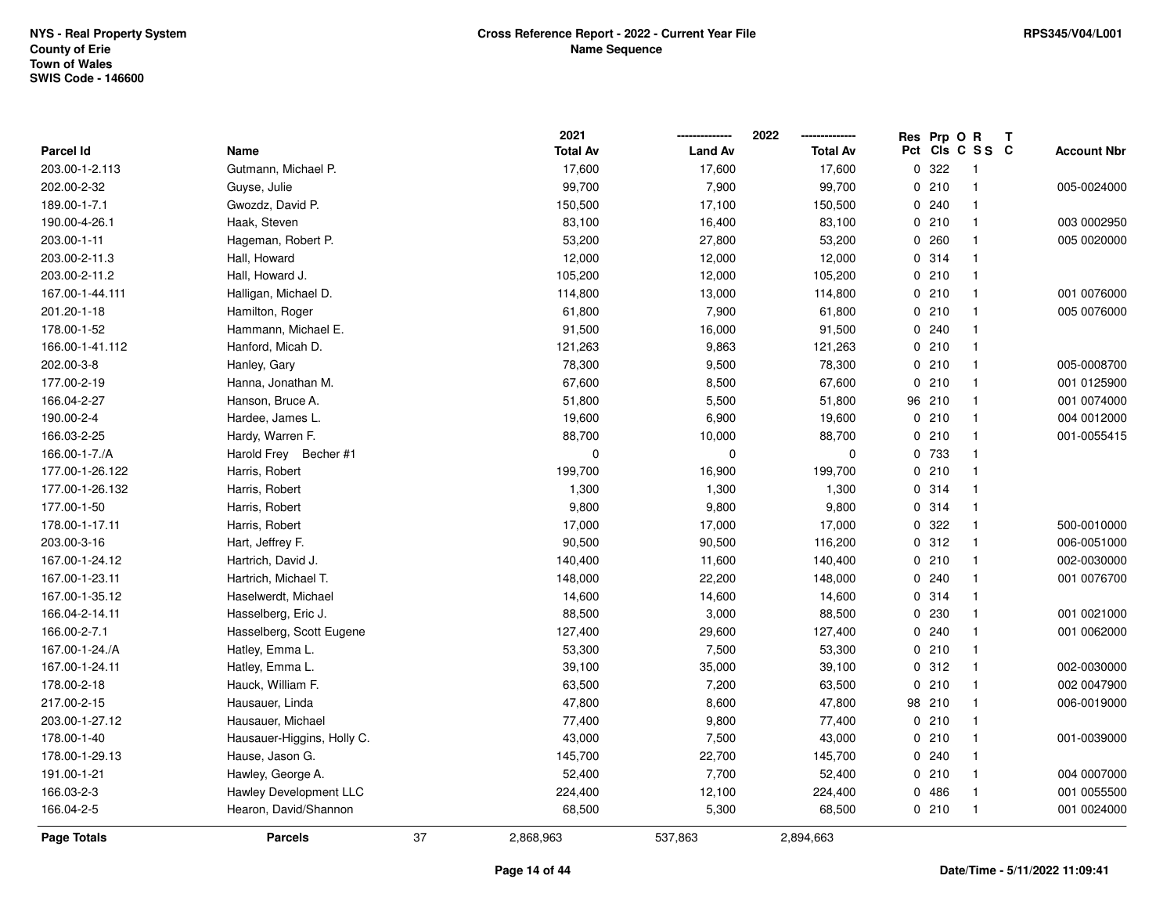|                 |                            |    | 2021            |                | 2022<br>-------------- |   | Res Prp O R | T.              |                    |
|-----------------|----------------------------|----|-----------------|----------------|------------------------|---|-------------|-----------------|--------------------|
| Parcel Id       | Name                       |    | <b>Total Av</b> | <b>Land Av</b> | <b>Total Av</b>        |   |             | Pct Cls C S S C | <b>Account Nbr</b> |
| 203.00-1-2.113  | Gutmann, Michael P.        |    | 17,600          | 17,600         | 17,600                 | 0 | 322         | $\mathbf{1}$    |                    |
| 202.00-2-32     | Guyse, Julie               |    | 99,700          | 7,900          | 99,700                 |   | 0210        | $\mathbf{1}$    | 005-0024000        |
| 189.00-1-7.1    | Gwozdz, David P.           |    | 150,500         | 17,100         | 150,500                |   | 0.240       | $\mathbf{1}$    |                    |
| 190.00-4-26.1   | Haak, Steven               |    | 83,100          | 16,400         | 83,100                 |   | 0210        | $\mathbf{1}$    | 003 0002950        |
| 203.00-1-11     | Hageman, Robert P.         |    | 53,200          | 27,800         | 53,200                 |   | 0260        | $\mathbf 1$     | 005 0020000        |
| 203.00-2-11.3   | Hall, Howard               |    | 12,000          | 12,000         | 12,000                 |   | 0.314       |                 |                    |
| 203.00-2-11.2   | Hall, Howard J.            |    | 105,200         | 12,000         | 105,200                |   | 0210        | $\mathbf{1}$    |                    |
| 167.00-1-44.111 | Halligan, Michael D.       |    | 114,800         | 13,000         | 114,800                |   | 0210        | $\mathbf 1$     | 001 0076000        |
| 201.20-1-18     | Hamilton, Roger            |    | 61,800          | 7,900          | 61,800                 |   | 0210        | $\mathbf{1}$    | 005 0076000        |
| 178.00-1-52     | Hammann, Michael E.        |    | 91,500          | 16,000         | 91,500                 |   | 0.240       | $\mathbf{1}$    |                    |
| 166.00-1-41.112 | Hanford, Micah D.          |    | 121,263         | 9,863          | 121,263                |   | 0210        | $\overline{1}$  |                    |
| 202.00-3-8      | Hanley, Gary               |    | 78,300          | 9,500          | 78,300                 |   | 0210        | $\mathbf 1$     | 005-0008700        |
| 177.00-2-19     | Hanna, Jonathan M.         |    | 67,600          | 8,500          | 67,600                 |   | 0210        |                 | 001 0125900        |
| 166.04-2-27     | Hanson, Bruce A.           |    | 51,800          | 5,500          | 51,800                 |   | 96 210      | $\mathbf{1}$    | 001 0074000        |
| 190.00-2-4      | Hardee, James L.           |    | 19,600          | 6,900          | 19,600                 |   | 0210        | $\overline{1}$  | 004 0012000        |
| 166.03-2-25     | Hardy, Warren F.           |    | 88,700          | 10,000         | 88,700                 |   | 0210        | $\mathbf{1}$    | 001-0055415        |
| 166.00-1-7./A   | Harold Frey Becher #1      |    | 0               | $\mathbf 0$    | $\mathbf 0$            |   | 0 733       | $\overline{1}$  |                    |
| 177.00-1-26.122 | Harris, Robert             |    | 199,700         | 16,900         | 199,700                |   | 0210        | $\mathbf{1}$    |                    |
| 177.00-1-26.132 | Harris, Robert             |    | 1,300           | 1,300          | 1,300                  |   | 0.314       | $\mathbf{1}$    |                    |
| 177.00-1-50     | Harris, Robert             |    | 9,800           | 9,800          | 9,800                  |   | 0.314       |                 |                    |
| 178.00-1-17.11  | Harris, Robert             |    | 17,000          | 17,000         | 17,000                 |   | 0.322       | $\mathbf{1}$    | 500-0010000        |
| 203.00-3-16     | Hart, Jeffrey F.           |    | 90,500          | 90,500         | 116,200                |   | 0.312       | $\overline{1}$  | 006-0051000        |
| 167.00-1-24.12  | Hartrich, David J.         |    | 140,400         | 11,600         | 140,400                |   | 0210        | $\mathbf{1}$    | 002-0030000        |
| 167.00-1-23.11  | Hartrich, Michael T.       |    | 148,000         | 22,200         | 148,000                |   | 0.240       | $\mathbf{1}$    | 001 0076700        |
| 167.00-1-35.12  | Haselwerdt, Michael        |    | 14,600          | 14,600         | 14,600                 |   | 0.314       | $\mathbf{1}$    |                    |
| 166.04-2-14.11  | Hasselberg, Eric J.        |    | 88,500          | 3,000          | 88,500                 |   | 0 230       | $\mathbf{1}$    | 001 0021000        |
| 166.00-2-7.1    | Hasselberg, Scott Eugene   |    | 127,400         | 29,600         | 127,400                |   | 0.240       | $\mathbf 1$     | 001 0062000        |
| 167.00-1-24./A  | Hatley, Emma L.            |    | 53,300          | 7,500          | 53,300                 |   | 0210        | $\mathbf{1}$    |                    |
| 167.00-1-24.11  | Hatley, Emma L.            |    | 39,100          | 35,000         | 39,100                 |   | 0 312       | $\overline{1}$  | 002-0030000        |
| 178.00-2-18     | Hauck, William F.          |    | 63,500          | 7,200          | 63,500                 |   | 0210        | $\overline{1}$  | 002 0047900        |
| 217.00-2-15     | Hausauer, Linda            |    | 47,800          | 8,600          | 47,800                 |   | 98 210      | $\mathbf{1}$    | 006-0019000        |
| 203.00-1-27.12  | Hausauer, Michael          |    | 77,400          | 9,800          | 77,400                 |   | 0210        | $\mathbf{1}$    |                    |
| 178.00-1-40     | Hausauer-Higgins, Holly C. |    | 43,000          | 7,500          | 43,000                 |   | 0210        | $\mathbf{1}$    | 001-0039000        |
| 178.00-1-29.13  | Hause, Jason G.            |    | 145,700         | 22,700         | 145,700                |   | 0240        | $\mathbf{1}$    |                    |
| 191.00-1-21     | Hawley, George A.          |    | 52,400          | 7,700          | 52,400                 |   | 0210        | $\mathbf{1}$    | 004 0007000        |
| 166.03-2-3      | Hawley Development LLC     |    | 224,400         | 12,100         | 224,400                |   | 0486        | $\mathbf{1}$    | 001 0055500        |
| 166.04-2-5      | Hearon, David/Shannon      |    | 68,500          | 5,300          | 68,500                 |   | 0210        | $\overline{1}$  | 001 0024000        |
| Page Totals     | <b>Parcels</b>             | 37 | 2,868,963       | 537,863        | 2,894,663              |   |             |                 |                    |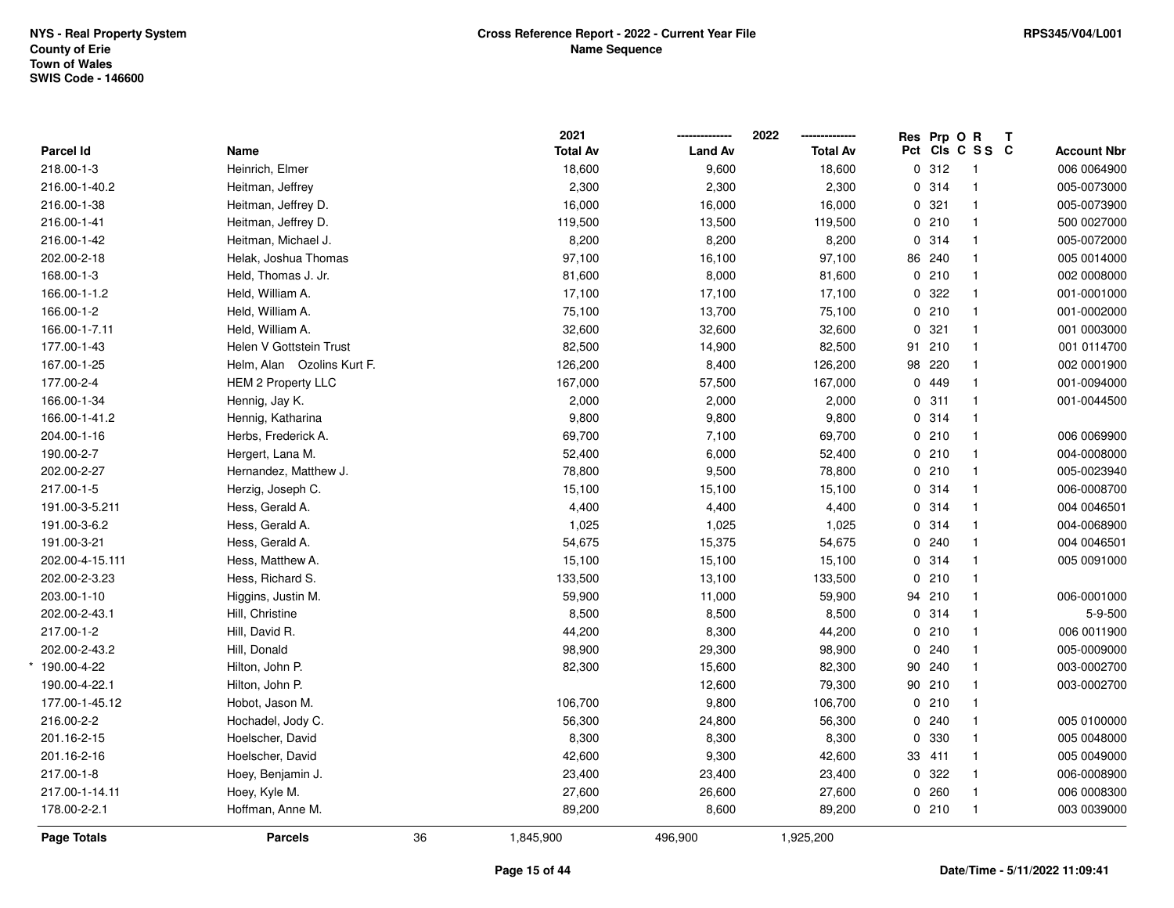|                 |                            |    | 2021            |                | 2022            | Res Prp O R |                 | Т |                    |
|-----------------|----------------------------|----|-----------------|----------------|-----------------|-------------|-----------------|---|--------------------|
| Parcel Id       | Name                       |    | <b>Total Av</b> | <b>Land Av</b> | <b>Total Av</b> |             | Pct Cls C S S C |   | <b>Account Nbr</b> |
| 218.00-1-3      | Heinrich, Elmer            |    | 18,600          | 9,600          | 18,600          | 0.312       | $\mathbf{1}$    |   | 006 0064900        |
| 216.00-1-40.2   | Heitman, Jeffrey           |    | 2,300           | 2,300          | 2,300           | 0.314       | $\mathbf{1}$    |   | 005-0073000        |
| 216.00-1-38     | Heitman, Jeffrey D.        |    | 16,000          | 16,000         | 16,000          | 0.321       | $\mathbf{1}$    |   | 005-0073900        |
| 216.00-1-41     | Heitman, Jeffrey D.        |    | 119,500         | 13,500         | 119,500         | 0210        | $\mathbf{1}$    |   | 500 0027000        |
| 216.00-1-42     | Heitman, Michael J.        |    | 8,200           | 8,200          | 8,200           | 0.314       | $\mathbf{1}$    |   | 005-0072000        |
| 202.00-2-18     | Helak, Joshua Thomas       |    | 97,100          | 16,100         | 97,100          | 86 240      | $\mathbf{1}$    |   | 005 0014000        |
| 168.00-1-3      | Held, Thomas J. Jr.        |    | 81,600          | 8,000          | 81,600          | 0210        | $\mathbf{1}$    |   | 002 0008000        |
| 166.00-1-1.2    | Held, William A.           |    | 17,100          | 17,100         | 17,100          | 0.322       | $\mathbf{1}$    |   | 001-0001000        |
| 166.00-1-2      | Held, William A.           |    | 75,100          | 13,700         | 75,100          | 0210        | $\mathbf{1}$    |   | 001-0002000        |
| 166.00-1-7.11   | Held, William A.           |    | 32,600          | 32,600         | 32,600          | 0.321       | $\mathbf{1}$    |   | 001 0003000        |
| 177.00-1-43     | Helen V Gottstein Trust    |    | 82,500          | 14,900         | 82,500          | 91 210      | $\mathbf{1}$    |   | 001 0114700        |
| 167.00-1-25     | Helm, Alan Ozolins Kurt F. |    | 126,200         | 8,400          | 126,200         | 98 220      | $\mathbf{1}$    |   | 002 0001900        |
| 177.00-2-4      | <b>HEM 2 Property LLC</b>  |    | 167,000         | 57,500         | 167,000         | 0 449       | $\mathbf{1}$    |   | 001-0094000        |
| 166.00-1-34     | Hennig, Jay K.             |    | 2,000           | 2,000          | 2,000           | 0.311       | $\mathbf{1}$    |   | 001-0044500        |
| 166.00-1-41.2   | Hennig, Katharina          |    | 9,800           | 9,800          | 9,800           | 0.314       | $\mathbf{1}$    |   |                    |
| 204.00-1-16     | Herbs, Frederick A.        |    | 69,700          | 7,100          | 69,700          | 0210        | $\mathbf{1}$    |   | 006 0069900        |
| 190.00-2-7      | Hergert, Lana M.           |    | 52,400          | 6,000          | 52,400          | 0210        | $\mathbf{1}$    |   | 004-0008000        |
| 202.00-2-27     | Hernandez, Matthew J.      |    | 78,800          | 9,500          | 78,800          | 0210        | $\mathbf{1}$    |   | 005-0023940        |
| 217.00-1-5      | Herzig, Joseph C.          |    | 15,100          | 15,100         | 15,100          | 0.314       | $\mathbf{1}$    |   | 006-0008700        |
| 191.00-3-5.211  | Hess, Gerald A.            |    | 4,400           | 4,400          | 4,400           | 0 314       | $\mathbf{1}$    |   | 004 004 6501       |
| 191.00-3-6.2    | Hess, Gerald A.            |    | 1,025           | 1,025          | 1,025           | 0 314       | $\mathbf{1}$    |   | 004-0068900        |
| 191.00-3-21     | Hess, Gerald A.            |    | 54,675          | 15,375         | 54,675          | 0.240       | $\mathbf{1}$    |   | 004 004 6501       |
| 202.00-4-15.111 | Hess, Matthew A.           |    | 15,100          | 15,100         | 15,100          | 0 314       | $\mathbf{1}$    |   | 005 0091000        |
| 202.00-2-3.23   | Hess, Richard S.           |    | 133,500         | 13,100         | 133,500         | 0210        | $\mathbf{1}$    |   |                    |
| 203.00-1-10     | Higgins, Justin M.         |    | 59,900          | 11,000         | 59,900          | 94 210      | $\mathbf{1}$    |   | 006-0001000        |
| 202.00-2-43.1   | Hill, Christine            |    | 8,500           | 8,500          | 8,500           | 0.314       | $\mathbf{1}$    |   | 5-9-500            |
| 217.00-1-2      | Hill, David R.             |    | 44,200          | 8,300          | 44,200          | 0210        | $\mathbf{1}$    |   | 006 0011900        |
| 202.00-2-43.2   | Hill, Donald               |    | 98,900          | 29,300         | 98,900          | 0.240       | $\mathbf{1}$    |   | 005-0009000        |
| 190.00-4-22     | Hilton, John P.            |    | 82,300          | 15,600         | 82,300          | 90 240      | $\mathbf{1}$    |   | 003-0002700        |
| 190.00-4-22.1   | Hilton, John P.            |    |                 | 12,600         | 79,300          | 90 210      | $\mathbf{1}$    |   | 003-0002700        |
| 177.00-1-45.12  | Hobot, Jason M.            |    | 106,700         | 9,800          | 106,700         | 0210        | $\mathbf{1}$    |   |                    |
| 216.00-2-2      | Hochadel, Jody C.          |    | 56,300          | 24,800         | 56,300          | 0.240       | $\mathbf{1}$    |   | 005 0100000        |
| 201.16-2-15     | Hoelscher, David           |    | 8,300           | 8,300          | 8,300           | 0 330       | $\mathbf{1}$    |   | 005 0048000        |
| 201.16-2-16     | Hoelscher, David           |    | 42,600          | 9,300          | 42,600          | 33 411      | $\mathbf{1}$    |   | 005 0049000        |
| 217.00-1-8      | Hoey, Benjamin J.          |    | 23,400          | 23,400         | 23,400          | 0 322       | $\mathbf{1}$    |   | 006-0008900        |
| 217.00-1-14.11  | Hoey, Kyle M.              |    | 27,600          | 26,600         | 27,600          | 0.260       | $\mathbf{1}$    |   | 006 0008300        |
| 178.00-2-2.1    | Hoffman, Anne M.           |    | 89,200          | 8,600          | 89,200          | 0210        | $\mathbf{1}$    |   | 003 0039000        |
| Page Totals     | <b>Parcels</b>             | 36 | 1,845,900       | 496,900        | 1,925,200       |             |                 |   |                    |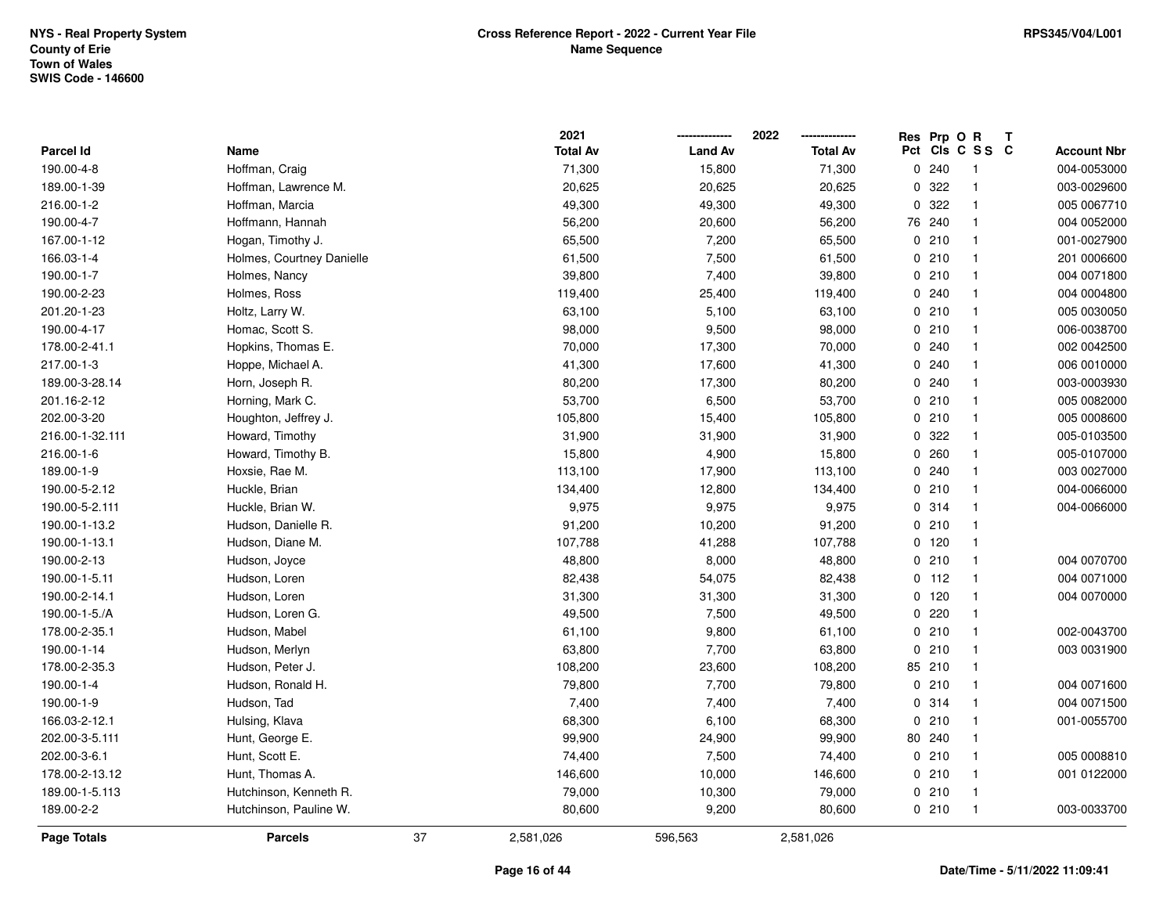|                  |                           |    | 2021            |                | 2022            |     | Res Prp O R |                | Т |                    |
|------------------|---------------------------|----|-----------------|----------------|-----------------|-----|-------------|----------------|---|--------------------|
| <b>Parcel Id</b> | Name                      |    | <b>Total Av</b> | <b>Land Av</b> | <b>Total Av</b> | Pct |             | CIS C S S C    |   | <b>Account Nbr</b> |
| 190.00-4-8       | Hoffman, Craig            |    | 71,300          | 15,800         | 71,300          | 0   | 240         | $\overline{1}$ |   | 004-0053000        |
| 189.00-1-39      | Hoffman, Lawrence M.      |    | 20,625          | 20,625         | 20,625          | 0   | 322         | $\overline{1}$ |   | 003-0029600        |
| 216.00-1-2       | Hoffman, Marcia           |    | 49,300          | 49,300         | 49,300          |     | 0.322       | $\mathbf{1}$   |   | 005 0067710        |
| 190.00-4-7       | Hoffmann, Hannah          |    | 56,200          | 20,600         | 56,200          |     | 76 240      | $\mathbf{1}$   |   | 004 0052000        |
| 167.00-1-12      | Hogan, Timothy J.         |    | 65,500          | 7,200          | 65,500          |     | 0210        | $\mathbf{1}$   |   | 001-0027900        |
| 166.03-1-4       | Holmes, Courtney Danielle |    | 61,500          | 7,500          | 61,500          |     | 0210        | $\mathbf{1}$   |   | 201 0006600        |
| 190.00-1-7       | Holmes, Nancy             |    | 39,800          | 7,400          | 39,800          |     | 0210        | $\mathbf{1}$   |   | 004 0071800        |
| 190.00-2-23      | Holmes, Ross              |    | 119,400         | 25,400         | 119,400         |     | 0.240       | $\mathbf{1}$   |   | 004 0004800        |
| 201.20-1-23      | Holtz, Larry W.           |    | 63,100          | 5,100          | 63,100          |     | 0210        | $\mathbf{1}$   |   | 005 0030050        |
| 190.00-4-17      | Homac, Scott S.           |    | 98,000          | 9,500          | 98,000          |     | 0210        | $\mathbf{1}$   |   | 006-0038700        |
| 178.00-2-41.1    | Hopkins, Thomas E.        |    | 70,000          | 17,300         | 70,000          |     | 0.240       | $\mathbf{1}$   |   | 002 0042500        |
| 217.00-1-3       | Hoppe, Michael A.         |    | 41,300          | 17,600         | 41,300          |     | 0.240       | $\mathbf{1}$   |   | 006 0010000        |
| 189.00-3-28.14   | Horn, Joseph R.           |    | 80,200          | 17,300         | 80,200          |     | 0.240       | -1             |   | 003-0003930        |
| 201.16-2-12      | Horning, Mark C.          |    | 53,700          | 6,500          | 53,700          |     | 0210        | $\mathbf{1}$   |   | 005 0082000        |
| 202.00-3-20      | Houghton, Jeffrey J.      |    | 105,800         | 15,400         | 105,800         |     | 0210        | $\mathbf{1}$   |   | 005 0008600        |
| 216.00-1-32.111  | Howard, Timothy           |    | 31,900          | 31,900         | 31,900          |     | 0 322       | $\mathbf{1}$   |   | 005-0103500        |
| 216.00-1-6       | Howard, Timothy B.        |    | 15,800          | 4,900          | 15,800          |     | 0.260       | $\mathbf{1}$   |   | 005-0107000        |
| 189.00-1-9       | Hoxsie, Rae M.            |    | 113,100         | 17,900         | 113,100         |     | 0.240       | $\mathbf{1}$   |   | 003 0027000        |
| 190.00-5-2.12    | Huckle, Brian             |    | 134,400         | 12,800         | 134,400         |     | 0210        | $\mathbf{1}$   |   | 004-0066000        |
| 190.00-5-2.111   | Huckle, Brian W.          |    | 9,975           | 9,975          | 9,975           |     | 0.314       | $\mathbf{1}$   |   | 004-0066000        |
| 190.00-1-13.2    | Hudson, Danielle R.       |    | 91,200          | 10,200         | 91,200          |     | 0210        | $\overline{1}$ |   |                    |
| 190.00-1-13.1    | Hudson, Diane M.          |    | 107,788         | 41,288         | 107,788         |     | 0 120       | $\mathbf{1}$   |   |                    |
| 190.00-2-13      | Hudson, Joyce             |    | 48,800          | 8,000          | 48,800          |     | 0210        | $\mathbf{1}$   |   | 004 0070700        |
| 190.00-1-5.11    | Hudson, Loren             |    | 82,438          | 54,075         | 82,438          |     | $0$ 112     | $\mathbf{1}$   |   | 004 0071000        |
| 190.00-2-14.1    | Hudson, Loren             |    | 31,300          | 31,300         | 31,300          |     | 0 120       | $\mathbf{1}$   |   | 004 0070000        |
| 190.00-1-5./A    | Hudson, Loren G.          |    | 49,500          | 7,500          | 49,500          |     | 0220        | $\mathbf{1}$   |   |                    |
| 178.00-2-35.1    | Hudson, Mabel             |    | 61,100          | 9,800          | 61,100          |     | 0210        | $\mathbf{1}$   |   | 002-0043700        |
| 190.00-1-14      | Hudson, Merlyn            |    | 63,800          | 7,700          | 63,800          |     | 0210        | $\overline{1}$ |   | 003 0031900        |
| 178.00-2-35.3    | Hudson, Peter J.          |    | 108,200         | 23,600         | 108,200         |     | 85 210      | $\overline{1}$ |   |                    |
| 190.00-1-4       | Hudson, Ronald H.         |    | 79,800          | 7,700          | 79,800          |     | 0210        | $\mathbf{1}$   |   | 004 0071600        |
| 190.00-1-9       | Hudson, Tad               |    | 7,400           | 7,400          | 7,400           |     | 0.314       | $\overline{1}$ |   | 004 0071500        |
| 166.03-2-12.1    | Hulsing, Klava            |    | 68,300          | 6,100          | 68,300          |     | 0210        | $\mathbf{1}$   |   | 001-0055700        |
| 202.00-3-5.111   | Hunt, George E.           |    | 99,900          | 24,900         | 99,900          |     | 80 240      | $\mathbf{1}$   |   |                    |
| 202.00-3-6.1     | Hunt, Scott E.            |    | 74,400          | 7,500          | 74,400          |     | 0210        | $\mathbf{1}$   |   | 005 0008810        |
| 178.00-2-13.12   | Hunt, Thomas A.           |    | 146,600         | 10,000         | 146,600         |     | 0210        | $\mathbf{1}$   |   | 001 0122000        |
| 189.00-1-5.113   | Hutchinson, Kenneth R.    |    | 79,000          | 10,300         | 79,000          |     | 0210        | $\mathbf{1}$   |   |                    |
| 189.00-2-2       | Hutchinson, Pauline W.    |    | 80,600          | 9,200          | 80,600          |     | 0210        | $\overline{1}$ |   | 003-0033700        |
| Page Totals      | <b>Parcels</b>            | 37 | 2,581,026       | 596,563        | 2,581,026       |     |             |                |   |                    |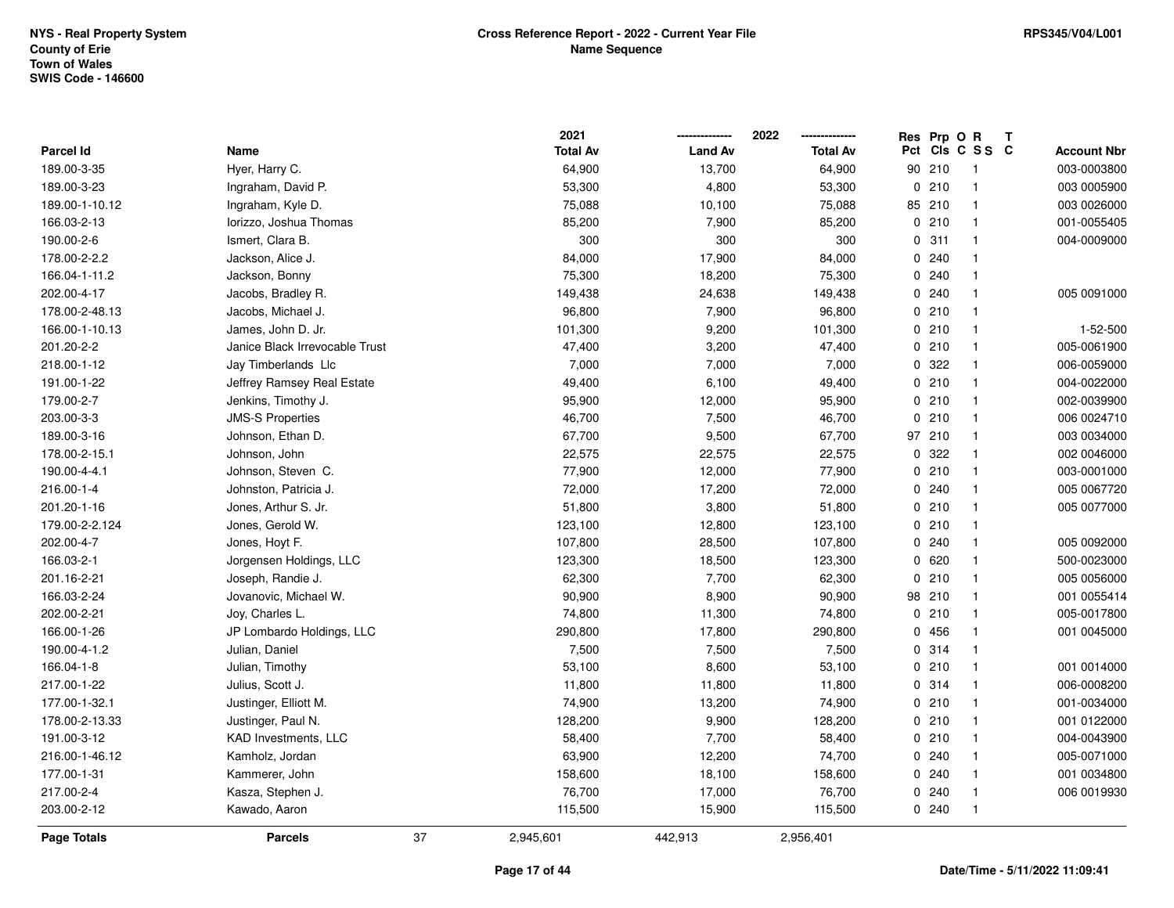|                  |                                | 2021            |                | 2022            |    | Res Prp O R |                         | Т |                    |
|------------------|--------------------------------|-----------------|----------------|-----------------|----|-------------|-------------------------|---|--------------------|
| <b>Parcel Id</b> | Name                           | <b>Total Av</b> | <b>Land Av</b> | <b>Total Av</b> |    |             | Pct Cls C S S C         |   | <b>Account Nbr</b> |
| 189.00-3-35      | Hyer, Harry C.                 | 64,900          | 13,700         | 64,900          | 90 | 210         | $\overline{\mathbf{1}}$ |   | 003-0003800        |
| 189.00-3-23      | Ingraham, David P.             | 53,300          | 4,800          | 53,300          |    | 0210        | $\overline{1}$          |   | 003 0005900        |
| 189.00-1-10.12   | Ingraham, Kyle D.              | 75,088          | 10,100         | 75,088          |    | 85 210      | $\overline{\mathbf{1}}$ |   | 003 0026000        |
| 166.03-2-13      | Iorizzo, Joshua Thomas         | 85,200          | 7,900          | 85,200          |    | 0210        | $\overline{\mathbf{1}}$ |   | 001-0055405        |
| 190.00-2-6       | Ismert, Clara B.               | 300             | 300            | 300             |    | 0.311       | $\overline{1}$          |   | 004-0009000        |
| 178.00-2-2.2     | Jackson, Alice J.              | 84,000          | 17,900         | 84,000          |    | 0.240       | -1                      |   |                    |
| 166.04-1-11.2    | Jackson, Bonny                 | 75,300          | 18,200         | 75,300          |    | 0.240       | $\overline{\mathbf{1}}$ |   |                    |
| 202.00-4-17      | Jacobs, Bradley R.             | 149,438         | 24,638         | 149,438         |    | 0.240       | $\overline{1}$          |   | 005 0091000        |
| 178.00-2-48.13   | Jacobs, Michael J.             | 96,800          | 7,900          | 96,800          |    | 0210        | $\overline{1}$          |   |                    |
| 166.00-1-10.13   | James, John D. Jr.             | 101,300         | 9,200          | 101,300         |    | 0210        | $\overline{\mathbf{1}}$ |   | 1-52-500           |
| 201.20-2-2       | Janice Black Irrevocable Trust | 47,400          | 3,200          | 47,400          |    | 0210        | $\overline{1}$          |   | 005-0061900        |
| 218.00-1-12      | Jay Timberlands Llc            | 7,000           | 7,000          | 7,000           |    | 0 322       | $\overline{\mathbf{1}}$ |   | 006-0059000        |
| 191.00-1-22      | Jeffrey Ramsey Real Estate     | 49,400          | 6,100          | 49,400          |    | 0210        | $\overline{\mathbf{1}}$ |   | 004-0022000        |
| 179.00-2-7       | Jenkins, Timothy J.            | 95,900          | 12,000         | 95,900          |    | 0210        | $\overline{\mathbf{1}}$ |   | 002-0039900        |
| 203.00-3-3       | <b>JMS-S Properties</b>        | 46,700          | 7,500          | 46,700          |    | 0210        | $\overline{1}$          |   | 006 0024710        |
| 189.00-3-16      | Johnson, Ethan D.              | 67,700          | 9,500          | 67,700          |    | 97 210      | $\overline{1}$          |   | 003 0034000        |
| 178.00-2-15.1    | Johnson, John                  | 22,575          | 22,575         | 22,575          |    | 0 322       | $\overline{\mathbf{1}}$ |   | 002 0046000        |
| 190.00-4-4.1     | Johnson, Steven C.             | 77,900          | 12,000         | 77,900          |    | 0210        | $\overline{1}$          |   | 003-0001000        |
| 216.00-1-4       | Johnston, Patricia J.          | 72,000          | 17,200         | 72,000          |    | 0.240       | $\overline{\mathbf{1}}$ |   | 005 0067720        |
| 201.20-1-16      | Jones, Arthur S. Jr.           | 51,800          | 3,800          | 51,800          |    | 0210        | $\overline{\mathbf{1}}$ |   | 005 0077000        |
| 179.00-2-2.124   | Jones, Gerold W.               | 123,100         | 12,800         | 123,100         |    | 0210        | $\overline{\mathbf{1}}$ |   |                    |
| 202.00-4-7       | Jones, Hoyt F.                 | 107,800         | 28,500         | 107,800         |    | 0.240       | $\overline{1}$          |   | 005 0092000        |
| 166.03-2-1       | Jorgensen Holdings, LLC        | 123,300         | 18,500         | 123,300         |    | 0620        | $\mathbf{1}$            |   | 500-0023000        |
| 201.16-2-21      | Joseph, Randie J.              | 62,300          | 7,700          | 62,300          |    | 0210        | $\overline{\mathbf{1}}$ |   | 005 0056000        |
| 166.03-2-24      | Jovanovic, Michael W.          | 90,900          | 8,900          | 90,900          |    | 98 210      | $\overline{\mathbf{1}}$ |   | 001 0055414        |
| 202.00-2-21      | Joy, Charles L.                | 74,800          | 11,300         | 74,800          |    | 0210        | -1                      |   | 005-0017800        |
| 166.00-1-26      | JP Lombardo Holdings, LLC      | 290,800         | 17,800         | 290,800         |    | 0 456       | -1                      |   | 001 0045000        |
| 190.00-4-1.2     | Julian, Daniel                 | 7,500           | 7,500          | 7,500           |    | 0.314       | $\overline{\mathbf{1}}$ |   |                    |
| 166.04-1-8       | Julian, Timothy                | 53,100          | 8,600          | 53,100          |    | 0210        | $\overline{1}$          |   | 001 0014000        |
| 217.00-1-22      | Julius, Scott J.               | 11,800          | 11,800         | 11,800          |    | 0.314       | $\overline{1}$          |   | 006-0008200        |
| 177.00-1-32.1    | Justinger, Elliott M.          | 74,900          | 13,200         | 74,900          |    | 0210        | $\overline{\mathbf{1}}$ |   | 001-0034000        |
| 178.00-2-13.33   | Justinger, Paul N.             | 128,200         | 9,900          | 128,200         |    | 0210        | $\overline{\mathbf{1}}$ |   | 001 0122000        |
| 191.00-3-12      | KAD Investments, LLC           | 58,400          | 7,700          | 58,400          |    | 0210        | $\overline{1}$          |   | 004-0043900        |
| 216.00-1-46.12   | Kamholz, Jordan                | 63,900          | 12,200         | 74,700          |    | 0.240       | $\overline{\mathbf{1}}$ |   | 005-0071000        |
| 177.00-1-31      | Kammerer, John                 | 158,600         | 18,100         | 158,600         |    | 0.240       | $\overline{\mathbf{1}}$ |   | 001 0034800        |
| 217.00-2-4       | Kasza, Stephen J.              | 76,700          | 17,000         | 76,700          |    | 0.240       | $\overline{\mathbf{1}}$ |   | 006 0019930        |
| 203.00-2-12      | Kawado, Aaron                  | 115,500         | 15,900         | 115,500         |    | 0.240       | $\overline{1}$          |   |                    |
| Page Totals      | <b>Parcels</b>                 | 37<br>2,945,601 | 442,913        | 2,956,401       |    |             |                         |   |                    |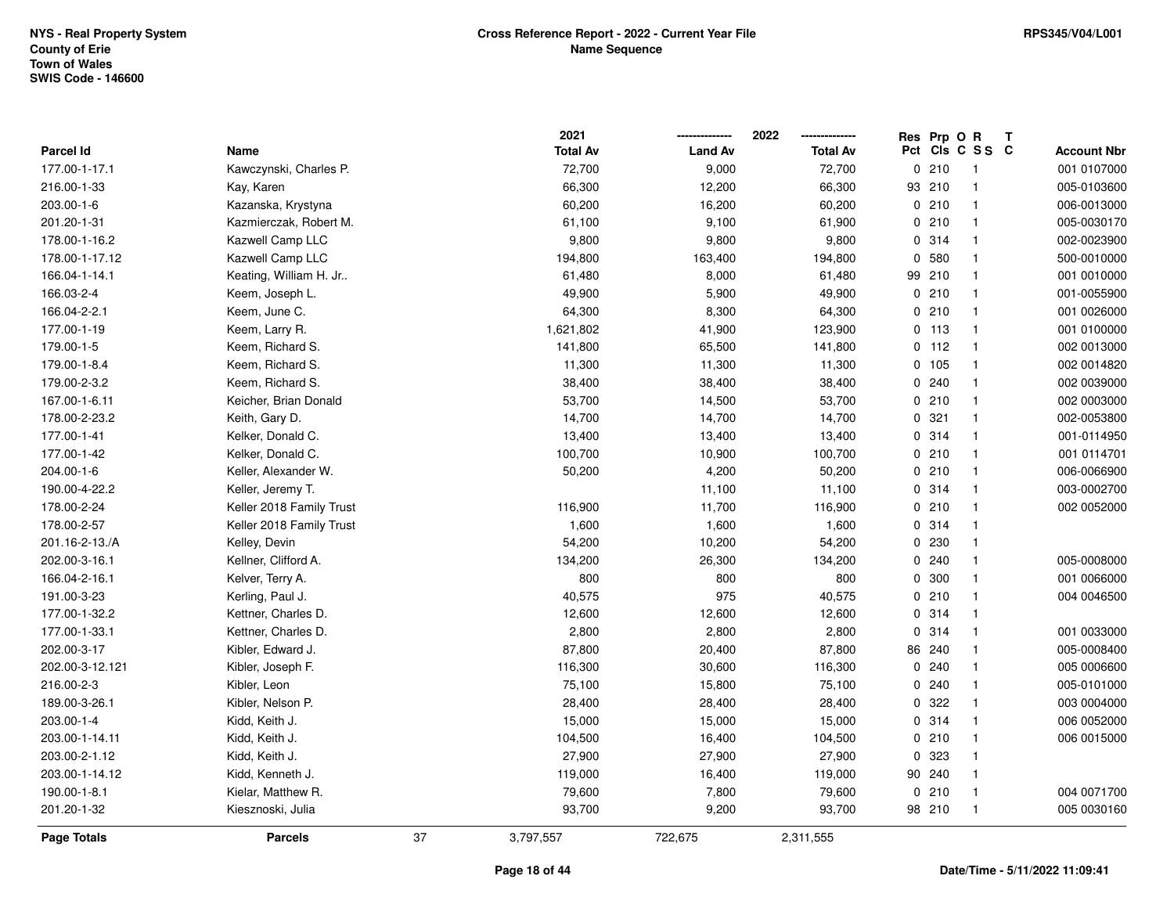|                 |                          |    | 2021            |                | 2022            | Res Prp O R |                 | Т |                    |
|-----------------|--------------------------|----|-----------------|----------------|-----------------|-------------|-----------------|---|--------------------|
| Parcel Id       | Name                     |    | <b>Total Av</b> | <b>Land Av</b> | <b>Total Av</b> |             | Pct Cls C S S C |   | <b>Account Nbr</b> |
| 177.00-1-17.1   | Kawczynski, Charles P.   |    | 72,700          | 9,000          | 72,700          | 0210        | $\overline{1}$  |   | 001 0107000        |
| 216.00-1-33     | Kay, Karen               |    | 66,300          | 12,200         | 66,300          | 93 210      | $\mathbf{1}$    |   | 005-0103600        |
| 203.00-1-6      | Kazanska, Krystyna       |    | 60,200          | 16,200         | 60,200          | 0210        | $\mathbf{1}$    |   | 006-0013000        |
| 201.20-1-31     | Kazmierczak, Robert M.   |    | 61,100          | 9,100          | 61,900          | 0210        | $\mathbf{1}$    |   | 005-0030170        |
| 178.00-1-16.2   | Kazwell Camp LLC         |    | 9,800           | 9,800          | 9,800           | 0.314       | $\mathbf{1}$    |   | 002-0023900        |
| 178.00-1-17.12  | Kazwell Camp LLC         |    | 194,800         | 163,400        | 194,800         | 0 580       | 1               |   | 500-0010000        |
| 166.04-1-14.1   | Keating, William H. Jr   |    | 61,480          | 8,000          | 61,480          | 99 210      | $\mathbf{1}$    |   | 001 0010000        |
| 166.03-2-4      | Keem, Joseph L.          |    | 49,900          | 5,900          | 49,900          | 0210        | $\mathbf{1}$    |   | 001-0055900        |
| 166.04-2-2.1    | Keem, June C.            |    | 64,300          | 8,300          | 64,300          | 0210        | $\mathbf{1}$    |   | 001 0026000        |
| 177.00-1-19     | Keem, Larry R.           |    | 1,621,802       | 41,900         | 123,900         | $0$ 113     | $\mathbf{1}$    |   | 001 0100000        |
| 179.00-1-5      | Keem, Richard S.         |    | 141,800         | 65,500         | 141,800         | $0$ 112     | $\mathbf{1}$    |   | 002 0013000        |
| 179.00-1-8.4    | Keem, Richard S.         |    | 11,300          | 11,300         | 11,300          | 0 105       | $\mathbf{1}$    |   | 002 0014820        |
| 179.00-2-3.2    | Keem, Richard S.         |    | 38,400          | 38,400         | 38,400          | 0.240       | $\mathbf{1}$    |   | 002 0039000        |
| 167.00-1-6.11   | Keicher, Brian Donald    |    | 53,700          | 14,500         | 53,700          | 0210        | $\mathbf{1}$    |   | 002 0003000        |
| 178.00-2-23.2   | Keith, Gary D.           |    | 14,700          | 14,700         | 14,700          | 0.321       | $\mathbf{1}$    |   | 002-0053800        |
| 177.00-1-41     | Kelker, Donald C.        |    | 13,400          | 13,400         | 13,400          | 0.314       | $\mathbf{1}$    |   | 001-0114950        |
| 177.00-1-42     | Kelker, Donald C.        |    | 100,700         | 10,900         | 100,700         | 0210        | $\mathbf{1}$    |   | 001 0114701        |
| 204.00-1-6      | Keller, Alexander W.     |    | 50,200          | 4,200          | 50,200          | 0210        | $\mathbf{1}$    |   | 006-0066900        |
| 190.00-4-22.2   | Keller, Jeremy T.        |    |                 | 11,100         | 11,100          | 0.314       | $\mathbf{1}$    |   | 003-0002700        |
| 178.00-2-24     | Keller 2018 Family Trust |    | 116,900         | 11,700         | 116,900         | 0210        | $\mathbf 1$     |   | 002 0052000        |
| 178.00-2-57     | Keller 2018 Family Trust |    | 1,600           | 1,600          | 1,600           | 0.314       | $\mathbf{1}$    |   |                    |
| 201.16-2-13./A  | Kelley, Devin            |    | 54,200          | 10,200         | 54,200          | 0 230       | $\mathbf{1}$    |   |                    |
| 202.00-3-16.1   | Kellner, Clifford A.     |    | 134,200         | 26,300         | 134,200         | 0.240       | $\mathbf{1}$    |   | 005-0008000        |
| 166.04-2-16.1   | Kelver, Terry A.         |    | 800             | 800            | 800             | 0 300       | $\mathbf{1}$    |   | 001 0066000        |
| 191.00-3-23     | Kerling, Paul J.         |    | 40,575          | 975            | 40,575          | 0210        | $\mathbf{1}$    |   | 004 0046500        |
| 177.00-1-32.2   | Kettner, Charles D.      |    | 12,600          | 12,600         | 12,600          | 0 314       | $\mathbf{1}$    |   |                    |
| 177.00-1-33.1   | Kettner, Charles D.      |    | 2,800           | 2,800          | 2,800           | 0.314       | $\mathbf{1}$    |   | 001 0033000        |
| 202.00-3-17     | Kibler, Edward J.        |    | 87,800          | 20,400         | 87,800          | 86 240      | $\mathbf{1}$    |   | 005-0008400        |
| 202.00-3-12.121 | Kibler, Joseph F.        |    | 116,300         | 30,600         | 116,300         | 0.240       | $\mathbf{1}$    |   | 005 0006600        |
| 216.00-2-3      | Kibler, Leon             |    | 75,100          | 15,800         | 75,100          | 0.240       | $\mathbf{1}$    |   | 005-0101000        |
| 189.00-3-26.1   | Kibler, Nelson P.        |    | 28,400          | 28,400         | 28,400          | 0 322       | $\mathbf{1}$    |   | 003 0004000        |
| 203.00-1-4      | Kidd, Keith J.           |    | 15,000          | 15,000         | 15,000          | 0.314       | $\mathbf{1}$    |   | 006 0052000        |
| 203.00-1-14.11  | Kidd, Keith J.           |    | 104,500         | 16,400         | 104,500         | 0210        | $\mathbf{1}$    |   | 006 0015000        |
| 203.00-2-1.12   | Kidd, Keith J.           |    | 27,900          | 27,900         | 27,900          | 0 323       | $\mathbf{1}$    |   |                    |
| 203.00-1-14.12  | Kidd, Kenneth J.         |    | 119,000         | 16,400         | 119,000         | 90 240      | $\mathbf{1}$    |   |                    |
| 190.00-1-8.1    | Kielar, Matthew R.       |    | 79,600          | 7,800          | 79,600          | 0210        | $\mathbf{1}$    |   | 004 0071700        |
| 201.20-1-32     | Kiesznoski, Julia        |    | 93,700          | 9,200          | 93,700          | 98 210      | $\mathbf{1}$    |   | 005 0030160        |
| Page Totals     | <b>Parcels</b>           | 37 | 3,797,557       | 722,675        | 2,311,555       |             |                 |   |                    |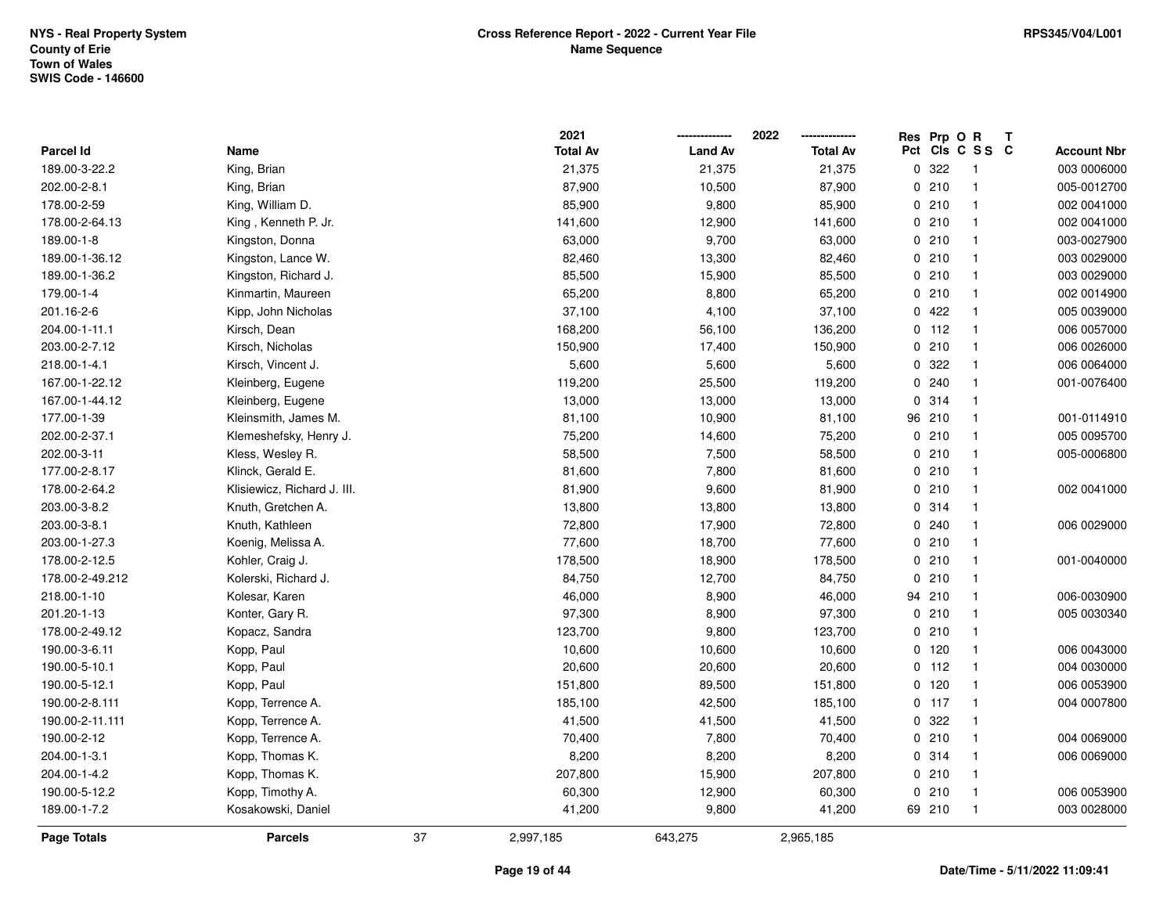|                 |                             |    | 2021            |                | 2022            |             | Res Prp O R |                          | Т |                    |
|-----------------|-----------------------------|----|-----------------|----------------|-----------------|-------------|-------------|--------------------------|---|--------------------|
| Parcel Id       | Name                        |    | <b>Total Av</b> | <b>Land Av</b> | <b>Total Av</b> | Pct         |             | CIS C S S C              |   | <b>Account Nbr</b> |
| 189.00-3-22.2   | King, Brian                 |    | 21,375          | 21,375         | 21,375          | $\mathbf 0$ | 322         | $\overline{\phantom{1}}$ |   | 003 0006000        |
| 202.00-2-8.1    | King, Brian                 |    | 87,900          | 10,500         | 87,900          |             | 0210        | $\mathbf{1}$             |   | 005-0012700        |
| 178.00-2-59     | King, William D.            |    | 85,900          | 9,800          | 85,900          |             | 0210        | $\mathbf{1}$             |   | 002 0041000        |
| 178.00-2-64.13  | King, Kenneth P. Jr.        |    | 141,600         | 12,900         | 141,600         |             | 0210        | $\mathbf{1}$             |   | 002 0041000        |
| 189.00-1-8      | Kingston, Donna             |    | 63,000          | 9,700          | 63,000          |             | 0210        | $\mathbf{1}$             |   | 003-0027900        |
| 189.00-1-36.12  | Kingston, Lance W.          |    | 82,460          | 13,300         | 82,460          |             | 0210        | $\mathbf 1$              |   | 003 0029000        |
| 189.00-1-36.2   | Kingston, Richard J.        |    | 85,500          | 15,900         | 85,500          |             | 0210        | $\mathbf{1}$             |   | 003 0029000        |
| 179.00-1-4      | Kinmartin, Maureen          |    | 65,200          | 8,800          | 65,200          |             | 0210        | $\mathbf{1}$             |   | 002 0014900        |
| 201.16-2-6      | Kipp, John Nicholas         |    | 37,100          | 4,100          | 37,100          |             | 0422        | $\mathbf{1}$             |   | 005 0039000        |
| 204.00-1-11.1   | Kirsch, Dean                |    | 168,200         | 56,100         | 136,200         |             | $0$ 112     | $\mathbf{1}$             |   | 006 0057000        |
| 203.00-2-7.12   | Kirsch, Nicholas            |    | 150,900         | 17,400         | 150,900         |             | 0210        | $\mathbf{1}$             |   | 006 0026000        |
| 218.00-1-4.1    | Kirsch, Vincent J.          |    | 5,600           | 5,600          | 5,600           |             | 0.322       | $\mathbf{1}$             |   | 006 0064000        |
| 167.00-1-22.12  | Kleinberg, Eugene           |    | 119,200         | 25,500         | 119,200         |             | 0.240       | $\mathbf 1$              |   | 001-0076400        |
| 167.00-1-44.12  | Kleinberg, Eugene           |    | 13,000          | 13,000         | 13,000          |             | 0.314       | $\mathbf{1}$             |   |                    |
| 177.00-1-39     | Kleinsmith, James M.        |    | 81,100          | 10,900         | 81,100          |             | 96 210      | $\mathbf{1}$             |   | 001-0114910        |
| 202.00-2-37.1   | Klemeshefsky, Henry J.      |    | 75,200          | 14,600         | 75,200          |             | 0210        | $\mathbf{1}$             |   | 005 0095700        |
| 202.00-3-11     | Kless, Wesley R.            |    | 58,500          | 7,500          | 58,500          |             | 0210        | $\mathbf{1}$             |   | 005-0006800        |
| 177.00-2-8.17   | Klinck, Gerald E.           |    | 81,600          | 7,800          | 81,600          |             | 0210        | $\mathbf{1}$             |   |                    |
| 178.00-2-64.2   | Klisiewicz, Richard J. III. |    | 81,900          | 9,600          | 81,900          |             | 0210        | $\mathbf{1}$             |   | 002 0041000        |
| 203.00-3-8.2    | Knuth, Gretchen A.          |    | 13,800          | 13,800         | 13,800          |             | 0.314       | $\mathbf 1$              |   |                    |
| 203.00-3-8.1    | Knuth, Kathleen             |    | 72,800          | 17,900         | 72,800          |             | 0.240       | $\mathbf{1}$             |   | 006 0029000        |
| 203.00-1-27.3   | Koenig, Melissa A.          |    | 77,600          | 18,700         | 77,600          |             | 0210        | $\mathbf{1}$             |   |                    |
| 178.00-2-12.5   | Kohler, Craig J.            |    | 178,500         | 18,900         | 178,500         |             | 0210        | $\mathbf{1}$             |   | 001-0040000        |
| 178.00-2-49.212 | Kolerski, Richard J.        |    | 84,750          | 12,700         | 84,750          |             | 0210        | $\mathbf{1}$             |   |                    |
| 218.00-1-10     | Kolesar, Karen              |    | 46,000          | 8,900          | 46,000          |             | 94 210      | $\mathbf{1}$             |   | 006-0030900        |
| 201.20-1-13     | Konter, Gary R.             |    | 97,300          | 8,900          | 97,300          |             | 0210        | $\mathbf 1$              |   | 005 0030340        |
| 178.00-2-49.12  | Kopacz, Sandra              |    | 123,700         | 9,800          | 123,700         |             | 0210        | $\mathbf{1}$             |   |                    |
| 190.00-3-6.11   | Kopp, Paul                  |    | 10,600          | 10,600         | 10,600          |             | $0$ 120     | $\mathbf{1}$             |   | 006 0043000        |
| 190.00-5-10.1   | Kopp, Paul                  |    | 20,600          | 20,600         | 20,600          |             | $0$ 112     | $\mathbf{1}$             |   | 004 0030000        |
| 190.00-5-12.1   | Kopp, Paul                  |    | 151,800         | 89,500         | 151,800         |             | $0$ 120     | $\mathbf{1}$             |   | 006 0053900        |
| 190.00-2-8.111  | Kopp, Terrence A.           |    | 185,100         | 42,500         | 185,100         |             | $0$ 117     | $\mathbf{1}$             |   | 004 0007800        |
| 190.00-2-11.111 | Kopp, Terrence A.           |    | 41,500          | 41,500         | 41,500          |             | 0.322       | $\mathbf{1}$             |   |                    |
| 190.00-2-12     | Kopp, Terrence A.           |    | 70,400          | 7,800          | 70,400          |             | 0210        | $\mathbf{1}$             |   | 004 0069000        |
| 204.00-1-3.1    | Kopp, Thomas K.             |    | 8,200           | 8,200          | 8,200           |             | 0.314       | $\mathbf{1}$             |   | 006 0069000        |
| 204.00-1-4.2    | Kopp, Thomas K.             |    | 207,800         | 15,900         | 207,800         |             | 0210        | $\mathbf{1}$             |   |                    |
| 190.00-5-12.2   | Kopp, Timothy A.            |    | 60,300          | 12,900         | 60,300          |             | 0210        | $\mathbf{1}$             |   | 006 0053900        |
| 189.00-1-7.2    | Kosakowski, Daniel          |    | 41,200          | 9,800          | 41,200          |             | 69 210      | $\mathbf{1}$             |   | 003 0028000        |
| Page Totals     | <b>Parcels</b>              | 37 | 2,997,185       | 643,275        | 2,965,185       |             |             |                          |   |                    |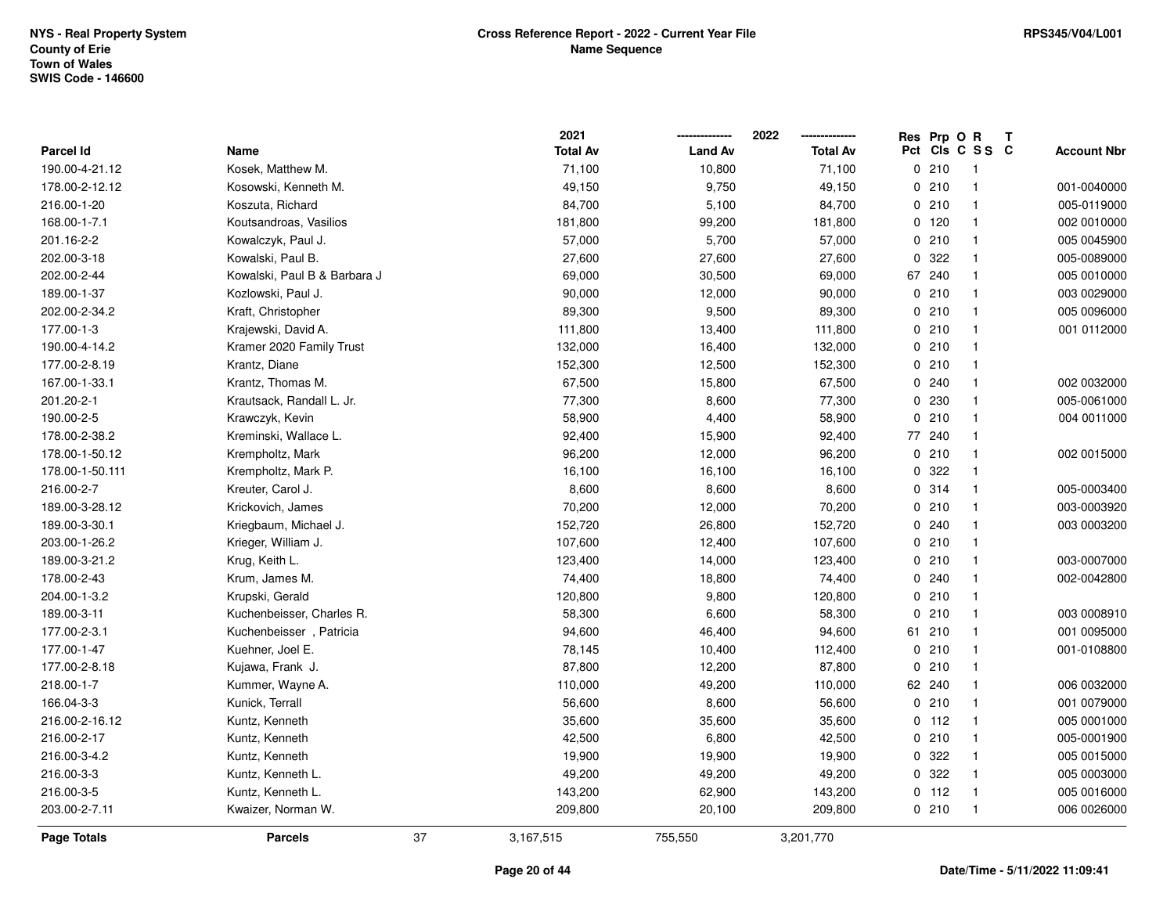**2021 -------------- 2022**

**--------------**

|                    |                              |    | 2021            |                | 2022            |    | Res Prp O R | T               |                    |
|--------------------|------------------------------|----|-----------------|----------------|-----------------|----|-------------|-----------------|--------------------|
| <b>Parcel Id</b>   | Name                         |    | <b>Total Av</b> | <b>Land Av</b> | <b>Total Av</b> |    |             | Pct Cls C S S C | <b>Account Nbr</b> |
| 190.00-4-21.12     | Kosek, Matthew M.            |    | 71,100          | 10,800         | 71,100          |    | 0210        | $\overline{1}$  |                    |
| 178.00-2-12.12     | Kosowski, Kenneth M.         |    | 49,150          | 9,750          | 49,150          |    | 0210        | $\overline{1}$  | 001-0040000        |
| 216.00-1-20        | Koszuta, Richard             |    | 84,700          | 5,100          | 84,700          |    | 0210        | $\overline{1}$  | 005-0119000        |
| 168.00-1-7.1       | Koutsandroas, Vasilios       |    | 181,800         | 99,200         | 181,800         |    | 0 120       | $\mathbf{1}$    | 002 0010000        |
| 201.16-2-2         | Kowalczyk, Paul J.           |    | 57,000          | 5,700          | 57,000          |    | 0210        | $\overline{1}$  | 005 0045900        |
| 202.00-3-18        | Kowalski, Paul B.            |    | 27,600          | 27,600         | 27,600          |    | 0.322       | $\mathbf{1}$    | 005-0089000        |
| 202.00-2-44        | Kowalski, Paul B & Barbara J |    | 69,000          | 30,500         | 69,000          | 67 | 240         | $\overline{1}$  | 005 0010000        |
| 189.00-1-37        | Kozlowski, Paul J.           |    | 90,000          | 12,000         | 90,000          |    | 0210        | $\overline{1}$  | 003 0029000        |
| 202.00-2-34.2      | Kraft, Christopher           |    | 89,300          | 9,500          | 89,300          |    | 0210        | $\overline{1}$  | 005 0096000        |
| 177.00-1-3         | Krajewski, David A.          |    | 111,800         | 13,400         | 111,800         |    | 0210        | $\mathbf{1}$    | 001 0112000        |
| 190.00-4-14.2      | Kramer 2020 Family Trust     |    | 132,000         | 16,400         | 132,000         |    | 0210        | $\mathbf{1}$    |                    |
| 177.00-2-8.19      | Krantz, Diane                |    | 152,300         | 12,500         | 152,300         |    | 0210        | $\mathbf{1}$    |                    |
| 167.00-1-33.1      | Krantz, Thomas M.            |    | 67,500          | 15,800         | 67,500          |    | 0.240       | $\mathbf{1}$    | 002 0032000        |
| 201.20-2-1         | Krautsack, Randall L. Jr.    |    | 77,300          | 8,600          | 77,300          |    | 0 230       | $\mathbf{1}$    | 005-0061000        |
| 190.00-2-5         | Krawczyk, Kevin              |    | 58,900          | 4,400          | 58,900          |    | 0210        | $\overline{1}$  | 004 0011000        |
| 178.00-2-38.2      | Kreminski, Wallace L.        |    | 92,400          | 15,900         | 92,400          |    | 77 240      | $\mathbf{1}$    |                    |
| 178.00-1-50.12     | Krempholtz, Mark             |    | 96,200          | 12,000         | 96,200          |    | 0210        | $\overline{1}$  | 002 0015000        |
| 178.00-1-50.111    | Krempholtz, Mark P.          |    | 16,100          | 16,100         | 16,100          |    | 0.322       | $\overline{1}$  |                    |
| 216.00-2-7         | Kreuter, Carol J.            |    | 8,600           | 8,600          | 8,600           |    | 0.314       | $\mathbf{1}$    | 005-0003400        |
| 189.00-3-28.12     | Krickovich, James            |    | 70,200          | 12,000         | 70,200          |    | 0210        | $\mathbf{1}$    | 003-0003920        |
| 189.00-3-30.1      | Kriegbaum, Michael J.        |    | 152,720         | 26,800         | 152,720         |    | 0.240       | $\mathbf{1}$    | 003 0003200        |
| 203.00-1-26.2      | Krieger, William J.          |    | 107,600         | 12,400         | 107,600         |    | 0210        | $\overline{1}$  |                    |
| 189.00-3-21.2      | Krug, Keith L.               |    | 123,400         | 14,000         | 123,400         |    | 0210        | $\overline{1}$  | 003-0007000        |
| 178.00-2-43        | Krum, James M.               |    | 74,400          | 18,800         | 74,400          |    | 0.240       | $\overline{1}$  | 002-0042800        |
| 204.00-1-3.2       | Krupski, Gerald              |    | 120,800         | 9,800          | 120,800         |    | 0210        | $\overline{1}$  |                    |
| 189.00-3-11        | Kuchenbeisser, Charles R.    |    | 58,300          | 6,600          | 58,300          |    | 0210        | $\overline{1}$  | 003 0008910        |
| 177.00-2-3.1       | Kuchenbeisser, Patricia      |    | 94,600          | 46,400         | 94,600          |    | 61 210      | $\overline{1}$  | 001 0095000        |
| 177.00-1-47        | Kuehner, Joel E.             |    | 78,145          | 10,400         | 112,400         |    | 0210        | $\overline{1}$  | 001-0108800        |
| 177.00-2-8.18      | Kujawa, Frank J.             |    | 87,800          | 12,200         | 87,800          |    | 0210        | $\overline{1}$  |                    |
| 218.00-1-7         | Kummer, Wayne A.             |    | 110,000         | 49,200         | 110,000         |    | 62 240      | $\overline{1}$  | 006 0032000        |
| 166.04-3-3         | Kunick, Terrall              |    | 56,600          | 8,600          | 56,600          |    | 0210        | $\overline{1}$  | 001 0079000        |
| 216.00-2-16.12     | Kuntz, Kenneth               |    | 35,600          | 35,600         | 35,600          |    | $0$ 112     | $\overline{1}$  | 005 0001000        |
| 216.00-2-17        | Kuntz, Kenneth               |    | 42,500          | 6,800          | 42,500          |    | 0210        | $\overline{1}$  | 005-0001900        |
| 216.00-3-4.2       | Kuntz, Kenneth               |    | 19,900          | 19,900         | 19,900          |    | 0.322       | $\overline{1}$  | 005 0015000        |
| 216.00-3-3         | Kuntz, Kenneth L.            |    | 49,200          | 49,200         | 49,200          |    | 0 322       | $\mathbf{1}$    | 005 0003000        |
| 216.00-3-5         | Kuntz, Kenneth L.            |    | 143,200         | 62,900         | 143,200         |    | $0$ 112     | $\overline{1}$  | 005 0016000        |
| 203.00-2-7.11      | Kwaizer, Norman W.           |    | 209,800         | 20,100         | 209,800         |    | 0210        | $\overline{1}$  | 006 0026000        |
| <b>Page Totals</b> | <b>Parcels</b>               | 37 | 3,167,515       | 755,550        | 3,201,770       |    |             |                 |                    |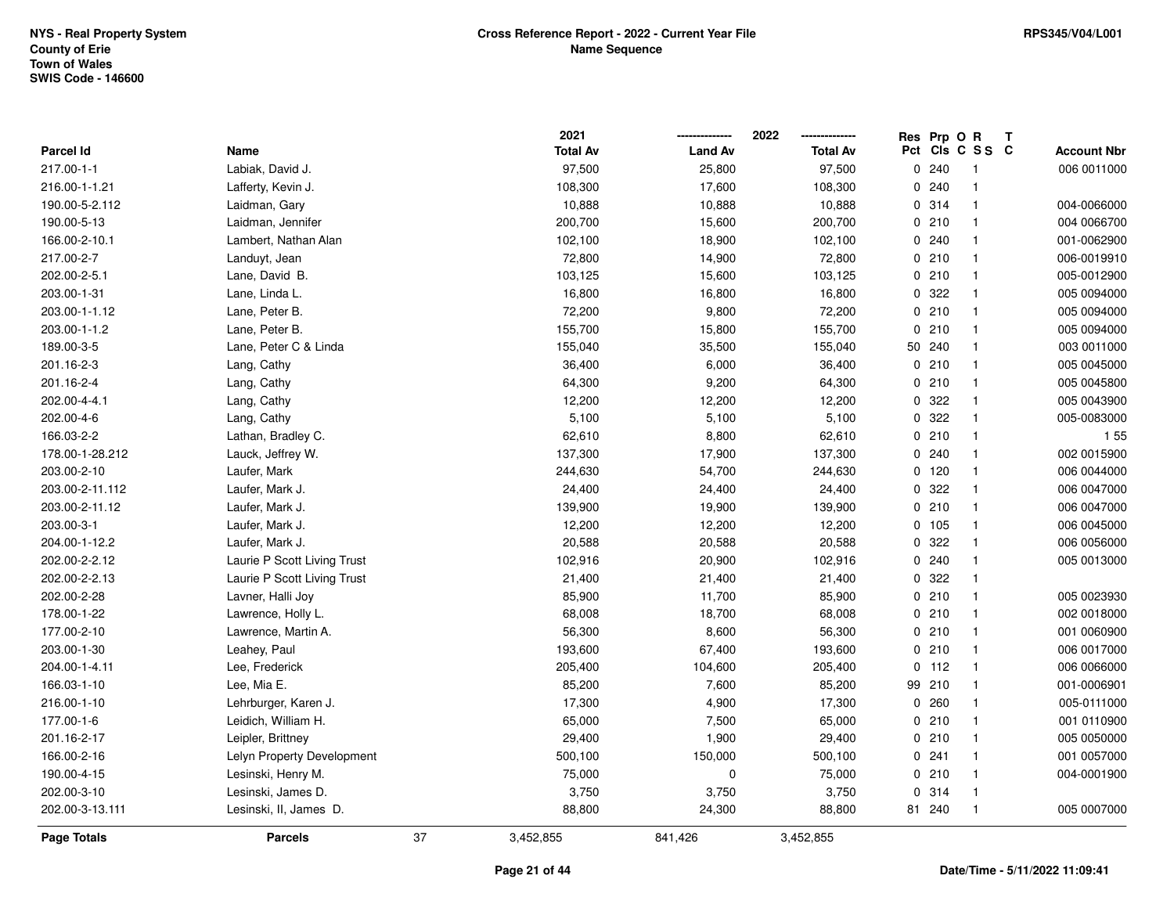|                  |                             | 2021            |                | 2022            | Res          | Prp O R |                 | Т |                    |
|------------------|-----------------------------|-----------------|----------------|-----------------|--------------|---------|-----------------|---|--------------------|
| <b>Parcel Id</b> | Name                        | <b>Total Av</b> | <b>Land Av</b> | <b>Total Av</b> |              |         | Pct Cls C S S C |   | <b>Account Nbr</b> |
| 217.00-1-1       | Labiak, David J.            | 97,500          | 25,800         | 97,500          |              | 0.240   | $\mathbf{1}$    |   | 006 0011000        |
| 216.00-1-1.21    | Lafferty, Kevin J.          | 108,300         | 17,600         | 108,300         | 0            | 240     | $\mathbf{1}$    |   |                    |
| 190.00-5-2.112   | Laidman, Gary               | 10,888          | 10,888         | 10,888          |              | 0.314   | $\mathbf{1}$    |   | 004-0066000        |
| 190.00-5-13      | Laidman, Jennifer           | 200,700         | 15,600         | 200,700         |              | 0210    | $\mathbf{1}$    |   | 004 0066700        |
| 166.00-2-10.1    | Lambert, Nathan Alan        | 102,100         | 18,900         | 102,100         |              | 0.240   | $\mathbf{1}$    |   | 001-0062900        |
| 217.00-2-7       | Landuyt, Jean               | 72,800          | 14,900         | 72,800          |              | 0210    | $\mathbf{1}$    |   | 006-0019910        |
| 202.00-2-5.1     | Lane, David B.              | 103,125         | 15,600         | 103,125         |              | 0210    | $\mathbf{1}$    |   | 005-0012900        |
| 203.00-1-31      | Lane, Linda L.              | 16,800          | 16,800         | 16,800          | $\mathbf{0}$ | 322     | $\mathbf{1}$    |   | 005 0094000        |
| 203.00-1-1.12    | Lane, Peter B.              | 72,200          | 9,800          | 72,200          |              | 0210    | $\mathbf{1}$    |   | 005 0094000        |
| 203.00-1-1.2     | Lane, Peter B.              | 155,700         | 15,800         | 155,700         |              | 0210    | $\mathbf{1}$    |   | 005 0094000        |
| 189.00-3-5       | Lane, Peter C & Linda       | 155,040         | 35,500         | 155,040         | 50           | 240     | $\mathbf{1}$    |   | 003 0011000        |
| 201.16-2-3       | Lang, Cathy                 | 36,400          | 6,000          | 36,400          |              | 0210    | $\mathbf{1}$    |   | 005 0045000        |
| 201.16-2-4       | Lang, Cathy                 | 64,300          | 9,200          | 64,300          |              | 0210    | $\mathbf 1$     |   | 005 0045800        |
| 202.00-4-4.1     | Lang, Cathy                 | 12,200          | 12,200         | 12,200          |              | 0.322   | $\mathbf{1}$    |   | 005 0043900        |
| 202.00-4-6       | Lang, Cathy                 | 5,100           | 5,100          | 5,100           | $\mathbf{0}$ | 322     | $\mathbf{1}$    |   | 005-0083000        |
| 166.03-2-2       | Lathan, Bradley C.          | 62,610          | 8,800          | 62,610          |              | 0210    | $\mathbf{1}$    |   | 155                |
| 178.00-1-28.212  | Lauck, Jeffrey W.           | 137,300         | 17,900         | 137,300         |              | 0.240   | $\mathbf{1}$    |   | 002 0015900        |
| 203.00-2-10      | Laufer, Mark                | 244,630         | 54,700         | 244,630         |              | $0$ 120 | $\mathbf{1}$    |   | 006 0044000        |
| 203.00-2-11.112  | Laufer, Mark J.             | 24,400          | 24,400         | 24,400          |              | 0.322   | $\mathbf{1}$    |   | 006 0047000        |
| 203.00-2-11.12   | Laufer, Mark J.             | 139,900         | 19,900         | 139,900         |              | 0210    | $\mathbf{1}$    |   | 006 0047000        |
| 203.00-3-1       | Laufer, Mark J.             | 12,200          | 12,200         | 12,200          |              | 0 105   | $\mathbf{1}$    |   | 006 0045000        |
| 204.00-1-12.2    | Laufer, Mark J.             | 20,588          | 20,588         | 20,588          | 0            | 322     | $\mathbf{1}$    |   | 006 0056000        |
| 202.00-2-2.12    | Laurie P Scott Living Trust | 102,916         | 20,900         | 102,916         |              | 0.240   | $\mathbf{1}$    |   | 005 0013000        |
| 202.00-2-2.13    | Laurie P Scott Living Trust | 21,400          | 21,400         | 21,400          |              | 0.322   | $\mathbf{1}$    |   |                    |
| 202.00-2-28      | Lavner, Halli Joy           | 85,900          | 11,700         | 85,900          |              | 0210    | $\mathbf{1}$    |   | 005 0023930        |
| 178.00-1-22      | Lawrence, Holly L.          | 68,008          | 18,700         | 68,008          |              | 0210    | $\mathbf{1}$    |   | 002 0018000        |
| 177.00-2-10      | Lawrence, Martin A.         | 56,300          | 8,600          | 56,300          |              | 0210    | 1               |   | 001 0060900        |
| 203.00-1-30      | Leahey, Paul                | 193,600         | 67,400         | 193,600         |              | 0210    | $\mathbf{1}$    |   | 006 0017000        |
| 204.00-1-4.11    | Lee, Frederick              | 205,400         | 104,600        | 205,400         | 0            | 112     | $\mathbf{1}$    |   | 006 0066000        |
| 166.03-1-10      | Lee, Mia E.                 | 85,200          | 7,600          | 85,200          | 99           | 210     | $\mathbf{1}$    |   | 001-0006901        |
| 216.00-1-10      | Lehrburger, Karen J.        | 17,300          | 4,900          | 17,300          | 0            | 260     | $\mathbf{1}$    |   | 005-0111000        |
| 177.00-1-6       | Leidich, William H.         | 65,000          | 7,500          | 65,000          |              | 0210    | $\mathbf{1}$    |   | 001 0110900        |
| 201.16-2-17      | Leipler, Brittney           | 29,400          | 1,900          | 29,400          |              | 0210    | $\mathbf{1}$    |   | 005 0050000        |
| 166.00-2-16      | Lelyn Property Development  | 500,100         | 150,000        | 500,100         |              | 0.241   | $\mathbf{1}$    |   | 001 0057000        |
| 190.00-4-15      | Lesinski, Henry M.          | 75,000          | $\mathbf 0$    | 75,000          |              | 0210    | $\mathbf{1}$    |   | 004-0001900        |
| 202.00-3-10      | Lesinski, James D.          | 3,750           | 3,750          | 3,750           | $\mathbf 0$  | 314     | $\mathbf{1}$    |   |                    |
| 202.00-3-13.111  | Lesinski, II, James D.      | 88,800          | 24,300         | 88,800          |              | 81 240  | $\mathbf{1}$    |   | 005 0007000        |
| Page Totals      | <b>Parcels</b>              | 37<br>3,452,855 | 841,426        | 3,452,855       |              |         |                 |   |                    |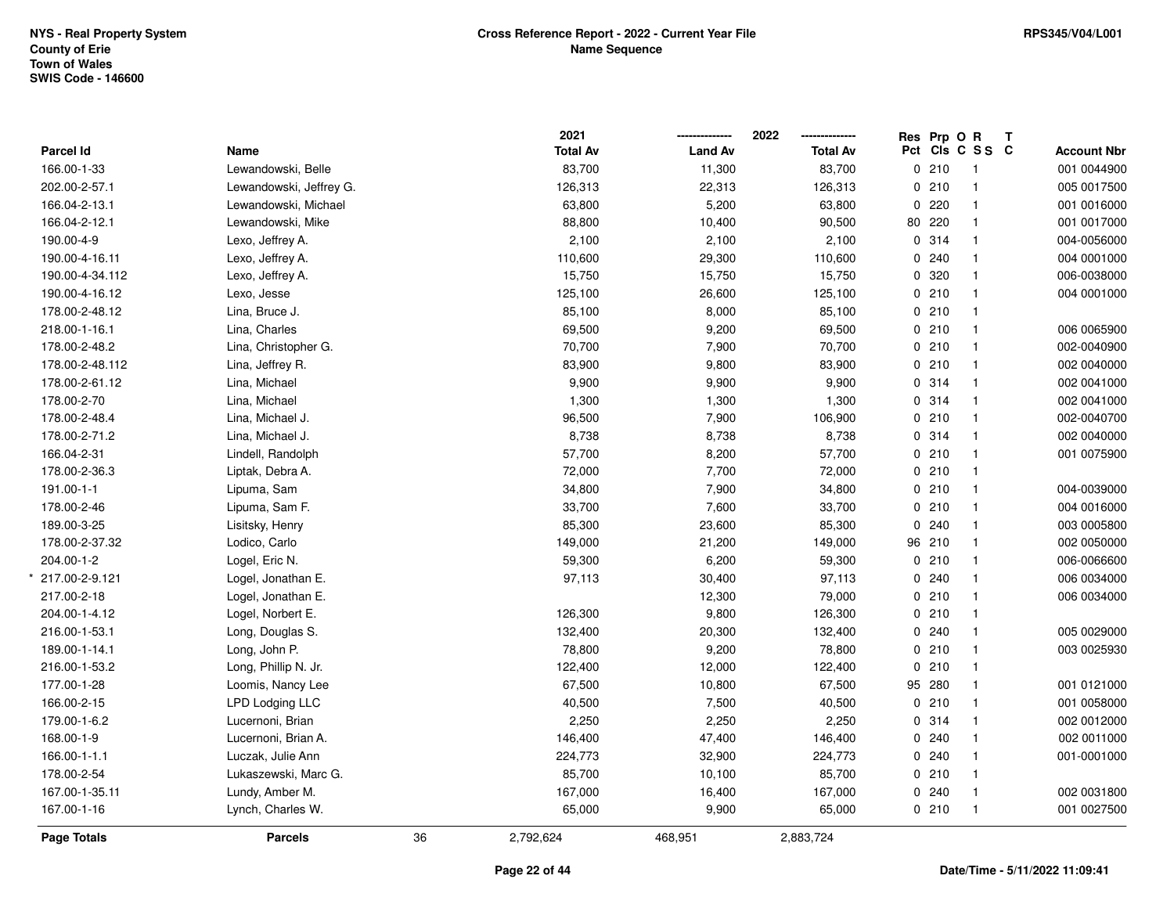|                 |                         |    | 2021            |                | 2022            | Res Prp O R |                 | Т |                    |
|-----------------|-------------------------|----|-----------------|----------------|-----------------|-------------|-----------------|---|--------------------|
| Parcel Id       | Name                    |    | <b>Total Av</b> | <b>Land Av</b> | <b>Total Av</b> |             | Pct Cls C S S C |   | <b>Account Nbr</b> |
| 166.00-1-33     | Lewandowski, Belle      |    | 83,700          | 11,300         | 83,700          | 0210        | $\mathbf{1}$    |   | 001 0044900        |
| 202.00-2-57.1   | Lewandowski, Jeffrey G. |    | 126,313         | 22,313         | 126,313         | 0210        | $\mathbf{1}$    |   | 005 0017500        |
| 166.04-2-13.1   | Lewandowski, Michael    |    | 63,800          | 5,200          | 63,800          | 0.220       | $\mathbf{1}$    |   | 001 0016000        |
| 166.04-2-12.1   | Lewandowski, Mike       |    | 88,800          | 10,400         | 90,500          | 80 220      | $\mathbf{1}$    |   | 001 0017000        |
| 190.00-4-9      | Lexo, Jeffrey A.        |    | 2,100           | 2,100          | 2,100           | 0.314       | $\mathbf{1}$    |   | 004-0056000        |
| 190.00-4-16.11  | Lexo, Jeffrey A.        |    | 110,600         | 29,300         | 110,600         | 0.240       | $\mathbf{1}$    |   | 004 0001000        |
| 190.00-4-34.112 | Lexo, Jeffrey A.        |    | 15,750          | 15,750         | 15,750          | 0 320       | $\mathbf{1}$    |   | 006-0038000        |
| 190.00-4-16.12  | Lexo, Jesse             |    | 125,100         | 26,600         | 125,100         | 0210        | $\mathbf{1}$    |   | 004 0001000        |
| 178.00-2-48.12  | Lina, Bruce J.          |    | 85,100          | 8,000          | 85,100          | 0210        | $\mathbf{1}$    |   |                    |
| 218.00-1-16.1   | Lina, Charles           |    | 69,500          | 9,200          | 69,500          | 0210        | $\mathbf{1}$    |   | 006 0065900        |
| 178.00-2-48.2   | Lina, Christopher G.    |    | 70,700          | 7,900          | 70,700          | 0210        | $\mathbf{1}$    |   | 002-0040900        |
| 178.00-2-48.112 | Lina, Jeffrey R.        |    | 83,900          | 9,800          | 83,900          | 0210        | $\mathbf{1}$    |   | 002 0040000        |
| 178.00-2-61.12  | Lina, Michael           |    | 9,900           | 9,900          | 9,900           | 0.314       | $\mathbf{1}$    |   | 002 0041000        |
| 178.00-2-70     | Lina, Michael           |    | 1,300           | 1,300          | 1,300           | 0 314       | $\mathbf{1}$    |   | 002 0041000        |
| 178.00-2-48.4   | Lina, Michael J.        |    | 96,500          | 7,900          | 106,900         | 0210        | $\mathbf{1}$    |   | 002-0040700        |
| 178.00-2-71.2   | Lina, Michael J.        |    | 8,738           | 8,738          | 8,738           | 0.314       | $\mathbf{1}$    |   | 002 0040000        |
| 166.04-2-31     | Lindell, Randolph       |    | 57,700          | 8,200          | 57,700          | 0210        | $\mathbf{1}$    |   | 001 0075900        |
| 178.00-2-36.3   | Liptak, Debra A.        |    | 72,000          | 7,700          | 72,000          | 0210        | $\mathbf{1}$    |   |                    |
| 191.00-1-1      | Lipuma, Sam             |    | 34,800          | 7,900          | 34,800          | 0210        | $\mathbf{1}$    |   | 004-0039000        |
| 178.00-2-46     | Lipuma, Sam F.          |    | 33,700          | 7,600          | 33,700          | 0210        | $\mathbf{1}$    |   | 004 0016000        |
| 189.00-3-25     | Lisitsky, Henry         |    | 85,300          | 23,600         | 85,300          | 0.240       | $\mathbf{1}$    |   | 003 0005800        |
| 178.00-2-37.32  | Lodico, Carlo           |    | 149,000         | 21,200         | 149,000         | 96 210      | $\mathbf{1}$    |   | 002 0050000        |
| 204.00-1-2      | Logel, Eric N.          |    | 59,300          | 6,200          | 59,300          | 0210        | $\mathbf{1}$    |   | 006-0066600        |
| 217.00-2-9.121  | Logel, Jonathan E.      |    | 97,113          | 30,400         | 97,113          | 0.240       | $\mathbf{1}$    |   | 006 0034000        |
| 217.00-2-18     | Logel, Jonathan E.      |    |                 | 12,300         | 79,000          | 0210        | $\mathbf{1}$    |   | 006 0034000        |
| 204.00-1-4.12   | Logel, Norbert E.       |    | 126,300         | 9,800          | 126,300         | 0210        | $\mathbf{1}$    |   |                    |
| 216.00-1-53.1   | Long, Douglas S.        |    | 132,400         | 20,300         | 132,400         | 0.240       | $\mathbf{1}$    |   | 005 0029000        |
| 189.00-1-14.1   | Long, John P.           |    | 78,800          | 9,200          | 78,800          | 0210        | $\mathbf{1}$    |   | 003 0025930        |
| 216.00-1-53.2   | Long, Phillip N. Jr.    |    | 122,400         | 12,000         | 122,400         | 0210        | $\mathbf{1}$    |   |                    |
| 177.00-1-28     | Loomis, Nancy Lee       |    | 67,500          | 10,800         | 67,500          | 95 280      | $\mathbf{1}$    |   | 001 0121000        |
| 166.00-2-15     | LPD Lodging LLC         |    | 40,500          | 7,500          | 40,500          | 0210        | $\mathbf{1}$    |   | 001 0058000        |
| 179.00-1-6.2    | Lucernoni, Brian        |    | 2,250           | 2,250          | 2,250           | 0 314       | $\mathbf{1}$    |   | 002 0012000        |
| 168.00-1-9      | Lucernoni, Brian A.     |    | 146,400         | 47,400         | 146,400         | 0.240       | $\mathbf{1}$    |   | 002 0011000        |
| 166.00-1-1.1    | Luczak, Julie Ann       |    | 224,773         | 32,900         | 224,773         | 0.240       | $\mathbf{1}$    |   | 001-0001000        |
| 178.00-2-54     | Lukaszewski, Marc G.    |    | 85,700          | 10,100         | 85,700          | 0210        | $\mathbf{1}$    |   |                    |
| 167.00-1-35.11  | Lundy, Amber M.         |    | 167,000         | 16,400         | 167,000         | 0.240       | $\mathbf{1}$    |   | 002 0031800        |
| 167.00-1-16     | Lynch, Charles W.       |    | 65,000          | 9,900          | 65,000          | 0210        | $\mathbf{1}$    |   | 001 0027500        |
| Page Totals     | <b>Parcels</b>          | 36 | 2,792,624       | 468,951        | 2,883,724       |             |                 |   |                    |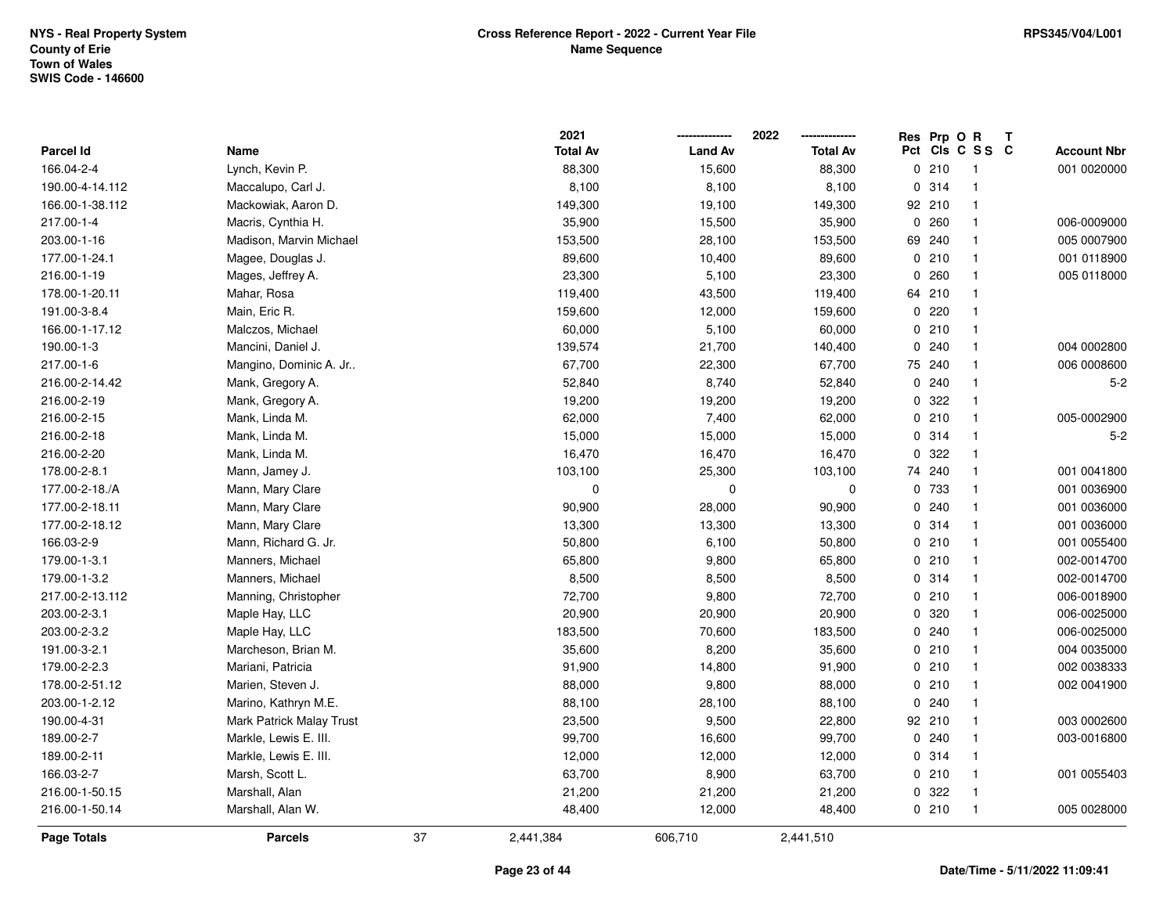|                  |                          |    | 2021            |                | 2022            |              | Res Prp O R | Т               |                    |
|------------------|--------------------------|----|-----------------|----------------|-----------------|--------------|-------------|-----------------|--------------------|
| <b>Parcel Id</b> | Name                     |    | <b>Total Av</b> | <b>Land Av</b> | <b>Total Av</b> |              |             | Pct Cls C S S C | <b>Account Nbr</b> |
| 166.04-2-4       | Lynch, Kevin P.          |    | 88,300          | 15,600         | 88,300          |              | 0210        | $\overline{1}$  | 001 0020000        |
| 190.00-4-14.112  | Maccalupo, Carl J.       |    | 8,100           | 8,100          | 8,100           | 0            | 314         | $\mathbf{1}$    |                    |
| 166.00-1-38.112  | Mackowiak, Aaron D.      |    | 149,300         | 19,100         | 149,300         |              | 92 210      | $\mathbf{1}$    |                    |
| 217.00-1-4       | Macris, Cynthia H.       |    | 35,900          | 15,500         | 35,900          |              | 0.260       | $\mathbf 1$     | 006-0009000        |
| 203.00-1-16      | Madison, Marvin Michael  |    | 153,500         | 28,100         | 153,500         |              | 69 240      | $\mathbf 1$     | 005 0007900        |
| 177.00-1-24.1    | Magee, Douglas J.        |    | 89,600          | 10,400         | 89,600          |              | 0210        | $\mathbf{1}$    | 001 0118900        |
| 216.00-1-19      | Mages, Jeffrey A.        |    | 23,300          | 5,100          | 23,300          | 0            | 260         | $\mathbf{1}$    | 005 0118000        |
| 178.00-1-20.11   | Mahar, Rosa              |    | 119,400         | 43,500         | 119,400         | 64           | 210         | $\mathbf{1}$    |                    |
| 191.00-3-8.4     | Main, Eric R.            |    | 159,600         | 12,000         | 159,600         | $\Omega$     | 220         | $\mathbf{1}$    |                    |
| 166.00-1-17.12   | Malczos, Michael         |    | 60,000          | 5,100          | 60,000          |              | 0210        | $\mathbf{1}$    |                    |
| 190.00-1-3       | Mancini, Daniel J.       |    | 139,574         | 21,700         | 140,400         | $\mathbf{0}$ | 240         | -1              | 004 0002800        |
| 217.00-1-6       | Mangino, Dominic A. Jr   |    | 67,700          | 22,300         | 67,700          |              | 75 240      | -1              | 006 0008600        |
| 216.00-2-14.42   | Mank, Gregory A.         |    | 52,840          | 8,740          | 52,840          | 0            | 240         | -1              | $5-2$              |
| 216.00-2-19      | Mank, Gregory A.         |    | 19,200          | 19,200         | 19,200          | 0            | 322         | $\mathbf{1}$    |                    |
| 216.00-2-15      | Mank, Linda M.           |    | 62,000          | 7,400          | 62,000          |              | 0210        | $\mathbf{1}$    | 005-0002900        |
| 216.00-2-18      | Mank, Linda M.           |    | 15,000          | 15,000         | 15,000          |              | 0 314       | $\mathbf{1}$    | $5-2$              |
| 216.00-2-20      | Mank, Linda M.           |    | 16,470          | 16,470         | 16,470          | 0            | 322         | $\mathbf{1}$    |                    |
| 178.00-2-8.1     | Mann, Jamey J.           |    | 103,100         | 25,300         | 103,100         |              | 74 240      | $\mathbf{1}$    | 001 0041800        |
| 177.00-2-18./A   | Mann, Mary Clare         |    | $\mathbf 0$     | 0              | $\mathbf 0$     |              | 0 733       | $\mathbf{1}$    | 001 0036900        |
| 177.00-2-18.11   | Mann, Mary Clare         |    | 90,900          | 28,000         | 90,900          | 0            | 240         | -1              | 001 0036000        |
| 177.00-2-18.12   | Mann, Mary Clare         |    | 13,300          | 13,300         | 13,300          |              | 0.314       | $\mathbf{1}$    | 001 0036000        |
| 166.03-2-9       | Mann, Richard G. Jr.     |    | 50,800          | 6,100          | 50,800          |              | 0210        | $\mathbf{1}$    | 001 0055400        |
| 179.00-1-3.1     | Manners, Michael         |    | 65,800          | 9,800          | 65,800          |              | 0210        | $\mathbf{1}$    | 002-0014700        |
| 179.00-1-3.2     | Manners, Michael         |    | 8,500           | 8,500          | 8,500           |              | 0.314       | $\mathbf{1}$    | 002-0014700        |
| 217.00-2-13.112  | Manning, Christopher     |    | 72,700          | 9,800          | 72,700          |              | 0210        | $\mathbf{1}$    | 006-0018900        |
| 203.00-2-3.1     | Maple Hay, LLC           |    | 20,900          | 20,900         | 20,900          |              | 0 320       | -1              | 006-0025000        |
| 203.00-2-3.2     | Maple Hay, LLC           |    | 183,500         | 70,600         | 183,500         |              | 0.240       | -1              | 006-0025000        |
| 191.00-3-2.1     | Marcheson, Brian M.      |    | 35,600          | 8,200          | 35,600          |              | 0210        | $\mathbf{1}$    | 004 0035000        |
| 179.00-2-2.3     | Mariani, Patricia        |    | 91,900          | 14,800         | 91,900          |              | 0210        | $\mathbf{1}$    | 002 0038333        |
| 178.00-2-51.12   | Marien, Steven J.        |    | 88,000          | 9,800          | 88,000          |              | 0210        | $\mathbf{1}$    | 002 0041900        |
| 203.00-1-2.12    | Marino, Kathryn M.E.     |    | 88,100          | 28,100         | 88,100          |              | 0.240       | $\mathbf{1}$    |                    |
| 190.00-4-31      | Mark Patrick Malay Trust |    | 23,500          | 9,500          | 22,800          |              | 92 210      | $\mathbf{1}$    | 003 0002600        |
| 189.00-2-7       | Markle, Lewis E. III.    |    | 99,700          | 16,600         | 99,700          |              | 0.240       | $\mathbf{1}$    | 003-0016800        |
| 189.00-2-11      | Markle, Lewis E. III.    |    | 12,000          | 12,000         | 12,000          |              | 0.314       | $\mathbf{1}$    |                    |
| 166.03-2-7       | Marsh, Scott L.          |    | 63,700          | 8,900          | 63,700          |              | 0210        | $\overline{1}$  | 001 0055403        |
| 216.00-1-50.15   | Marshall, Alan           |    | 21,200          | 21,200         | 21,200          |              | 0.322       | -1              |                    |
| 216.00-1-50.14   | Marshall, Alan W.        |    | 48,400          | 12,000         | 48,400          |              | 0210        | $\overline{1}$  | 005 0028000        |
| Page Totals      | <b>Parcels</b>           | 37 | 2,441,384       | 606,710        | 2,441,510       |              |             |                 |                    |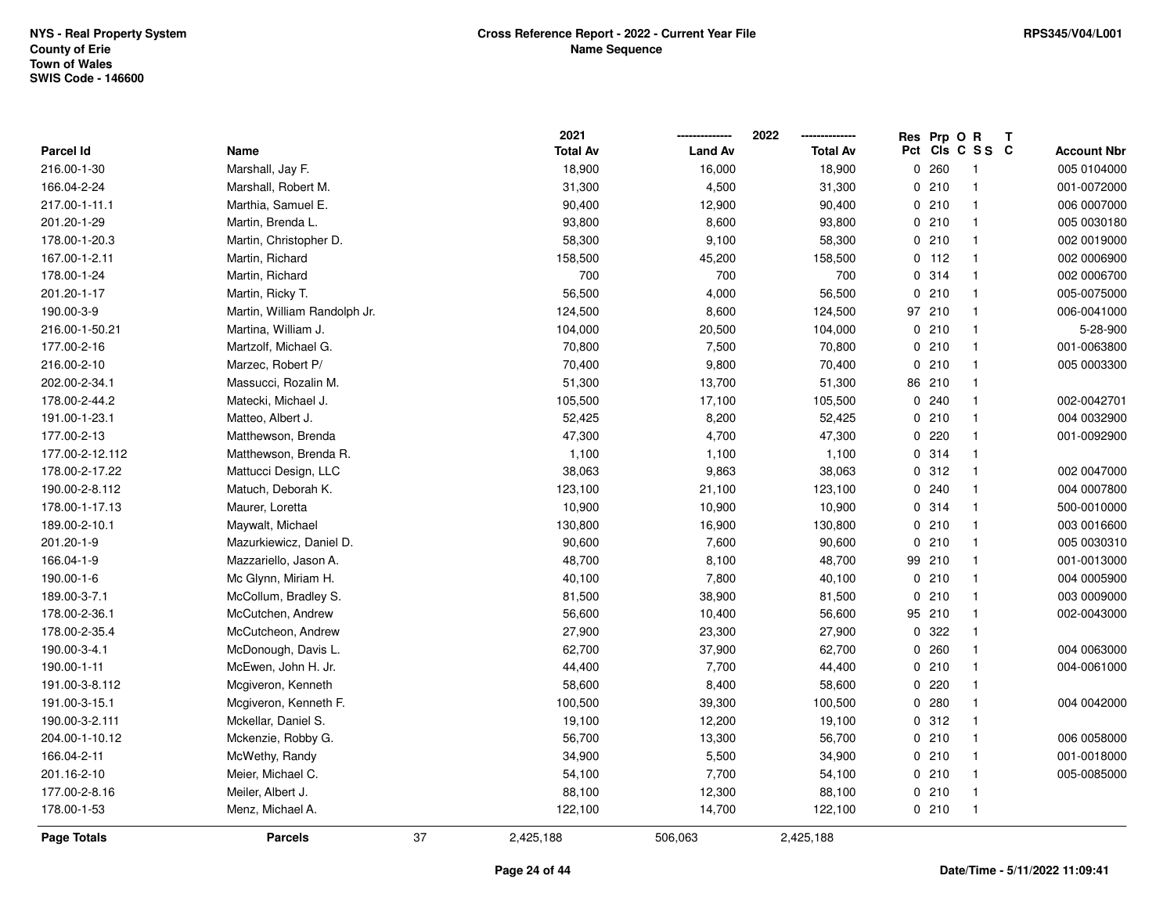|                 |                              |    | 2021            |                | 2022            |    | Res Prp O R |                         | Т |                    |
|-----------------|------------------------------|----|-----------------|----------------|-----------------|----|-------------|-------------------------|---|--------------------|
| Parcel Id       | Name                         |    | <b>Total Av</b> | <b>Land Av</b> | <b>Total Av</b> |    |             | Pct Cls C S S C         |   | <b>Account Nbr</b> |
| 216.00-1-30     | Marshall, Jay F.             |    | 18,900          | 16,000         | 18,900          |    | 0260        | $\overline{\mathbf{1}}$ |   | 005 0104000        |
| 166.04-2-24     | Marshall, Robert M.          |    | 31,300          | 4,500          | 31,300          |    | 0210        | $\overline{1}$          |   | 001-0072000        |
| 217.00-1-11.1   | Marthia, Samuel E.           |    | 90,400          | 12,900         | 90,400          |    | 0210        | $\overline{\mathbf{1}}$ |   | 006 0007000        |
| 201.20-1-29     | Martin, Brenda L.            |    | 93,800          | 8,600          | 93,800          |    | 0210        | $\overline{1}$          |   | 005 0030180        |
| 178.00-1-20.3   | Martin, Christopher D.       |    | 58,300          | 9,100          | 58,300          |    | 0210        | $\overline{\mathbf{1}}$ |   | 002 0019000        |
| 167.00-1-2.11   | Martin, Richard              |    | 158,500         | 45,200         | 158,500         |    | $0$ 112     | $\overline{\mathbf{1}}$ |   | 002 0006900        |
| 178.00-1-24     | Martin, Richard              |    | 700             | 700            | 700             |    | 0.314       | $\overline{1}$          |   | 002 0006700        |
| 201.20-1-17     | Martin, Ricky T.             |    | 56,500          | 4,000          | 56,500          |    | 0210        | $\overline{1}$          |   | 005-0075000        |
| 190.00-3-9      | Martin, William Randolph Jr. |    | 124,500         | 8,600          | 124,500         |    | 97 210      | $\overline{1}$          |   | 006-0041000        |
| 216.00-1-50.21  | Martina, William J.          |    | 104,000         | 20,500         | 104,000         |    | 0210        | $\overline{\mathbf{1}}$ |   | 5-28-900           |
| 177.00-2-16     | Martzolf, Michael G.         |    | 70,800          | 7,500          | 70,800          |    | 0210        | $\overline{1}$          |   | 001-0063800        |
| 216.00-2-10     | Marzec, Robert P/            |    | 70,400          | 9,800          | 70,400          |    | 0210        | $\overline{\mathbf{1}}$ |   | 005 0003300        |
| 202.00-2-34.1   | Massucci, Rozalin M.         |    | 51,300          | 13,700         | 51,300          |    | 86 210      | -1                      |   |                    |
| 178.00-2-44.2   | Matecki, Michael J.          |    | 105,500         | 17,100         | 105,500         |    | 0.240       | $\overline{1}$          |   | 002-0042701        |
| 191.00-1-23.1   | Matteo, Albert J.            |    | 52,425          | 8,200          | 52,425          |    | 0210        | $\overline{1}$          |   | 004 0032900        |
| 177.00-2-13     | Matthewson, Brenda           |    | 47,300          | 4,700          | 47,300          |    | 0220        | $\overline{1}$          |   | 001-0092900        |
| 177.00-2-12.112 | Matthewson, Brenda R.        |    | 1,100           | 1,100          | 1,100           |    | 0 314       | $\overline{1}$          |   |                    |
| 178.00-2-17.22  | Mattucci Design, LLC         |    | 38,063          | 9,863          | 38,063          |    | 0.312       | $\overline{1}$          |   | 002 0047000        |
| 190.00-2-8.112  | Matuch, Deborah K.           |    | 123,100         | 21,100         | 123,100         |    | 0.240       | $\overline{\mathbf{1}}$ |   | 004 0007800        |
| 178.00-1-17.13  | Maurer, Loretta              |    | 10,900          | 10,900         | 10,900          |    | 0.314       | $\overline{\mathbf{1}}$ |   | 500-0010000        |
| 189.00-2-10.1   | Maywalt, Michael             |    | 130,800         | 16,900         | 130,800         |    | 0210        | $\overline{\mathbf{1}}$ |   | 003 0016600        |
| 201.20-1-9      | Mazurkiewicz, Daniel D.      |    | 90,600          | 7,600          | 90,600          |    | 0210        | $\overline{1}$          |   | 005 0030310        |
| 166.04-1-9      | Mazzariello, Jason A.        |    | 48,700          | 8,100          | 48,700          | 99 | 210         | $\overline{\mathbf{1}}$ |   | 001-0013000        |
| 190.00-1-6      | Mc Glynn, Miriam H.          |    | 40,100          | 7,800          | 40,100          |    | 0210        | $\overline{\mathbf{1}}$ |   | 004 0005900        |
| 189.00-3-7.1    | McCollum, Bradley S.         |    | 81,500          | 38,900         | 81,500          |    | 0210        | $\overline{\mathbf{1}}$ |   | 003 0009000        |
| 178.00-2-36.1   | McCutchen, Andrew            |    | 56,600          | 10,400         | 56,600          |    | 95 210      | -1                      |   | 002-0043000        |
| 178.00-2-35.4   | McCutcheon, Andrew           |    | 27,900          | 23,300         | 27,900          |    | 0 322       | -1                      |   |                    |
| 190.00-3-4.1    | McDonough, Davis L.          |    | 62,700          | 37,900         | 62,700          |    | 0.260       | $\overline{1}$          |   | 004 0063000        |
| 190.00-1-11     | McEwen, John H. Jr.          |    | 44,400          | 7,700          | 44,400          |    | 0210        | $\overline{\mathbf{1}}$ |   | 004-0061000        |
| 191.00-3-8.112  | Mcgiveron, Kenneth           |    | 58,600          | 8,400          | 58,600          |    | $0$ 220     | $\overline{1}$          |   |                    |
| 191.00-3-15.1   | Mcgiveron, Kenneth F.        |    | 100,500         | 39,300         | 100,500         |    | 0.280       | $\overline{\mathbf{1}}$ |   | 004 0042000        |
| 190.00-3-2.111  | Mckellar, Daniel S.          |    | 19,100          | 12,200         | 19,100          |    | 0.312       | $\overline{1}$          |   |                    |
| 204.00-1-10.12  | Mckenzie, Robby G.           |    | 56,700          | 13,300         | 56,700          |    | 0210        | $\overline{1}$          |   | 006 0058000        |
| 166.04-2-11     | McWethy, Randy               |    | 34,900          | 5,500          | 34,900          |    | 0210        | $\overline{\mathbf{1}}$ |   | 001-0018000        |
| 201.16-2-10     | Meier, Michael C.            |    | 54,100          | 7,700          | 54,100          |    | 0210        | $\overline{\mathbf{1}}$ |   | 005-0085000        |
| 177.00-2-8.16   | Meiler, Albert J.            |    | 88,100          | 12,300         | 88,100          |    | 0210        | $\overline{1}$          |   |                    |
| 178.00-1-53     | Menz, Michael A.             |    | 122,100         | 14,700         | 122,100         |    | 0210        | $\overline{1}$          |   |                    |
| Page Totals     | <b>Parcels</b>               | 37 | 2,425,188       | 506,063        | 2,425,188       |    |             |                         |   |                    |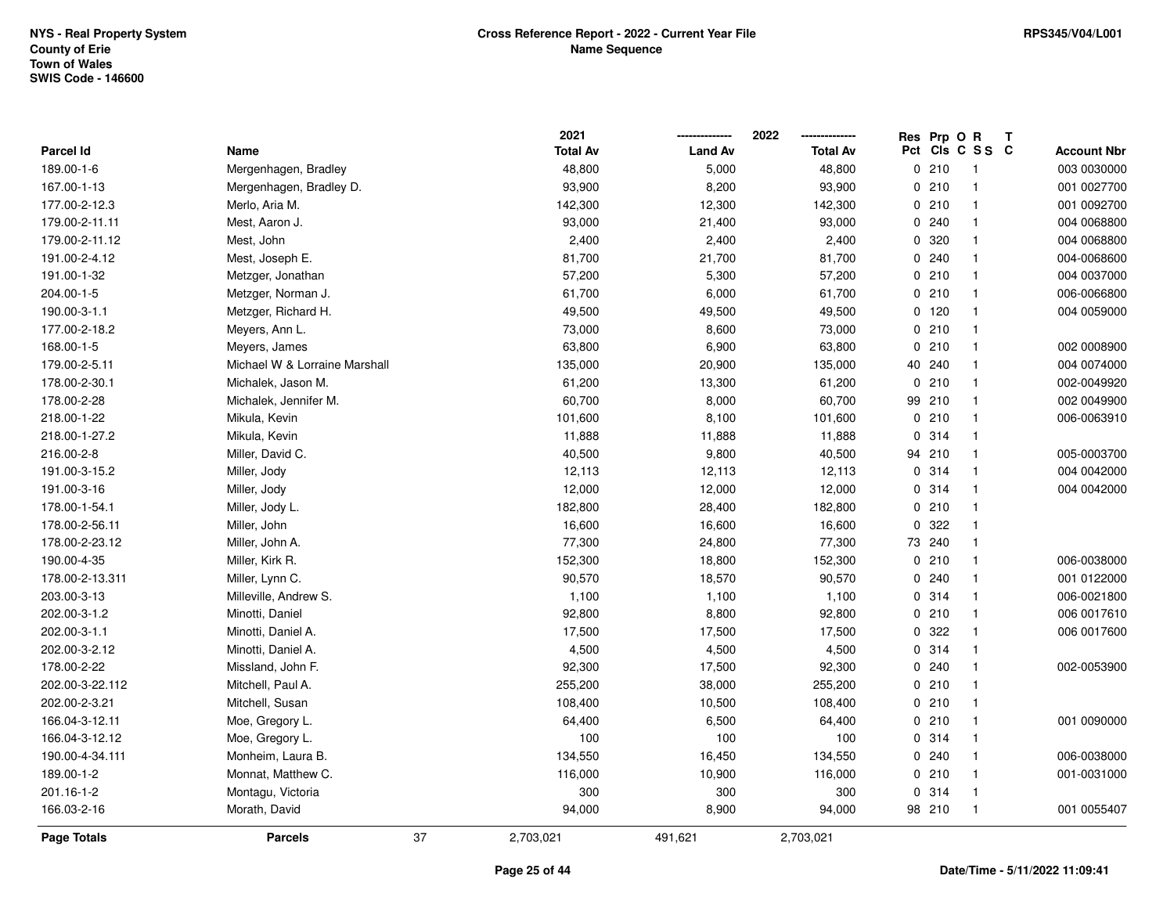|                    |                               |    | 2021            |                | 2022            | Res Prp O R |                          | Т |                    |
|--------------------|-------------------------------|----|-----------------|----------------|-----------------|-------------|--------------------------|---|--------------------|
| Parcel Id          | Name                          |    | <b>Total Av</b> | <b>Land Av</b> | <b>Total Av</b> |             | Pct Cls C S S C          |   | <b>Account Nbr</b> |
| 189.00-1-6         | Mergenhagen, Bradley          |    | 48,800          | 5,000          | 48,800          | 0210        | $\overline{\phantom{1}}$ |   | 003 0030000        |
| 167.00-1-13        | Mergenhagen, Bradley D.       |    | 93,900          | 8,200          | 93,900          | 0210        | $\overline{1}$           |   | 001 0027700        |
| 177.00-2-12.3      | Merlo, Aria M.                |    | 142,300         | 12,300         | 142,300         | 0210        | $\mathbf{1}$             |   | 001 0092700        |
| 179.00-2-11.11     | Mest, Aaron J.                |    | 93,000          | 21,400         | 93,000          | 0.240       | $\overline{1}$           |   | 004 0068800        |
| 179.00-2-11.12     | Mest, John                    |    | 2,400           | 2,400          | 2,400           | 0 320       | $\mathbf{1}$             |   | 004 0068800        |
| 191.00-2-4.12      | Mest, Joseph E.               |    | 81,700          | 21,700         | 81,700          | 0.240       | $\overline{\mathbf{1}}$  |   | 004-0068600        |
| 191.00-1-32        | Metzger, Jonathan             |    | 57,200          | 5,300          | 57,200          | 0210        | $\mathbf{1}$             |   | 004 0037000        |
| 204.00-1-5         | Metzger, Norman J.            |    | 61,700          | 6,000          | 61,700          | 0210        | $\overline{1}$           |   | 006-0066800        |
| 190.00-3-1.1       | Metzger, Richard H.           |    | 49,500          | 49,500         | 49,500          | 0 120       | $\overline{\mathbf{1}}$  |   | 004 0059000        |
| 177.00-2-18.2      | Meyers, Ann L.                |    | 73,000          | 8,600          | 73,000          | 0210        | $\overline{1}$           |   |                    |
| 168.00-1-5         | Meyers, James                 |    | 63,800          | 6,900          | 63,800          | 0210        | $\overline{1}$           |   | 002 0008900        |
| 179.00-2-5.11      | Michael W & Lorraine Marshall |    | 135,000         | 20,900         | 135,000         | 40 240      | $\mathbf{1}$             |   | 004 0074000        |
| 178.00-2-30.1      | Michalek, Jason M.            |    | 61,200          | 13,300         | 61,200          | 0210        | -1                       |   | 002-0049920        |
| 178.00-2-28        | Michalek, Jennifer M.         |    | 60,700          | 8,000          | 60,700          | 99 210      | $\overline{1}$           |   | 002 0049900        |
| 218.00-1-22        | Mikula, Kevin                 |    | 101,600         | 8,100          | 101,600         | 0210        | $\overline{1}$           |   | 006-0063910        |
| 218.00-1-27.2      | Mikula, Kevin                 |    | 11,888          | 11,888         | 11,888          | 0.314       | $\overline{1}$           |   |                    |
| 216.00-2-8         | Miller, David C.              |    | 40,500          | 9,800          | 40,500          | 94 210      | $\overline{1}$           |   | 005-0003700        |
| 191.00-3-15.2      | Miller, Jody                  |    | 12,113          | 12,113         | 12,113          | 0.314       | $\mathbf{1}$             |   | 004 0042000        |
| 191.00-3-16        | Miller, Jody                  |    | 12,000          | 12,000         | 12,000          | 0.314       | $\overline{1}$           |   | 004 004 2000       |
| 178.00-1-54.1      | Miller, Jody L.               |    | 182,800         | 28,400         | 182,800         | 0210        | $\overline{1}$           |   |                    |
| 178.00-2-56.11     | Miller, John                  |    | 16,600          | 16,600         | 16,600          | 0 322       | $\overline{1}$           |   |                    |
| 178.00-2-23.12     | Miller, John A.               |    | 77,300          | 24,800         | 77,300          | 73 240      | $\overline{\mathbf{1}}$  |   |                    |
| 190.00-4-35        | Miller, Kirk R.               |    | 152,300         | 18,800         | 152,300         | 0210        | $\overline{1}$           |   | 006-0038000        |
| 178.00-2-13.311    | Miller, Lynn C.               |    | 90,570          | 18,570         | 90,570          | 0.240       | $\overline{\mathbf{1}}$  |   | 001 0122000        |
| 203.00-3-13        | Milleville, Andrew S.         |    | 1,100           | 1,100          | 1,100           | 0 314       | $\overline{1}$           |   | 006-0021800        |
| 202.00-3-1.2       | Minotti, Daniel               |    | 92,800          | 8,800          | 92,800          | 0210        | $\mathbf{1}$             |   | 006 0017610        |
| 202.00-3-1.1       | Minotti, Daniel A.            |    | 17,500          | 17,500         | 17,500          | 0.322       | $\overline{1}$           |   | 006 0017600        |
| 202.00-3-2.12      | Minotti, Daniel A.            |    | 4,500           | 4,500          | 4,500           | 0.314       | $\overline{1}$           |   |                    |
| 178.00-2-22        | Missland, John F.             |    | 92,300          | 17,500         | 92,300          | 0.240       | $\overline{\mathbf{1}}$  |   | 002-0053900        |
| 202.00-3-22.112    | Mitchell, Paul A.             |    | 255,200         | 38,000         | 255,200         | 0210        | $\overline{1}$           |   |                    |
| 202.00-2-3.21      | Mitchell, Susan               |    | 108,400         | 10,500         | 108,400         | 0210        | $\overline{\mathbf{1}}$  |   |                    |
| 166.04-3-12.11     | Moe, Gregory L.               |    | 64,400          | 6,500          | 64,400          | 0210        | $\overline{1}$           |   | 001 0090000        |
| 166.04-3-12.12     | Moe, Gregory L.               |    | 100             | 100            | 100             | 0.314       | $\overline{1}$           |   |                    |
| 190.00-4-34.111    | Monheim, Laura B.             |    | 134,550         | 16,450         | 134,550         | 0.240       | $\mathbf{1}$             |   | 006-0038000        |
| 189.00-1-2         | Monnat, Matthew C.            |    | 116,000         | 10,900         | 116,000         | 0210        | $\overline{\mathbf{1}}$  |   | 001-0031000        |
| 201.16-1-2         | Montagu, Victoria             |    | 300             | 300            | 300             | 0 314       | $\overline{1}$           |   |                    |
| 166.03-2-16        | Morath, David                 |    | 94,000          | 8,900          | 94,000          | 98 210      | $\overline{1}$           |   | 001 0055407        |
| <b>Page Totals</b> | <b>Parcels</b>                | 37 | 2,703,021       | 491,621        | 2,703,021       |             |                          |   |                    |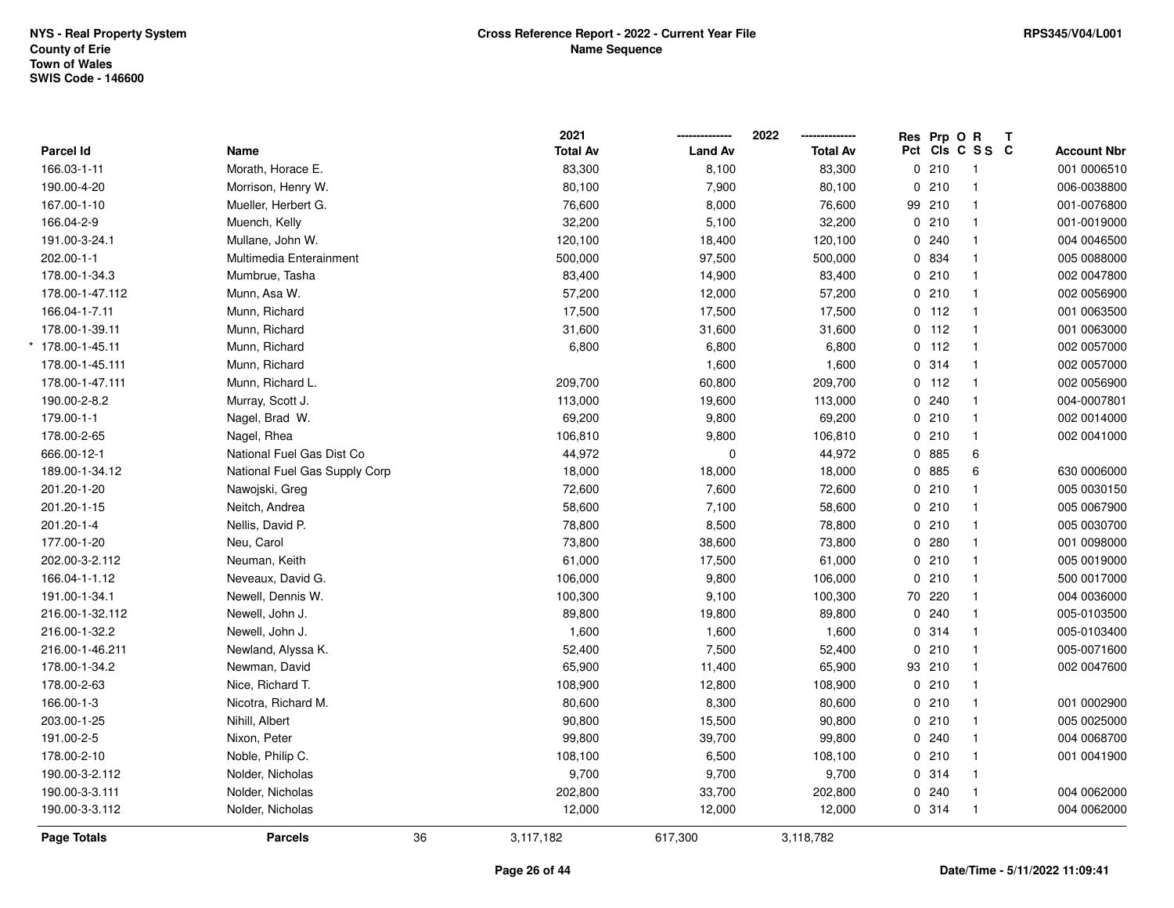|                 |                               |    | 2021            |                | 2022            | Res Prp O R |                 | Т |                    |
|-----------------|-------------------------------|----|-----------------|----------------|-----------------|-------------|-----------------|---|--------------------|
| Parcel Id       | Name                          |    | <b>Total Av</b> | <b>Land Av</b> | <b>Total Av</b> |             | Pct Cls C S S C |   | <b>Account Nbr</b> |
| 166.03-1-11     | Morath, Horace E.             |    | 83,300          | 8,100          | 83,300          | 0210        | $\overline{1}$  |   | 001 0006510        |
| 190.00-4-20     | Morrison, Henry W.            |    | 80,100          | 7,900          | 80,100          | 0210        | $\mathbf{1}$    |   | 006-0038800        |
| 167.00-1-10     | Mueller, Herbert G.           |    | 76,600          | 8,000          | 76,600          | 99 210      | $\mathbf{1}$    |   | 001-0076800        |
| 166.04-2-9      | Muench, Kelly                 |    | 32,200          | 5,100          | 32,200          | 0210        | $\mathbf{1}$    |   | 001-0019000        |
| 191.00-3-24.1   | Mullane, John W.              |    | 120,100         | 18,400         | 120,100         | 0.240       | $\mathbf{1}$    |   | 004 0046500        |
| 202.00-1-1      | Multimedia Enterainment       |    | 500,000         | 97,500         | 500,000         | 0 834       | $\mathbf{1}$    |   | 005 0088000        |
| 178.00-1-34.3   | Mumbrue, Tasha                |    | 83,400          | 14,900         | 83,400          | 0210        | $\mathbf{1}$    |   | 002 0047800        |
| 178.00-1-47.112 | Munn, Asa W.                  |    | 57,200          | 12,000         | 57,200          | 0210        | $\mathbf{1}$    |   | 002 0056900        |
| 166.04-1-7.11   | Munn, Richard                 |    | 17,500          | 17,500         | 17,500          | $0$ 112     | $\mathbf{1}$    |   | 001 0063500        |
| 178.00-1-39.11  | Munn, Richard                 |    | 31,600          | 31,600         | 31,600          | $0$ 112     | $\mathbf{1}$    |   | 001 0063000        |
| 178.00-1-45.11  | Munn, Richard                 |    | 6,800           | 6,800          | 6,800           | $0$ 112     | $\mathbf{1}$    |   | 002 0057000        |
| 178.00-1-45.111 | Munn, Richard                 |    |                 | 1,600          | 1,600           | 0 314       | $\mathbf{1}$    |   | 002 0057000        |
| 178.00-1-47.111 | Munn, Richard L.              |    | 209,700         | 60,800         | 209,700         | $0$ 112     | $\overline{1}$  |   | 002 0056900        |
| 190.00-2-8.2    | Murray, Scott J.              |    | 113,000         | 19,600         | 113,000         | 0.240       | $\mathbf{1}$    |   | 004-0007801        |
| 179.00-1-1      | Nagel, Brad W.                |    | 69,200          | 9,800          | 69,200          | 0210        | $\mathbf{1}$    |   | 002 0014000        |
| 178.00-2-65     | Nagel, Rhea                   |    | 106,810         | 9,800          | 106,810         | 0210        | $\mathbf{1}$    |   | 002 0041000        |
| 666.00-12-1     | National Fuel Gas Dist Co     |    | 44,972          | $\mathbf 0$    | 44,972          | 0 885       | $\,6\,$         |   |                    |
| 189.00-1-34.12  | National Fuel Gas Supply Corp |    | 18,000          | 18,000         | 18,000          | 0 885       | 6               |   | 630 0006000        |
| 201.20-1-20     | Nawojski, Greg                |    | 72,600          | 7,600          | 72,600          | 0210        | $\mathbf{1}$    |   | 005 0030150        |
| 201.20-1-15     | Neitch, Andrea                |    | 58,600          | 7,100          | 58,600          | 0210        | $\overline{1}$  |   | 005 0067900        |
| 201.20-1-4      | Nellis, David P.              |    | 78,800          | 8,500          | 78,800          | 0210        | $\mathbf{1}$    |   | 005 0030700        |
| 177.00-1-20     | Neu, Carol                    |    | 73,800          | 38,600         | 73,800          | 0.280       | $\mathbf{1}$    |   | 001 0098000        |
| 202.00-3-2.112  | Neuman, Keith                 |    | 61,000          | 17,500         | 61,000          | 0210        | $\mathbf{1}$    |   | 005 0019000        |
| 166.04-1-1.12   | Neveaux, David G.             |    | 106,000         | 9,800          | 106,000         | 0210        | $\mathbf{1}$    |   | 500 0017000        |
| 191.00-1-34.1   | Newell, Dennis W.             |    | 100,300         | 9,100          | 100,300         | 70 220      | $\mathbf{1}$    |   | 004 0036000        |
| 216.00-1-32.112 | Newell, John J.               |    | 89,800          | 19,800         | 89,800          | 0.240       | $\mathbf{1}$    |   | 005-0103500        |
| 216.00-1-32.2   | Newell, John J.               |    | 1,600           | 1,600          | 1,600           | 0 314       | $\mathbf{1}$    |   | 005-0103400        |
| 216.00-1-46.211 | Newland, Alyssa K.            |    | 52,400          | 7,500          | 52,400          | 0210        | $\mathbf{1}$    |   | 005-0071600        |
| 178.00-1-34.2   | Newman, David                 |    | 65,900          | 11,400         | 65,900          | 93 210      | $\mathbf{1}$    |   | 002 0047600        |
| 178.00-2-63     | Nice, Richard T.              |    | 108,900         | 12,800         | 108,900         | 0210        | $\mathbf{1}$    |   |                    |
| 166.00-1-3      | Nicotra, Richard M.           |    | 80,600          | 8,300          | 80,600          | 0210        | $\mathbf{1}$    |   | 001 0002900        |
| 203.00-1-25     | Nihill, Albert                |    | 90,800          | 15,500         | 90,800          | 0210        | $\mathbf{1}$    |   | 005 0025000        |
| 191.00-2-5      | Nixon, Peter                  |    | 99,800          | 39,700         | 99,800          | 0.240       | $\mathbf{1}$    |   | 004 0068700        |
| 178.00-2-10     | Noble, Philip C.              |    | 108,100         | 6,500          | 108,100         | 0210        | $\mathbf{1}$    |   | 001 0041900        |
| 190.00-3-2.112  | Nolder, Nicholas              |    | 9,700           | 9,700          | 9,700           | 0 314       | $\mathbf{1}$    |   |                    |
| 190.00-3-3.111  | Nolder, Nicholas              |    | 202,800         | 33,700         | 202,800         | $0$ 240     | $\mathbf{1}$    |   | 004 0062000        |
| 190.00-3-3.112  | Nolder, Nicholas              |    | 12,000          | 12,000         | 12,000          | 0.314       | $\mathbf{1}$    |   | 004 0062000        |
| Page Totals     | <b>Parcels</b>                | 36 | 3,117,182       | 617,300        | 3,118,782       |             |                 |   |                    |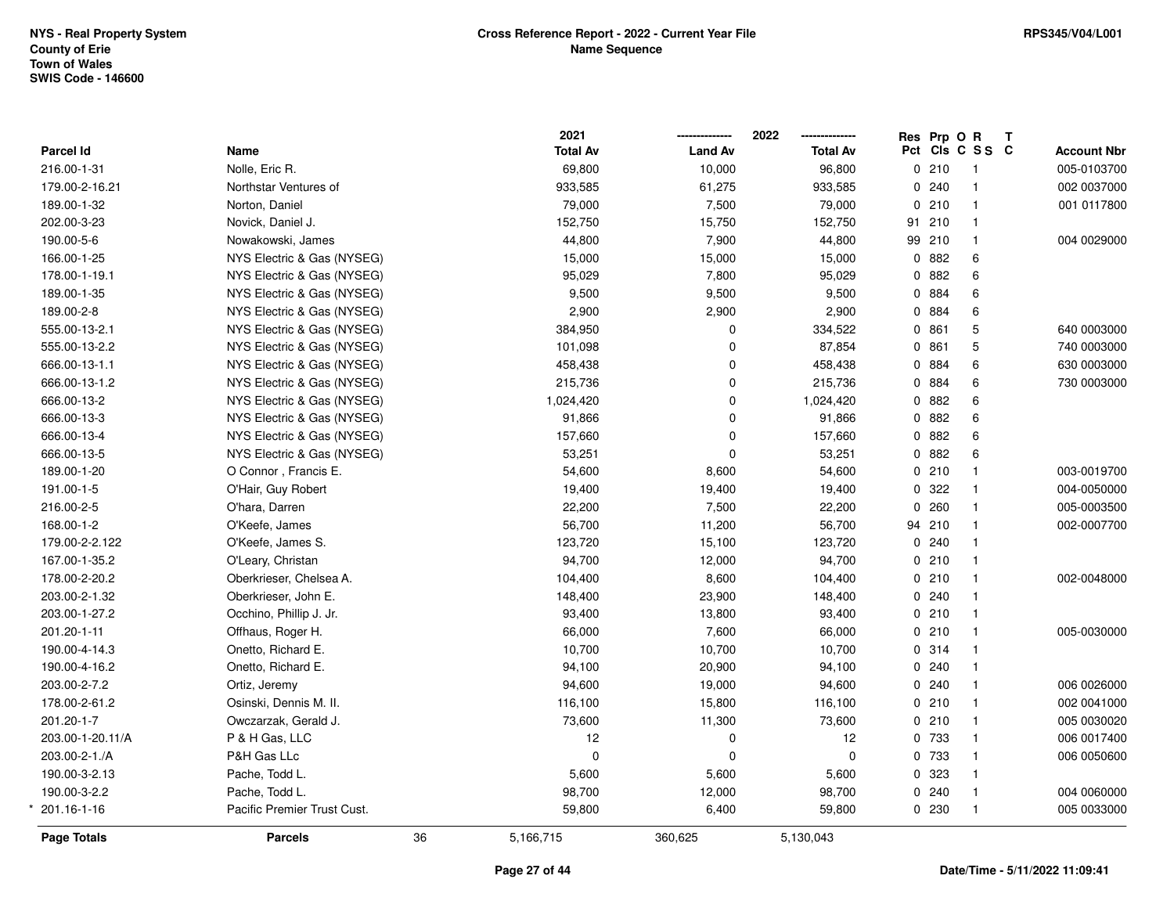|                  |                             |    | 2021            |                | 2022            | Res Prp O R |                 | T                  |
|------------------|-----------------------------|----|-----------------|----------------|-----------------|-------------|-----------------|--------------------|
| Parcel Id        | Name                        |    | <b>Total Av</b> | <b>Land Av</b> | <b>Total Av</b> |             | Pct Cls C S S C | <b>Account Nbr</b> |
| 216.00-1-31      | Nolle, Eric R.              |    | 69,800          | 10,000         | 96,800          | 0210        | -1              | 005-0103700        |
| 179.00-2-16.21   | Northstar Ventures of       |    | 933,585         | 61,275         | 933,585         | 0.240       | $\overline{1}$  | 002 0037000        |
| 189.00-1-32      | Norton, Daniel              |    | 79,000          | 7,500          | 79,000          | 0210        | $\overline{1}$  | 001 0117800        |
| 202.00-3-23      | Novick, Daniel J.           |    | 152,750         | 15,750         | 152,750         | 91 210      | $\mathbf{1}$    |                    |
| 190.00-5-6       | Nowakowski, James           |    | 44,800          | 7,900          | 44,800          | 99 210      | $\mathbf{1}$    | 004 0029000        |
| 166.00-1-25      | NYS Electric & Gas (NYSEG)  |    | 15,000          | 15,000         | 15,000          | 0882        | 6               |                    |
| 178.00-1-19.1    | NYS Electric & Gas (NYSEG)  |    | 95,029          | 7,800          | 95,029          | 0.882       | 6               |                    |
| 189.00-1-35      | NYS Electric & Gas (NYSEG)  |    | 9,500           | 9,500          | 9,500           | 0 884       | 6               |                    |
| 189.00-2-8       | NYS Electric & Gas (NYSEG)  |    | 2,900           | 2,900          | 2,900           | 0 884       | 6               |                    |
| 555.00-13-2.1    | NYS Electric & Gas (NYSEG)  |    | 384,950         | $\mathbf 0$    | 334,522         | 0861        | 5               | 640 0003000        |
| 555.00-13-2.2    | NYS Electric & Gas (NYSEG)  |    | 101,098         | $\Omega$       | 87,854          | 0861        | 5               | 740 0003000        |
| 666.00-13-1.1    | NYS Electric & Gas (NYSEG)  |    | 458,438         | 0              | 458,438         | 0 884       | 6               | 630 0003000        |
| 666.00-13-1.2    | NYS Electric & Gas (NYSEG)  |    | 215,736         | 0              | 215,736         | 0 884       | 6               | 730 0003000        |
| 666.00-13-2      | NYS Electric & Gas (NYSEG)  |    | 1,024,420       | 0              | 1,024,420       | 0 882       | 6               |                    |
| 666.00-13-3      | NYS Electric & Gas (NYSEG)  |    | 91,866          | $\mathbf 0$    | 91,866          | 0.882       | 6               |                    |
| 666.00-13-4      | NYS Electric & Gas (NYSEG)  |    | 157,660         | $\Omega$       | 157,660         | 0.882       | 6               |                    |
| 666.00-13-5      | NYS Electric & Gas (NYSEG)  |    | 53,251          | $\Omega$       | 53,251          | 0 882       | 6               |                    |
| 189.00-1-20      | O Connor, Francis E.        |    | 54,600          | 8,600          | 54,600          | 0210        | $\mathbf{1}$    | 003-0019700        |
| 191.00-1-5       | O'Hair, Guy Robert          |    | 19,400          | 19,400         | 19,400          | 0.322       | $\mathbf{1}$    | 004-0050000        |
| 216.00-2-5       | O'hara, Darren              |    | 22,200          | 7,500          | 22,200          | 0.260       | $\overline{1}$  | 005-0003500        |
| 168.00-1-2       | O'Keefe, James              |    | 56,700          | 11,200         | 56,700          | 94 210      | $\overline{1}$  | 002-0007700        |
| 179.00-2-2.122   | O'Keefe, James S.           |    | 123,720         | 15,100         | 123,720         | 0.240       | $\overline{1}$  |                    |
| 167.00-1-35.2    | O'Leary, Christan           |    | 94,700          | 12,000         | 94,700          | 0210        | $\overline{1}$  |                    |
| 178.00-2-20.2    | Oberkrieser, Chelsea A.     |    | 104,400         | 8,600          | 104,400         | 0210        | $\overline{1}$  | 002-0048000        |
| 203.00-2-1.32    | Oberkrieser, John E.        |    | 148,400         | 23,900         | 148,400         | 0.240       | $\overline{1}$  |                    |
| 203.00-1-27.2    | Occhino, Phillip J. Jr.     |    | 93,400          | 13,800         | 93,400          | 0210        | $\mathbf{1}$    |                    |
| 201.20-1-11      | Offhaus, Roger H.           |    | 66,000          | 7,600          | 66,000          | 0210        | $\mathbf{1}$    | 005-0030000        |
| 190.00-4-14.3    | Onetto, Richard E.          |    | 10,700          | 10,700         | 10,700          | 0.314       | $\mathbf{1}$    |                    |
| 190.00-4-16.2    | Onetto, Richard E.          |    | 94,100          | 20,900         | 94,100          | 0.240       | $\overline{1}$  |                    |
| 203.00-2-7.2     | Ortiz, Jeremy               |    | 94,600          | 19,000         | 94,600          | 0.240       | $\overline{1}$  | 006 0026000        |
| 178.00-2-61.2    | Osinski, Dennis M. II.      |    | 116,100         | 15,800         | 116,100         | 0210        | $\mathbf{1}$    | 002 0041000        |
| 201.20-1-7       | Owczarzak, Gerald J.        |    | 73,600          | 11,300         | 73,600          | 0210        | $\overline{1}$  | 005 0030020        |
| 203.00-1-20.11/A | P & H Gas, LLC              |    | 12              | $\mathbf 0$    | 12              | 0 733       | $\overline{1}$  | 006 0017400        |
| 203.00-2-1./A    | P&H Gas LLc                 |    | $\Omega$        | $\Omega$       | $\mathbf 0$     | 0 733       | $\overline{1}$  | 006 0050600        |
| 190.00-3-2.13    | Pache, Todd L.              |    | 5,600           | 5,600          | 5,600           | 0 323       | $\mathbf{1}$    |                    |
| 190.00-3-2.2     | Pache, Todd L.              |    | 98,700          | 12,000         | 98,700          | 0.240       | $\mathbf{1}$    | 004 0060000        |
| 201.16-1-16      | Pacific Premier Trust Cust. |    | 59,800          | 6,400          | 59,800          | 0 230       | $\overline{1}$  | 005 0033000        |
| Page Totals      | <b>Parcels</b>              | 36 | 5,166,715       | 360,625        | 5,130,043       |             |                 |                    |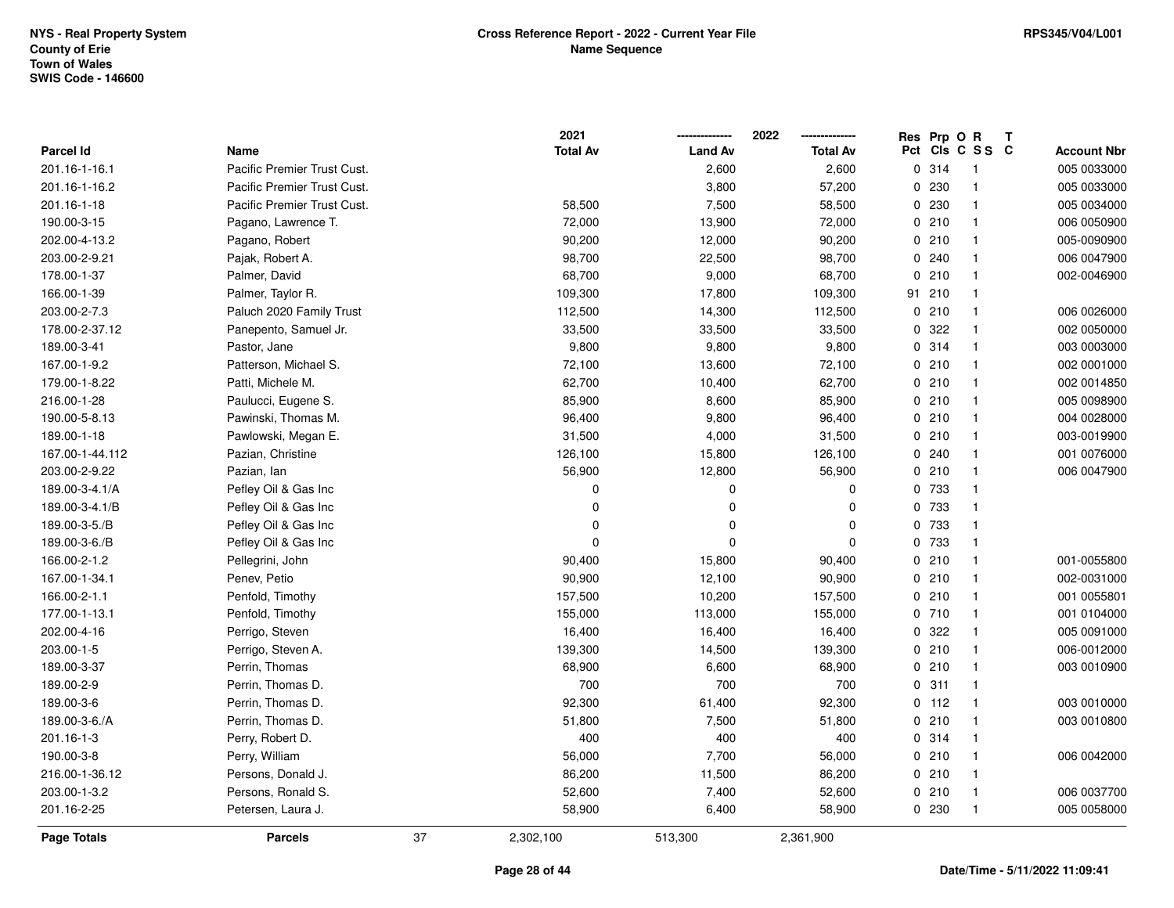|                 |                             |    | 2021            |                | 2022            | Res Prp O R |                 | Т |                    |
|-----------------|-----------------------------|----|-----------------|----------------|-----------------|-------------|-----------------|---|--------------------|
| Parcel Id       | Name                        |    | <b>Total Av</b> | <b>Land Av</b> | <b>Total Av</b> |             | Pct Cls C S S C |   | <b>Account Nbr</b> |
| 201.16-1-16.1   | Pacific Premier Trust Cust. |    |                 | 2,600          | 2,600           | 0.314       | $\overline{1}$  |   | 005 0033000        |
| 201.16-1-16.2   | Pacific Premier Trust Cust. |    |                 | 3,800          | 57,200          | 0230        | $\mathbf{1}$    |   | 005 0033000        |
| 201.16-1-18     | Pacific Premier Trust Cust. |    | 58,500          | 7,500          | 58,500          | 0 230       | $\mathbf{1}$    |   | 005 0034000        |
| 190.00-3-15     | Pagano, Lawrence T.         |    | 72,000          | 13,900         | 72,000          | 0210        | $\mathbf{1}$    |   | 006 0050900        |
| 202.00-4-13.2   | Pagano, Robert              |    | 90,200          | 12,000         | 90,200          | 0210        | $\mathbf{1}$    |   | 005-0090900        |
| 203.00-2-9.21   | Pajak, Robert A.            |    | 98,700          | 22,500         | 98,700          | 0.240       | $\mathbf{1}$    |   | 006 0047900        |
| 178.00-1-37     | Palmer, David               |    | 68,700          | 9,000          | 68,700          | 0210        | $\mathbf{1}$    |   | 002-0046900        |
| 166.00-1-39     | Palmer, Taylor R.           |    | 109,300         | 17,800         | 109,300         | 91 210      | $\mathbf{1}$    |   |                    |
| 203.00-2-7.3    | Paluch 2020 Family Trust    |    | 112,500         | 14,300         | 112,500         | 0210        | $\mathbf{1}$    |   | 006 0026000        |
| 178.00-2-37.12  | Panepento, Samuel Jr.       |    | 33,500          | 33,500         | 33,500          | 0.322       | $\mathbf{1}$    |   | 002 0050000        |
| 189.00-3-41     | Pastor, Jane                |    | 9,800           | 9,800          | 9,800           | 0.314       | $\mathbf{1}$    |   | 003 0003000        |
| 167.00-1-9.2    | Patterson, Michael S.       |    | 72,100          | 13,600         | 72,100          | 0210        | $\mathbf{1}$    |   | 002 0001000        |
| 179.00-1-8.22   | Patti, Michele M.           |    | 62,700          | 10,400         | 62,700          | 0210        | $\mathbf{1}$    |   | 002 0014850        |
| 216.00-1-28     | Paulucci, Eugene S.         |    | 85,900          | 8,600          | 85,900          | 0210        | $\mathbf{1}$    |   | 005 0098900        |
| 190.00-5-8.13   | Pawinski, Thomas M.         |    | 96,400          | 9,800          | 96,400          | 0210        | $\mathbf{1}$    |   | 004 0028000        |
| 189.00-1-18     | Pawlowski, Megan E.         |    | 31,500          | 4,000          | 31,500          | 0210        | $\mathbf{1}$    |   | 003-0019900        |
| 167.00-1-44.112 | Pazian, Christine           |    | 126,100         | 15,800         | 126,100         | 0.240       | $\mathbf{1}$    |   | 001 0076000        |
| 203.00-2-9.22   | Pazian, lan                 |    | 56,900          | 12,800         | 56,900          | 0210        | $\mathbf{1}$    |   | 006 0047900        |
| 189.00-3-4.1/A  | Pefley Oil & Gas Inc        |    | $\mathbf 0$     | 0              | 0               | 0 733       | $\mathbf{1}$    |   |                    |
| 189.00-3-4.1/B  | Pefley Oil & Gas Inc        |    | $\mathbf 0$     | 0              | 0               | 0 733       | $\mathbf{1}$    |   |                    |
| 189.00-3-5./B   | Pefley Oil & Gas Inc        |    | $\pmb{0}$       | 0              | $\mathbf 0$     | 0 733       | $\mathbf{1}$    |   |                    |
| 189.00-3-6./B   | Pefley Oil & Gas Inc        |    | $\pmb{0}$       | 0              | $\Omega$        | 0 733       | $\mathbf{1}$    |   |                    |
| 166.00-2-1.2    | Pellegrini, John            |    | 90,400          | 15,800         | 90,400          | 0210        | $\mathbf{1}$    |   | 001-0055800        |
| 167.00-1-34.1   | Penev, Petio                |    | 90,900          | 12,100         | 90,900          | 0210        | $\mathbf{1}$    |   | 002-0031000        |
| 166.00-2-1.1    | Penfold, Timothy            |    | 157,500         | 10,200         | 157,500         | 0210        | $\mathbf{1}$    |   | 001 0055801        |
| 177.00-1-13.1   | Penfold, Timothy            |    | 155,000         | 113,000        | 155,000         | 0710        | $\mathbf{1}$    |   | 001 0104000        |
| 202.00-4-16     | Perrigo, Steven             |    | 16,400          | 16,400         | 16,400          | 0.322       | $\mathbf{1}$    |   | 005 0091000        |
| 203.00-1-5      | Perrigo, Steven A.          |    | 139,300         | 14,500         | 139,300         | 0210        | $\mathbf{1}$    |   | 006-0012000        |
| 189.00-3-37     | Perrin, Thomas              |    | 68,900          | 6,600          | 68,900          | 0210        | $\mathbf{1}$    |   | 003 0010900        |
| 189.00-2-9      | Perrin, Thomas D.           |    | 700             | 700            | 700             | 0.311       | $\mathbf{1}$    |   |                    |
| 189.00-3-6      | Perrin, Thomas D.           |    | 92,300          | 61,400         | 92,300          | $0$ 112     | $\mathbf{1}$    |   | 003 0010000        |
| 189.00-3-6./A   | Perrin, Thomas D.           |    | 51,800          | 7,500          | 51,800          | 0210        | $\mathbf{1}$    |   | 003 0010800        |
| 201.16-1-3      | Perry, Robert D.            |    | 400             | 400            | 400             | 0.314       | $\mathbf{1}$    |   |                    |
| 190.00-3-8      | Perry, William              |    | 56,000          | 7,700          | 56,000          | 0210        | $\mathbf{1}$    |   | 006 0042000        |
| 216.00-1-36.12  | Persons, Donald J.          |    | 86,200          | 11,500         | 86,200          | 0210        | $\mathbf{1}$    |   |                    |
| 203.00-1-3.2    | Persons, Ronald S.          |    | 52,600          | 7,400          | 52,600          | 0210        | $\mathbf{1}$    |   | 006 0037700        |
| 201.16-2-25     | Petersen, Laura J.          |    | 58,900          | 6,400          | 58,900          | 0 230       | $\mathbf{1}$    |   | 005 0058000        |
| Page Totals     | <b>Parcels</b>              | 37 | 2,302,100       | 513,300        | 2,361,900       |             |                 |   |                    |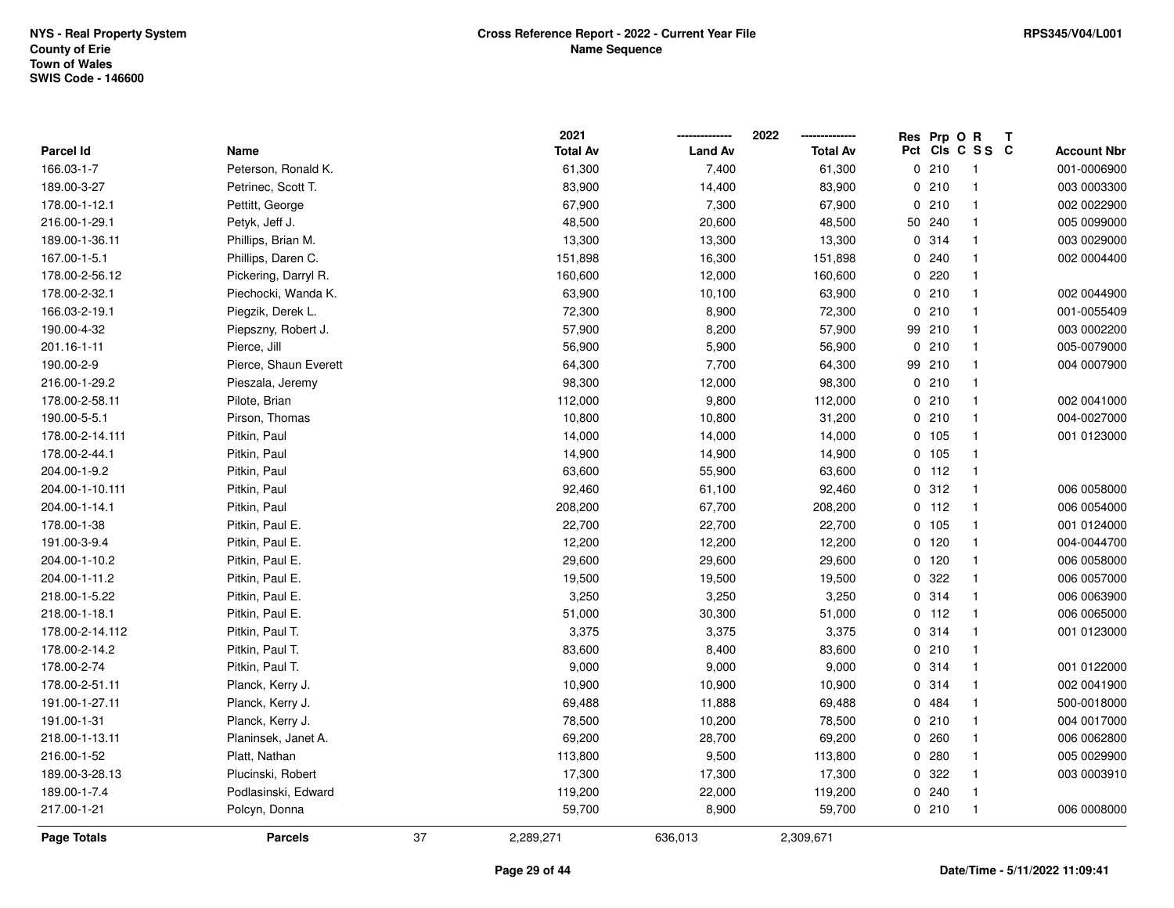|                    |                       |    | 2021            |                | 2022            | Res Prp O R |                          | Т |                    |
|--------------------|-----------------------|----|-----------------|----------------|-----------------|-------------|--------------------------|---|--------------------|
| <b>Parcel Id</b>   | Name                  |    | <b>Total Av</b> | <b>Land Av</b> | <b>Total Av</b> |             | Pct Cls C S S C          |   | <b>Account Nbr</b> |
| 166.03-1-7         | Peterson, Ronald K.   |    | 61,300          | 7,400          | 61,300          | 0210        | $\overline{\phantom{1}}$ |   | 001-0006900        |
| 189.00-3-27        | Petrinec, Scott T.    |    | 83,900          | 14,400         | 83,900          | 0210        | $\overline{1}$           |   | 003 0003300        |
| 178.00-1-12.1      | Pettitt, George       |    | 67,900          | 7,300          | 67,900          | 0210        | $\overline{\mathbf{1}}$  |   | 002 0022900        |
| 216.00-1-29.1      | Petyk, Jeff J.        |    | 48,500          | 20,600         | 48,500          | 50 240      | -1                       |   | 005 0099000        |
| 189.00-1-36.11     | Phillips, Brian M.    |    | 13,300          | 13,300         | 13,300          | 0 314       | $\overline{\mathbf{1}}$  |   | 003 0029000        |
| 167.00-1-5.1       | Phillips, Daren C.    |    | 151,898         | 16,300         | 151,898         | 0.240       | -1                       |   | 002 0004400        |
| 178.00-2-56.12     | Pickering, Darryl R.  |    | 160,600         | 12,000         | 160,600         | 0220        | $\overline{\mathbf{1}}$  |   |                    |
| 178.00-2-32.1      | Piechocki, Wanda K.   |    | 63,900          | 10,100         | 63,900          | 0210        | $\overline{1}$           |   | 002 0044900        |
| 166.03-2-19.1      | Piegzik, Derek L.     |    | 72,300          | 8,900          | 72,300          | 0210        | $\overline{1}$           |   | 001-0055409        |
| 190.00-4-32        | Piepszny, Robert J.   |    | 57,900          | 8,200          | 57,900          | 99 210      | $\overline{\mathbf{1}}$  |   | 003 0002200        |
| 201.16-1-11        | Pierce, Jill          |    | 56,900          | 5,900          | 56,900          | 0210        | $\overline{1}$           |   | 005-0079000        |
| 190.00-2-9         | Pierce, Shaun Everett |    | 64,300          | 7,700          | 64,300          | 99 210      | -1                       |   | 004 0007900        |
| 216.00-1-29.2      | Pieszala, Jeremy      |    | 98,300          | 12,000         | 98,300          | 0210        | -1                       |   |                    |
| 178.00-2-58.11     | Pilote, Brian         |    | 112,000         | 9,800          | 112,000         | 0210        | $\overline{\mathbf{1}}$  |   | 002 0041000        |
| 190.00-5-5.1       | Pirson, Thomas        |    | 10,800          | 10,800         | 31,200          | 0210        | $\overline{1}$           |   | 004-0027000        |
| 178.00-2-14.111    | Pitkin, Paul          |    | 14,000          | 14,000         | 14,000          | 0 105       | $\overline{1}$           |   | 001 0123000        |
| 178.00-2-44.1      | Pitkin, Paul          |    | 14,900          | 14,900         | 14,900          | 0.105       | $\overline{1}$           |   |                    |
| 204.00-1-9.2       | Pitkin, Paul          |    | 63,600          | 55,900         | 63,600          | $0$ 112     | $\overline{1}$           |   |                    |
| 204.00-1-10.111    | Pitkin, Paul          |    | 92,460          | 61,100         | 92,460          | 0.312       | $\overline{1}$           |   | 006 0058000        |
| 204.00-1-14.1      | Pitkin, Paul          |    | 208,200         | 67,700         | 208,200         | $0$ 112     | -1                       |   | 006 0054000        |
| 178.00-1-38        | Pitkin, Paul E.       |    | 22,700          | 22,700         | 22,700          | 0 105       | $\overline{1}$           |   | 001 0124000        |
| 191.00-3-9.4       | Pitkin, Paul E.       |    | 12,200          | 12,200         | 12,200          | $0$ 120     | $\overline{1}$           |   | 004-0044700        |
| 204.00-1-10.2      | Pitkin, Paul E.       |    | 29,600          | 29,600         | 29,600          | 0 120       | $\overline{1}$           |   | 006 0058000        |
| 204.00-1-11.2      | Pitkin, Paul E.       |    | 19,500          | 19,500         | 19,500          | 0 322       | $\overline{\mathbf{1}}$  |   | 006 0057000        |
| 218.00-1-5.22      | Pitkin, Paul E.       |    | 3,250           | 3,250          | 3,250           | 0.314       | $\overline{1}$           |   | 006 0063900        |
| 218.00-1-18.1      | Pitkin, Paul E.       |    | 51,000          | 30,300         | 51,000          | $0$ 112     | $\overline{1}$           |   | 006 0065000        |
| 178.00-2-14.112    | Pitkin, Paul T.       |    | 3,375           | 3,375          | 3,375           | 0 314       | $\overline{\mathbf{1}}$  |   | 001 0123000        |
| 178.00-2-14.2      | Pitkin, Paul T.       |    | 83,600          | 8,400          | 83,600          | 0210        | $\overline{\mathbf{1}}$  |   |                    |
| 178.00-2-74        | Pitkin, Paul T.       |    | 9,000           | 9,000          | 9,000           | 0.314       | $\overline{1}$           |   | 001 0122000        |
| 178.00-2-51.11     | Planck, Kerry J.      |    | 10,900          | 10,900         | 10,900          | 0.314       | $\overline{1}$           |   | 002 0041900        |
| 191.00-1-27.11     | Planck, Kerry J.      |    | 69,488          | 11,888         | 69,488          | 0 484       | $\overline{1}$           |   | 500-0018000        |
| 191.00-1-31        | Planck, Kerry J.      |    | 78,500          | 10,200         | 78,500          | 0210        | $\overline{1}$           |   | 004 0017000        |
| 218.00-1-13.11     | Planinsek, Janet A.   |    | 69,200          | 28,700         | 69,200          | 0.260       | $\overline{\mathbf{1}}$  |   | 006 0062800        |
| 216.00-1-52        | Platt, Nathan         |    | 113,800         | 9,500          | 113,800         | 0.280       | $\overline{\mathbf{1}}$  |   | 005 0029900        |
| 189.00-3-28.13     | Plucinski, Robert     |    | 17,300          | 17,300         | 17,300          | 0 322       | $\overline{\mathbf{1}}$  |   | 003 0003910        |
| 189.00-1-7.4       | Podlasinski, Edward   |    | 119,200         | 22,000         | 119,200         | 0.240       | $\overline{1}$           |   |                    |
| 217.00-1-21        | Polcyn, Donna         |    | 59,700          | 8,900          | 59,700          | 0210        | $\overline{1}$           |   | 006 0008000        |
| <b>Page Totals</b> | <b>Parcels</b>        | 37 | 2,289,271       | 636,013        | 2,309,671       |             |                          |   |                    |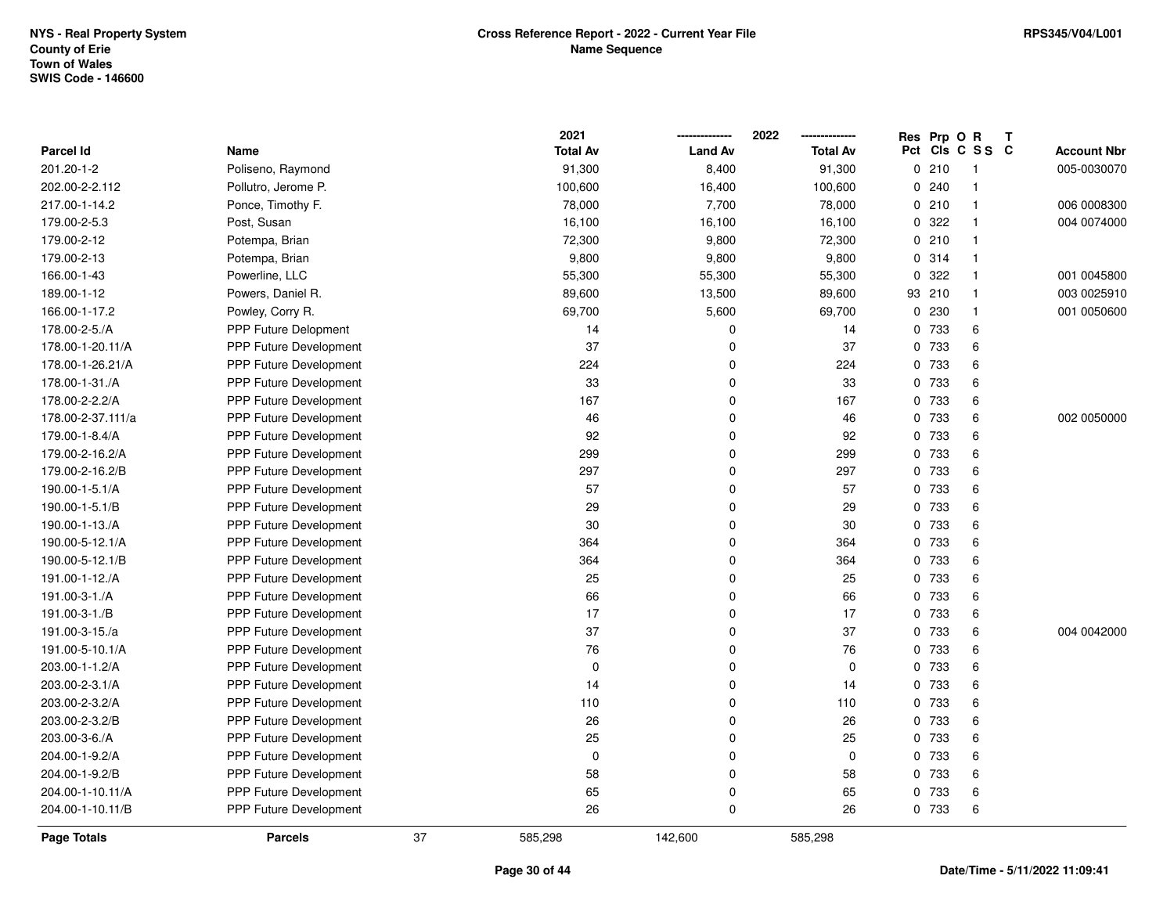|                    |                               | 2021            |                   | 2022<br>        |          | Res Prp O R                    | $\mathbf T$ |                    |
|--------------------|-------------------------------|-----------------|-------------------|-----------------|----------|--------------------------------|-------------|--------------------|
| Parcel Id          | Name                          | <b>Total Av</b> | <b>Land Av</b>    | <b>Total Av</b> | Pct      | CIs C S S C                    |             | <b>Account Nbr</b> |
| 201.20-1-2         | Poliseno, Raymond             | 91,300          | 8,400             | 91,300          | 0        | 210<br>-1                      |             | 005-0030070        |
| 202.00-2-2.112     | Pollutro, Jerome P.           | 100,600         | 16,400            | 100,600         | $\Omega$ | 240<br>$\overline{\mathbf{1}}$ |             |                    |
| 217.00-1-14.2      | Ponce, Timothy F.             | 78,000          | 7,700             | 78,000          | 0        | 210<br>$\overline{1}$          |             | 006 0008300        |
| 179.00-2-5.3       | Post, Susan                   | 16,100          | 16,100            | 16,100          |          | 0 322<br>$\mathbf{1}$          |             | 004 0074000        |
| 179.00-2-12        | Potempa, Brian                | 72,300          | 9,800             | 72,300          |          | 0210<br>$\mathbf{1}$           |             |                    |
| 179.00-2-13        | Potempa, Brian                | 9,800           | 9,800             | 9,800           |          | 0.314<br>-1                    |             |                    |
| 166.00-1-43        | Powerline, LLC                | 55,300          | 55,300            | 55,300          | 0        | 322<br>$\mathbf{1}$            |             | 001 0045800        |
| 189.00-1-12        | Powers, Daniel R.             | 89,600          | 13,500            | 89,600          | 93       | 210<br>$\overline{\mathbf{1}}$ |             | 003 0025910        |
| 166.00-1-17.2      | Powley, Corry R.              | 69,700          | 5,600             | 69,700          | 0        | 230<br>$\mathbf{1}$            |             | 001 0050600        |
| 178.00-2-5./A      | <b>PPP Future Delopment</b>   |                 | 14<br>0           | 14              | 0        | 733                            | 6           |                    |
| 178.00-1-20.11/A   | PPP Future Development        |                 | 37<br>$\mathbf 0$ | 37              |          | 0 733                          | 6           |                    |
| 178.00-1-26.21/A   | PPP Future Development        | 224             | 0                 | 224             |          | 0 733                          | 6           |                    |
| 178.00-1-31./A     | <b>PPP Future Development</b> |                 | 33<br>0           | 33              |          | 0 733                          | 6           |                    |
| 178.00-2-2.2/A     | PPP Future Development        | 167             | 0                 | 167             | 0        | 733                            | 6           |                    |
| 178.00-2-37.111/a  | PPP Future Development        |                 | 46<br>0           | 46              | 0        | 733                            | 6           | 002 0050000        |
| 179.00-1-8.4/A     | PPP Future Development        |                 | 92<br>0           | 92              | 0        | 733                            | 6           |                    |
| 179.00-2-16.2/A    | PPP Future Development        | 299             | 0                 | 299             | 0        | 733                            | 6           |                    |
| 179.00-2-16.2/B    | PPP Future Development        | 297             | 0                 | 297             |          | 0 733                          | 6           |                    |
| 190.00-1-5.1/A     | <b>PPP Future Development</b> |                 | 57<br>0           | 57              |          | 0 733                          | 6           |                    |
| 190.00-1-5.1/B     | <b>PPP Future Development</b> |                 | 29<br>0           | 29              |          | 0 733                          | 6           |                    |
| 190.00-1-13./A     | PPP Future Development        |                 | 30<br>0           | 30              | 0        | 733                            | 6           |                    |
| 190.00-5-12.1/A    | PPP Future Development        | 364             | 0                 | 364             | 0        | 733                            | 6           |                    |
| 190.00-5-12.1/B    | PPP Future Development        | 364             | 0                 | 364             | 0        | 733                            | 6           |                    |
| 191.00-1-12./A     | PPP Future Development        |                 | 25<br>0           | 25              | $\Omega$ | 733                            | 6           |                    |
| 191.00-3-1./A      | PPP Future Development        |                 | 66<br>0           | 66              |          | 0 733                          | 6           |                    |
| 191.00-3-1./B      | PPP Future Development        |                 | 17<br>0           | 17              |          | 0 733                          | 6           |                    |
| 191.00-3-15./a     | PPP Future Development        |                 | 37<br>$\mathbf 0$ | 37              |          | 0 733                          | 6           | 004 0042000        |
| 191.00-5-10.1/A    | PPP Future Development        |                 | 76<br>$\mathbf 0$ | 76              | 0        | 733                            | 6           |                    |
| 203.00-1-1.2/A     | PPP Future Development        |                 | $\mathbf 0$<br>0  | $\mathbf 0$     | 0        | 733                            | 6           |                    |
| 203.00-2-3.1/A     | PPP Future Development        |                 | 14<br>0           | 14              | 0        | 733                            | 6           |                    |
| 203.00-2-3.2/A     | PPP Future Development        | 110             | 0                 | 110             | 0        | 733                            | 6           |                    |
| 203.00-2-3.2/B     | PPP Future Development        |                 | 26<br>0           | 26              |          | 0 733                          | 6           |                    |
| 203.00-3-6./A      | PPP Future Development        |                 | 25<br>0           | 25              |          | 0 733                          | 6           |                    |
| 204.00-1-9.2/A     | PPP Future Development        |                 | $\mathbf 0$<br>0  | $\mathbf 0$     |          | 0 733                          | 6           |                    |
| 204.00-1-9.2/B     | PPP Future Development        |                 | 58<br>$\mathbf 0$ | 58              | 0        | 733                            | 6           |                    |
| 204.00-1-10.11/A   | PPP Future Development        |                 | 65<br>0           | 65              | 0        | 733                            | 6           |                    |
| 204.00-1-10.11/B   | PPP Future Development        |                 | 26<br>$\mathbf 0$ | 26              |          | 0 733                          | 6           |                    |
| <b>Page Totals</b> | <b>Parcels</b>                | 37<br>585,298   | 142,600           | 585,298         |          |                                |             |                    |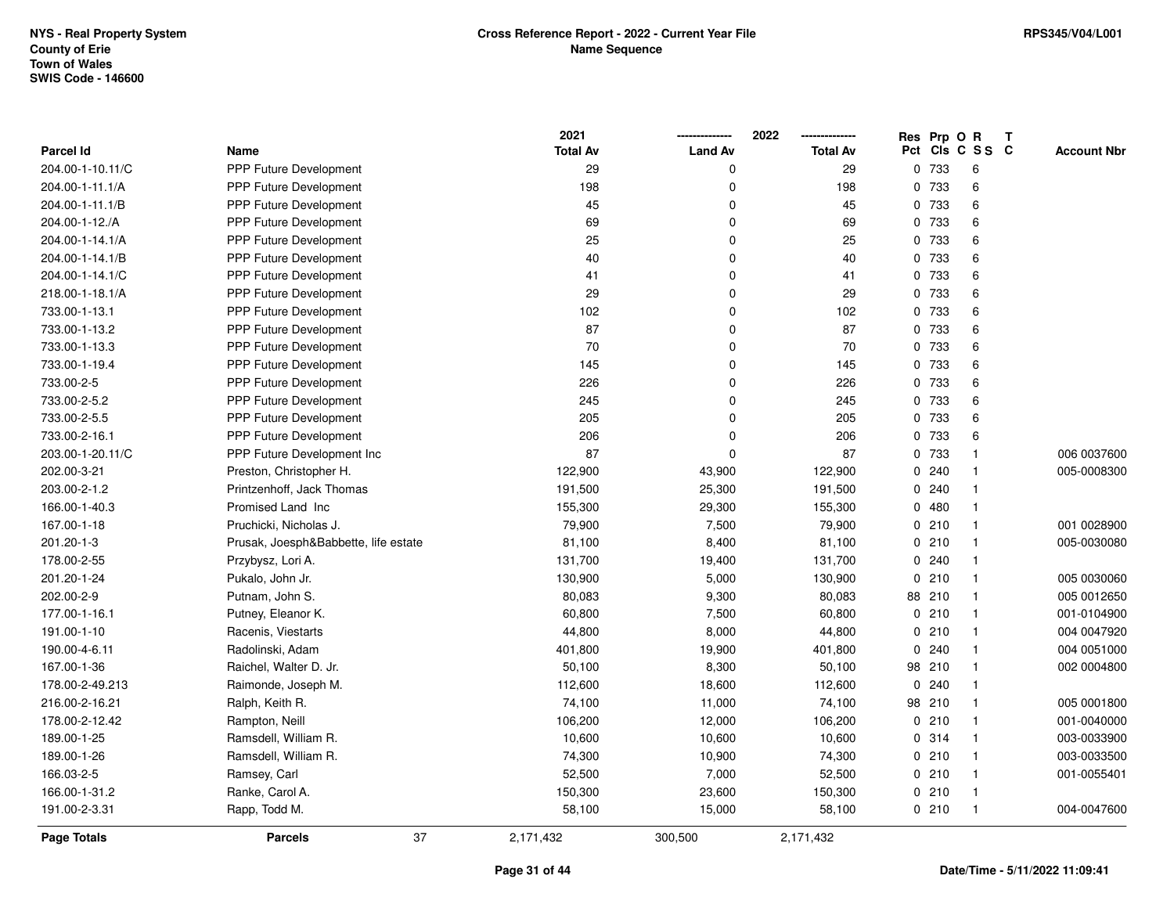|                    |                                      | 2021            |                | 2022            |             | Res Prp O R |                 | Т |                    |
|--------------------|--------------------------------------|-----------------|----------------|-----------------|-------------|-------------|-----------------|---|--------------------|
| <b>Parcel Id</b>   | Name                                 | <b>Total Av</b> | <b>Land Av</b> | <b>Total Av</b> |             |             | Pct Cls C S S C |   | <b>Account Nbr</b> |
| 204.00-1-10.11/C   | PPP Future Development               | 29              | 0              | 29              |             | 0 733       | 6               |   |                    |
| 204.00-1-11.1/A    | PPP Future Development               | 198             | 0              | 198             |             | 0 733       | 6               |   |                    |
| 204.00-1-11.1/B    | PPP Future Development               | 45              | 0              | 45              |             | 0 733       | 6               |   |                    |
| 204.00-1-12./A     | PPP Future Development               | 69              | 0              | 69              |             | 0 733       | 6               |   |                    |
| 204.00-1-14.1/A    | <b>PPP Future Development</b>        | 25              | 0              | 25              |             | 0 733       | 6               |   |                    |
| 204.00-1-14.1/B    | <b>PPP Future Development</b>        | 40              | 0              | 40              |             | 0 733       | 6               |   |                    |
| 204.00-1-14.1/C    | PPP Future Development               | 41              | 0              | 41              |             | 0 733       | 6               |   |                    |
| 218.00-1-18.1/A    | <b>PPP Future Development</b>        | 29              | 0              | 29              |             | 0 733       | $\,6\,$         |   |                    |
| 733.00-1-13.1      | <b>PPP Future Development</b>        | 102             | 0              | 102             |             | 0 733       | 6               |   |                    |
| 733.00-1-13.2      | PPP Future Development               | 87              | 0              | 87              |             | 0 733       | 6               |   |                    |
| 733.00-1-13.3      | PPP Future Development               | 70              | 0              | 70              |             | 0 733       | 6               |   |                    |
| 733.00-1-19.4      | PPP Future Development               | 145             | 0              | 145             |             | 0 733       | 6               |   |                    |
| 733.00-2-5         | <b>PPP Future Development</b>        | 226             | 0              | 226             |             | 0 733       | 6               |   |                    |
| 733.00-2-5.2       | PPP Future Development               | 245             | 0              | 245             |             | 0 733       | 6               |   |                    |
| 733.00-2-5.5       | PPP Future Development               | 205             | 0              | 205             |             | 0 733       | $\,6\,$         |   |                    |
| 733.00-2-16.1      | <b>PPP Future Development</b>        | 206             | 0              | 206             |             | 0 733       | 6               |   |                    |
| 203.00-1-20.11/C   | PPP Future Development Inc           | 87              | 0              | 87              |             | 0 733       | $\mathbf{1}$    |   | 006 0037600        |
| 202.00-3-21        | Preston, Christopher H.              | 122,900         | 43,900         | 122,900         |             | 0.240       | $\mathbf{1}$    |   | 005-0008300        |
| 203.00-2-1.2       | Printzenhoff, Jack Thomas            | 191,500         | 25,300         | 191,500         |             | 0.240       | $\mathbf{1}$    |   |                    |
| 166.00-1-40.3      | Promised Land Inc                    | 155,300         | 29,300         | 155,300         |             | 0480        | $\mathbf{1}$    |   |                    |
| 167.00-1-18        | Pruchicki, Nicholas J.               | 79,900          | 7,500          | 79,900          |             | 0210        | $\mathbf{1}$    |   | 001 0028900        |
| 201.20-1-3         | Prusak, Joesph&Babbette, life estate | 81,100          | 8,400          | 81,100          |             | 0210        | $\mathbf{1}$    |   | 005-0030080        |
| 178.00-2-55        | Przybysz, Lori A.                    | 131,700         | 19,400         | 131,700         |             | 0.240       | $\mathbf{1}$    |   |                    |
| 201.20-1-24        | Pukalo, John Jr.                     | 130,900         | 5,000          | 130,900         |             | 0210        | $\mathbf{1}$    |   | 005 0030060        |
| 202.00-2-9         | Putnam, John S.                      | 80,083          | 9,300          | 80,083          |             | 88 210      | $\mathbf{1}$    |   | 005 0012650        |
| 177.00-1-16.1      | Putney, Eleanor K.                   | 60,800          | 7,500          | 60,800          |             | 0210        | $\mathbf{1}$    |   | 001-0104900        |
| 191.00-1-10        | Racenis, Viestarts                   | 44,800          | 8,000          | 44,800          |             | 0210        | $\mathbf{1}$    |   | 004 0047920        |
| 190.00-4-6.11      | Radolinski, Adam                     | 401,800         | 19,900         | 401,800         |             | 0.240       | $\mathbf{1}$    |   | 004 0051000        |
| 167.00-1-36        | Raichel, Walter D. Jr.               | 50,100          | 8,300          | 50,100          |             | 98 210      | $\mathbf{1}$    |   | 002 0004800        |
| 178.00-2-49.213    | Raimonde, Joseph M.                  | 112,600         | 18,600         | 112,600         | $\mathbf 0$ | 240         | $\mathbf{1}$    |   |                    |
| 216.00-2-16.21     | Ralph, Keith R.                      | 74,100          | 11,000         | 74,100          |             | 98 210      | $\mathbf{1}$    |   | 005 0001800        |
| 178.00-2-12.42     | Rampton, Neill                       | 106,200         | 12,000         | 106,200         |             | 0210        | $\mathbf{1}$    |   | 001-0040000        |
| 189.00-1-25        | Ramsdell, William R.                 | 10,600          | 10,600         | 10,600          |             | 0.314       | $\mathbf{1}$    |   | 003-0033900        |
| 189.00-1-26        | Ramsdell, William R.                 | 74,300          | 10,900         | 74,300          |             | 0210        | $\mathbf{1}$    |   | 003-0033500        |
| 166.03-2-5         | Ramsey, Carl                         | 52,500          | 7,000          | 52,500          |             | 0210        | $\mathbf{1}$    |   | 001-0055401        |
| 166.00-1-31.2      | Ranke, Carol A.                      | 150,300         | 23,600         | 150,300         |             | 0210        | $\mathbf{1}$    |   |                    |
| 191.00-2-3.31      | Rapp, Todd M.                        | 58,100          | 15,000         | 58,100          |             | 0210        | $\mathbf{1}$    |   | 004-0047600        |
| <b>Page Totals</b> | 37<br><b>Parcels</b>                 | 2,171,432       | 300,500        | 2,171,432       |             |             |                 |   |                    |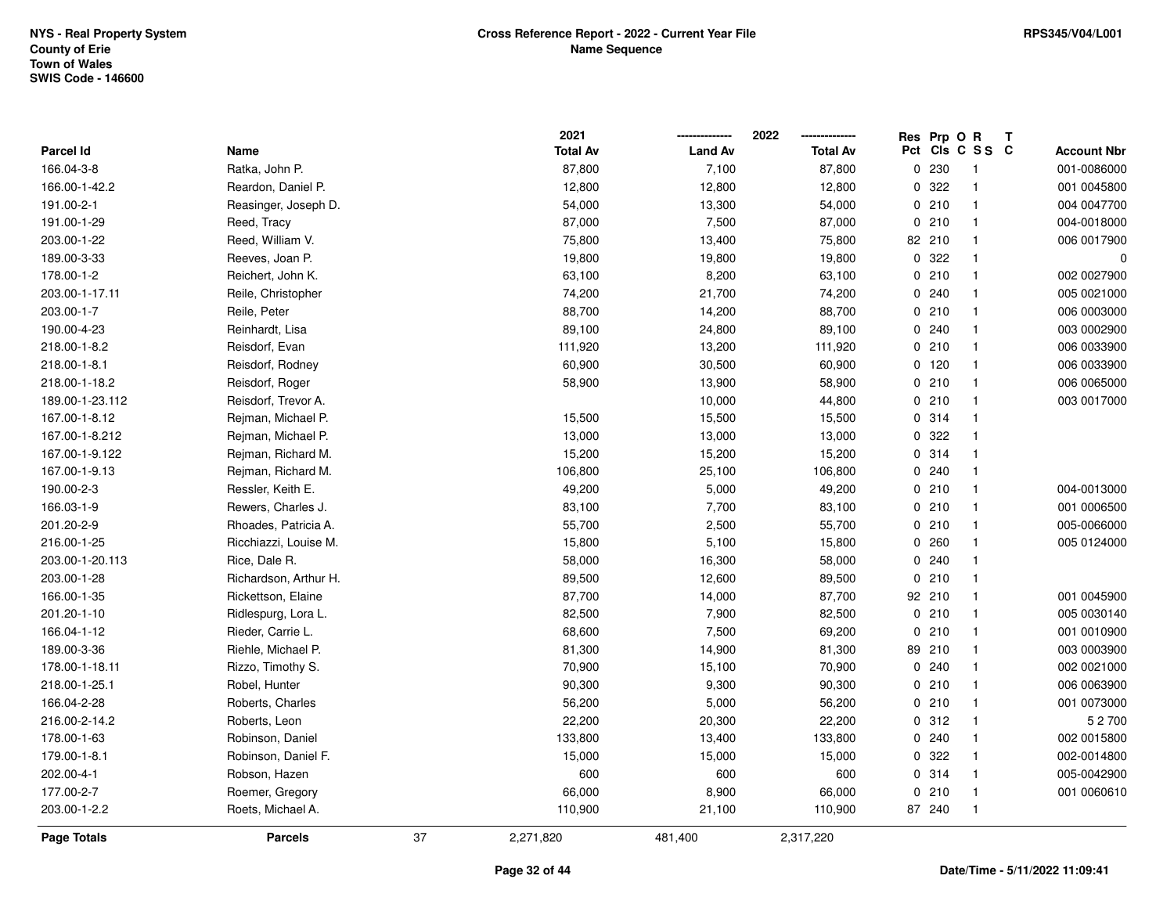| <b>Page Totals</b> | <b>Parcels</b>        | 37 | 2,271,820       | 481,400        | 2,317,220       |             |                         |   |                    |
|--------------------|-----------------------|----|-----------------|----------------|-----------------|-------------|-------------------------|---|--------------------|
| 203.00-1-2.2       | Roets, Michael A.     |    | 110,900         | 21,100         | 110,900         | 87 240      | $\mathbf{1}$            |   |                    |
| 177.00-2-7         | Roemer, Gregory       |    | 66,000          | 8,900          | 66,000          | 0210        | $\mathbf{1}$            |   | 001 0060610        |
| 202.00-4-1         | Robson, Hazen         |    | 600             | 600            | 600             | 0.314       | $\mathbf{1}$            |   | 005-0042900        |
| 179.00-1-8.1       | Robinson, Daniel F.   |    | 15,000          | 15,000         | 15,000          | 0.322       | $\mathbf{1}$            |   | 002-0014800        |
| 178.00-1-63        | Robinson, Daniel      |    | 133,800         | 13,400         | 133,800         | 0.240       | $\mathbf{1}$            |   | 002 0015800        |
| 216.00-2-14.2      | Roberts, Leon         |    | 22,200          | 20,300         | 22,200          | 0.312       | $\mathbf{1}$            |   | 52700              |
| 166.04-2-28        | Roberts, Charles      |    | 56,200          | 5,000          | 56,200          | 0210        | $\mathbf{1}$            |   | 001 0073000        |
| 218.00-1-25.1      | Robel, Hunter         |    | 90,300          | 9,300          | 90,300          | 0210        | $\mathbf{1}$            |   | 006 0063900        |
| 178.00-1-18.11     | Rizzo, Timothy S.     |    | 70,900          | 15,100         | 70,900          | 0.240       | $\mathbf{1}$            |   | 002 0021000        |
| 189.00-3-36        | Riehle, Michael P.    |    | 81,300          | 14,900         | 81,300          | 89 210      | $\mathbf{1}$            |   | 003 0003900        |
| 166.04-1-12        | Rieder, Carrie L.     |    | 68,600          | 7,500          | 69,200          | 0210        | $\mathbf{1}$            |   | 001 0010900        |
| 201.20-1-10        | Ridlespurg, Lora L.   |    | 82,500          | 7,900          | 82,500          | 0210        | $\mathbf{1}$            |   | 005 0030140        |
| 166.00-1-35        | Rickettson, Elaine    |    | 87,700          | 14,000         | 87,700          | 92 210      | $\mathbf{1}$            |   | 001 0045900        |
| 203.00-1-28        | Richardson, Arthur H. |    | 89,500          | 12,600         | 89,500          | 0210        | $\mathbf{1}$            |   |                    |
| 203.00-1-20.113    | Rice, Dale R.         |    | 58,000          | 16,300         | 58,000          | 0.240       | $\mathbf{1}$            |   |                    |
| 216.00-1-25        | Ricchiazzi, Louise M. |    | 15,800          | 5,100          | 15,800          | 0.260       | $\mathbf{1}$            |   | 005 0124000        |
| 201.20-2-9         | Rhoades, Patricia A.  |    | 55,700          | 2,500          | 55,700          | 0210        | $\mathbf{1}$            |   | 005-0066000        |
| 166.03-1-9         | Rewers, Charles J.    |    | 83,100          | 7,700          | 83,100          | 0210        | $\mathbf{1}$            |   | 001 0006500        |
| 190.00-2-3         | Ressler, Keith E.     |    | 49,200          | 5,000          | 49,200          | 0210        | $\mathbf{1}$            |   | 004-0013000        |
| 167.00-1-9.13      | Rejman, Richard M.    |    | 106,800         | 25,100         | 106,800         | 0.240       | $\mathbf{1}$            |   |                    |
| 167.00-1-9.122     | Rejman, Richard M.    |    | 15,200          | 15,200         | 15,200          | 0.314       | $\mathbf{1}$            |   |                    |
| 167.00-1-8.212     | Rejman, Michael P.    |    | 13,000          | 13,000         | 13,000          | 0.322       | $\mathbf{1}$            |   |                    |
| 167.00-1-8.12      | Rejman, Michael P.    |    | 15,500          | 15,500         | 15,500          | 0.314       | $\mathbf{1}$            |   |                    |
| 189.00-1-23.112    | Reisdorf, Trevor A.   |    |                 | 10,000         | 44,800          | 0210        | $\mathbf{1}$            |   | 003 0017000        |
| 218.00-1-18.2      | Reisdorf, Roger       |    | 58,900          | 13,900         | 58,900          | 0210        | $\mathbf{1}$            |   | 006 0065000        |
| 218.00-1-8.1       | Reisdorf, Rodney      |    | 60,900          | 30,500         | 60,900          | $0$ 120     | $\mathbf{1}$            |   | 006 0033900        |
| 218.00-1-8.2       | Reisdorf, Evan        |    | 111,920         | 13,200         | 111,920         | 0210        | $\mathbf{1}$            |   | 006 0033900        |
| 190.00-4-23        | Reinhardt, Lisa       |    | 89,100          | 24,800         | 89,100          | 0.240       | $\mathbf{1}$            |   | 003 0002900        |
| 203.00-1-7         | Reile, Peter          |    | 88,700          | 14,200         | 88,700          | 0210        | $\mathbf{1}$            |   | 006 0003000        |
| 203.00-1-17.11     | Reile, Christopher    |    | 74,200          | 21,700         | 74,200          | 0.240       | $\mathbf{1}$            |   | 005 0021000        |
| 178.00-1-2         | Reichert, John K.     |    | 63,100          | 8,200          | 63,100          | 0210        | $\mathbf{1}$            |   | 002 0027900        |
| 189.00-3-33        | Reeves, Joan P.       |    | 19,800          | 19,800         | 19,800          | 0.322       | $\mathbf{1}$            |   | 0                  |
| 203.00-1-22        | Reed, William V.      |    | 75,800          | 13,400         | 75,800          | 82 210      | $\mathbf{1}$            |   | 006 0017900        |
| 191.00-1-29        | Reed, Tracy           |    | 87,000          | 7,500          | 87,000          | 0210        | $\mathbf{1}$            |   | 004-0018000        |
| 191.00-2-1         | Reasinger, Joseph D.  |    | 54,000          | 13,300         | 54,000          | 0210        | $\mathbf{1}$            |   | 004 0047700        |
| 166.00-1-42.2      | Reardon, Daniel P.    |    | 12,800          | 12,800         | 12,800          | 0.322       | $\mathbf{1}$            |   | 001 0045800        |
| 166.04-3-8         | Ratka, John P.        |    | 87,800          | 7,100          | 87,800          | 0 230       | $\overline{\mathbf{1}}$ |   | 001-0086000        |
| Parcel Id          | Name                  |    | <b>Total Av</b> | <b>Land Av</b> | <b>Total Av</b> |             | Pct Cls C S S C         |   | <b>Account Nbr</b> |
|                    |                       |    | 2021            |                | 2022            | Res Prp O R |                         | Т |                    |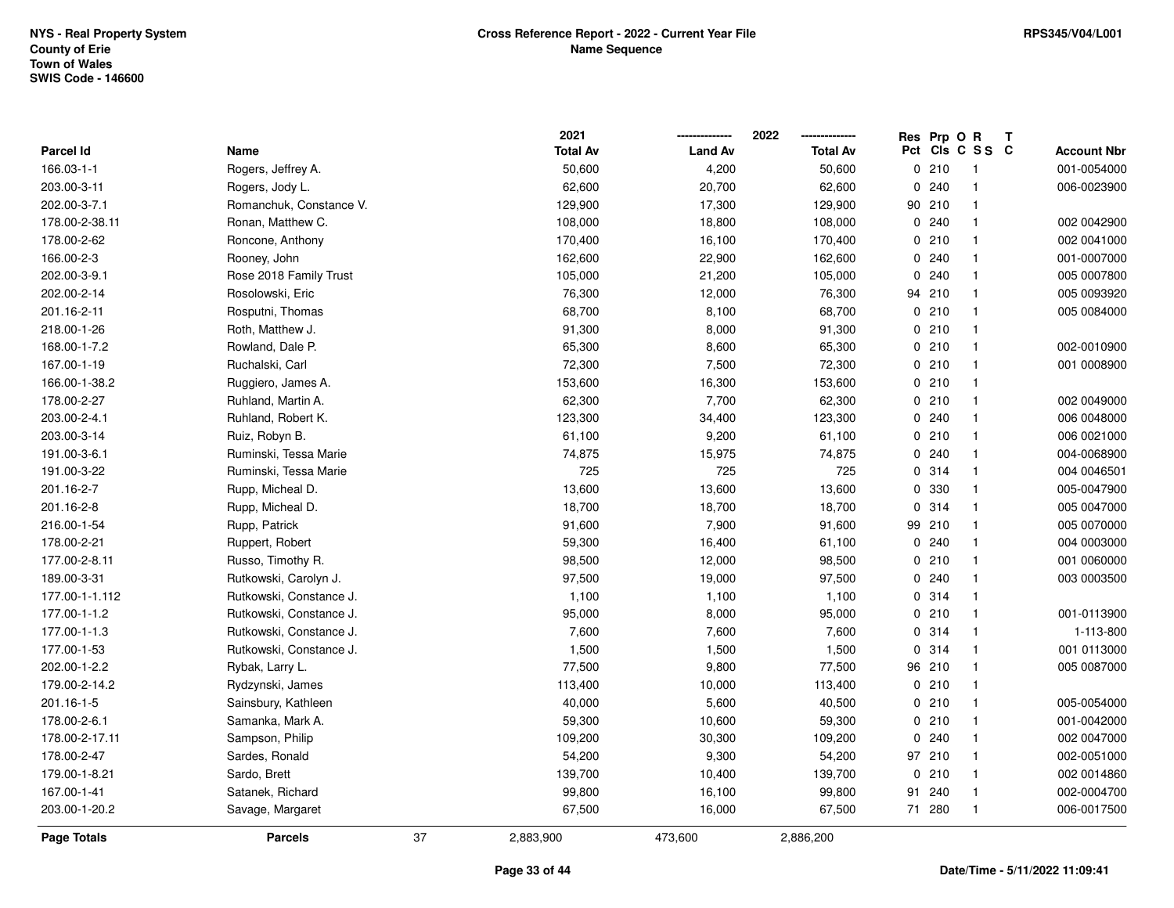|                |                         |    | 2021            |                | 2022            |             | Res Prp O R |                 | T |                    |
|----------------|-------------------------|----|-----------------|----------------|-----------------|-------------|-------------|-----------------|---|--------------------|
| Parcel Id      | Name                    |    | <b>Total Av</b> | <b>Land Av</b> | <b>Total Av</b> |             |             | Pct Cls C S S C |   | <b>Account Nbr</b> |
| 166.03-1-1     | Rogers, Jeffrey A.      |    | 50,600          | 4,200          | 50,600          |             | 0210        | -1              |   | 001-0054000        |
| 203.00-3-11    | Rogers, Jody L.         |    | 62,600          | 20,700         | 62,600          | 0           | 240         | $\mathbf{1}$    |   | 006-0023900        |
| 202.00-3-7.1   | Romanchuk, Constance V. |    | 129,900         | 17,300         | 129,900         |             | 90 210      | $\mathbf{1}$    |   |                    |
| 178.00-2-38.11 | Ronan, Matthew C.       |    | 108,000         | 18,800         | 108,000         |             | 0.240       | $\overline{1}$  |   | 002 0042900        |
| 178.00-2-62    | Roncone, Anthony        |    | 170,400         | 16,100         | 170,400         |             | 0210        | -1              |   | 002 0041000        |
| 166.00-2-3     | Rooney, John            |    | 162,600         | 22,900         | 162,600         |             | 0.240       | -1              |   | 001-0007000        |
| 202.00-3-9.1   | Rose 2018 Family Trust  |    | 105,000         | 21,200         | 105,000         | 0           | 240         | $\mathbf{1}$    |   | 005 0007800        |
| 202.00-2-14    | Rosolowski, Eric        |    | 76,300          | 12,000         | 76,300          | 94          | 210         | $\mathbf{1}$    |   | 005 0093920        |
| 201.16-2-11    | Rosputni, Thomas        |    | 68,700          | 8,100          | 68,700          | 0           | 210         | $\mathbf{1}$    |   | 005 0084000        |
| 218.00-1-26    | Roth, Matthew J.        |    | 91,300          | 8,000          | 91,300          |             | 0210        | $\mathbf{1}$    |   |                    |
| 168.00-1-7.2   | Rowland, Dale P.        |    | 65,300          | 8,600          | 65,300          |             | 0210        | -1              |   | 002-0010900        |
| 167.00-1-19    | Ruchalski, Carl         |    | 72,300          | 7,500          | 72,300          |             | 0210        | $\mathbf{1}$    |   | 001 0008900        |
| 166.00-1-38.2  | Ruggiero, James A.      |    | 153,600         | 16,300         | 153,600         |             | 0210        | -1              |   |                    |
| 178.00-2-27    | Ruhland, Martin A.      |    | 62,300          | 7,700          | 62,300          |             | 0210        | $\overline{1}$  |   | 002 0049000        |
| 203.00-2-4.1   | Ruhland, Robert K.      |    | 123,300         | 34,400         | 123,300         |             | 0.240       | $\mathbf{1}$    |   | 006 0048000        |
| 203.00-3-14    | Ruiz, Robyn B.          |    | 61,100          | 9,200          | 61,100          |             | 0210        | $\mathbf{1}$    |   | 006 0021000        |
| 191.00-3-6.1   | Ruminski, Tessa Marie   |    | 74,875          | 15,975         | 74,875          |             | 0.240       | $\mathbf{1}$    |   | 004-0068900        |
| 191.00-3-22    | Ruminski, Tessa Marie   |    | 725             | 725            | 725             |             | 0.314       | $\mathbf{1}$    |   | 004 0046501        |
| 201.16-2-7     | Rupp, Micheal D.        |    | 13,600          | 13,600         | 13,600          |             | 0 330       | $\mathbf 1$     |   | 005-0047900        |
| 201.16-2-8     | Rupp, Micheal D.        |    | 18,700          | 18,700         | 18,700          | 0           | 314         | $\mathbf{1}$    |   | 005 0047000        |
| 216.00-1-54    | Rupp, Patrick           |    | 91,600          | 7,900          | 91,600          | 99          | 210         | $\mathbf{1}$    |   | 005 0070000        |
| 178.00-2-21    | Ruppert, Robert         |    | 59,300          | 16,400         | 61,100          | 0           | 240         | $\mathbf{1}$    |   | 004 0003000        |
| 177.00-2-8.11  | Russo, Timothy R.       |    | 98,500          | 12,000         | 98,500          | 0           | 210         | $\mathbf{1}$    |   | 001 0060000        |
| 189.00-3-31    | Rutkowski, Carolyn J.   |    | 97,500          | 19,000         | 97,500          |             | 0.240       | $\mathbf{1}$    |   | 003 0003500        |
| 177.00-1-1.112 | Rutkowski, Constance J. |    | 1,100           | 1,100          | 1,100           |             | 0.314       | $\mathbf{1}$    |   |                    |
| 177.00-1-1.2   | Rutkowski, Constance J. |    | 95,000          | 8,000          | 95,000          |             | 0210        | -1              |   | 001-0113900        |
| 177.00-1-1.3   | Rutkowski, Constance J. |    | 7,600           | 7,600          | 7,600           |             | 0.314       |                 |   | 1-113-800          |
| 177.00-1-53    | Rutkowski, Constance J. |    | 1,500           | 1,500          | 1,500           | 0           | 314         | $\overline{1}$  |   | 001 0113000        |
| 202.00-1-2.2   | Rybak, Larry L.         |    | 77,500          | 9,800          | 77,500          | 96          | 210         | $\overline{1}$  |   | 005 0087000        |
| 179.00-2-14.2  | Rydzynski, James        |    | 113,400         | 10,000         | 113,400         |             | 0210        | $\mathbf{1}$    |   |                    |
| 201.16-1-5     | Sainsbury, Kathleen     |    | 40,000          | 5,600          | 40,500          |             | 0210        | $\mathbf{1}$    |   | 005-0054000        |
| 178.00-2-6.1   | Samanka, Mark A.        |    | 59,300          | 10,600         | 59,300          |             | 0210        | $\mathbf{1}$    |   | 001-0042000        |
| 178.00-2-17.11 | Sampson, Philip         |    | 109,200         | 30,300         | 109,200         | $\mathsf 0$ | 240         | $\mathbf{1}$    |   | 002 0047000        |
| 178.00-2-47    | Sardes, Ronald          |    | 54,200          | 9,300          | 54,200          |             | 97 210      | $\mathbf{1}$    |   | 002-0051000        |
| 179.00-1-8.21  | Sardo, Brett            |    | 139,700         | 10,400         | 139,700         | 0           | 210         | $\mathbf{1}$    |   | 002 0014860        |
| 167.00-1-41    | Satanek, Richard        |    | 99,800          | 16,100         | 99,800          | 91          | 240         | -1              |   | 002-0004700        |
| 203.00-1-20.2  | Savage, Margaret        |    | 67,500          | 16,000         | 67,500          |             | 71 280      | $\overline{1}$  |   | 006-0017500        |
| Page Totals    | <b>Parcels</b>          | 37 | 2,883,900       | 473,600        | 2,886,200       |             |             |                 |   |                    |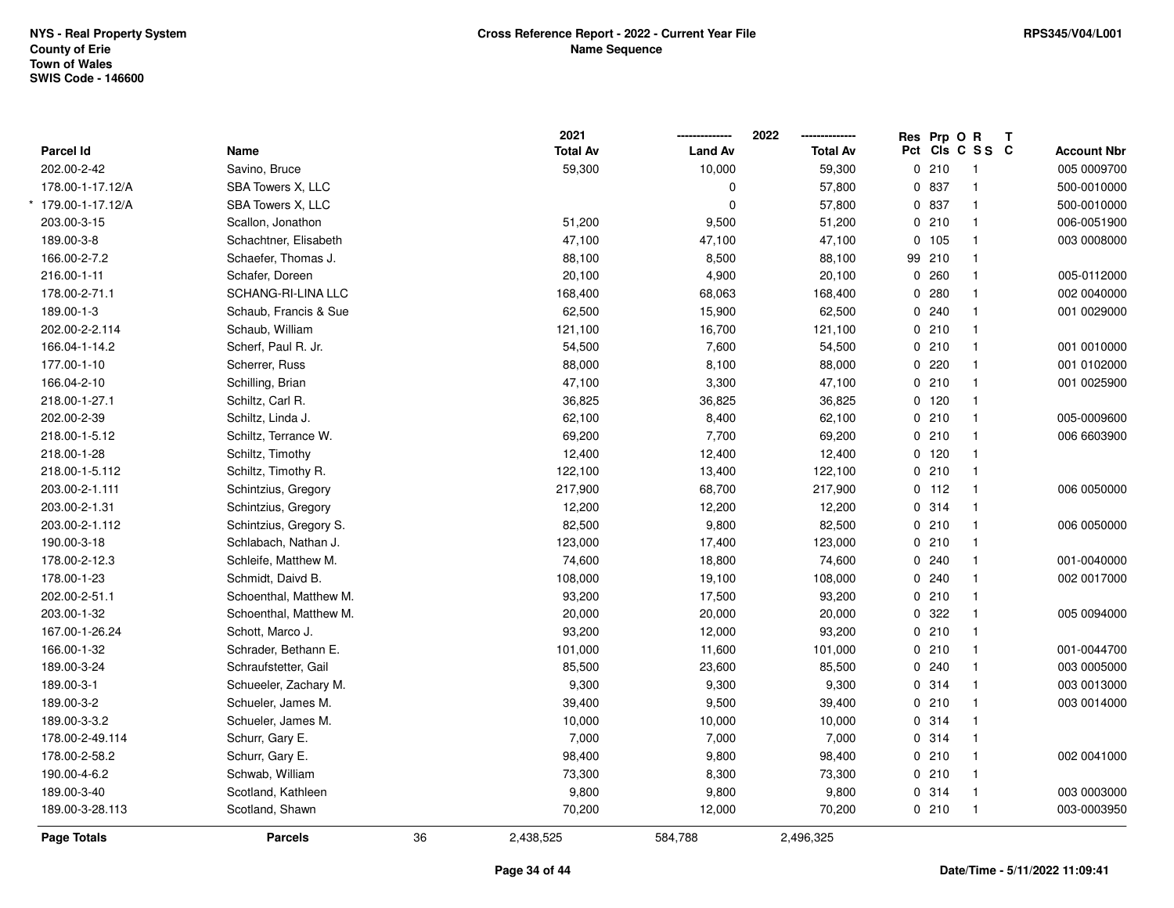|                        |                        |    | 2021            |                | 2022            | Res Prp O R |                 | Т |                    |
|------------------------|------------------------|----|-----------------|----------------|-----------------|-------------|-----------------|---|--------------------|
| Parcel Id              | Name                   |    | <b>Total Av</b> | <b>Land Av</b> | <b>Total Av</b> |             | Pct Cls C S S C |   | <b>Account Nbr</b> |
| 202.00-2-42            | Savino, Bruce          |    | 59,300          | 10,000         | 59,300          | 0210        | $\overline{1}$  |   | 005 0009700        |
| 178.00-1-17.12/A       | SBA Towers X, LLC      |    |                 | 0              | 57,800          | 0 837       | $\overline{1}$  |   | 500-0010000        |
| $179.00 - 1 - 17.12/A$ | SBA Towers X, LLC      |    |                 | $\mathbf 0$    | 57,800          | 0 837       | $\mathbf{1}$    |   | 500-0010000        |
| 203.00-3-15            | Scallon, Jonathon      |    | 51,200          | 9,500          | 51,200          | 0210        | $\mathbf{1}$    |   | 006-0051900        |
| 189.00-3-8             | Schachtner, Elisabeth  |    | 47,100          | 47,100         | 47,100          | 0, 105      | $\mathbf{1}$    |   | 003 0008000        |
| 166.00-2-7.2           | Schaefer, Thomas J.    |    | 88,100          | 8,500          | 88,100          | 99 210      | $\mathbf{1}$    |   |                    |
| 216.00-1-11            | Schafer, Doreen        |    | 20,100          | 4,900          | 20,100          | 0.260       | $\mathbf{1}$    |   | 005-0112000        |
| 178.00-2-71.1          | SCHANG-RI-LINA LLC     |    | 168,400         | 68,063         | 168,400         | 0.280       | $\mathbf{1}$    |   | 002 0040000        |
| 189.00-1-3             | Schaub, Francis & Sue  |    | 62,500          | 15,900         | 62,500          | 0.240       | $\mathbf{1}$    |   | 001 0029000        |
| 202.00-2-2.114         | Schaub, William        |    | 121,100         | 16,700         | 121,100         | 0210        | $\mathbf{1}$    |   |                    |
| 166.04-1-14.2          | Scherf, Paul R. Jr.    |    | 54,500          | 7,600          | 54,500          | 0210        | $\mathbf{1}$    |   | 001 0010000        |
| 177.00-1-10            | Scherrer, Russ         |    | 88,000          | 8,100          | 88,000          | 0220        | $\mathbf{1}$    |   | 001 0102000        |
| 166.04-2-10            | Schilling, Brian       |    | 47,100          | 3,300          | 47,100          | 0210        | $\mathbf{1}$    |   | 001 0025900        |
| 218.00-1-27.1          | Schiltz, Carl R.       |    | 36,825          | 36,825         | 36,825          | $0$ 120     | $\overline{1}$  |   |                    |
| 202.00-2-39            | Schiltz, Linda J.      |    | 62,100          | 8,400          | 62,100          | 0210        | $\mathbf{1}$    |   | 005-0009600        |
| 218.00-1-5.12          | Schiltz, Terrance W.   |    | 69,200          | 7,700          | 69,200          | 0210        | $\mathbf{1}$    |   | 006 6603900        |
| 218.00-1-28            | Schiltz, Timothy       |    | 12,400          | 12,400         | 12,400          | 0 120       | $\mathbf{1}$    |   |                    |
| 218.00-1-5.112         | Schiltz, Timothy R.    |    | 122,100         | 13,400         | 122,100         | 0210        | $\mathbf{1}$    |   |                    |
| 203.00-2-1.111         | Schintzius, Gregory    |    | 217,900         | 68,700         | 217,900         | $0$ 112     | $\mathbf{1}$    |   | 006 0050000        |
| 203.00-2-1.31          | Schintzius, Gregory    |    | 12,200          | 12,200         | 12,200          | 0.314       | $\mathbf{1}$    |   |                    |
| 203.00-2-1.112         | Schintzius, Gregory S. |    | 82,500          | 9,800          | 82,500          | 0210        | $\overline{1}$  |   | 006 0050000        |
| 190.00-3-18            | Schlabach, Nathan J.   |    | 123,000         | 17,400         | 123,000         | 0210        | $\overline{1}$  |   |                    |
| 178.00-2-12.3          | Schleife, Matthew M.   |    | 74,600          | 18,800         | 74,600          | 0.240       | $\mathbf{1}$    |   | 001-0040000        |
| 178.00-1-23            | Schmidt, Daivd B.      |    | 108,000         | 19,100         | 108,000         | 0.240       | $\mathbf{1}$    |   | 002 0017000        |
| 202.00-2-51.1          | Schoenthal, Matthew M. |    | 93,200          | 17,500         | 93,200          | 0210        | $\mathbf{1}$    |   |                    |
| 203.00-1-32            | Schoenthal, Matthew M. |    | 20,000          | 20,000         | 20,000          | 0.322       | $\mathbf{1}$    |   | 005 0094000        |
| 167.00-1-26.24         | Schott, Marco J.       |    | 93,200          | 12,000         | 93,200          | 0210        | $\mathbf{1}$    |   |                    |
| 166.00-1-32            | Schrader, Bethann E.   |    | 101,000         | 11,600         | 101,000         | 0210        | $\mathbf{1}$    |   | 001-0044700        |
| 189.00-3-24            | Schraufstetter, Gail   |    | 85,500          | 23,600         | 85,500          | 0.240       | $\mathbf{1}$    |   | 003 0005000        |
| 189.00-3-1             | Schueeler, Zachary M.  |    | 9,300           | 9,300          | 9,300           | 0.314       | $\mathbf{1}$    |   | 003 0013000        |
| 189.00-3-2             | Schueler, James M.     |    | 39,400          | 9,500          | 39,400          | 0210        | $\mathbf{1}$    |   | 003 0014000        |
| 189.00-3-3.2           | Schueler, James M.     |    | 10,000          | 10,000         | 10,000          | 0.314       | $\mathbf{1}$    |   |                    |
| 178.00-2-49.114        | Schurr, Gary E.        |    | 7,000           | 7,000          | 7,000           | 0.314       | $\mathbf{1}$    |   |                    |
| 178.00-2-58.2          | Schurr, Gary E.        |    | 98,400          | 9,800          | 98,400          | 0210        | $\mathbf{1}$    |   | 002 0041000        |
| 190.00-4-6.2           | Schwab, William        |    | 73,300          | 8,300          | 73,300          | 0210        | $\mathbf{1}$    |   |                    |
| 189.00-3-40            | Scotland, Kathleen     |    | 9,800           | 9,800          | 9,800           | 0.314       | $\mathbf{1}$    |   | 003 0003000        |
| 189.00-3-28.113        | Scotland, Shawn        |    | 70,200          | 12,000         | 70,200          | 0210        | $\mathbf{1}$    |   | 003-0003950        |
| Page Totals            | <b>Parcels</b>         | 36 | 2,438,525       | 584,788        | 2,496,325       |             |                 |   |                    |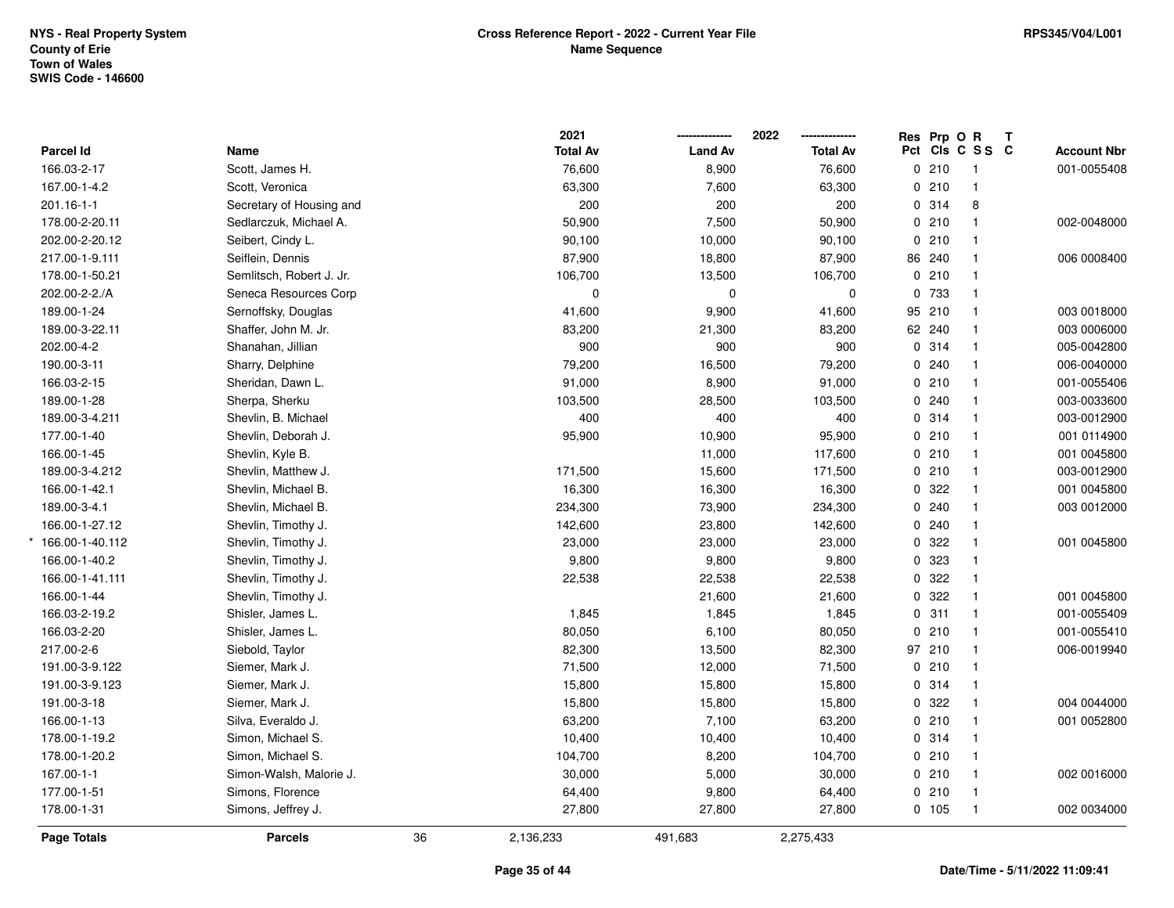|                    |                          |    | 2021            |                | 2022            | Res Prp O R |                 | Т |                    |
|--------------------|--------------------------|----|-----------------|----------------|-----------------|-------------|-----------------|---|--------------------|
| Parcel Id          | Name                     |    | <b>Total Av</b> | <b>Land Av</b> | <b>Total Av</b> |             | Pct Cls C S S C |   | <b>Account Nbr</b> |
| 166.03-2-17        | Scott, James H.          |    | 76,600          | 8,900          | 76,600          | 0210        | $\overline{1}$  |   | 001-0055408        |
| 167.00-1-4.2       | Scott, Veronica          |    | 63,300          | 7,600          | 63,300          | 0210        | $\mathbf{1}$    |   |                    |
| 201.16-1-1         | Secretary of Housing and |    | 200             | 200            | 200             | 0.314       | 8               |   |                    |
| 178.00-2-20.11     | Sedlarczuk, Michael A.   |    | 50,900          | 7,500          | 50,900          | 0210        | $\mathbf{1}$    |   | 002-0048000        |
| 202.00-2-20.12     | Seibert, Cindy L.        |    | 90,100          | 10,000         | 90,100          | 0210        | $\mathbf{1}$    |   |                    |
| 217.00-1-9.111     | Seiflein, Dennis         |    | 87,900          | 18,800         | 87,900          | 86 240      | $\mathbf{1}$    |   | 006 0008400        |
| 178.00-1-50.21     | Semlitsch, Robert J. Jr. |    | 106,700         | 13,500         | 106,700         | 0210        | $\mathbf{1}$    |   |                    |
| 202.00-2-2./A      | Seneca Resources Corp    |    | $\pmb{0}$       | $\mathbf 0$    | 0               | 0 733       | $\mathbf{1}$    |   |                    |
| 189.00-1-24        | Sernoffsky, Douglas      |    | 41,600          | 9,900          | 41,600          | 95 210      | $\mathbf{1}$    |   | 003 0018000        |
| 189.00-3-22.11     | Shaffer, John M. Jr.     |    | 83,200          | 21,300         | 83,200          | 62 240      | $\mathbf{1}$    |   | 003 0006000        |
| 202.00-4-2         | Shanahan, Jillian        |    | 900             | 900            | 900             | 0.314       | $\mathbf{1}$    |   | 005-0042800        |
| 190.00-3-11        | Sharry, Delphine         |    | 79,200          | 16,500         | 79,200          | 0.240       | $\mathbf{1}$    |   | 006-0040000        |
| 166.03-2-15        | Sheridan, Dawn L.        |    | 91,000          | 8,900          | 91,000          | 0210        | $\mathbf{1}$    |   | 001-0055406        |
| 189.00-1-28        | Sherpa, Sherku           |    | 103,500         | 28,500         | 103,500         | 0.240       | $\mathbf{1}$    |   | 003-0033600        |
| 189.00-3-4.211     | Shevlin, B. Michael      |    | 400             | 400            | 400             | 0.314       | $\mathbf{1}$    |   | 003-0012900        |
| 177.00-1-40        | Shevlin, Deborah J.      |    | 95,900          | 10,900         | 95,900          | 0210        | $\mathbf{1}$    |   | 001 0114900        |
| 166.00-1-45        | Shevlin, Kyle B.         |    |                 | 11,000         | 117,600         | 0210        | $\mathbf{1}$    |   | 001 0045800        |
| 189.00-3-4.212     | Shevlin, Matthew J.      |    | 171,500         | 15,600         | 171,500         | 0210        | $\mathbf{1}$    |   | 003-0012900        |
| 166.00-1-42.1      | Shevlin, Michael B.      |    | 16,300          | 16,300         | 16,300          | 0.322       | $\mathbf{1}$    |   | 001 0045800        |
| 189.00-3-4.1       | Shevlin, Michael B.      |    | 234,300         | 73,900         | 234,300         | 0.240       | $\mathbf{1}$    |   | 003 0012000        |
| 166.00-1-27.12     | Shevlin, Timothy J.      |    | 142,600         | 23,800         | 142,600         | 0.240       | $\mathbf{1}$    |   |                    |
| 166.00-1-40.112    | Shevlin, Timothy J.      |    | 23,000          | 23,000         | 23,000          | 0.322       | $\mathbf{1}$    |   | 001 0045800        |
| 166.00-1-40.2      | Shevlin, Timothy J.      |    | 9,800           | 9,800          | 9,800           | 0.323       | $\mathbf{1}$    |   |                    |
| 166.00-1-41.111    | Shevlin, Timothy J.      |    | 22,538          | 22,538         | 22,538          | 0 322       | $\mathbf{1}$    |   |                    |
| 166.00-1-44        | Shevlin, Timothy J.      |    |                 | 21,600         | 21,600          | 0.322       | $\mathbf{1}$    |   | 001 0045800        |
| 166.03-2-19.2      | Shisler, James L.        |    | 1,845           | 1,845          | 1,845           | 0.311       | $\mathbf{1}$    |   | 001-0055409        |
| 166.03-2-20        | Shisler, James L.        |    | 80,050          | 6,100          | 80,050          | 0210        | $\mathbf{1}$    |   | 001-0055410        |
| 217.00-2-6         | Siebold, Taylor          |    | 82,300          | 13,500         | 82,300          | 97 210      | $\mathbf{1}$    |   | 006-0019940        |
| 191.00-3-9.122     | Siemer, Mark J.          |    | 71,500          | 12,000         | 71,500          | 0210        | $\mathbf{1}$    |   |                    |
| 191.00-3-9.123     | Siemer, Mark J.          |    | 15,800          | 15,800         | 15,800          | 0.314       | $\mathbf{1}$    |   |                    |
| 191.00-3-18        | Siemer, Mark J.          |    | 15,800          | 15,800         | 15,800          | 0.322       | $\mathbf{1}$    |   | 004 0044000        |
| 166.00-1-13        | Silva, Everaldo J.       |    | 63,200          | 7,100          | 63,200          | 0210        | $\mathbf{1}$    |   | 001 0052800        |
| 178.00-1-19.2      | Simon, Michael S.        |    | 10,400          | 10,400         | 10,400          | 0.314       | $\mathbf{1}$    |   |                    |
| 178.00-1-20.2      | Simon, Michael S.        |    | 104,700         | 8,200          | 104,700         | 0210        | $\mathbf{1}$    |   |                    |
| 167.00-1-1         | Simon-Walsh, Malorie J.  |    | 30,000          | 5,000          | 30,000          | 0210        | $\mathbf{1}$    |   | 002 0016000        |
| 177.00-1-51        | Simons, Florence         |    | 64,400          | 9,800          | 64,400          | 0210        | $\mathbf{1}$    |   |                    |
| 178.00-1-31        | Simons, Jeffrey J.       |    | 27,800          | 27,800         | 27,800          | 0 105       | $\mathbf{1}$    |   | 002 0034000        |
| <b>Page Totals</b> | <b>Parcels</b>           | 36 | 2,136,233       | 491,683        | 2,275,433       |             |                 |   |                    |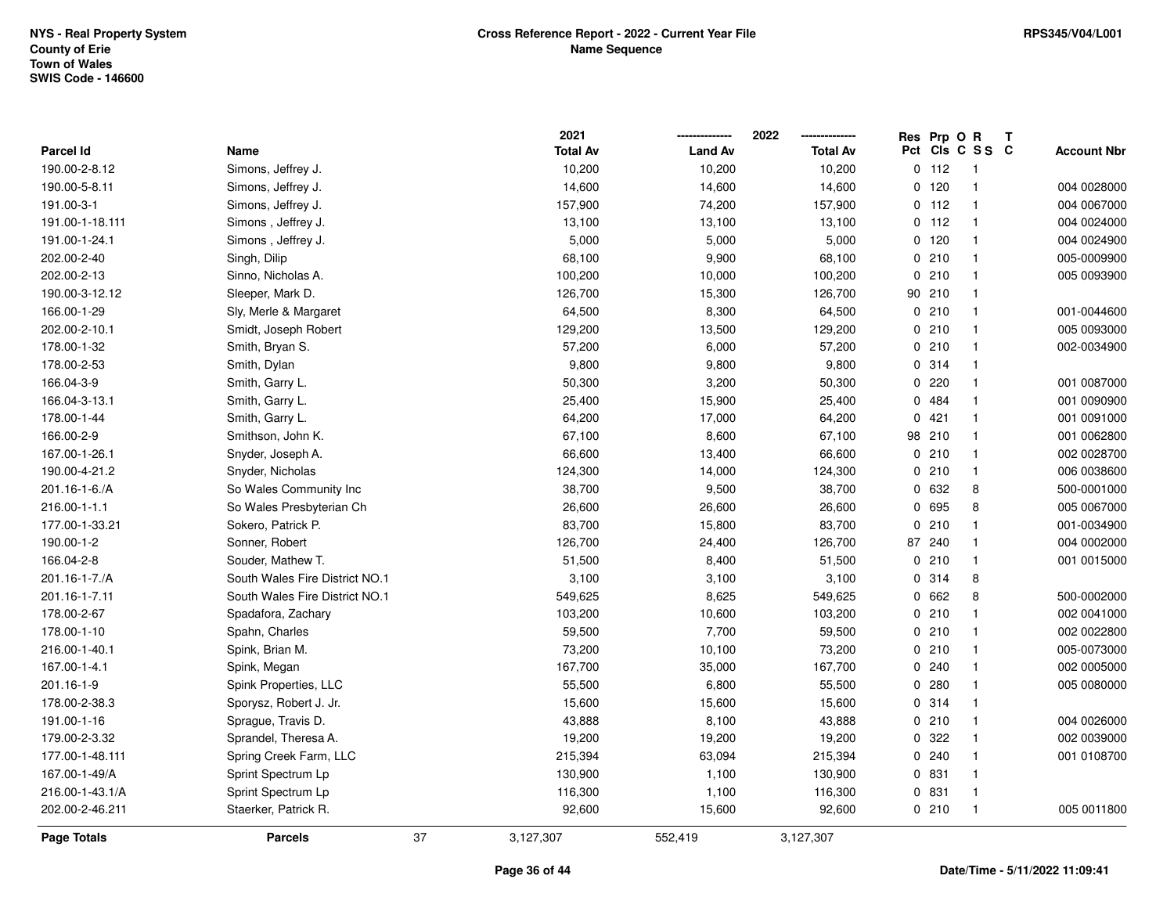|                 |                                | 2021            |                | 2022            |    | Res Prp O R |                 | Т |                    |
|-----------------|--------------------------------|-----------------|----------------|-----------------|----|-------------|-----------------|---|--------------------|
| Parcel Id       | Name                           | <b>Total Av</b> | <b>Land Av</b> | <b>Total Av</b> |    |             | Pct Cls C S S C |   | <b>Account Nbr</b> |
| 190.00-2-8.12   | Simons, Jeffrey J.             | 10,200          | 10,200         | 10,200          |    | $0$ 112     | $\overline{1}$  |   |                    |
| 190.00-5-8.11   | Simons, Jeffrey J.             | 14,600          | 14,600         | 14,600          |    | 0, 120      | $\overline{1}$  |   | 004 0028000        |
| 191.00-3-1      | Simons, Jeffrey J.             | 157,900         | 74,200         | 157,900         |    | $0$ 112     | $\mathbf{1}$    |   | 004 0067000        |
| 191.00-1-18.111 | Simons, Jeffrey J.             | 13,100          | 13,100         | 13,100          |    | $0$ 112     | $\mathbf{1}$    |   | 004 0024000        |
| 191.00-1-24.1   | Simons, Jeffrey J.             | 5,000           | 5,000          | 5,000           |    | 0 120       | $\mathbf{1}$    |   | 004 0024900        |
| 202.00-2-40     | Singh, Dilip                   | 68,100          | 9,900          | 68,100          |    | 0210        | $\mathbf{1}$    |   | 005-0009900        |
| 202.00-2-13     | Sinno, Nicholas A.             | 100,200         | 10,000         | 100,200         |    | 0210        | $\mathbf{1}$    |   | 005 0093900        |
| 190.00-3-12.12  | Sleeper, Mark D.               | 126,700         | 15,300         | 126,700         | 90 | 210         | $\mathbf{1}$    |   |                    |
| 166.00-1-29     | Sly, Merle & Margaret          | 64,500          | 8,300          | 64,500          |    | 0210        | $\mathbf{1}$    |   | 001-0044600        |
| 202.00-2-10.1   | Smidt, Joseph Robert           | 129,200         | 13,500         | 129,200         |    | 0210        | $\overline{1}$  |   | 005 0093000        |
| 178.00-1-32     | Smith, Bryan S.                | 57,200          | 6,000          | 57,200          |    | 0210        | -1              |   | 002-0034900        |
| 178.00-2-53     | Smith, Dylan                   | 9,800           | 9,800          | 9,800           |    | 0 314       | -1              |   |                    |
| 166.04-3-9      | Smith, Garry L.                | 50,300          | 3,200          | 50,300          |    | 0220        |                 |   | 001 0087000        |
| 166.04-3-13.1   | Smith, Garry L.                | 25,400          | 15,900         | 25,400          |    | 0 484       | $\mathbf{1}$    |   | 001 0090900        |
| 178.00-1-44     | Smith, Garry L.                | 64,200          | 17,000         | 64,200          |    | 0421        | $\mathbf{1}$    |   | 001 0091000        |
| 166.00-2-9      | Smithson, John K.              | 67,100          | 8,600          | 67,100          | 98 | 210         | $\mathbf{1}$    |   | 001 0062800        |
| 167.00-1-26.1   | Snyder, Joseph A.              | 66,600          | 13,400         | 66,600          |    | 0210        | $\mathbf{1}$    |   | 002 0028700        |
| 190.00-4-21.2   | Snyder, Nicholas               | 124,300         | 14,000         | 124,300         |    | 0 210       | $\mathbf{1}$    |   | 006 0038600        |
| 201.16-1-6./A   | So Wales Community Inc         | 38,700          | 9,500          | 38,700          |    | 0 632       | 8               |   | 500-0001000        |
| 216.00-1-1.1    | So Wales Presbyterian Ch       | 26,600          | 26,600         | 26,600          |    | 0 695       | 8               |   | 005 0067000        |
| 177.00-1-33.21  | Sokero, Patrick P.             | 83,700          | 15,800         | 83,700          |    | 0210        | $\mathbf{1}$    |   | 001-0034900        |
| 190.00-1-2      | Sonner, Robert                 | 126,700         | 24,400         | 126,700         | 87 | 240         | $\mathbf{1}$    |   | 004 0002000        |
| 166.04-2-8      | Souder, Mathew T.              | 51,500          | 8,400          | 51,500          |    | 0210        | $\mathbf{1}$    |   | 001 0015000        |
| 201.16-1-7./A   | South Wales Fire District NO.1 | 3,100           | 3,100          | 3,100           |    | 0.314       | 8               |   |                    |
| 201.16-1-7.11   | South Wales Fire District NO.1 | 549,625         | 8,625          | 549,625         |    | 0 662       | 8               |   | 500-0002000        |
| 178.00-2-67     | Spadafora, Zachary             | 103,200         | 10,600         | 103,200         |    | 0210        | $\mathbf{1}$    |   | 002 0041000        |
| 178.00-1-10     | Spahn, Charles                 | 59,500          | 7,700          | 59,500          |    | 0210        | -1              |   | 002 0022800        |
| 216.00-1-40.1   | Spink, Brian M.                | 73,200          | 10,100         | 73,200          |    | 0210        | $\mathbf{1}$    |   | 005-0073000        |
| 167.00-1-4.1    | Spink, Megan                   | 167,700         | 35,000         | 167,700         |    | 0.240       | $\mathbf{1}$    |   | 002 0005000        |
| 201.16-1-9      | Spink Properties, LLC          | 55,500          | 6,800          | 55,500          |    | 0.280       | $\mathbf{1}$    |   | 005 0080000        |
| 178.00-2-38.3   | Sporysz, Robert J. Jr.         | 15,600          | 15,600         | 15,600          |    | 0.314       | $\mathbf{1}$    |   |                    |
| 191.00-1-16     | Sprague, Travis D.             | 43,888          | 8,100          | 43,888          |    | 0210        | $\overline{1}$  |   | 004 0026000        |
| 179.00-2-3.32   | Sprandel, Theresa A.           | 19,200          | 19,200         | 19,200          |    | 0.322       | $\mathbf{1}$    |   | 002 0039000        |
| 177.00-1-48.111 | Spring Creek Farm, LLC         | 215,394         | 63,094         | 215,394         |    | 0.240       | $\mathbf{1}$    |   | 001 0108700        |
| 167.00-1-49/A   | Sprint Spectrum Lp             | 130,900         | 1,100          | 130,900         |    | 0 831       | $\mathbf{1}$    |   |                    |
| 216.00-1-43.1/A | Sprint Spectrum Lp             | 116,300         | 1,100          | 116,300         |    | 0 831       | $\mathbf{1}$    |   |                    |
| 202.00-2-46.211 | Staerker, Patrick R.           | 92,600          | 15,600         | 92,600          |    | 0210        | $\overline{1}$  |   | 005 0011800        |
| Page Totals     | <b>Parcels</b>                 | 37<br>3,127,307 | 552,419        | 3,127,307       |    |             |                 |   |                    |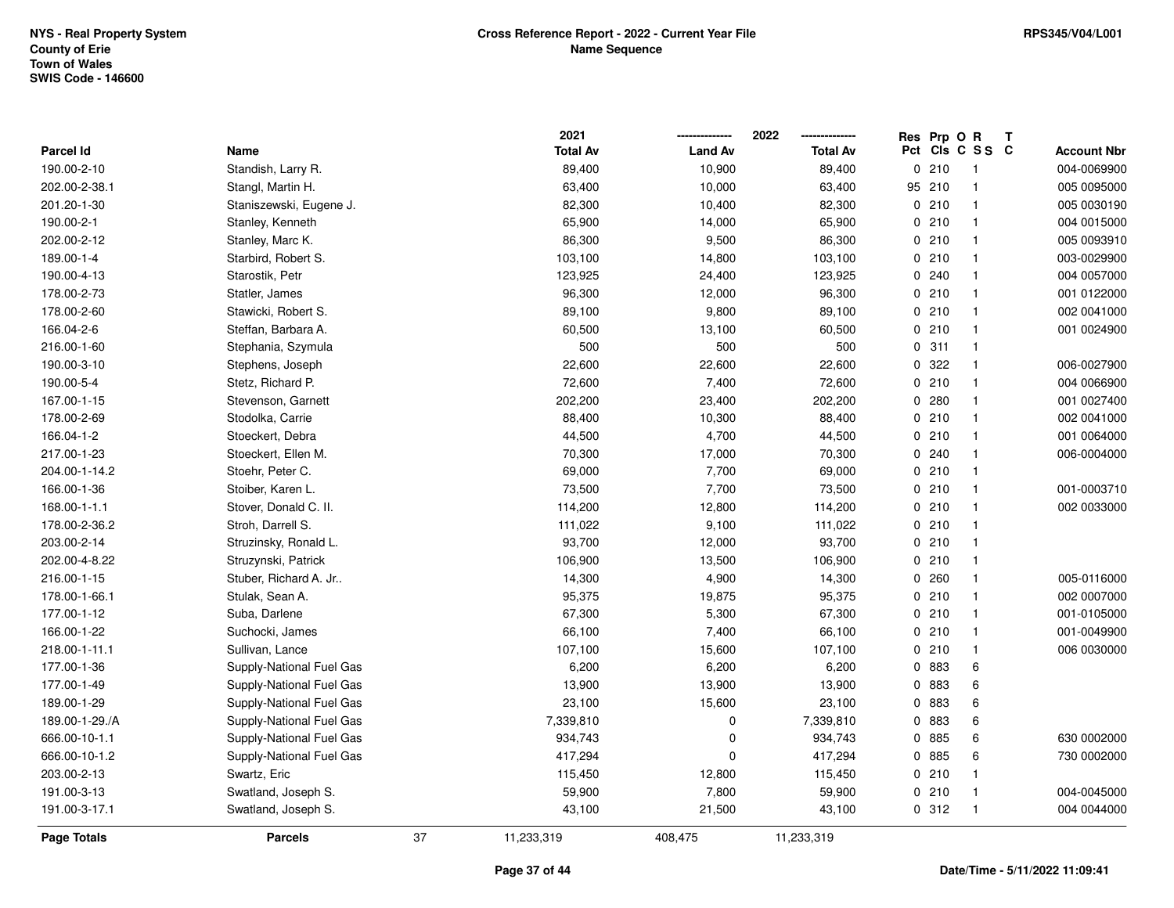|                    |                          |    | 2021            |                | 2022            | Res Prp O R |                 | Т |                    |
|--------------------|--------------------------|----|-----------------|----------------|-----------------|-------------|-----------------|---|--------------------|
| <b>Parcel Id</b>   | Name                     |    | <b>Total Av</b> | <b>Land Av</b> | <b>Total Av</b> |             | Pct Cls C S S C |   | <b>Account Nbr</b> |
| 190.00-2-10        | Standish, Larry R.       |    | 89,400          | 10,900         | 89,400          | 0210        | $\overline{1}$  |   | 004-0069900        |
| 202.00-2-38.1      | Stangl, Martin H.        |    | 63,400          | 10,000         | 63,400          | 95 210      | $\mathbf{1}$    |   | 005 0095000        |
| 201.20-1-30        | Staniszewski, Eugene J.  |    | 82,300          | 10,400         | 82,300          | 0210        | $\mathbf{1}$    |   | 005 0030190        |
| 190.00-2-1         | Stanley, Kenneth         |    | 65,900          | 14,000         | 65,900          | 0210        | $\mathbf{1}$    |   | 004 0015000        |
| 202.00-2-12        | Stanley, Marc K.         |    | 86,300          | 9,500          | 86,300          | 0210        | $\mathbf{1}$    |   | 005 0093910        |
| 189.00-1-4         | Starbird, Robert S.      |    | 103,100         | 14,800         | 103,100         | 0210        | $\mathbf{1}$    |   | 003-0029900        |
| 190.00-4-13        | Starostik, Petr          |    | 123,925         | 24,400         | 123,925         | 0.240       | $\mathbf{1}$    |   | 004 0057000        |
| 178.00-2-73        | Statler, James           |    | 96,300          | 12,000         | 96,300          | 0210        | $\mathbf{1}$    |   | 001 0122000        |
| 178.00-2-60        | Stawicki, Robert S.      |    | 89,100          | 9,800          | 89,100          | 0210        | $\mathbf{1}$    |   | 002 0041000        |
| 166.04-2-6         | Steffan, Barbara A.      |    | 60,500          | 13,100         | 60,500          | 0210        | $\mathbf{1}$    |   | 001 0024900        |
| 216.00-1-60        | Stephania, Szymula       |    | 500             | 500            | 500             | 0.311       | $\mathbf{1}$    |   |                    |
| 190.00-3-10        | Stephens, Joseph         |    | 22,600          | 22,600         | 22,600          | 0 322       | $\mathbf{1}$    |   | 006-0027900        |
| 190.00-5-4         | Stetz, Richard P.        |    | 72,600          | 7,400          | 72,600          | 0210        | $\mathbf{1}$    |   | 004 0066900        |
| 167.00-1-15        | Stevenson, Garnett       |    | 202,200         | 23,400         | 202,200         | 0.280       | $\mathbf{1}$    |   | 001 0027400        |
| 178.00-2-69        | Stodolka, Carrie         |    | 88,400          | 10,300         | 88,400          | 0210        | $\mathbf{1}$    |   | 002 0041000        |
| 166.04-1-2         | Stoeckert, Debra         |    | 44,500          | 4,700          | 44,500          | 0210        | $\mathbf{1}$    |   | 001 0064000        |
| 217.00-1-23        | Stoeckert, Ellen M.      |    | 70,300          | 17,000         | 70,300          | 0.240       | $\mathbf{1}$    |   | 006-0004000        |
| 204.00-1-14.2      | Stoehr, Peter C.         |    | 69,000          | 7,700          | 69,000          | 0210        | $\mathbf{1}$    |   |                    |
| 166.00-1-36        | Stoiber, Karen L.        |    | 73,500          | 7,700          | 73,500          | 0210        | $\mathbf{1}$    |   | 001-0003710        |
| 168.00-1-1.1       | Stover, Donald C. II.    |    | 114,200         | 12,800         | 114,200         | 0210        | $\mathbf{1}$    |   | 002 0033000        |
| 178.00-2-36.2      | Stroh, Darrell S.        |    | 111,022         | 9,100          | 111,022         | 0210        | $\mathbf{1}$    |   |                    |
| 203.00-2-14        | Struzinsky, Ronald L.    |    | 93,700          | 12,000         | 93,700          | 0210        | $\mathbf{1}$    |   |                    |
| 202.00-4-8.22      | Struzynski, Patrick      |    | 106,900         | 13,500         | 106,900         | 0210        | $\mathbf{1}$    |   |                    |
| 216.00-1-15        | Stuber, Richard A. Jr    |    | 14,300          | 4,900          | 14,300          | 0.260       | $\mathbf{1}$    |   | 005-0116000        |
| 178.00-1-66.1      | Stulak, Sean A.          |    | 95,375          | 19,875         | 95,375          | 0210        | $\mathbf{1}$    |   | 002 0007000        |
| 177.00-1-12        | Suba, Darlene            |    | 67,300          | 5,300          | 67,300          | 0210        | $\mathbf{1}$    |   | 001-0105000        |
| 166.00-1-22        | Suchocki, James          |    | 66,100          | 7,400          | 66,100          | 0210        | $\mathbf{1}$    |   | 001-0049900        |
| 218.00-1-11.1      | Sullivan, Lance          |    | 107,100         | 15,600         | 107,100         | 0210        | $\mathbf{1}$    |   | 006 0030000        |
| 177.00-1-36        | Supply-National Fuel Gas |    | 6,200           | 6,200          | 6,200           | 0 883       | 6               |   |                    |
| 177.00-1-49        | Supply-National Fuel Gas |    | 13,900          | 13,900         | 13,900          | 0 883       | $\,6\,$         |   |                    |
| 189.00-1-29        | Supply-National Fuel Gas |    | 23,100          | 15,600         | 23,100          | 0 883       | 6               |   |                    |
| 189.00-1-29./A     | Supply-National Fuel Gas |    | 7,339,810       | $\pmb{0}$      | 7,339,810       | 0 883       | 6               |   |                    |
| 666.00-10-1.1      | Supply-National Fuel Gas |    | 934,743         | $\pmb{0}$      | 934,743         | 0 885       | $\,6\,$         |   | 630 0002000        |
| 666.00-10-1.2      | Supply-National Fuel Gas |    | 417,294         | $\mathbf 0$    | 417,294         | 0 885       | 6               |   | 730 0002000        |
| 203.00-2-13        | Swartz, Eric             |    | 115,450         | 12,800         | 115,450         | 0210        | $\mathbf{1}$    |   |                    |
| 191.00-3-13        | Swatland, Joseph S.      |    | 59,900          | 7,800          | 59,900          | 0210        | $\mathbf{1}$    |   | 004-0045000        |
| 191.00-3-17.1      | Swatland, Joseph S.      |    | 43,100          | 21,500         | 43,100          | 0.312       | $\mathbf{1}$    |   | 004 0044000        |
| <b>Page Totals</b> | <b>Parcels</b>           | 37 | 11,233,319      | 408,475        | 11,233,319      |             |                 |   |                    |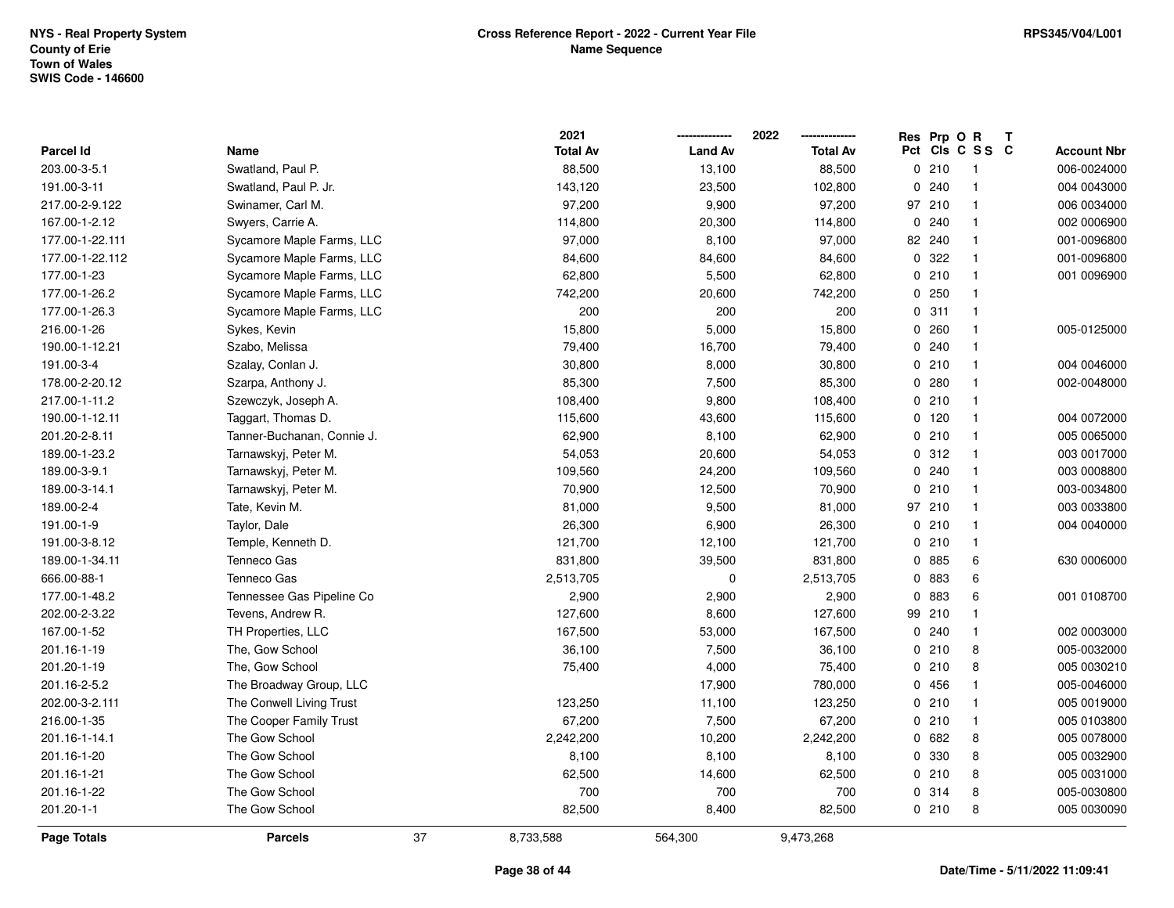|                  |                            | 2021            |                | 2022            |   | Res Prp O R |                 | T |                    |
|------------------|----------------------------|-----------------|----------------|-----------------|---|-------------|-----------------|---|--------------------|
| <b>Parcel Id</b> | Name                       | <b>Total Av</b> | <b>Land Av</b> | <b>Total Av</b> |   |             | Pct Cls C S S C |   | <b>Account Nbr</b> |
| 203.00-3-5.1     | Swatland, Paul P.          | 88,500          | 13,100         | 88,500          |   | 0210        | $\overline{1}$  |   | 006-0024000        |
| 191.00-3-11      | Swatland, Paul P. Jr.      | 143,120         | 23,500         | 102,800         | 0 | 240         | $\overline{1}$  |   | 004 0043000        |
| 217.00-2-9.122   | Swinamer, Carl M.          | 97,200          | 9,900          | 97,200          |   | 97 210      | $\overline{1}$  |   | 006 0034000        |
| 167.00-1-2.12    | Swyers, Carrie A.          | 114,800         | 20,300         | 114,800         |   | 0.240       | $\mathbf{1}$    |   | 002 0006900        |
| 177.00-1-22.111  | Sycamore Maple Farms, LLC  | 97,000          | 8,100          | 97,000          |   | 82 240      | $\mathbf{1}$    |   | 001-0096800        |
| 177.00-1-22.112  | Sycamore Maple Farms, LLC  | 84,600          | 84,600         | 84,600          |   | 0.322       |                 |   | 001-0096800        |
| 177.00-1-23      | Sycamore Maple Farms, LLC  | 62,800          | 5,500          | 62,800          |   | 0210        | $\mathbf{1}$    |   | 001 0096900        |
| 177.00-1-26.2    | Sycamore Maple Farms, LLC  | 742,200         | 20,600         | 742,200         |   | 0250        | $\mathbf{1}$    |   |                    |
| 177.00-1-26.3    | Sycamore Maple Farms, LLC  | 200             | 200            | 200             |   | 0.311       | $\mathbf{1}$    |   |                    |
| 216.00-1-26      | Sykes, Kevin               | 15,800          | 5,000          | 15,800          |   | 0.260       | $\mathbf{1}$    |   | 005-0125000        |
| 190.00-1-12.21   | Szabo, Melissa             | 79,400          | 16,700         | 79,400          |   | 0.240       | $\mathbf{1}$    |   |                    |
| 191.00-3-4       | Szalay, Conlan J.          | 30,800          | 8,000          | 30,800          |   | 0210        | $\mathbf{1}$    |   | 004 0046000        |
| 178.00-2-20.12   | Szarpa, Anthony J.         | 85,300          | 7,500          | 85,300          |   | 0.280       | -1              |   | 002-0048000        |
| 217.00-1-11.2    | Szewczyk, Joseph A.        | 108,400         | 9,800          | 108,400         |   | 0210        | $\mathbf{1}$    |   |                    |
| 190.00-1-12.11   | Taggart, Thomas D.         | 115,600         | 43,600         | 115,600         |   | 0 120       | $\overline{1}$  |   | 004 0072000        |
| 201.20-2-8.11    | Tanner-Buchanan, Connie J. | 62,900          | 8,100          | 62,900          |   | 0210        | $\mathbf{1}$    |   | 005 0065000        |
| 189.00-1-23.2    | Tarnawskyj, Peter M.       | 54,053          | 20,600         | 54,053          |   | 0.312       | $\mathbf{1}$    |   | 003 0017000        |
| 189.00-3-9.1     | Tarnawskyj, Peter M.       | 109,560         | 24,200         | 109,560         |   | 0.240       | $\overline{1}$  |   | 003 0008800        |
| 189.00-3-14.1    | Tarnawskyj, Peter M.       | 70,900          | 12,500         | 70,900          |   | 0210        | $\overline{1}$  |   | 003-0034800        |
| 189.00-2-4       | Tate, Kevin M.             | 81,000          | 9,500          | 81,000          |   | 97 210      | $\overline{1}$  |   | 003 0033800        |
| 191.00-1-9       | Taylor, Dale               | 26,300          | 6,900          | 26,300          |   | 0210        | $\mathbf{1}$    |   | 004 0040000        |
| 191.00-3-8.12    | Temple, Kenneth D.         | 121,700         | 12,100         | 121,700         |   | 0210        | $\mathbf{1}$    |   |                    |
| 189.00-1-34.11   | <b>Tenneco Gas</b>         | 831,800         | 39,500         | 831,800         |   | 0 885       | 6               |   | 630 0006000        |
| 666.00-88-1      | Tenneco Gas                | 2,513,705       | $\mathbf 0$    | 2,513,705       |   | 0 883       | 6               |   |                    |
| 177.00-1-48.2    | Tennessee Gas Pipeline Co  | 2,900           | 2,900          | 2,900           |   | 0 883       | 6               |   | 001 0108700        |
| 202.00-2-3.22    | Tevens, Andrew R.          | 127,600         | 8,600          | 127,600         |   | 99 210      | $\mathbf{1}$    |   |                    |
| 167.00-1-52      | TH Properties, LLC         | 167,500         | 53,000         | 167,500         |   | 0.240       | $\mathbf{1}$    |   | 002 0003000        |
| 201.16-1-19      | The, Gow School            | 36,100          | 7,500          | 36,100          |   | 0210        | 8               |   | 005-0032000        |
| 201.20-1-19      | The, Gow School            | 75,400          | 4,000          | 75,400          |   | 0210        | 8               |   | 005 0030210        |
| 201.16-2-5.2     | The Broadway Group, LLC    |                 | 17,900         | 780,000         |   | 0456        | $\mathbf{1}$    |   | 005-0046000        |
| 202.00-3-2.111   | The Conwell Living Trust   | 123,250         | 11,100         | 123,250         |   | 0210        | $\mathbf{1}$    |   | 005 0019000        |
| 216.00-1-35      | The Cooper Family Trust    | 67,200          | 7,500          | 67,200          |   | 0210        | $\mathbf{1}$    |   | 005 0103800        |
| 201.16-1-14.1    | The Gow School             | 2,242,200       | 10,200         | 2,242,200       |   | 0682        | 8               |   | 005 0078000        |
| 201.16-1-20      | The Gow School             | 8,100           | 8,100          | 8,100           |   | 0 330       | 8               |   | 005 0032900        |
| 201.16-1-21      | The Gow School             | 62,500          | 14,600         | 62,500          |   | 0210        | 8               |   | 005 0031000        |
| 201.16-1-22      | The Gow School             | 700             | 700            | 700             |   | 0 314       | 8               |   | 005-0030800        |
| 201.20-1-1       | The Gow School             | 82,500          | 8,400          | 82,500          |   | 0210        | 8               |   | 005 0030090        |
| Page Totals      | <b>Parcels</b>             | 37<br>8,733,588 | 564,300        | 9,473,268       |   |             |                 |   |                    |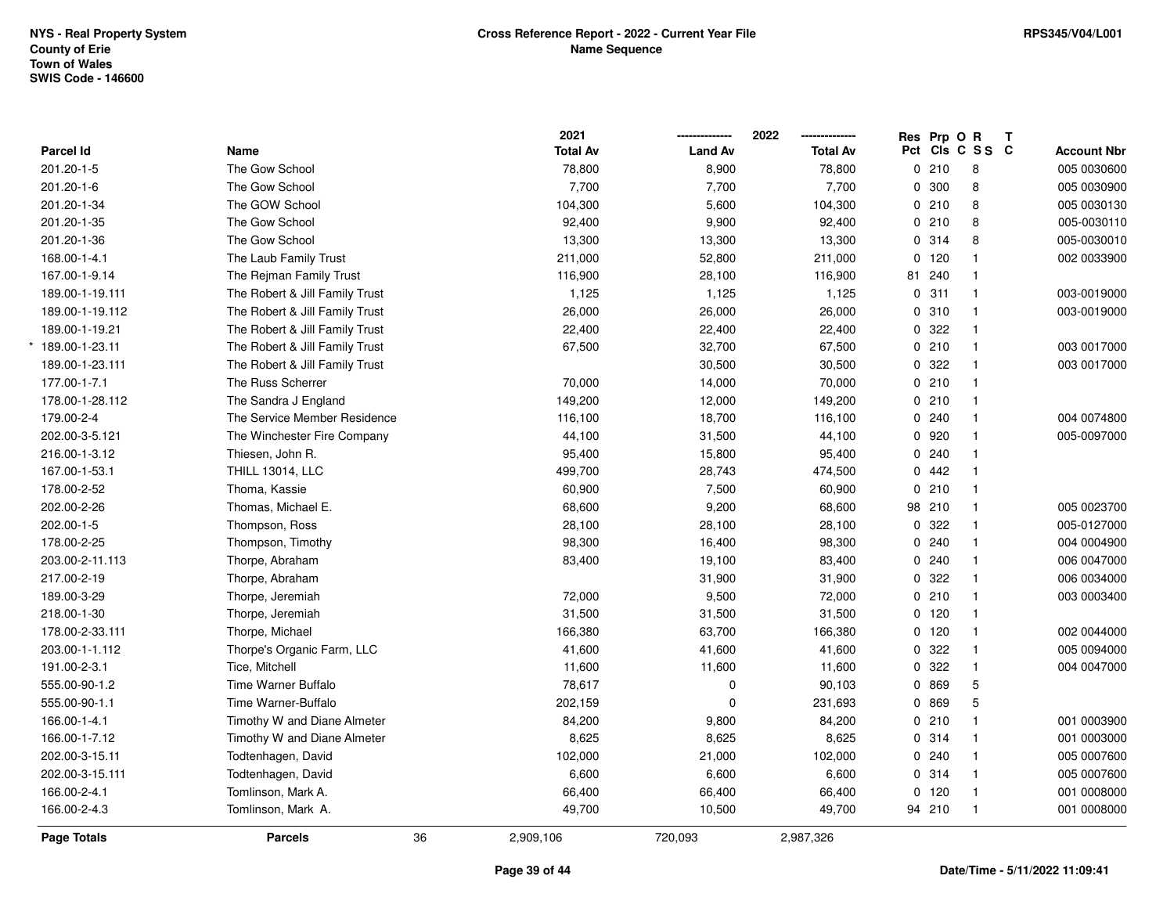\*

|                    |                                |    | 2021            |                | 2022            | Res Prp O | $\mathsf{R}$    | $\mathbf{T}$ |                    |
|--------------------|--------------------------------|----|-----------------|----------------|-----------------|-----------|-----------------|--------------|--------------------|
| Parcel Id          | Name                           |    | <b>Total Av</b> | <b>Land Av</b> | <b>Total Av</b> |           | Pct Cls C S S C |              | <b>Account Nbr</b> |
| 201.20-1-5         | The Gow School                 |    | 78,800          | 8,900          | 78,800          | 0210      | 8               |              | 005 0030600        |
| 201.20-1-6         | The Gow School                 |    | 7,700           | 7,700          | 7,700           | 0 300     | 8               |              | 005 0030900        |
| 201.20-1-34        | The GOW School                 |    | 104,300         | 5,600          | 104,300         | 0210      | 8               |              | 005 0030130        |
| 201.20-1-35        | The Gow School                 |    | 92,400          | 9,900          | 92,400          | 0210      | 8               |              | 005-0030110        |
| 201.20-1-36        | The Gow School                 |    | 13,300          | 13,300         | 13,300          | 0.314     | 8               |              | 005-0030010        |
| 168.00-1-4.1       | The Laub Family Trust          |    | 211,000         | 52,800         | 211,000         | 0, 120    | $\mathbf{1}$    |              | 002 0033900        |
| 167.00-1-9.14      | The Rejman Family Trust        |    | 116,900         | 28,100         | 116,900         | 81 240    | $\mathbf{1}$    |              |                    |
| 189.00-1-19.111    | The Robert & Jill Family Trust |    | 1,125           | 1,125          | 1,125           | 0.311     | $\mathbf{1}$    |              | 003-0019000        |
| 189.00-1-19.112    | The Robert & Jill Family Trust |    | 26,000          | 26,000         | 26,000          | 0 310     | $\mathbf{1}$    |              | 003-0019000        |
| 189.00-1-19.21     | The Robert & Jill Family Trust |    | 22,400          | 22,400         | 22,400          | 0.322     | $\mathbf{1}$    |              |                    |
| 189.00-1-23.11     | The Robert & Jill Family Trust |    | 67,500          | 32,700         | 67,500          | 0210      | $\mathbf{1}$    |              | 003 0017000        |
| 189.00-1-23.111    | The Robert & Jill Family Trust |    |                 | 30,500         | 30,500          | 0.322     | $\mathbf{1}$    |              | 003 0017000        |
| 177.00-1-7.1       | The Russ Scherrer              |    | 70,000          | 14,000         | 70,000          | 0210      | $\mathbf{1}$    |              |                    |
| 178.00-1-28.112    | The Sandra J England           |    | 149,200         | 12,000         | 149,200         | 0210      | $\mathbf{1}$    |              |                    |
| 179.00-2-4         | The Service Member Residence   |    | 116,100         | 18,700         | 116,100         | 0.240     | $\mathbf{1}$    |              | 004 0074800        |
| 202.00-3-5.121     | The Winchester Fire Company    |    | 44,100          | 31,500         | 44,100          | 0 920     | $\mathbf{1}$    |              | 005-0097000        |
| 216.00-1-3.12      | Thiesen, John R.               |    | 95,400          | 15,800         | 95,400          | 0.240     | $\mathbf{1}$    |              |                    |
| 167.00-1-53.1      | <b>THILL 13014, LLC</b>        |    | 499,700         | 28,743         | 474,500         | 0.442     | $\mathbf{1}$    |              |                    |
| 178.00-2-52        | Thoma, Kassie                  |    | 60,900          | 7,500          | 60,900          | 0210      | $\mathbf{1}$    |              |                    |
| 202.00-2-26        | Thomas, Michael E.             |    | 68,600          | 9,200          | 68,600          | 98 210    | $\mathbf{1}$    |              | 005 0023700        |
| 202.00-1-5         | Thompson, Ross                 |    | 28,100          | 28,100         | 28,100          | 0.322     | $\mathbf{1}$    |              | 005-0127000        |
| 178.00-2-25        | Thompson, Timothy              |    | 98,300          | 16,400         | 98,300          | 0.240     | $\mathbf{1}$    |              | 004 0004900        |
| 203.00-2-11.113    | Thorpe, Abraham                |    | 83,400          | 19,100         | 83,400          | 0.240     | $\mathbf{1}$    |              | 006 0047000        |
| 217.00-2-19        | Thorpe, Abraham                |    |                 | 31,900         | 31,900          | 0.322     | $\mathbf{1}$    |              | 006 0034000        |
| 189.00-3-29        | Thorpe, Jeremiah               |    | 72,000          | 9,500          | 72,000          | 0210      | $\mathbf{1}$    |              | 003 0003400        |
| 218.00-1-30        | Thorpe, Jeremiah               |    | 31,500          | 31,500         | 31,500          | $0$ 120   | $\mathbf{1}$    |              |                    |
| 178.00-2-33.111    | Thorpe, Michael                |    | 166,380         | 63,700         | 166,380         | $0$ 120   | $\mathbf{1}$    |              | 002 0044000        |
| 203.00-1-1.112     | Thorpe's Organic Farm, LLC     |    | 41,600          | 41,600         | 41,600          | 0.322     | $\mathbf{1}$    |              | 005 0094000        |
| 191.00-2-3.1       | Tice, Mitchell                 |    | 11,600          | 11,600         | 11,600          | 0.322     | $\mathbf{1}$    |              | 004 0047000        |
| 555.00-90-1.2      | Time Warner Buffalo            |    | 78,617          | $\pmb{0}$      | 90,103          | 0 869     | 5               |              |                    |
| 555.00-90-1.1      | Time Warner-Buffalo            |    | 202,159         | $\Omega$       | 231,693         | 0 869     | 5               |              |                    |
| 166.00-1-4.1       | Timothy W and Diane Almeter    |    | 84,200          | 9,800          | 84,200          | 0210      | $\mathbf{1}$    |              | 001 0003900        |
| 166.00-1-7.12      | Timothy W and Diane Almeter    |    | 8,625           | 8,625          | 8,625           | 0 314     | $\mathbf{1}$    |              | 001 0003000        |
| 202.00-3-15.11     | Todtenhagen, David             |    | 102,000         | 21,000         | 102,000         | 0.240     | $\mathbf{1}$    |              | 005 0007600        |
| 202.00-3-15.111    | Todtenhagen, David             |    | 6,600           | 6,600          | 6,600           | 0.314     | $\mathbf{1}$    |              | 005 0007600        |
| 166.00-2-4.1       | Tomlinson, Mark A.             |    | 66,400          | 66,400         | 66,400          | $0$ 120   | -1              |              | 001 0008000        |
| 166.00-2-4.3       | Tomlinson, Mark A.             |    | 49,700          | 10,500         | 49,700          | 94 210    | $\mathbf{1}$    |              | 001 0008000        |
| <b>Page Totals</b> | <b>Parcels</b>                 | 36 | 2,909,106       | 720,093        | 2,987,326       |           |                 |              |                    |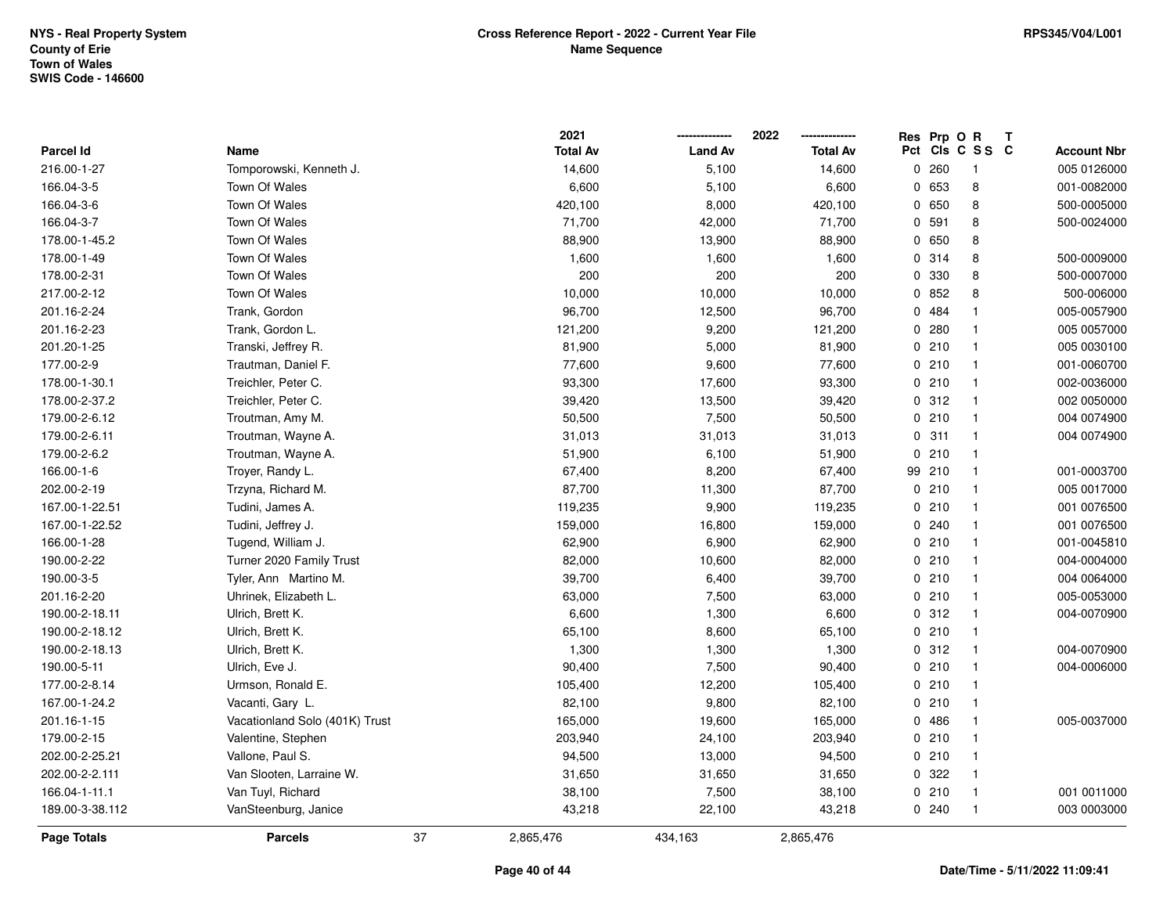|                    |                                |    | 2021            |                | 2022            | Res Prp O R |                 | Т |                    |
|--------------------|--------------------------------|----|-----------------|----------------|-----------------|-------------|-----------------|---|--------------------|
| Parcel Id          | Name                           |    | <b>Total Av</b> | <b>Land Av</b> | <b>Total Av</b> |             | Pct Cls C S S C |   | <b>Account Nbr</b> |
| 216.00-1-27        | Tomporowski, Kenneth J.        |    | 14,600          | 5,100          | 14,600          | 0260        | $\overline{1}$  |   | 005 0126000        |
| 166.04-3-5         | Town Of Wales                  |    | 6,600           | 5,100          | 6,600           | 0 653       | 8               |   | 001-0082000        |
| 166.04-3-6         | Town Of Wales                  |    | 420,100         | 8,000          | 420,100         | 0650        | 8               |   | 500-0005000        |
| 166.04-3-7         | Town Of Wales                  |    | 71,700          | 42,000         | 71,700          | 0 591       | 8               |   | 500-0024000        |
| 178.00-1-45.2      | Town Of Wales                  |    | 88,900          | 13,900         | 88,900          | 0 650       | 8               |   |                    |
| 178.00-1-49        | Town Of Wales                  |    | 1,600           | 1,600          | 1,600           | 0.314       | 8               |   | 500-0009000        |
| 178.00-2-31        | Town Of Wales                  |    | 200             | 200            | 200             | 0 330       | 8               |   | 500-0007000        |
| 217.00-2-12        | Town Of Wales                  |    | 10,000          | 10,000         | 10,000          | 0852        | 8               |   | 500-006000         |
| 201.16-2-24        | Trank, Gordon                  |    | 96,700          | 12,500         | 96,700          | 0484        | $\mathbf{1}$    |   | 005-0057900        |
| 201.16-2-23        | Trank, Gordon L.               |    | 121,200         | 9,200          | 121,200         | 0.280       | $\mathbf{1}$    |   | 005 0057000        |
| 201.20-1-25        | Transki, Jeffrey R.            |    | 81,900          | 5,000          | 81,900          | 0210        | $\mathbf{1}$    |   | 005 0030100        |
| 177.00-2-9         | Trautman, Daniel F.            |    | 77,600          | 9,600          | 77,600          | 0210        | $\mathbf{1}$    |   | 001-0060700        |
| 178.00-1-30.1      | Treichler, Peter C.            |    | 93,300          | 17,600         | 93,300          | 0210        | 1               |   | 002-0036000        |
| 178.00-2-37.2      | Treichler, Peter C.            |    | 39,420          | 13,500         | 39,420          | 0.312       | $\mathbf{1}$    |   | 002 0050000        |
| 179.00-2-6.12      | Troutman, Amy M.               |    | 50,500          | 7,500          | 50,500          | 0210        | $\overline{1}$  |   | 004 0074900        |
| 179.00-2-6.11      | Troutman, Wayne A.             |    | 31,013          | 31,013         | 31,013          | 0.311       | $\mathbf{1}$    |   | 004 0074900        |
| 179.00-2-6.2       | Troutman, Wayne A.             |    | 51,900          | 6,100          | 51,900          | 0210        | $\mathbf{1}$    |   |                    |
| 166.00-1-6         | Troyer, Randy L.               |    | 67,400          | 8,200          | 67,400          | 99 210      | $\mathbf{1}$    |   | 001-0003700        |
| 202.00-2-19        | Trzyna, Richard M.             |    | 87,700          | 11,300         | 87,700          | 0210        | $\mathbf{1}$    |   | 005 0017000        |
| 167.00-1-22.51     | Tudini, James A.               |    | 119,235         | 9,900          | 119,235         | 0210        | $\mathbf{1}$    |   | 001 0076500        |
| 167.00-1-22.52     | Tudini, Jeffrey J.             |    | 159,000         | 16,800         | 159,000         | 0.240       | $\mathbf{1}$    |   | 001 0076500        |
| 166.00-1-28        | Tugend, William J.             |    | 62,900          | 6,900          | 62,900          | 0210        | $\mathbf{1}$    |   | 001-0045810        |
| 190.00-2-22        | Turner 2020 Family Trust       |    | 82,000          | 10,600         | 82,000          | 0210        | $\mathbf{1}$    |   | 004-0004000        |
| 190.00-3-5         | Tyler, Ann Martino M.          |    | 39,700          | 6,400          | 39,700          | 0210        | $\mathbf{1}$    |   | 004 0064000        |
| 201.16-2-20        | Uhrinek, Elizabeth L.          |    | 63,000          | 7,500          | 63,000          | 0210        | $\mathbf{1}$    |   | 005-0053000        |
| 190.00-2-18.11     | Ulrich, Brett K.               |    | 6,600           | 1,300          | 6,600           | 0.312       | -1              |   | 004-0070900        |
| 190.00-2-18.12     | Ulrich, Brett K.               |    | 65,100          | 8,600          | 65,100          | 0210        | $\mathbf{1}$    |   |                    |
| 190.00-2-18.13     | Ulrich, Brett K.               |    | 1,300           | 1,300          | 1,300           | 0.312       | $\mathbf{1}$    |   | 004-0070900        |
| 190.00-5-11        | Ulrich, Eve J.                 |    | 90,400          | 7,500          | 90,400          | 0210        | $\mathbf{1}$    |   | 004-0006000        |
| 177.00-2-8.14      | Urmson, Ronald E.              |    | 105,400         | 12,200         | 105,400         | 0210        | $\mathbf{1}$    |   |                    |
| 167.00-1-24.2      | Vacanti, Gary L.               |    | 82,100          | 9,800          | 82,100          | 0210        | $\mathbf{1}$    |   |                    |
| 201.16-1-15        | Vacationland Solo (401K) Trust |    | 165,000         | 19,600         | 165,000         | 0 486       | $\mathbf{1}$    |   | 005-0037000        |
| 179.00-2-15        | Valentine, Stephen             |    | 203,940         | 24,100         | 203,940         | 0210        | $\mathbf{1}$    |   |                    |
| 202.00-2-25.21     | Vallone, Paul S.               |    | 94,500          | 13,000         | 94,500          | 0210        | $\mathbf{1}$    |   |                    |
| 202.00-2-2.111     | Van Slooten, Larraine W.       |    | 31,650          | 31,650         | 31,650          | 0 322       | $\mathbf{1}$    |   |                    |
| 166.04-1-11.1      | Van Tuyl, Richard              |    | 38,100          | 7,500          | 38,100          | 0210        | $\mathbf{1}$    |   | 001 0011000        |
| 189.00-3-38.112    | VanSteenburg, Janice           |    | 43,218          | 22,100         | 43,218          | 0.240       | $\mathbf{1}$    |   | 003 0003000        |
| <b>Page Totals</b> | <b>Parcels</b>                 | 37 | 2,865,476       | 434,163        | 2,865,476       |             |                 |   |                    |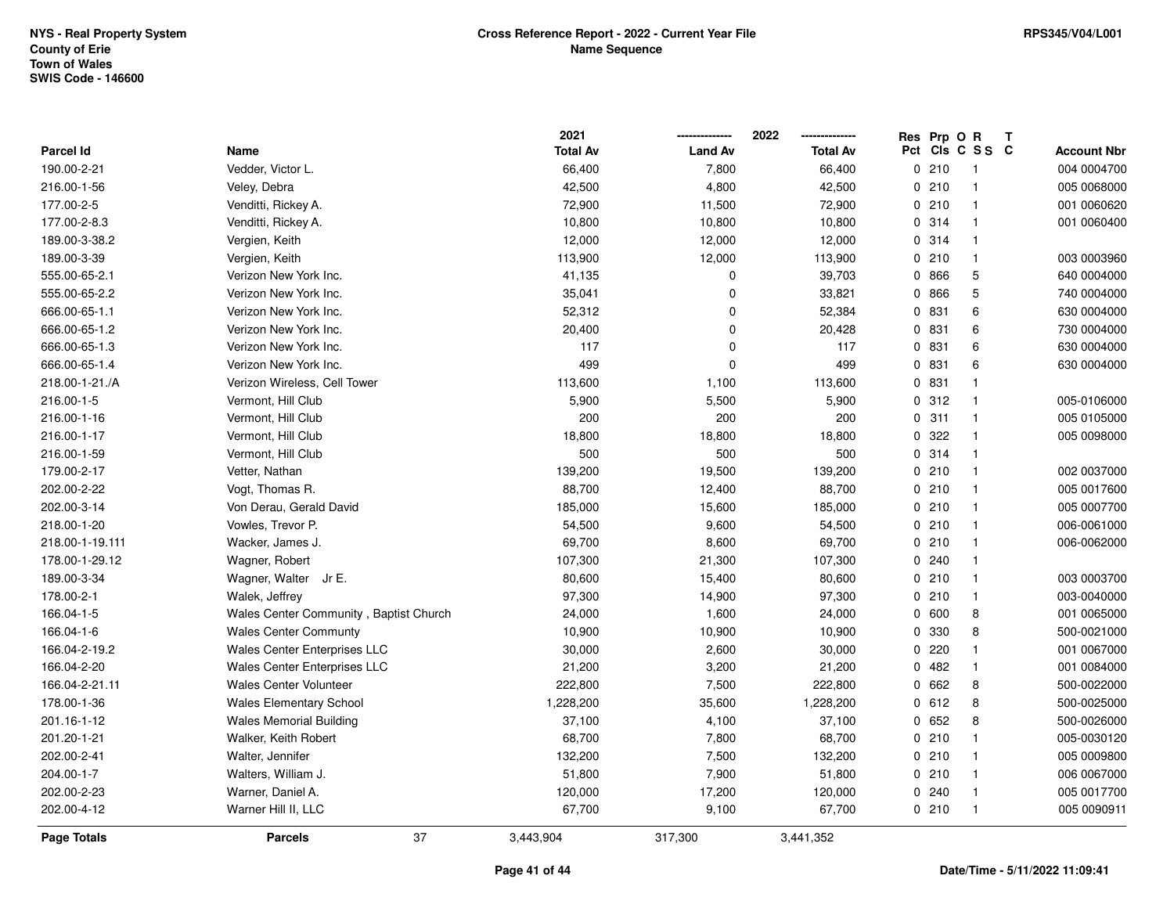|                  |                                        | 2021            |                | 2022            | Res Prp O R |                         |                    |
|------------------|----------------------------------------|-----------------|----------------|-----------------|-------------|-------------------------|--------------------|
| <b>Parcel Id</b> | Name                                   | <b>Total Av</b> | <b>Land Av</b> | <b>Total Av</b> |             | Pct Cls C S S C         | <b>Account Nbr</b> |
| 190.00-2-21      | Vedder, Victor L.                      | 66,400          | 7,800          | 66,400          | 0210        | $\overline{\mathbf{1}}$ | 004 0004700        |
| 216.00-1-56      | Veley, Debra                           | 42,500          | 4,800          | 42,500          | 0210        | $\overline{1}$          | 005 0068000        |
| 177.00-2-5       | Venditti, Rickey A.                    | 72,900          | 11,500         | 72,900          | 0210        | $\overline{1}$          | 001 0060620        |
| 177.00-2-8.3     | Venditti, Rickey A.                    | 10,800          | 10,800         | 10,800          | 0.314       | $\overline{1}$          | 001 0060400        |
| 189.00-3-38.2    | Vergien, Keith                         | 12,000          | 12,000         | 12,000          | 0 314       | $\overline{1}$          |                    |
| 189.00-3-39      | Vergien, Keith                         | 113,900         | 12,000         | 113,900         | 0210        | $\overline{1}$          | 003 0003960        |
| 555.00-65-2.1    | Verizon New York Inc.                  | 41,135          | 0              | 39,703          | 0 866       | 5                       | 640 0004000        |
| 555.00-65-2.2    | Verizon New York Inc.                  | 35,041          | $\Omega$       | 33,821          | 0 866       | $\mathbf 5$             | 740 0004000        |
| 666.00-65-1.1    | Verizon New York Inc.                  | 52,312          | $\Omega$       | 52,384          | 0 831       | 6                       | 630 0004000        |
| 666.00-65-1.2    | Verizon New York Inc.                  | 20,400          | $\Omega$       | 20,428          | 0 831       | 6                       | 730 0004000        |
| 666.00-65-1.3    | Verizon New York Inc.                  | 117             | $\Omega$       | 117             | 0 831       | 6                       | 630 0004000        |
| 666.00-65-1.4    | Verizon New York Inc.                  | 499             | $\Omega$       | 499             | 0 831       | 6                       | 630 0004000        |
| 218.00-1-21./A   | Verizon Wireless, Cell Tower           | 113,600         | 1,100          | 113,600         | 0 831       | $\mathbf 1$             |                    |
| 216.00-1-5       | Vermont, Hill Club                     | 5,900           | 5,500          | 5,900           | 0.312       | $\overline{1}$          | 005-0106000        |
| 216.00-1-16      | Vermont, Hill Club                     | 200             | 200            | 200             | 0.311       | $\overline{1}$          | 005 0105000        |
| 216.00-1-17      | Vermont, Hill Club                     | 18,800          | 18,800         | 18,800          | 0 322       | $\overline{1}$          | 005 0098000        |
| 216.00-1-59      | Vermont, Hill Club                     | 500             | 500            | 500             | 0.314       | $\overline{1}$          |                    |
| 179.00-2-17      | Vetter, Nathan                         | 139,200         | 19,500         | 139,200         | 0210        | $\overline{1}$          | 002 0037000        |
| 202.00-2-22      | Vogt, Thomas R.                        | 88,700          | 12,400         | 88,700          | 0210        | $\overline{1}$          | 005 0017600        |
| 202.00-3-14      | Von Derau, Gerald David                | 185,000         | 15,600         | 185,000         | 0210        | $\overline{1}$          | 005 0007700        |
| 218.00-1-20      | Vowles, Trevor P.                      | 54,500          | 9,600          | 54,500          | 0210        | $\overline{1}$          | 006-0061000        |
| 218.00-1-19.111  | Wacker, James J.                       | 69,700          | 8,600          | 69,700          | 0210        | $\overline{1}$          | 006-0062000        |
| 178.00-1-29.12   | Wagner, Robert                         | 107,300         | 21,300         | 107,300         | 0.240       | $\overline{1}$          |                    |
| 189.00-3-34      | Wagner, Walter Jr E.                   | 80,600          | 15,400         | 80,600          | 0210        | $\overline{1}$          | 003 0003700        |
| 178.00-2-1       | Walek, Jeffrey                         | 97,300          | 14,900         | 97,300          | 0210        | $\overline{1}$          | 003-0040000        |
| 166.04-1-5       | Wales Center Community, Baptist Church | 24,000          | 1,600          | 24,000          | 0 600       | 8                       | 001 0065000        |
| 166.04-1-6       | <b>Wales Center Communty</b>           | 10,900          | 10,900         | 10,900          | 0 330       | 8                       | 500-0021000        |
| 166.04-2-19.2    | Wales Center Enterprises LLC           | 30,000          | 2,600          | 30,000          | 0220        | $\mathbf{1}$            | 001 0067000        |
| 166.04-2-20      | <b>Wales Center Enterprises LLC</b>    | 21,200          | 3,200          | 21,200          | 0482        | $\mathbf{1}$            | 001 0084000        |
| 166.04-2-21.11   | <b>Wales Center Volunteer</b>          | 222,800         | 7,500          | 222,800         | 0 662       | 8                       | 500-0022000        |
| 178.00-1-36      | <b>Wales Elementary School</b>         | 1,228,200       | 35,600         | 1,228,200       | 0612        | 8                       | 500-0025000        |
| 201.16-1-12      | <b>Wales Memorial Building</b>         | 37,100          | 4,100          | 37,100          | 0652        | 8                       | 500-0026000        |
| 201.20-1-21      | Walker, Keith Robert                   | 68,700          | 7,800          | 68,700          | 0210        | $\mathbf{1}$            | 005-0030120        |
| 202.00-2-41      | Walter, Jennifer                       | 132,200         | 7,500          | 132,200         | 0210        | $\overline{1}$          | 005 0009800        |
| 204.00-1-7       | Walters, William J.                    | 51,800          | 7,900          | 51,800          | 0210        | $\mathbf{1}$            | 006 0067000        |
| 202.00-2-23      | Warner, Daniel A.                      | 120,000         | 17,200         | 120,000         | 0.240       | -1                      | 005 0017700        |
| 202.00-4-12      | Warner Hill II, LLC                    | 67,700          | 9,100          | 67,700          | 0210        | $\overline{1}$          | 005 0090911        |
| Page Totals      | 37<br><b>Parcels</b>                   | 3,443,904       | 317,300        | 3,441,352       |             |                         |                    |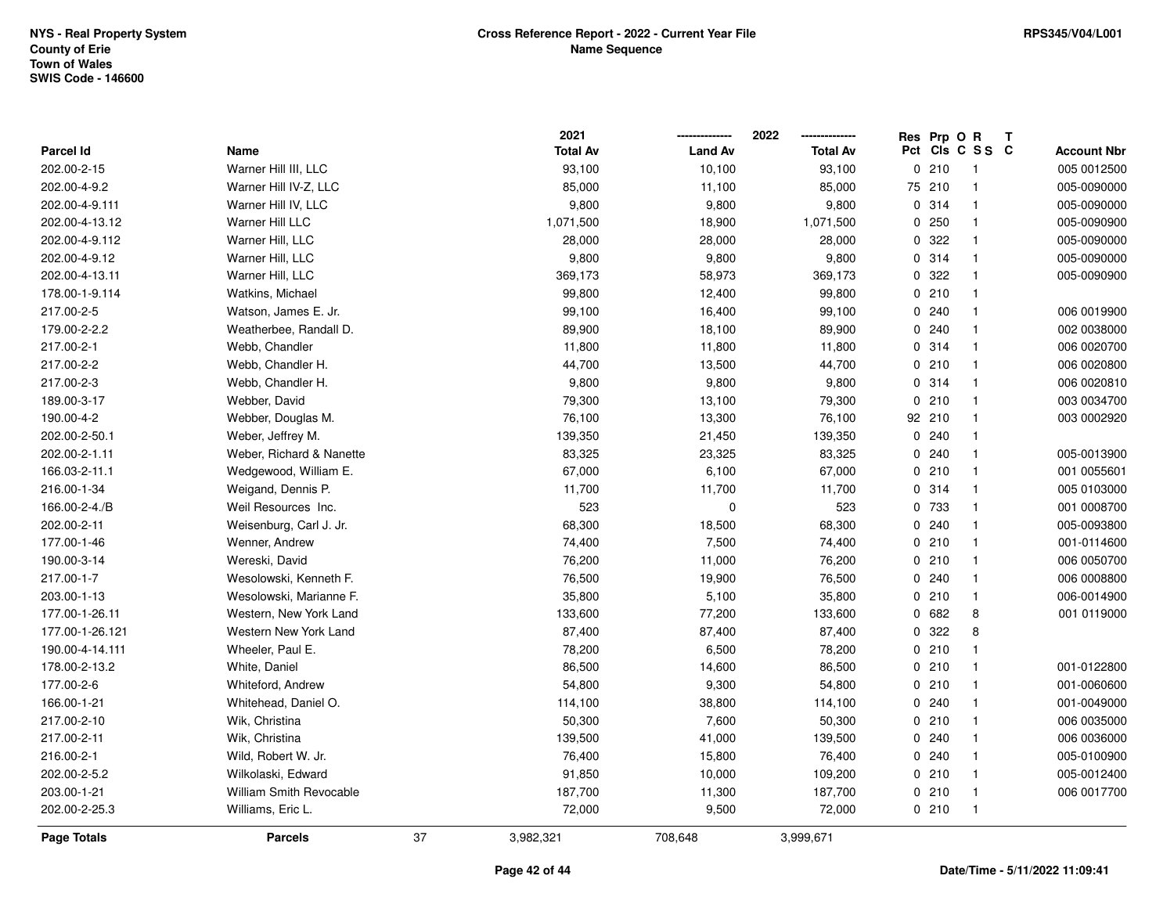|                  |                          |    | 2021            |                | 2022            | Res Prp O R |                         | Т |                    |
|------------------|--------------------------|----|-----------------|----------------|-----------------|-------------|-------------------------|---|--------------------|
| <b>Parcel Id</b> | Name                     |    | <b>Total Av</b> | <b>Land Av</b> | <b>Total Av</b> |             | Pct Cls C S S C         |   | <b>Account Nbr</b> |
| 202.00-2-15      | Warner Hill III, LLC     |    | 93,100          | 10,100         | 93,100          | 0210        | $\overline{\mathbf{1}}$ |   | 005 0012500        |
| 202.00-4-9.2     | Warner Hill IV-Z, LLC    |    | 85,000          | 11,100         | 85,000          | 75 210      | $\overline{1}$          |   | 005-0090000        |
| 202.00-4-9.111   | Warner Hill IV, LLC      |    | 9,800           | 9,800          | 9,800           | 0.314       | $\overline{1}$          |   | 005-0090000        |
| 202.00-4-13.12   | Warner Hill LLC          |    | 1,071,500       | 18,900         | 1,071,500       | 0250        | $\overline{1}$          |   | 005-0090900        |
| 202.00-4-9.112   | Warner Hill, LLC         |    | 28,000          | 28,000         | 28,000          | 0.322       | $\overline{\mathbf{1}}$ |   | 005-0090000        |
| 202.00-4-9.12    | Warner Hill, LLC         |    | 9,800           | 9,800          | 9,800           | 0.314       | $\overline{\mathbf{1}}$ |   | 005-0090000        |
| 202.00-4-13.11   | Warner Hill, LLC         |    | 369,173         | 58,973         | 369,173         | 0 322       | $\overline{1}$          |   | 005-0090900        |
| 178.00-1-9.114   | Watkins, Michael         |    | 99,800          | 12,400         | 99,800          | 0210        | $\overline{1}$          |   |                    |
| 217.00-2-5       | Watson, James E. Jr.     |    | 99,100          | 16,400         | 99,100          | 0.240       | $\overline{1}$          |   | 006 0019900        |
| 179.00-2-2.2     | Weatherbee, Randall D.   |    | 89,900          | 18,100         | 89,900          | 0.240       | $\overline{\mathbf{1}}$ |   | 002 0038000        |
| 217.00-2-1       | Webb, Chandler           |    | 11,800          | 11,800         | 11,800          | 0.314       | $\overline{1}$          |   | 006 0020700        |
| 217.00-2-2       | Webb, Chandler H.        |    | 44,700          | 13,500         | 44,700          | 0210        | $\overline{\mathbf{1}}$ |   | 006 0020800        |
| 217.00-2-3       | Webb, Chandler H.        |    | 9,800           | 9,800          | 9,800           | 0.314       | -1                      |   | 006 0020810        |
| 189.00-3-17      | Webber, David            |    | 79,300          | 13,100         | 79,300          | 0210        | $\overline{\mathbf{1}}$ |   | 003 0034700        |
| 190.00-4-2       | Webber, Douglas M.       |    | 76,100          | 13,300         | 76,100          | 92 210      | $\overline{1}$          |   | 003 0002920        |
| 202.00-2-50.1    | Weber, Jeffrey M.        |    | 139,350         | 21,450         | 139,350         | 0.240       | $\overline{1}$          |   |                    |
| 202.00-2-1.11    | Weber, Richard & Nanette |    | 83,325          | 23,325         | 83,325          | 0.240       | $\overline{\mathbf{1}}$ |   | 005-0013900        |
| 166.03-2-11.1    | Wedgewood, William E.    |    | 67,000          | 6,100          | 67,000          | 0210        | $\overline{1}$          |   | 001 0055601        |
| 216.00-1-34      | Weigand, Dennis P.       |    | 11,700          | 11,700         | 11,700          | 0.314       | $\overline{\mathbf{1}}$ |   | 005 0103000        |
| 166.00-2-4./B    | Weil Resources Inc.      |    | 523             | 0              | 523             | 0 733       | $\overline{\mathbf{1}}$ |   | 001 0008700        |
| 202.00-2-11      | Weisenburg, Carl J. Jr.  |    | 68,300          | 18,500         | 68,300          | 0.240       | $\overline{\mathbf{1}}$ |   | 005-0093800        |
| 177.00-1-46      | Wenner, Andrew           |    | 74,400          | 7,500          | 74,400          | 0210        | $\overline{1}$          |   | 001-0114600        |
| 190.00-3-14      | Wereski, David           |    | 76,200          | 11,000         | 76,200          | 0210        | $\overline{1}$          |   | 006 0050700        |
| 217.00-1-7       | Wesolowski, Kenneth F.   |    | 76,500          | 19,900         | 76,500          | 0.240       | $\overline{\mathbf{1}}$ |   | 006 0008800        |
| 203.00-1-13      | Wesolowski, Marianne F.  |    | 35,800          | 5,100          | 35,800          | 0210        | $\mathbf{1}$            |   | 006-0014900        |
| 177.00-1-26.11   | Western, New York Land   |    | 133,600         | 77,200         | 133,600         | 0 682       | 8                       |   | 001 0119000        |
| 177.00-1-26.121  | Western New York Land    |    | 87,400          | 87,400         | 87,400          | 0 322       | 8                       |   |                    |
| 190.00-4-14.111  | Wheeler, Paul E.         |    | 78,200          | 6,500          | 78,200          | 0210        | $\overline{\mathbf{1}}$ |   |                    |
| 178.00-2-13.2    | White, Daniel            |    | 86,500          | 14,600         | 86,500          | 0210        | $\overline{1}$          |   | 001-0122800        |
| 177.00-2-6       | Whiteford, Andrew        |    | 54,800          | 9,300          | 54,800          | 0210        | $\overline{1}$          |   | 001-0060600        |
| 166.00-1-21      | Whitehead, Daniel O.     |    | 114,100         | 38,800         | 114,100         | 0.240       | $\overline{1}$          |   | 001-0049000        |
| 217.00-2-10      | Wik, Christina           |    | 50,300          | 7,600          | 50,300          | 0210        | $\overline{1}$          |   | 006 0035000        |
| 217.00-2-11      | Wik, Christina           |    | 139,500         | 41,000         | 139,500         | 0.240       | $\overline{\mathbf{1}}$ |   | 006 0036000        |
| 216.00-2-1       | Wild, Robert W. Jr.      |    | 76,400          | 15,800         | 76,400          | 0.240       | $\overline{\mathbf{1}}$ |   | 005-0100900        |
| 202.00-2-5.2     | Wilkolaski, Edward       |    | 91,850          | 10,000         | 109,200         | 0210        | $\overline{\mathbf{1}}$ |   | 005-0012400        |
| 203.00-1-21      | William Smith Revocable  |    | 187,700         | 11,300         | 187,700         | 0210        | $\overline{1}$          |   | 006 0017700        |
| 202.00-2-25.3    | Williams, Eric L.        |    | 72,000          | 9,500          | 72,000          | 0210        | $\overline{1}$          |   |                    |
| Page Totals      | <b>Parcels</b>           | 37 | 3,982,321       | 708,648        | 3,999,671       |             |                         |   |                    |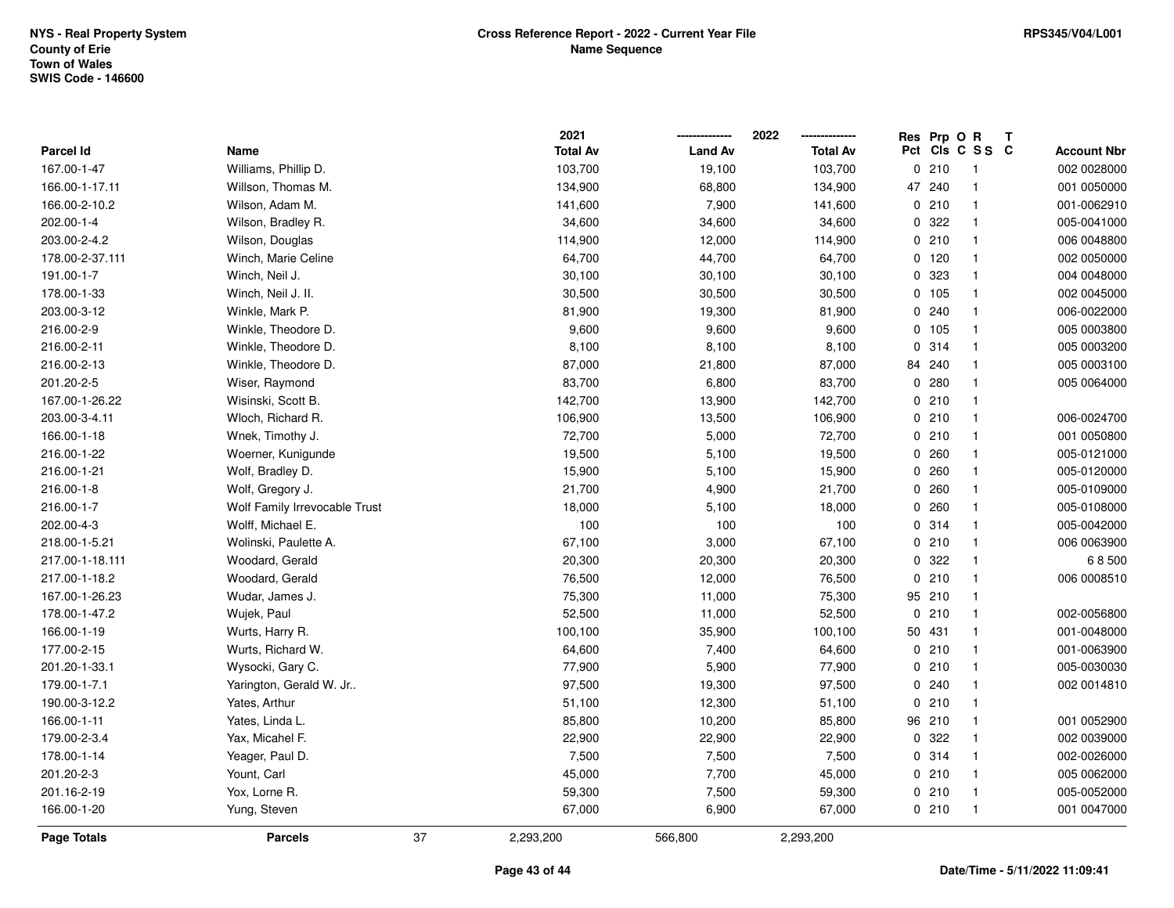|                  |                               |    | 2021            |                | 2022            |    | Res Prp O R |                 | Т |                    |
|------------------|-------------------------------|----|-----------------|----------------|-----------------|----|-------------|-----------------|---|--------------------|
| <b>Parcel Id</b> | Name                          |    | <b>Total Av</b> | <b>Land Av</b> | <b>Total Av</b> |    |             | Pct Cls C S S C |   | <b>Account Nbr</b> |
| 167.00-1-47      | Williams, Phillip D.          |    | 103,700         | 19,100         | 103,700         | 0  | 210         | $\overline{1}$  |   | 002 0028000        |
| 166.00-1-17.11   | Willson, Thomas M.            |    | 134,900         | 68,800         | 134,900         | 47 | 240         | $\overline{1}$  |   | 001 0050000        |
| 166.00-2-10.2    | Wilson, Adam M.               |    | 141,600         | 7,900          | 141,600         |    | 0210        | $\mathbf{1}$    |   | 001-0062910        |
| 202.00-1-4       | Wilson, Bradley R.            |    | 34,600          | 34,600         | 34,600          |    | 0 322       | $\mathbf{1}$    |   | 005-0041000        |
| 203.00-2-4.2     | Wilson, Douglas               |    | 114,900         | 12,000         | 114,900         |    | 0210        | $\mathbf{1}$    |   | 006 0048800        |
| 178.00-2-37.111  | Winch, Marie Celine           |    | 64,700          | 44,700         | 64,700          |    | 0 120       | $\mathbf{1}$    |   | 002 0050000        |
| 191.00-1-7       | Winch, Neil J.                |    | 30,100          | 30,100         | 30,100          |    | 0 323       | $\mathbf{1}$    |   | 004 0048000        |
| 178.00-1-33      | Winch, Neil J. II.            |    | 30,500          | 30,500         | 30,500          |    | 0 105       | $\mathbf{1}$    |   | 002 0045000        |
| 203.00-3-12      | Winkle, Mark P.               |    | 81,900          | 19,300         | 81,900          |    | 0.240       | $\mathbf{1}$    |   | 006-0022000        |
| 216.00-2-9       | Winkle, Theodore D.           |    | 9,600           | 9,600          | 9,600           |    | 0 105       | $\mathbf{1}$    |   | 005 0003800        |
| 216.00-2-11      | Winkle, Theodore D.           |    | 8,100           | 8,100          | 8,100           |    | 0.314       | $\mathbf{1}$    |   | 005 0003200        |
| 216.00-2-13      | Winkle, Theodore D.           |    | 87,000          | 21,800         | 87,000          |    | 84 240      | $\mathbf{1}$    |   | 005 0003100        |
| 201.20-2-5       | Wiser, Raymond                |    | 83,700          | 6,800          | 83,700          |    | 0.280       | $\mathbf 1$     |   | 005 0064000        |
| 167.00-1-26.22   | Wisinski, Scott B.            |    | 142,700         | 13,900         | 142,700         |    | 0210        | $\mathbf{1}$    |   |                    |
| 203.00-3-4.11    | Wloch, Richard R.             |    | 106,900         | 13,500         | 106,900         |    | 0210        | $\overline{1}$  |   | 006-0024700        |
| 166.00-1-18      | Wnek, Timothy J.              |    | 72,700          | 5,000          | 72,700          |    | 0210        | $\mathbf{1}$    |   | 001 0050800        |
| 216.00-1-22      | Woerner, Kunigunde            |    | 19,500          | 5,100          | 19,500          |    | 0260        | $\mathbf{1}$    |   | 005-0121000        |
| 216.00-1-21      | Wolf, Bradley D.              |    | 15,900          | 5,100          | 15,900          |    | 0260        | $\mathbf{1}$    |   | 005-0120000        |
| 216.00-1-8       | Wolf, Gregory J.              |    | 21,700          | 4,900          | 21,700          |    | 0.260       | $\mathbf{1}$    |   | 005-0109000        |
| 216.00-1-7       | Wolf Family Irrevocable Trust |    | 18,000          | 5,100          | 18,000          |    | 0.260       | $\overline{1}$  |   | 005-0108000        |
| 202.00-4-3       | Wolff, Michael E.             |    | 100             | 100            | 100             |    | 0 314       | $\mathbf{1}$    |   | 005-0042000        |
| 218.00-1-5.21    | Wolinski, Paulette A.         |    | 67,100          | 3,000          | 67,100          |    | 0210        | $\mathbf{1}$    |   | 006 0063900        |
| 217.00-1-18.111  | Woodard, Gerald               |    | 20,300          | 20,300         | 20,300          |    | 0 322       | $\mathbf{1}$    |   | 68500              |
| 217.00-1-18.2    | Woodard, Gerald               |    | 76,500          | 12,000         | 76,500          |    | 0210        | $\mathbf{1}$    |   | 006 0008510        |
| 167.00-1-26.23   | Wudar, James J.               |    | 75,300          | 11,000         | 75,300          |    | 95 210      | $\overline{1}$  |   |                    |
| 178.00-1-47.2    | Wujek, Paul                   |    | 52,500          | 11,000         | 52,500          |    | 0210        | $\mathbf{1}$    |   | 002-0056800        |
| 166.00-1-19      | Wurts, Harry R.               |    | 100,100         | 35,900         | 100,100         |    | 50 431      | $\mathbf{1}$    |   | 001-0048000        |
| 177.00-2-15      | Wurts, Richard W.             |    | 64,600          | 7,400          | 64,600          |    | 0210        | $\mathbf{1}$    |   | 001-0063900        |
| 201.20-1-33.1    | Wysocki, Gary C.              |    | 77,900          | 5,900          | 77,900          |    | 0210        | $\overline{1}$  |   | 005-0030030        |
| 179.00-1-7.1     | Yarington, Gerald W. Jr       |    | 97,500          | 19,300         | 97,500          |    | 0.240       | $\mathbf{1}$    |   | 002 0014810        |
| 190.00-3-12.2    | Yates, Arthur                 |    | 51,100          | 12,300         | 51,100          |    | 0210        | $\overline{1}$  |   |                    |
| 166.00-1-11      | Yates, Linda L.               |    | 85,800          | 10,200         | 85,800          |    | 96 210      | $\mathbf{1}$    |   | 001 0052900        |
| 179.00-2-3.4     | Yax, Micahel F.               |    | 22,900          | 22,900         | 22,900          |    | 0.322       | $\mathbf{1}$    |   | 002 0039000        |
| 178.00-1-14      | Yeager, Paul D.               |    | 7,500           | 7,500          | 7,500           |    | 0.314       | $\mathbf{1}$    |   | 002-0026000        |
| 201.20-2-3       | Yount, Carl                   |    | 45,000          | 7,700          | 45,000          |    | 0210        | $\mathbf{1}$    |   | 005 0062000        |
| 201.16-2-19      | Yox, Lorne R.                 |    | 59,300          | 7,500          | 59,300          |    | 0210        | $\overline{1}$  |   | 005-0052000        |
| 166.00-1-20      | Yung, Steven                  |    | 67,000          | 6,900          | 67,000          |    | 0210        | $\overline{1}$  |   | 001 0047000        |
| Page Totals      | <b>Parcels</b>                | 37 | 2,293,200       | 566,800        | 2,293,200       |    |             |                 |   |                    |